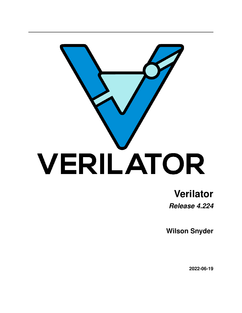

# **Verilator** *Release 4.224*

**Wilson Snyder**

**2022-06-19**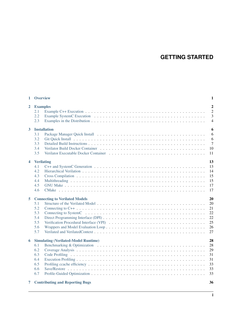## **GETTING STARTED**

| $\mathbf{1}$ | <b>Overview</b>                                                                              | 1                                                         |
|--------------|----------------------------------------------------------------------------------------------|-----------------------------------------------------------|
| $\mathbf{2}$ | <b>Examples</b><br>2.1<br>2.2<br>2.3                                                         | $\boldsymbol{2}$<br>$\overline{2}$<br>3<br>$\overline{4}$ |
| 3            | <b>Installation</b><br>3.1<br>3.2<br>3.3<br>3.4<br>3.5                                       | 6<br>6<br>6<br>$\overline{7}$<br>10<br>11                 |
| 4            | <b>Verilating</b><br>4.1<br>4.2<br>4.3<br>4.4<br>4.5<br>4.6                                  | 13<br>13<br>14<br>15<br>15<br>17<br>17                    |
| 5            | <b>Connecting to Verilated Models</b><br>5.1<br>5.2<br>5.3<br>5.4<br>5.5<br>5.6<br>5.7       | 20<br>20<br>21<br>22<br>22<br>25<br>26<br>27              |
| 6            | <b>Simulating (Verilated-Model Runtime)</b><br>6.1<br>6.2<br>6.3<br>6.4<br>6.5<br>6.6<br>6.7 | 28<br>28<br>29<br>31<br>31<br>33<br>33<br>33<br>36        |
| 7            | <b>Contributing and Reporting Bugs</b>                                                       |                                                           |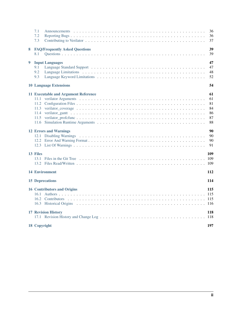|   | 7.1<br>7.2<br>7.3                                                            | 36<br>36<br>37                         |
|---|------------------------------------------------------------------------------|----------------------------------------|
| 8 | <b>FAQ/Frequently Asked Questions</b><br>8.1                                 | 39<br>39                               |
| 9 | <b>Input Languages</b><br>9.1<br>9.2<br>9.3<br><b>10 Language Extensions</b> | 47<br>47<br>48<br>52<br>54             |
|   | <b>11 Executable and Argument Reference</b><br>11.1<br>11.5                  | 61<br>61<br>81<br>84<br>86<br>87<br>88 |
|   | <b>12 Errors and Warnings</b>                                                | 90<br>90<br>90<br>91                   |
|   | 13 Files                                                                     | 109<br>109<br>109                      |
|   | <b>14 Environment</b>                                                        | 112                                    |
|   | <b>15 Deprecations</b>                                                       | 114                                    |
|   | <b>16 Contributors and Origins</b>                                           | 115                                    |
|   | <b>17 Revision History</b>                                                   | 118<br>118                             |
|   | 18 Copyright                                                                 | 197                                    |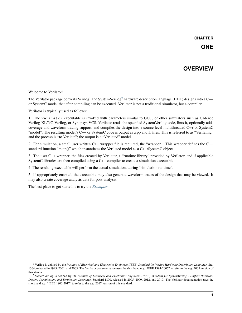#### **CHAPTER**

## **OVERVIEW**

<span id="page-3-0"></span>Welcome to Verilator!

The Verilator package converts Verilog<sup>[1](#page-3-1)</sup> and SystemVerilog<sup>[2](#page-3-2)</sup> hardware description language (HDL) designs into a C++ or SystemC model that after compiling can be executed. Verilator is not a traditional simulator, but a compiler.

Verilator is typically used as follows:

1. The **verilator** executable is invoked with parameters similar to GCC, or other simulators such as Cadence Verilog-XL/NC-Verilog, or Synopsys VCS. Verilator reads the specified SystemVerilog code, lints it, optionally adds coverage and waveform tracing support, and compiles the design into a source level multithreaded C++ or SystemC "model". The resulting model's C++ or SystemC code is output as .cpp and .h files. This is referred to as "Verilating" and the process is "to Verilate"; the output is a "Verilated" model.

2. For simulation, a small user written C++ wrapper file is required, the "wrapper". This wrapper defines the C++ standard function "main()" which instantiates the Verilated model as a C++/SystemC object.

3. The user C++ wrapper, the files created by Verilator, a "runtime library" provided by Verilator, and if applicable SystemC libraries are then compiled using a C++ compiler to create a simulation executable.

4. The resulting executable will perform the actual simulation, during "simulation runtime".

5. If appropriately enabled, the executable may also generate waveform traces of the design that may be viewed. It may also create coverage analysis data for post-analysis.

The best place to get started is to try the *[Examples](#page-4-0)*.

<span id="page-3-1"></span><sup>1</sup> Verilog is defined by the *Institute of Electrical and Electronics Engineers (IEEE) Standard for Verilog Hardware Description Language*, Std. 1364, released in 1995, 2001, and 2005. The Verilator documentation uses the shorthand e.g. "IEEE 1394-2005" to refer to the e.g. 2005 version of this standard.

<span id="page-3-2"></span><sup>2</sup> SystemVerilog is defined by the *Institute of Electrical and Electronics Engineers (IEEE) Standard for SystemVerilog - Unified Hardware Design, Specification, and Verification Language*, Standard 1800, released in 2005, 2009, 2012, and 2017. The Verilator documentation uses the shorthand e.g. "IEEE 1800-2017" to refer to the e.g. 2017 version of this standard.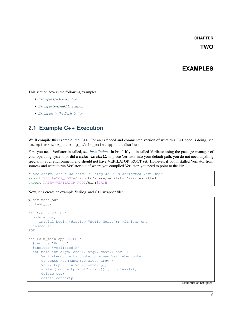#### **CHAPTER**

**TWO**

### **EXAMPLES**

<span id="page-4-0"></span>This section covers the following examples:

- *[Example C++ Execution](#page-4-1)*
- *[Example SystemC Execution](#page-5-0)*
- *[Examples in the Distribution](#page-6-0)*

## <span id="page-4-1"></span>**2.1 Example C++ Execution**

We'll compile this example into C++. For an extended and commented version of what this C++ code is doing, see examples/make\_tracing\_c/sim\_main.cpp in the distribution.

First you need Verilator installed, see *[Installation](#page-8-0)*. In brief, if you installed Verilator using the package manager of your operating system, or did a **make install** to place Verilator into your default path, you do not need anything special in your environment, and should not have VERILATOR\_ROOT set. However, if you installed Verilator from sources and want to run Verilator out of where you compiled Verilator, you need to point to the kit:

```
# See above; don't do this if using an OS-distributed Verilator
export VERILATOR_ROOT=/path/to/where/verilator/was/installed
export PATH=$VERILATOR_ROOT/bin:$PATH
```
Now, let's create an example Verilog, and C++ wrapper file:

```
mkdir test_our
cd test_our
cat >our.v <<'EOF'
 module our;
    initial begin $display("Hello World"); $finish; end
 endmodule
EOF
cat >sim_main.cpp <<'EOF'
 #include "Vour.h"
  #include "verilated.h"
  int main(int argc, char** argv, char** env) {
      Vertical VerilatedContext* contextp = new VerilatedContext;contextp->commandArgs(argc, argv);
      Vour* top = new Vour{contextp};
      while (!contextp->qotFinish()) { top->eval(); }
      delete top;
      delete contextp;
```
(continues on next page)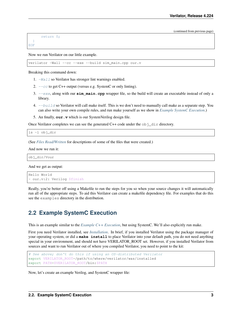(continued from previous page)

```
return 0;
  }
EOF
```
Now we run Verilator on our little example.

verilator -Wall --cc --exe --build sim\_main.cpp our.v

Breaking this command down:

- 1.  $-Wa11$  so Verilator has stronger lint warnings enabled.
- 2.  $-cc$  to get C++ output (versus e.g. SystemC or only linting).
- 3. [--exe](#page-70-0), along with our **sim\_main.cpp** wrapper file, so the build will create an executable instead of only a library.
- 4.  $-\frac{1}{d}$  is a Verilator will call make itself. This is we don't need to manually call make as a separate step. You can also write your own compile rules, and run make yourself as we show in *[Example SystemC Execution](#page-5-0)*.)
- 5. An finally, **our.v** which is our SystemVerilog design file.

Once Verilator completes we can see the generated C++ code under the  $\circ bj$  dir directory.

ls -l obj\_dir

(See *[Files Read/Written](#page-111-2)* for descriptions of some of the files that were created.)

And now we run it:

obj\_dir/Vour

And we get as output:

```
Hello World
- our.v:2: Verilog $finish
```
Really, you're better off using a Makefile to run the steps for you so when your source changes it will automatically run all of the appropriate steps. To aid this Verilator can create a makefile dependency file. For examples that do this see the examples directory in the distribution.

### <span id="page-5-0"></span>**2.2 Example SystemC Execution**

This is an example similar to the *[Example C++ Execution](#page-4-1)*, but using SystemC. We'll also explicitly run make.

First you need Verilator installed, see *[Installation](#page-8-0)*. In brief, if you installed Verilator using the package manager of your operating system, or did a **make install** to place Verilator into your default path, you do not need anything special in your environment, and should not have VERILATOR\_ROOT set. However, if you installed Verilator from sources and want to run Verilator out of where you compiled Verilator, you need to point to the kit:

```
# See above; don't do this if using an OS-distributed Verilator
export VERILATOR_ROOT=/path/to/where/verilator/was/installed
export PATH=$VERILATOR_ROOT/bin:$PATH
```
Now, let's create an example Verilog, and SystemC wrapper file: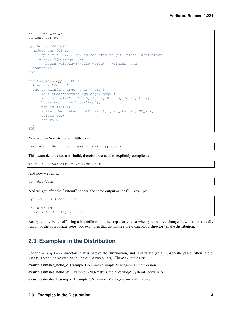```
mkdir test_our_sc
cd test_our_sc
cat >our.v <<'EOF'
 module our (clk);
    input clk; // Clock is required to get initial activation
    always @(posedge clk)
      begin $display("Hello World"); $finish; end
 endmodule
EOF
cat >sc_main.cpp <<'EOF'
 #include "Vour.h"
 int sc_main(int argc, char** argv) {
     Verilated::commandArgs(argc, argv);
     sc_clock clk{"clk", 10, SC_NS, 0.5, 3, SC_NS, true};
     Vour* top = new Vour{"top"};
     top->clk(clk);
     while (!Verilated::gotFinish()) { sc_start(1, SC_NS); }
     delete top;
     return 0;
 }
EOF
```
Now we run Verilator on our little example:

verilator -Wall --sc --exe sc\_main.cpp our.v

This example does not use –build, therefore we need to explicitly compile it:

make -j -C obj\_dir -f Vour.mk Vour

And now we run it:

obj\_dir/Vour

And we get, after the SystemC banner, the same output as the C++ example:

```
SystemC 2.3.3-Accellera
Hello World
- our.v:4: Verilog $finish
```
Really, you're better off using a Makefile to run the steps for you so when your source changes it will automatically run all of the appropriate steps. For examples that do this see the examples directory in the distribution.

### <span id="page-6-0"></span>**2.3 Examples in the Distribution**

See the examples/ directory that is part of the distribution, and is installed (in a OS-specific place, often in e.g. /usr/local/share/verilator/examples). These examples include:

examples/make\_hello\_c Example GNU-make simple Verilog->C++ conversion

examples/make\_hello\_sc Example GNU-make simple Verilog->SystemC conversion

examples/make\_tracing\_c Example GNU-make Verilog->C++ with tracing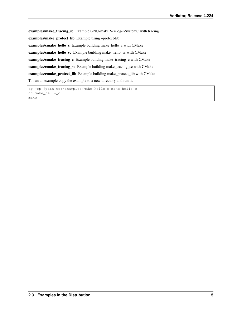examples/make\_tracing\_sc Example GNU-make Verilog->SystemC with tracing examples/make\_protect\_lib Example using –protect-lib examples/cmake\_hello\_c Example building make\_hello\_c with CMake examples/cmake\_hello\_sc Example building make\_hello\_sc with CMake examples/cmake\_tracing\_c Example building make\_tracing\_c with CMake examples/cmake\_tracing\_sc Example building make\_tracing\_sc with CMake examples/cmake\_protect\_lib Example building make\_protect\_lib with CMake To run an example copy the example to a new directory and run it.

cp -rp {path\_to}/examples/make\_hello\_c make\_hello\_c cd make\_hello\_c make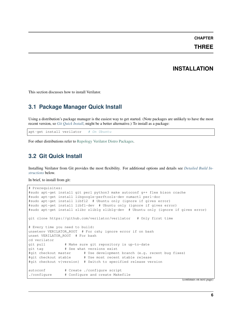#### **CHAPTER**

### **THREE**

### **INSTALLATION**

<span id="page-8-0"></span>This section discusses how to install Verilator.

### <span id="page-8-1"></span>**3.1 Package Manager Quick Install**

Using a distribution's package manager is the easiest way to get started. (Note packages are unlikely to have the most recent version, so *[Git Quick Install](#page-8-2)*, might be a better alternative.) To install as a package:

apt-get install verilator # On Ubuntu

For other distributions refer to [Repology Verilator Distro Packages.](https://repology.org/project/verilator)

## <span id="page-8-2"></span>**3.2 Git Quick Install**

Installing Verilator from Git provides the most flexibility. For additional options and details see *[Detailed Build In](#page-9-0)[structions](#page-9-0)* below.

In brief, to install from git:

```
# Prerequisites:
#sudo apt-get install git perl python3 make autoconf g++ flex bison ccache
#sudo apt-get install libgoogle-perftools-dev numactl perl-doc
#sudo apt-get install libfl2 # Ubuntu only (ignore if gives error)
#sudo apt-get install libfl-dev # Ubuntu only (ignore if gives error)
#sudo apt-get install zlibc zlib1g zlib1g-dev # Ubuntu only (ignore if gives error)
git clone https://github.com/verilator/verilator # Only first time
# Every time you need to build:
unsetenv VERILATOR_ROOT # For csh; ignore error if on bash
unset VERILATOR_ROOT # For bash
cd verilator
git pull \qquad # Make sure git repository is up-to-date
git tag \qquad # See what versions exist
#git checkout master # Use development branch (e.g. recent bug fixes)
#git checkout stable # Use most recent stable release
#git checkout v{version} # Switch to specified release version
autoconf # Create ./configure script
./configure # Configure and create Makefile
```
(continues on next page)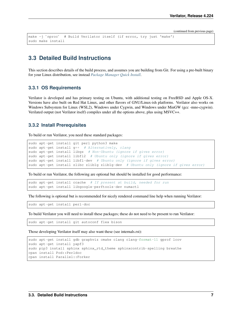(continued from previous page)

```
make -j `nproc` # Build Verilator itself (if error, try just 'make')
sudo make install
```
### <span id="page-9-0"></span>**3.3 Detailed Build Instructions**

This section describes details of the build process, and assumes you are building from Git. For using a pre-built binary for your Linux distribution, see instead *[Package Manager Quick Install](#page-8-1)*.

#### **3.3.1 OS Requirements**

Verilator is developed and has primary testing on Ubuntu, with additional testing on FreeBSD and Apple OS-X. Versions have also built on Red Hat Linux, and other flavors of GNU/Linux-ish platforms. Verilator also works on Windows Subsystem for Linux (WSL2), Windows under Cygwin, and Windows under MinGW (gcc -mno-cygwin). Verilated output (not Verilator itself) compiles under all the options above, plus using MSVC++.

#### **3.3.2 Install Prerequisites**

To build or run Verilator, you need these standard packages:

```
sudo apt-get install git perl python3 make
sudo apt-get install g++ # Alternatively, clang
sudo apt-get install libgz # Non-Ubuntu (ignore if gives error)
sudo apt-get install libfl2 # Ubuntu only (ignore if gives error)
sudo apt-get install libfl-dev # Ubuntu only (ignore if gives error)
sudo apt-get install zlibc zlib1g zlib1g-dev # Ubuntu only (ignore if gives error)
```
To build or run Verilator, the following are optional but should be installed for good performance:

sudo apt-get install ccache # If present at build, needed for run sudo apt-get install libgoogle-perftools-dev numactl

The following is optional but is recommended for nicely rendered command line help when running Verilator:

sudo apt-get install perl-doc

To build Verilator you will need to install these packages; these do not need to be present to run Verilator:

sudo apt-get install git autoconf flex bison

Those developing Verilator itself may also want these (see internals.rst):

```
sudo apt-get install gdb graphviz cmake clang clang-format-11 gprof lcov
sudo apt-get install yapf3
sudo pip3 install sphinx sphinx_rtd_theme sphinxcontrib-spelling breathe
cpan install Pod::Perldoc
cpan install Parallel::Forker
```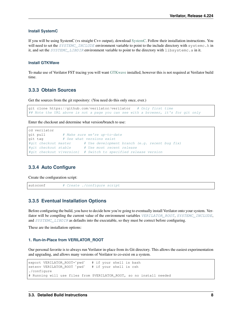#### **Install SystemC**

If you will be using SystemC (vs straight C++ output), download [SystemC.](https://www.accellera.org/downloads/standards/systemc) Follow their installation instructions. You will need to set the [SYSTEMC\\_INCLUDE](#page-114-1) environment variable to point to the include directory with systemc.h in it, and set the [SYSTEMC\\_LIBDIR](#page-114-2) environment variable to point to the directory with libsystemc.a in it.

#### **Install GTKWave**

To make use of Verilator FST tracing you will want [GTKwave](http://gtkwave.sourceforge.net/) installed, however this is not required at Verilator build time.

### **3.3.3 Obtain Sources**

Get the sources from the git repository: (You need do this only once, ever.)

```
git clone https://github.com/verilator/verilator # Only first time
## Note the URL above is not a page you can see with a browser, it's for git only
```
Enter the checkout and determine what version/branch to use:

```
cd verilator
git pull # Make sure we're up-to-date
qit tag \qquad # See what versions exist
#git checkout master # Use development branch (e.g. recent bug fix)
#git checkout stable # Use most recent release
#git checkout v{version} # Switch to specified release version
```
### **3.3.4 Auto Configure**

Create the configuration script:

autoconf # Create ./configure script

#### **3.3.5 Eventual Installation Options**

Before configuring the build, you have to decide how you're going to eventually install Verilator onto your system. Verilator will be compiling the current value of the environment variables VERILATOR ROOT, SYSTEMC INCLUDE, and [SYSTEMC\\_LIBDIR](#page-114-2) as defaults into the executable, so they must be correct before configuring.

These are the installation options:

#### **1. Run-in-Place from VERILATOR\_ROOT**

Our personal favorite is to always run Verilator in-place from its Git directory. This allows the easiest experimentation<br>and upgrading, and allows many versions of Verilator to co-exist on a system.<br>export VERILATOR\_ROOT=

```
and upgrading, and allows many versions of Verilator to co-exist on a system.<br>
export VERILATOR_ROOT=`pwd` # if your shell is bash<br>
setenv VERILATOR_ROOT`pwd` # if your shell is csh
./configure
# Running will use files from $VERILATOR_ROOT, so no install needed
```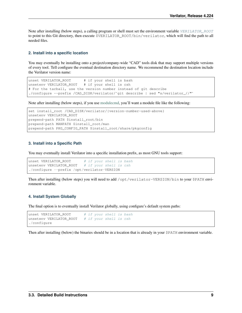Note after installing (below steps), a calling program or shell must set the environment variable [VERILATOR\\_ROOT](#page-115-0) to point to this Git directory, then execute \$VERILATOR\_ROOT/bin/verilator, which will find the path to all needed files.

#### **2. Install into a specific location**

You may eventually be installing onto a project/company-wide "CAD" tools disk that may support multiple versions of every tool. Tell configure the eventual destination directory name. We recommend the destination location include the Verilator version name:

```
unset VERILATOR_ROOT # if your shell is bash
unsetenv VERILATOR_ROOT # if your shell is csh
# For the tarball, use the version number instead of git describe
./configure --prefix /CAD_DISK/verilator/`git describe | sed "s/verilator_//"`
```
Note after installing (below steps), if you use [modulecmd,](http://modules.sourceforge.net/) you'll want a module file like the following:

```
set install_root /CAD_DISK/verilator/{version-number-used-above}
unsetenv VERILATOR_ROOT
prepend-path PATH $install_root/bin
prepend-path MANPATH $install_root/man
prepend-path PKG_CONFIG_PATH $install_root/share/pkgconfig
```
#### **3. Install into a Specific Path**

You may eventually install Verilator into a specific installation prefix, as most GNU tools support:

```
unset VERILATOR_ROOT # if your shell is bash
unsetenv VERILATOR_ROOT # if your shell is csh
./configure --prefix /opt/verilator-VERSION
```
Then after installing (below steps) you will need to add /opt/verilator-VERSION/bin to your \$PATH environment variable.

#### **4. Install System Globally**

The final option is to eventually install Verilator globally, using configure's default system paths:

```
unset VERILATOR_ROOT # if your shell is bash
unsetenv VERILATOR_ROOT # if your shell is csh./configure
```
Then after installing (below) the binaries should be in a location that is already in your \$PATH environment variable.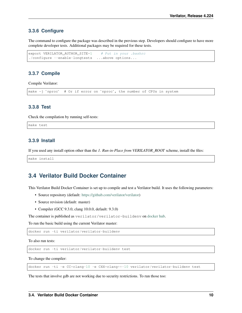#### **3.3.6 Configure**

The command to configure the package was described in the previous step. Developers should configure to have more complete developer tests. Additional packages may be required for these tests.

```
export VERILATOR_AUTHOR_SITE=1 # Put in your .bashrc
./configure --enable-longtests ...above options...
```
### **3.3.7 Compile**

Compile Verilator:

make -j `nproc` # Or if error on `nproc`, the number of CPUs in system

### **3.3.8 Test**

Check the compilation by running self-tests:

make test

#### **3.3.9 Install**

If you used any install option other than the *1. Run-in-Place from VERILATOR\_ROOT* scheme, install the files:

make install

### <span id="page-12-0"></span>**3.4 Verilator Build Docker Container**

This Verilator Build Docker Container is set up to compile and test a Verilator build. It uses the following parameters:

- Source repository (default: [https://github.com/verilator/verilator\)](https://github.com/verilator/verilator)
- Source revision (default: master)
- Compiler (GCC 9.3.0, clang 10.0.0, default: 9.3.0)

The container is published as verilator/verilator-buildenv on [docker hub.](https://hub.docker.com/repository/docker/verilator/verilator-buildenv)

To run the basic build using the current Verilator master:

docker run -ti verilator/verilator-buildenv

To also run tests:

docker run -ti verilator/verilator-buildenv test

To change the compiler:

docker run -ti -e CC=clang-10 -e CXX=clang++-10 verilator/verilator-buildenv test

The tests that involve gdb are not working due to security restrictions. To run those too: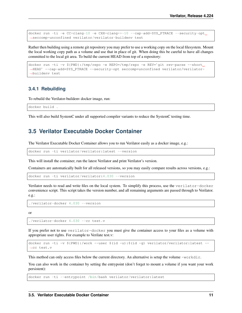```
docker run -ti -e CC=clang-10 -e CXX=clang++-10 --cap-add=SYS_PTRACE --security-opt.
˓→seccomp=unconfined verilator/verilator-buildenv test
```
Rather then building using a remote git repository you may prefer to use a working copy on the local filesystem. Mount the local working copy path as a volume and use that in place of git. When doing this be careful to have all changes<br>committed to the local git area. To build the current HEAD from top of a repository:<br>docker run -ti -v \${ committed to the local git area. To build the current HEAD from top of a repository:

```
docker run -ti -v ${PWD}:/tmp/repo -e REPO=/tmp/repo -e REV='git rev-parse --short<br>
→HEAD' --cap-add=SYS_PTRACE --security-opt seccomp=unconfined verilator/verilator-
˓→buildenv test
```
### **3.4.1 Rebuilding**

To rebuild the Verilator-buildenv docker image, run:

```
docker build .
```
This will also build SystemC under all supported compiler variants to reduce the SystemC testing time.

## <span id="page-13-0"></span>**3.5 Verilator Executable Docker Container**

The Verilator Executable Docker Container allows you to run Verilator easily as a docker image, e.g.:

docker run -ti verilator/verilator:latest --version

This will install the container, run the latest Verilator and print Verilator's version.

Containers are automatically built for all released versions, so you may easily compare results across versions, e.g.:

docker run -ti verilator/verilator:4.030 --version

Verilator needs to read and write files on the local system. To simplify this process, use the verilator-docker convenience script. This script takes the version number, and all remaining arguments are passed through to Verilator. e.g.:

```
./verilator-docker 4.030 --version
```
or

```
./verilator-docker 4.030 --cc test.v
```
If you prefer not to use verilator-docker you must give the container access to your files as a volume with appropriate user rights. For example to Verilate test.v:

```
docker run -ti -v ${PWD}:/work --user $(id -u):$(id -g) verilator/verilator:latest --
˓→cc test.v
```
This method can only access files below the current directory. An alternative is setup the volume  $-workdir$ .

You can also work in the container by setting the entrypoint (don't forget to mount a volume if you want your work persistent):

docker run -ti --entrypoint /bin/bash verilator/verilator:latest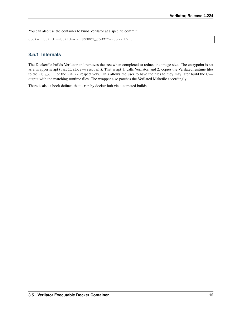You can also use the container to build Verilator at a specific commit:

docker build --build-arg SOURCE\_COMMIT=<commit> .

### **3.5.1 Internals**

The Dockerfile builds Verilator and removes the tree when completed to reduce the image size. The entrypoint is set as a wrapper script (verilator-wrap.sh). That script 1. calls Verilator, and 2. copies the Verilated runtime files to the obj\_dir or the -Mdir respectively. This allows the user to have the files to they may later build the C++ output with the matching runtime files. The wrapper also patches the Verilated Makefile accordingly.

There is also a hook defined that is run by docker hub via automated builds.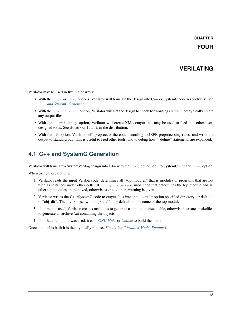### **CHAPTER**

### **FOUR**

## **VERILATING**

<span id="page-15-0"></span>Verilator may be used in five major ways:

- With the  $-\text{cc}$  or  $-\text{sc}$  options, Verilator will translate the design into C++ or SystemC code respectively. See *[C++ and SystemC Generation](#page-15-1)*.
- With the  $-\frac{1}{int}-\frac{\rho}{\rho}$  option, Verilator will lint the design to check for warnings but will not typically create any output files.
- With the  $-\frac{xm1-\text{only}}{y}$  option, Verilator will create XML output that may be used to feed into other userdesigned tools. See docs/xml.rst in the distribution.
- With the  $-E$  option, Verilator will preprocess the code according to IEEE preprocessing rules, and write the designed tools. See  $docs / xml . rst$  in the distribution.<br>With the  $-E$  option, Verilator will preprocess the code according to IEEE preprocessing rules, and write the<br>output to standard out. This is useful to feed other tools, a

## <span id="page-15-1"></span>**4.1 C++ and SystemC Generation**

Verilator will translate a SystemVerilog design into C++ with the  $-c\text{ }c$  option, or into SystemC with the  $-c\text{ }s$  option.

When using these options:

- 1. Verilator reads the input Verilog code, determines all "top modules" that is modules or programs that are not used as instances under other cells. If  $-\text{top-module}$  is used, then that determines the top module and all other top modules are removed, otherwise a [MULTITOP](#page-100-0) warning is given.
- 2. Verilator writes the C++/SystemC code to output files into the  $-\text{Mdir}$  option-specified directory, or defaults to "obj\_dir". The prefix is set with  $-\text{prefix}$ , or defaults to the name of the top module.
- 3. If  $-\text{exc}$  is used, Verilator creates makefiles to generate a simulation executable, otherwise it creates makefiles to generate an archive (.a) containing the objects.
- 4. If [--build](#page-67-1) option was used, it calls *[GNU Make](#page-19-0)* or *[CMake](#page-19-1)* to build the model.

Once a model is built it is then typically run, see *[Simulating \(Verilated-Model Runtime\)](#page-30-0)*.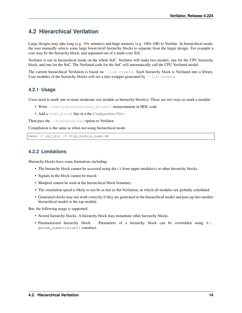## <span id="page-16-0"></span>**4.2 Hierarchical Verilation**

Large designs may take long (e.g. 10+ minutes) and huge memory (e.g. 100+ GB) to Verilate. In hierarchical mode, the user manually selects some large lower-level hierarchy blocks to separate from the larger design. For example a core may be the hierarchy block, and separated out of a multi-core SoC.

Verilator is run in hierarchical mode on the whole SoC. Verilator will make two models, one for the CPU hierarchy block, and one for the SoC. The Verilated code for the SoC will automatically call the CPU Verilated model.

The current hierarchical Verilation is based on  $-\text{lib-create}$ . Each hierarchy block is Verilated into a library. User modules of the hierarchy blocks will see a tiny wrapper generated by  $\neg$ -lib-create.

### **4.2.1 Usage**

Users need to mark one or more moderate size module as hierarchy block(s). There are two ways to mark a module:

- Write /\*verilator&32; hier\_block\*/ metacomment in HDL code.
- Add a [hier\\_block](#page-84-0) line in a the *[Configuration Files](#page-83-0)*.

Then pass the  $-$ hierarchical option to Verilator

Compilation is the same as when not using hierarchical mode.

```
make -C obj_dir -f Vtop_module_name.mk
```
### **4.2.2 Limitations**

Hierarchy blocks have some limitations including:

- The hierarchy block cannot be accessed using dot (.) from upper module(s) or other hierarchy blocks.
- Signals in the block cannot be traced.
- Modport cannot be used at the hierarchical block boundary.
- The simulation speed is likely to not be as fast as flat Verilation, in which all modules are globally scheduled.
- Generated clocks may not work correctly if they are generated in the hierarchical model and pass up into another hierarchical model or the top module.

But, the following usage is supported:

- Nested hierarchy blocks. A hierarchy block may instantiate other hierarchy blocks.
- Parameterized hierarchy block. Parameters of a hierarchy block can be overridden using  $\#$  (. param\_name(value)) construct.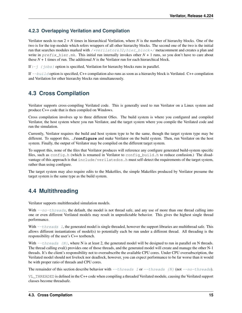### **4.2.3 Overlapping Verilation and Compilation**

Verilator needs to run 2 + *N* times in hierarchical Verilation, where *N* is the number of hierarchy blocks. One of the two is for the top module which refers wrappers of all other hierarchy blocks. The second one of the two is the initial run that searches modules marked with [/\\*verilator&32;hier\\_block\\*/](#page-58-0) metacomment and creates a plan and write in  $prefix\_hier.mk$ . This initial run internally invokes other  $N + 1$  runs, so you don't have to care about these  $N + 1$  times of run. The additional N is the Verilator run for each hierarchical block.

If  $:-j \}$   $j \circ b s$  option is specified, Verilation for hierarchy blocks runs in parallel.

If  $-\frac{b}{u}$  option is specified, C++ compilation also runs as soon as a hierarchy block is Verilated. C++ compilation and Verilation for other hierarchy blocks run simultaneously.

## <span id="page-17-0"></span>**4.3 Cross Compilation**

Verilator supports cross-compiling Verilated code. This is generally used to run Verilator on a Linux system and produce C++ code that is then compiled on Windows.

Cross compilation involves up to three different OSes. The build system is where you configured and compiled Verilator, the host system where you run Verilator, and the target system where you compile the Verilated code and run the simulation.

Currently, Verilator requires the build and host system type to be the same, though the target system type may be different. To support this, **./configure** and make Verilator on the build system. Then, run Verilator on the host system. Finally, the output of Verilator may be compiled on the different target system.

To support this, none of the files that Verilator produces will reference any configure generated build-system specific files, such as config.h (which is renamed in Verilator to config build.h to reduce confusion.) The disadvantage of this approach is that include/verilatedos.h must self-detect the requirements of the target system, rather than using configure.

The target system may also require edits to the Makefiles, the simple Makefiles produced by Verilator presume the target system is the same type as the build system.

## <span id="page-17-1"></span>**4.4 Multithreading**

Verilator supports multithreaded simulation models.

With  $\frac{-n\sigma - three \, ds}{n}$ , the default, the model is not thread safe, and any use of more than one thread calling into one or even different Verilated models may result in unpredictable behavior. This gives the highest single thread performance.

With  $-\tau$ hreads 1, the generated model is single threaded, however the support libraries are multithread safe. This allows different instantiations of model(s) to potentially each be run under a different thread. All threading is the responsibility of the user's C++ testbench.

With  $-\text{threads}$  {N}, where N is at least 2, the generated model will be designed to run in parallel on N threads. The thread calling eval() provides one of those threads, and the generated model will create and manage the other N-1 threads. It's the client's responsibility not to oversubscribe the available CPU cores. Under CPU oversubscription, the Verilated model should not livelock nor deadlock, however, you can expect performance to be far worse than it would be with proper ratio of threads and CPU cores.

The remainder of this section describe behavior with  $-\text{threads} 1$  or  $-\text{threads}$  {N} (not  $-\text{no-threads}$ ).

VL\_THREADED is defined in the C++ code when compiling a threaded Verilated module, causing the Verilated support classes become threadsafe.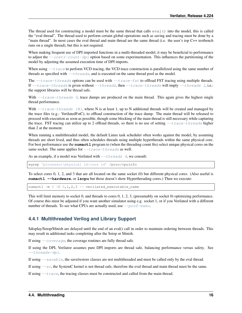The thread used for constructing a model must be the same thread that calls  $\epsilon$ val() into the model, this is called the "eval thread". The thread used to perform certain global operations such as saving and tracing must be done by a "main thread". In most cases the eval thread and main thread are the same thread (i.e. the user's top C++ testbench runs on a single thread), but this is not required.

When making frequent use of DPI imported functions in a multi-threaded model, it may be beneficial to performance to adjust the  $-\text{instr-count-dpi}$  option based on some experimentation. This influences the partitioning of the model by adjusting the assumed execution time of DPI imports.

When using  $-\text{trace}$  to perform VCD tracing, the VCD trace construction is parallelized using the same number of threads as specified with  $-\text{threads}$ , and is executed on the same thread pool as the model.

The  $-\text{trace-threads}$  options can be used with  $-\text{trace-fst}$  to offload FST tracing using multiple threads. If  $-\text{trace-threads}$  is given without  $-\text{threads}$ , then  $-\text{trace-threads}$  will imply  $-\text{threads}$  1, i.e.: the support libraries will be thread safe.

With  $-\tau$  race-threads 0, trace dumps are produced on the main thread. This again gives the highest single thread performance.

With  $-\text{trace-threads}$  {N}, where N is at least 1, up to N additional threads will be created and managed by the trace files (e.g.: VerilatedFstC), to offload construction of the trace dump. The main thread will be released to proceed with execution as soon as possible, though some blocking of the main thread is still necessary while capturing the trace. FST tracing can utilize up to 2 offload threads, so there is no use of setting  $-\tau\tau$  race-threads higher than 2 at the moment.

When running a multithreaded model, the default Linux task scheduler often works against the model, by assuming threads are short lived, and thus often schedules threads using multiple hyperthreads within the same physical core. For best performance use the **numactl** program to (when the threading count fits) select unique physical cores on the same socket. The same applies for  $-\text{trace-threads}$  as well.

As an example, if a model was Verilated with  $-\text{threads}$  4, we consult:

egrep 'processor|physical id|core id' /proc/cpuinfo

To select cores 0, 1, 2, and 3 that are all located on the same socket (0) but different physical cores. (Also useful is **numactl --hardware**, or **lscpu** but those doesn't show Hyperthreading cores.) Then we execute:

numactl -m 0 -C 0,1,2,3 -- verilated\_executable\_name

This will limit memory to socket 0, and threads to cores 0, 1, 2, 3, (presumably on socket 0) optimizing performance. Of course this must be adjusted if you want another simulator using e.g. socket 1, or if you Verilated with a different number of threads. To see what CPUs are actually used, use  $-prof$ -exec.

#### **4.4.1 Multithreaded Verilog and Library Support**

\$display/\$stop/\$finish are delayed until the end of an eval() call in order to maintain ordering between threads. This may result in additional tasks completing after the \$stop or \$finish.

If using [--coverage](#page-68-0), the coverage routines are fully thread safe.

If using the DPI, Verilator assumes pure DPI imports are thread safe, balancing performance versus safety. See [--threads-dpi](#page-78-2).

If using  $-savable$ , the save/restore classes are not multithreaded and must be called only by the eval thread.

If using  $-s\subset$ , the SystemC kernel is not thread safe, therefore the eval thread and main thread must be the same.

If using  $-\text{trace}$ , the tracing classes must be constructed and called from the main thread.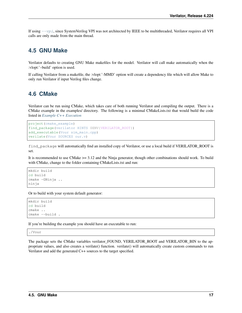If using  $-vpi$ , since SystemVerilog VPI was not architected by IEEE to be multithreaded, Verilator requires all VPI calls are only made from the main thread.

## <span id="page-19-0"></span>**4.5 GNU Make**

Verilator defaults to creating GNU Make makefiles for the model. Verilator will call make automatically when the :vlopt:'–build' option is used.

If calling Verilator from a makefile, the :vlopt:'-MMD' option will create a dependency file which will allow Make to only run Verilator if input Verilog files change.

## <span id="page-19-1"></span>**4.6 CMake**

Verilator can be run using CMake, which takes care of both running Verilator and compiling the output. There is a CMake example in the examples/ directory. The following is a minimal CMakeLists.txt that would build the code listed in *[Example C++ Execution](#page-4-1)*

```
project(cmake_example)
find_package(verilator HINTS $ENV{VERILATOR_ROOT})
add_executable(Vour sim_main.cpp)
verilate(Vour SOURCES our.v)
```
find package will automatically find an installed copy of Verilator, or use a local build if VERILATOR\_ROOT is set.

It is recommended to use CMake >= 3.12 and the Ninja generator, though other combinations should work. To build with CMake, change to the folder containing CMakeLists.txt and run:

```
mkdir build
cd build
cmake -GNinja ..
ninja
```
Or to build with your system default generator:

```
mkdir build
cd build
cmake ..
cmake --build .
```
If you're building the example you should have an executable to run:

./Vour

The package sets the CMake variables verilator\_FOUND, VERILATOR\_ROOT and VERILATOR\_BIN to the appropriate values, and also creates a verilate() function. verilate() will automatically create custom commands to run Verilator and add the generated C++ sources to the target specified.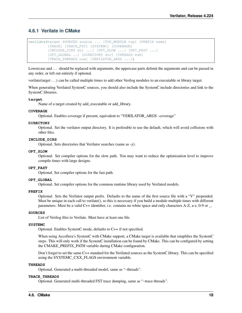### **4.6.1 Verilate in CMake**

```
verilate(target SOURCES source ... [TOP_MODULE top] [PREFIX name]
         [TRACE] [TRACE_FST] [SYSTEMC] [COVERAGE]
         [INCLUDE_DIRS dir ...] [OPT_SLOW ...] [OPT_FAST ...]
         [OPT_GLOBAL ..] [DIRECTORY dir] [THREADS num]
         [TRACE_THREADS num] [VERILATOR_ARGS ...])
```
Lowercase and ... should be replaced with arguments, the uppercase parts delimit the arguments and can be passed in any order, or left out entirely if optional.

verilate(target . . . ) can be called multiple times to add other Verilog modules to an executable or library target.

When generating Verilated SystemC sources, you should also include the SystemC include directories and link to the SystemC libraries.

#### **target**

Name of a target created by add\_executable or add\_library.

#### **COVERAGE**

Optional. Enables coverage if present, equivalent to "VERILATOR\_ARGS –coverage"

#### **DIRECTORY**

Optional. Set the verilator output directory. It is preferable to use the default, which will avoid collisions with other files.

#### **INCLUDE\_DIRS**

Optional. Sets directories that Verilator searches (same as -y).

#### **OPT\_SLOW**

Optional. Set compiler options for the slow path. You may want to reduce the optimization level to improve compile times with large designs.

#### **OPT\_FAST**

Optional. Set compiler options for the fast path.

#### **OPT\_GLOBAL**

Optional. Set compiler options for the common runtime library used by Verilated models.

#### **PREFIX**

Optional. Sets the Verilator output prefix. Defaults to the name of the first source file with a "V" prepended. Must be unique in each call to verilate(), so this is necessary if you build a module multiple times with different parameters. Must be a valid C++ identifier, i.e. contains no white space and only characters A-Z, a-z, 0-9 or \_.

#### **SOURCES**

List of Verilog files to Verilate. Must have at least one file.

#### **SYSTEMC**

Optional. Enables SystemC mode, defaults to C++ if not specified.

When using Accellera's SystemC with CMake support, a CMake target is available that simplifies the SystemC steps. This will only work if the SystemC installation can be found by CMake. This can be configured by setting the CMAKE\_PREFIX\_PATH variable during CMake configuration.

Don't forget to set the same C++ standard for the Verilated sources as the SystemC library. This can be specified using the SYSTEMC\_CXX\_FLAGS environment variable.

#### **THREADS**

Optional. Generated a multi-threaded model, same as "–threads".

#### **TRACE\_THREADS**

Optional. Generated multi-threaded FST trace dumping, same as "–trace-threads".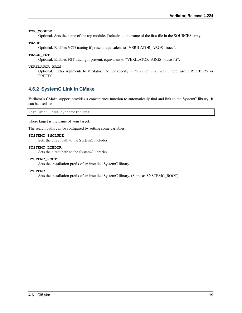#### **TOP\_MODULE**

Optional. Sets the name of the top module. Defaults to the name of the first file in the SOURCES array.

#### **TRACE**

Optional. Enables VCD tracing if present, equivalent to "VERILATOR\_ARGS –trace".

#### **TRACE\_FST**

Optional. Enables FST tracing if present, equivalent to "VERILATOR\_ARGS –trace-fst".

#### **VERILATOR\_ARGS**

Optional. Extra arguments to Verilator. Do not specify  $-\text{Mdir}$  or  $-\text{prefix}$  here, use DIRECTORY or PREFIX.

### **4.6.2 SystemC Link in CMake**

Verilator's CMake support provides a convenience function to automatically find and link to the SystemC library. It can be used as:

verilator\_link\_systemc(target)

where target is the name of your target.

The search paths can be configured by setting some variables:

#### **SYSTEMC\_INCLUDE**

Sets the direct path to the SystemC includes.

#### **SYSTEMC\_LIBDIR**

Sets the direct path to the SystemC libraries.

#### **SYSTEMC\_ROOT**

Sets the installation prefix of an installed SystemC library.

#### **SYSTEMC**

Sets the installation prefix of an installed SystemC library. (Same as SYSTEMC\_ROOT).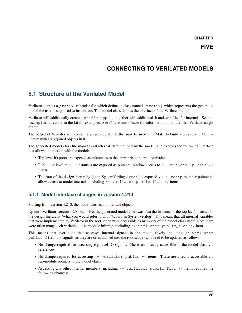**CHAPTER**

## **CONNECTING TO VERILATED MODELS**

## <span id="page-22-1"></span><span id="page-22-0"></span>**5.1 Structure of the Verilated Model**

Verilator outputs a  $prefix.h$  header file which defines a class named { $prefix}$ } which represents the generated model the user is supposed to instantiate. This model class defines the interface of the Verilated model.

Verilator will additionally create a  $prefix$ .cpp file, together with additional .h and .cpp files for internals. See the examples directory in the kit for examples. See *[Files Read/Written](#page-111-2)* for information on all the files Verilator might output.

The output of Verilator will contain a  $prefix$ .mk file that may be used with Make to build a  $prefix$  ALL.a library with all required objects in it.

The generated model class file manages all internal state required by the model, and exposes the following interface that allows interaction with the model:

- Top level IO ports are exposed as references to the appropriate internal equivalents.
- Public top level module instances are exposed as pointers to allow access to  $/*$  verilator public  $*/$ items.
- The root of the design hierarchy (as in SystemVerilog  $\frac{1}{2}$ root) is exposed via the rootp member pointer to allow access to model internals, including  $/*$  verilator public\_flat  $*/$  items.

### **5.1.1 Model interface changes in version 4.210**

Starting from version 4.210, the model class is an interface object.

Up until Verilator version 4.204 inclusive, the generated model class was also the instance of the top level instance in the design hierarchy (what you would refer to with \$root in SystemVerilog). This meant that all internal variables that were implemented by Verilator in the root scope were accessible as members of the model class itself. Note there were often many such variable due to module inlining, including  $/*$  verilator public\_flat  $*/$  items.

This means that user code that accesses internal signals in the model (likely including  $/*$  verilator public  $f$ lat  $\star$ / signals, as they are often inlined into the root scope) will need to be updated as follows:

- No change required for accessing top level IO signals. These are directly accessible in the model class via references.
- No change required for accessing  $/*$  verilator public  $*/$  items. These are directly accessible via sub-module pointers in the model class.
- Accessing any other internal members, including /\* verilator public\_flat \*/ items requires the following changes: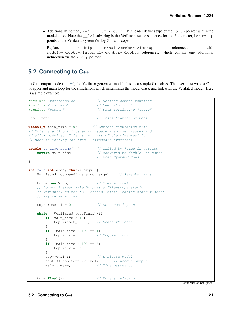- Additionally include  $prefix\_024root$ .h. This header defines type of the rootp pointer within the model class. Note the  $\_\_024$  substring is the Verilator escape sequence for the \$ character, i.e.: rootp points to the Verilated SystemVerilog \$root scope.
- Replace modelp->internal->member->lookup references with modelp->rootp->internal->member->lookup references, which contain one additional indirection via the rootp pointer.

## <span id="page-23-0"></span>**5.2 Connecting to C++**

In C++ output mode ( $-cc$ ), the Verilator generated model class is a simple C++ class. The user must write a C++ wrapper and main loop for the simulation, which instantiates the model class, and link with the Verilated model. Here is a simple example:

```
#include <verilated.h> // Defines common routines
#include <iostream> // Need std::cout
#include "Vtop.h" // From Verilating "top.v"
Vtop *top; \sqrt{1} Instantiation of model
uint64_t main time = 0; // Current simulation time// This is a 64-bit integer to reduce wrap over issues and
// allow modulus. This is in units of the timeprecision
// used in Verilog (or from --timescale-override)
double sc_time_stamp() { // Called by $time in Verilog
   return main_time; \frac{1}{2} // converts to double, to match
                              // what SystemC does
}
int main(int argc, char** argv) {
   Verilated::commandArgs(argc, argv); // Remember args
   top = new Vtop; \frac{1}{2} // Create model
   // Do not instead make Vtop as a file-scope static
   // variable, as the "C++ static initialization order fiasco"
   // may cause a crash
   top->reset_1 = 0; \frac{1}{1} // Set some inputs
   while (!Verilated::gotFinish()) {
       if (main_time > 10) {
           top->reset_l = 1; // Deassert reset
       }
       if ((main_time % 10) == 1) {
           top->c1k = 1; // Toggle clock
       }
       if ((main_time % 10) == 6) {
           top->c1k = 0;}
       top->eval(); // Evaluate model
       cout << top->out << endl; // Read a output
       main_time++; \qquad \qquad \qquad \text{if } Time passes...
   }
   top->final(); // Done simulating
```
(continues on next page)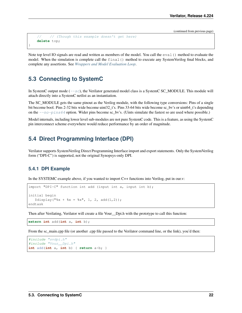(continued from previous page)

```
// // (Though this example doesn't get here)
delete top;
```
Note top level IO signals are read and written as members of the model. You call the eval () method to evaluate the model. When the simulation is complete call the final() method to execute any SystemVerilog final blocks, and complete any assertions. See *[Wrappers and Model Evaluation Loop](#page-28-0)*.

## <span id="page-24-0"></span>**5.3 Connecting to SystemC**

}

In SystemC output mode  $(-s\ c)$ , the Verilator generated model class is a SystemC SC\_MODULE. This module will attach directly into a SystemC netlist as an instantiation.

The SC\_MODULE gets the same pinout as the Verilog module, with the following type conversions: Pins of a single bit become bool. Pins 2-32 bits wide become uint32 t's. Pins 33-64 bits wide become sc\_bv's or uint64 t's depending on the  $\frac{-n\sigma - \text{pins}\64}$  option. Wider pins become sc\_bv's. (Uints simulate the fastest so are used where possible.)

Model internals, including lower level sub-modules are not pure SystemC code. This is a feature, as using the SystemC pin interconnect scheme everywhere would reduce performance by an order of magnitude.

## <span id="page-24-1"></span>**5.4 Direct Programming Interface (DPI)**

Verilator supports SystemVerilog Direct Programming Interface import and export statements. Only the SystemVerilog form ("DPI-C") is supported, not the original Synopsys-only DPI.

#### **5.4.1 DPI Example**

In the SYSTEMC example above, if you wanted to import C++ functions into Verilog, put in our.v:

```
import "DPI-C" function int add (input int a, input int b);
initial begin
   $display'' x + $x = $x", 1, 2, add(1,2));endtask
```
Then after Verilating, Verilator will create a file Vour—Dpi.h with the prototype to call this function:

**extern int** add(**int** a, **int** b);

From the sc\_main.cpp file (or another .cpp file passed to the Verilator command line, or the link), you'd then:

```
#include "svdpi.h"
#include "Vour__Dpi.h"
int add(int a, int b) { return a+b; }
```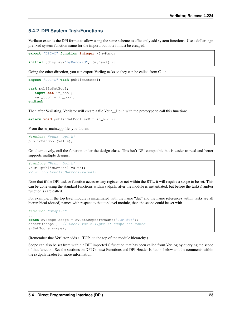### **5.4.2 DPI System Task/Functions**

Verilator extends the DPI format to allow using the same scheme to efficiently add system functions. Use a dollar-sign prefixed system function name for the import, but note it must be escaped.

```
export "DPI-C" function integer \$myRand;
initial $display("myRand=%d", $myRand());
```
Going the other direction, you can export Verilog tasks so they can be called from C++:

```
export "DPI-C" task publicSetBool;
task publicSetBool;
   input bit in_bool;
   var_bool = in_bool;
endtask
```
Then after Verilating, Verilator will create a file Vour\_\_Dpi.h with the prototype to call this function:

```
extern void publicSetBool(svBit in_bool);
```
From the sc\_main.cpp file, you'd then:

```
#include "Vour__Dpi.h"
publicSetBool(value);
```
Or, alternatively, call the function under the design class. This isn't DPI compatible but is easier to read and better supports multiple designs.

```
#include "Vour__Dpi.h"
Vour::publicSetBool(value);
// or top->publicSetBool(value);
```
Note that if the DPI task or function accesses any register or net within the RTL, it will require a scope to be set. This can be done using the standard functions within svdpi.h, after the module is instantiated, but before the task(s) and/or function(s) are called.

For example, if the top level module is instantiated with the name "dut" and the name references within tasks are all hierarchical (dotted) names with respect to that top level module, then the scope could be set with

```
#include "svdpi.h"
...
const svScope scope = svGetScopeFromName("TOP.dut");
assert(scope); // Check for nullptr if scope not found
svSetScope(scope);
```
(Remember that Verilator adds a "TOP" to the top of the module hierarchy.)

Scope can also be set from within a DPI imported C function that has been called from Verilog by querying the scope of that function. See the sections on DPI Context Functions and DPI Header Isolation below and the comments within the svdpi.h header for more information.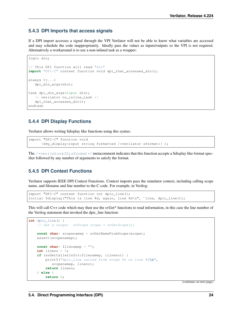### **5.4.3 DPI Imports that access signals**

If a DPI import accesses a signal through the VPI Verilator will not be able to know what variables are accessed and may schedule the code inappropriately. Ideally pass the values as inputs/outputs so the VPI is not required. Alternatively a workaround is to use a non-inlined task as a wrapper:

```
logic din;
// This DPI function will read "din"
import "DPI-C" context function void dpi_that_accesses_din();
always @(...)
   dpi_din_args(din);
task dpi_din_args(input din);
   /* verilator no_inline_task */dpi_that_accesses_din();
endtask
```
### **5.4.4 DPI Display Functions**

Verilator allows writing \$display like functions using this syntax:

```
import "DPI-C" function void
      \$my_display(input string formatted /*verilator sformat*/ );
```
The /\*verilator&32; sformat\*/ metacomment indicates that this function accepts a \$display like format specifier followed by any number of arguments to satisfy the format.

### **5.4.5 DPI Context Functions**

Verilator supports IEEE DPI Context Functions. Context imports pass the simulator context, including calling scope name, and filename and line number to the C code. For example, in Verilog:

```
import "DPI-C" context function int dpic_line();
initial $display("This is line %d, again, line %d\n", `line, dpic_line());
```
This will call C++ code which may then use the svGet\* functions to read information, in this case the line number of the Verilog statement that invoked the dpic\_line function:

```
int dpic_line() {
    // Get a scope: svScope scope = svGetScope();
   const char* scopenamep = svGetNameFromScope(scope);
   assert(scopenamep);
   const char* filenamep = "";
   int lineno = 0;
   if (svGetCallerInfo(&filenamep, &lineno)) {
       printf("dpic_line called from scope %s on line %d\n",
           scopenamep, lineno);
       return lineno;
    } else {
        return 0;
```
(continues on next page)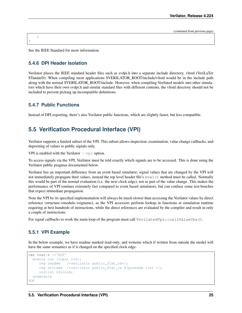(continued from previous page)

See the IEEE Standard for more information.

### **5.4.6 DPI Header Isolation**

}

}

Verilator places the IEEE standard header files such as svdpi.h into a separate include directory, vltstd (VeriLaTor STandarD). When compiling most applications \$VERILATOR\_ROOT/include/vltstd would be in the include path along with the normal \$VERILATOR\_ROOT/include. However, when compiling Verilated models into other simulators which have their own svdpi.h and similar standard files with different contents, the vltstd directory should not be included to prevent picking up incompatible definitions.

### **5.4.7 Public Functions**

Instead of DPI exporting, there's also Verilator public functions, which are slightly faster, but less compatible.

## <span id="page-27-0"></span>**5.5 Verification Procedural Interface (VPI)**

Verilator supports a limited subset of the VPI. This subset allows inspection, examination, value change callbacks, and depositing of values to public signals only.

VPI is enabled with the Verilator  $-\nu p \neq$  option.

To access signals via the VPI, Verilator must be told exactly which signals are to be accessed. This is done using the Verilator public pragmas documented below.

Verilator has an important difference from an event based simulator; signal values that are changed by the VPI will not immediately propagate their values, instead the top level header file's eval() method must be called. Normally this would be part of the normal evaluation (i.e. the next clock edge), not as part of the value change. This makes the performance of VPI routines extremely fast compared to event based simulators, but can confuse some test-benches that expect immediate propagation.

Note the VPI by its specified implementation will always be much slower than accessing the Verilator values by direct reference (structure->module->signame), as the VPI accessors perform lookup in functions at simulation runtime requiring at best hundreds of instructions, while the direct references are evaluated by the compiler and result in only a couple of instructions.

For signal callbacks to work the main loop of the program must call VerilatedVpi::callValueCbs().

### **5.5.1 VPI Example**

In the below example, we have readme marked read-only, and writeme which if written from outside the model will have the same semantics as if it changed on the specified clock edge.

```
cat >our.v <<'EOF'
 module our (input clk);
    reg readme /*verilator public_flat_rd*/;
     reg writeme /*verilator public_flat_rw @(posedge clk) */;
     initial $finish;
 endmodule
EOF
```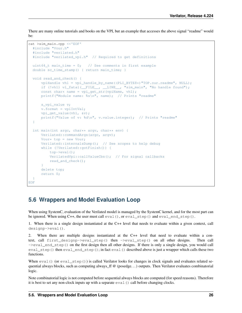There are many online tutorials and books on the VPI, but an example that accesses the above signal "readme" would be:

```
cat >sim_main.cpp <<'EOF'
 #include "Vour.h"
  #include "verilated.h"
  #include "verilated_vpi.h" // Required to get definitions
 uint64_t main_time = 0; // See comments in first example
 double sc_time_stamp() { return main_time; }
 void read_and_check() {
     vpiHandle vh1 = vpi_handle_by_name((PLI_BYTE8*)"TOP.our.readme", NULL);
      if (!vh1) vl_fatal(__FILE__, __LINE__, "sim_main", "No handle found");
      const char* name = vpi_get_str(vpiName, vh1);
     printf("Module name: %s\n", name); // Prints "readme"
     s_vpi_value v;
      v.format = vpiIntVal;
     vpi_get_value(vh1, &v);
     printf("Value of v: %d\n", v.value.integer); // Prints "readme"
  }
 int main(int argc, char** argv, char** env) {
     Verilated::commandArgs(argc, argv);
     Vour* top = new Vour;
     Verilated::internalsDump(); // See scopes to help debug
      while (!Verilated::gotFinish()) {
          top->eval();
          VerilatedVpi::callValueCbs(); // For signal callbacks
          read and check();
      }
      delete top;
      return 0;
  }
EOF
```
## <span id="page-28-0"></span>**5.6 Wrappers and Model Evaluation Loop**

When using SystemC, evaluation of the Verilated model is managed by the SystemC kernel, and for the most part can be ignored. When using C++, the user must call  $eval()$ , or  $eval\_step()$  and  $eval\_end\_step()$ .

1. When there is a single design instantiated at the C++ level that needs to evaluate within a given context, call designp->eval().

2. When there are multiple designs instantiated at the C++ level that need to evaluate within a context, call first\_designp->eval\_step() then ->eval\_step() on all other designs. Then call ->eval\_end\_step() on the first design then all other designs. If there is only a single design, you would call eval\_step() then eval\_end\_step(); in fact eval() described above is just a wrapper which calls these two functions.

When  $eval()$  (or eval step()) is called Verilator looks for changes in clock signals and evaluates related sequential always blocks, such as computing always  $ff \& (posedge...)$  outputs. Then Verilator evaluates combinatorial logic.

Note combinatorial logic is not computed before sequential always blocks are computed (for speed reasons). Therefore it is best to set any non-clock inputs up with a separate  $eval()$  call before changing clocks.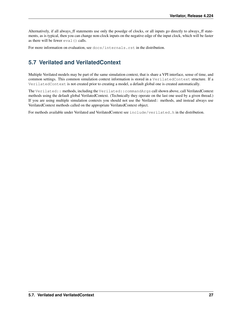Alternatively, if all always ff statements use only the posedge of clocks, or all inputs go directly to always ff statements, as is typical, then you can change non-clock inputs on the negative edge of the input clock, which will be faster as there will be fewer  $eval()$  calls.

For more information on evaluation, see docs/internals.rst in the distribution.

## <span id="page-29-0"></span>**5.7 Verilated and VerilatedContext**

Multiple Verilated models may be part of the same simulation context, that is share a VPI interface, sense of time, and common settings. This common simulation context information is stored in a VerilatedContext structure. If a VerilatedContext is not created prior to creating a model, a default global one is created automatically.

The Verilated:: methods, including the Verilated::commandArgs call shown above, call VerilatedContext methods using the default global VerilatedContext. (Technically they operate on the last one used by a given thread.) If you are using multiple simulation contexts you should not use the Verilated:: methods, and instead always use VerilatedContext methods called on the appropriate VerilatedContext object.

For methods available under Verilated and VerilatedContext see include/verilated.h in the distribution.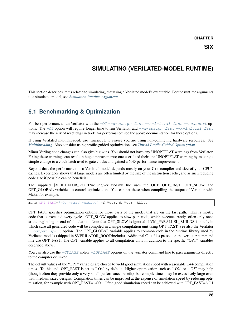**CHAPTER**

## **SIMULATING (VERILATED-MODEL RUNTIME)**

<span id="page-30-0"></span>This section describes items related to simulating, that using a Verilated model's executable. For the runtime arguments to a simulated model, see *[Simulation Runtime Arguments](#page-90-0)*.

## <span id="page-30-1"></span>**6.1 Benchmarking & Optimization**

For best performance, run Verilator with the  $-03$  [--x-assign fast](#page-82-0) [--x-initial fast](#page-82-1) [--noassert](#page-67-2) options. The  $-03$  option will require longer time to run Verilator, and  $-\overline{x}$ -assign fast  $-\overline{x}$ -initial fast may increase the risk of reset bugs in trade for performance; see the above documentation for these options.

If using Verilated multithreaded, use numactl to ensure you are using non-conflicting hardware resources. See *[Multithreading](#page-17-1)*. Also consider using profile-guided optimization, see *[Thread Profile-Guided Optimization](#page-36-0)*.

Minor Verilog code changes can also give big wins. You should not have any UNOPTFLAT warnings from Verilator. Fixing these warnings can result in huge improvements; one user fixed their one UNOPTFLAT warning by making a simple change to a clock latch used to gate clocks and gained a 60% performance improvement.

Beyond that, the performance of a Verilated model depends mostly on your C++ compiler and size of your CPU's caches. Experience shows that large models are often limited by the size of the instruction cache, and as such reducing code size if possible can be beneficial.

The supplied \$VERILATOR\_ROOT/include/verilated.mk file uses the OPT, OPT\_FAST, OPT\_SLOW and OPT GLOBAL variables to control optimization. You can set these when compiling the output of Verilator with Make, for example:

make OPT\_FAST="-Os -march=native" -f Vour.mk Vour\_\_ALL.a

OPT\_FAST specifies optimization options for those parts of the model that are on the fast path. This is mostly code that is executed every cycle. OPT\_SLOW applies to slow-path code, which executes rarely, often only once at the beginning or end of simulation. Note that OPT\_SLOW is ignored if VM\_PARALLEL\_BUILDS is not 1, in which case all generated code will be compiled in a single compilation unit using OPT\_FAST. See also the Verilator  $--output-split$  option. The OPT GLOBAL variable applies to common code in the runtime library used by Verilated models (shipped in \$VERILATOR\_ROOT/include). Additional C++ files passed on the verilator command line use OPT\_FAST. The OPT variable applies to all compilation units in addition to the specific "OPT" variables described above.

You can also use the  $-CFLAGS$  and/or  $-LDFLAGS$  options on the verilator command line to pass arguments directly to the compiler or linker.

The default values of the "OPT" variables are chosen to yield good simulation speed with reasonable C++ compilation times. To this end, OPT\_FAST is set to "-Os" by default. Higher optimization such as "-O2" or "-O3" may help (though often they provide only a very small performance benefit), but compile times may be excessively large even with medium sized designs. Compilation times can be improved at the expense of simulation speed by reducing optimization, for example with OPT\_FAST="-O0". Often good simulation speed can be achieved with OPT\_FAST="-O1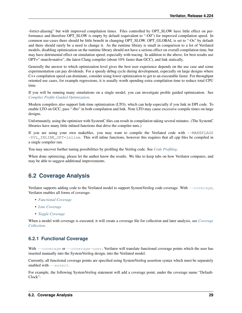-fstrict-aliasing" but with improved compilation times. Files controlled by OPT\_SLOW have little effect on performance and therefore OPT\_SLOW is empty by default (equivalent to "-O0") for improved compilation speed. In common use-cases there should be little benefit in changing OPT\_SLOW. OPT\_GLOBAL is set to "-Os" by default and there should rarely be a need to change it. As the runtime library is small in comparison to a lot of Verilated models, disabling optimization on the runtime library should not have a serious effect on overall compilation time, but may have detrimental effect on simulation speed, especially with tracing. In addition to the above, for best results use OPT="-march=native", the latest Clang compiler (about 10% faster than GCC), and link statically.

Generally the answer to which optimization level gives the best user experience depends on the use case and some experimentation can pay dividends. For a speedy debug cycle during development, especially on large designs where C++ compilation speed can dominate, consider using lower optimization to get to an executable faster. For throughput oriented use cases, for example regressions, it is usually worth spending extra compilation time to reduce total CPU time.

If you will be running many simulations on a single model, you can investigate profile guided optimization. See *[Compiler Profile-Guided Optimization](#page-36-1)*.

Modern compilers also support link-time optimization (LTO), which can help especially if you link in DPI code. To enable LTO on GCC, pass "-flto" in both compilation and link. Note LTO may cause excessive compile times on large designs.

Unfortunately, using the optimizer with SystemC files can result in compilation taking several minutes. (The SystemC libraries have many little inlined functions that drive the compiler nuts.)

If you are using your own makefiles, you may want to compile the Verilated code with --MAKEFLAGS  $-DVL$  INLINE  $OPT=inline$ . This will inline functions, however this requires that all cpp files be compiled in a single compiler run.

You may uncover further tuning possibilities by profiling the Verilog code. See *[Code Profiling](#page-33-0)*.

When done optimizing, please let the author know the results. We like to keep tabs on how Verilator compares, and may be able to suggest additional improvements.

## <span id="page-31-0"></span>**6.2 Coverage Analysis**

Verilator supports adding code to the Verilated model to support SystemVerilog code coverage. With [--coverage](#page-68-0), Verilator enables all forms of coverage:

- *[Functional Coverage](#page-31-1)*
- *[Line Coverage](#page-32-0)*
- *[Toggle Coverage](#page-32-1)*

When a model with coverage is executed, it will create a coverage file for collection and later analysis, see *[Coverage](#page-32-2) [Collection](#page-32-2)*.

### <span id="page-31-1"></span>**6.2.1 Functional Coverage**

With  $-coverage$  or  $-coverage-wave-user$ , Verilator will translate functional coverage points which the user has inserted manually into the SystemVerilog design, into the Verilated model.

Currently, all functional coverage points are specified using SystemVerilog assertion syntax which must be separately enabled with  $-$ *assert*.

For example, the following SystemVerilog statement will add a coverage point, under the coverage name "Default-Clock":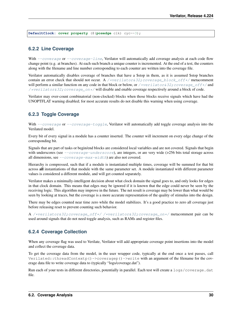**DefaultClock: cover property** (@(**posedge** clk) cyc==3);

### <span id="page-32-0"></span>**6.2.2 Line Coverage**

With  $--coverage$  or  $--coverage-line$ , Verilator will automatically add coverage analysis at each code flow change point (e.g. at branches). At each such branch a unique counter is incremented. At the end of a test, the counters along with the filename and line number corresponding to each counter are written into the coverage file.

Verilator automatically disables coverage of branches that have a \$stop in them, as it is assumed \$stop branches contain an error check that should not occur. A [/\\*verilator&32;coverage\\_block\\_off\\*/](#page-58-1) metacomment will perform a similar function on any code in that block or below, or /\*verilator&32; coverage\_off\*/ and [/\\*verilator&32;coverage\\_on\\*/](#page-58-3) will disable and enable coverage respectively around a block of code.

Verilator may over-count combinatorial (non-clocked) blocks when those blocks receive signals which have had the UNOPTFLAT warning disabled; for most accurate results do not disable this warning when using coverage.

### <span id="page-32-1"></span>**6.2.3 Toggle Coverage**

With  $-coverage$  or  $-coverage-toqqle$ , Verilator will automatically add toggle coverage analysis into the Verilated model.

Every bit of every signal in a module has a counter inserted. The counter will increment on every edge change of the corresponding bit.

Signals that are part of tasks or begin/end blocks are considered local variables and are not covered. Signals that begin with underscores (see  $-coverage-underscore$ ), are integers, or are very wide (>256 bits total storage across all dimensions, see  $-coveraq e$ -max-width) are also not covered.

Hierarchy is compressed, such that if a module is instantiated multiple times, coverage will be summed for that bit across all instantiations of that module with the same parameter set. A module instantiated with different parameter values is considered a different module, and will get counted separately.

Verilator makes a minimally-intelligent decision about what clock domain the signal goes to, and only looks for edges in that clock domain. This means that edges may be ignored if it is known that the edge could never be seen by the receiving logic. This algorithm may improve in the future. The net result is coverage may be lower than what would be seen by looking at traces, but the coverage is a more accurate representation of the quality of stimulus into the design.

There may be edges counted near time zero while the model stabilizes. It's a good practice to zero all coverage just before releasing reset to prevent counting such behavior.

A [/\\*verilator&32;coverage\\_off\\*/](#page-58-2) [/\\*verilator&32;coverage\\_on\\*/](#page-58-3) metacomment pair can be used around signals that do not need toggle analysis, such as RAMs and register files.

### <span id="page-32-2"></span>**6.2.4 Coverage Collection**

When any coverage flag was used to Verilate, Verilator will add appropriate coverage point insertions into the model and collect the coverage data.

To get the coverage data from the model, in the user wrapper code, typically at the end once a test passes, call Verilated::threadContextp()->coveragep()->write with an argument of the filename for the coverage data file to write coverage data to (typically "logs/coverage.dat").

Run each of your tests in different directories, potentially in parallel. Each test will create a logs/coverage.dat file.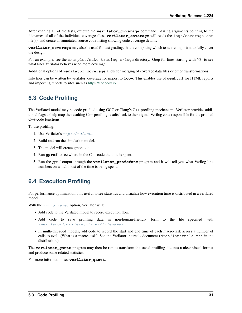After running all of the tests, execute the **verilator** coverage command, passing arguments pointing to the filenames of all of the individual coverage files. **verilator\_coverage** will reads the logs/coverage.dat file(s), and create an annotated source code listing showing code coverage details.

**verilator\_coverage** may also be used for test grading, that is computing which tests are important to fully cover the design.

For an example, see the examples/make\_tracing\_c/logs directory. Grep for lines starting with '%' to see what lines Verilator believes need more coverage.

Additional options of **verilator\_coverage** allow for merging of coverage data files or other transformations.

Info files can be written by verilator\_coverage for import to **lcov**. This enables use of **genhtml** for HTML reports and importing reports to sites such as [https://codecov.io.](https://codecov.io)

## <span id="page-33-0"></span>**6.3 Code Profiling**

The Verilated model may be code-profiled using GCC or Clang's C++ profiling mechanism. Verilator provides additional flags to help map the resulting C++ profiling results back to the original Verilog code responsible for the profiled C++ code functions.

To use profiling:

- 1. Use Verilator's [--prof-cfuncs](#page-76-1).
- 2. Build and run the simulation model.
- 3. The model will create gmon.out.
- 4. Run **gprof** to see where in the C++ code the time is spent.
- 5. Run the gprof output through the **verilator\_profcfunc** program and it will tell you what Verilog line numbers on which most of the time is being spent.

## <span id="page-33-1"></span>**6.4 Execution Profiling**

For performance optimization, it is useful to see statistics and visualize how execution time is distributed in a verilated model.

With the  $-prof$ -exec option, Verilator will:

- Add code to the Verilated model to record execution flow.
- Add code to save profiling data in non-human-friendly form to the file specified with [+verilator+prof+exec+file+<filename>](#page-90-1).
- In multi-threaded models, add code to record the start and end time of each macro-task across a number of calls to eval. (What is a macro-task? See the Verilator internals document (docs/internals.rst in the distribution.)

The **verilator\_gantt** program may then be run to transform the saved profiling file into a nicer visual format and produce some related statistics.

For more information see **verilator** gantt.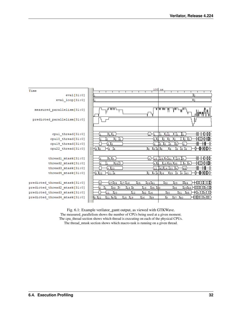

Fig. 6.1: Example verilator\_gantt output, as viewed with GTKWave. The measured\_parallelism shows the number of CPUs being used at a given moment. The cpu\_thread section shows which thread is executing on each of the physical CPUs. The thread\_mtask section shows which macro-task is running on a given thread.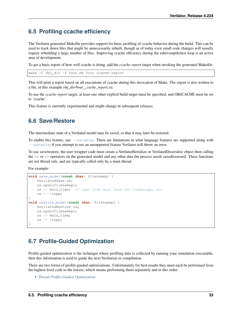## <span id="page-35-0"></span>**6.5 Profiling ccache efficiency**

The Verilator generated Makefile provides support for basic profiling of ccache behavior during the build. This can be used to track down files that might be unnecessarily rebuilt, though as of today even small code changes will usually require rebuilding a large number of files. Improving ccache efficiency during the edit/compile/test loop is an active area of development.

To get a basic report of how well ccache is doing, add the *ccache-report* target when invoking the generated Makefile:

```
make -C obj_dir -f Vout.mk Vout ccache-report
```
This will print a report based on all executions of ccache during this invocation of Make. The report is also written to a file, in this example *obj\_dir/Vout\_\_cache\_report.txt*.

To use the *ccache-report* target, at least one other explicit build target must be specified, and OBJCACHE must be set to 'ccache'.

This feature is currently experimental and might change in subsequent releases.

## <span id="page-35-1"></span>**6.6 Save/Restore**

The intermediate state of a Verilated model may be saved, so that it may later be restored.

To enable this feature, use  $-$ savable. There are limitations in what language features are supported along with  $\epsilon$ -savable; if you attempt to use an unsupported feature Verilator will throw an error.

To use save/restore, the user wrapper code must create a VerilatedSerialize or VerilatedDeserialze object then calling the << or >> operators on the generated model and any other data the process needs saved/restored. These functions are not thread safe, and are typically called only by a main thread.

For example:

```
void save_model(const char* filenamep) {
   VerilatedSave os;
   os.open(filenamep);
   os << main_time; // user code must save the timestamp, etc
   os << *topp;
}
void restore_model(const char* filenamep) {
   VerilatedRestore os;
   os.open(filenamep);
   os >> main_time;
    os >> *topp;
}
```
## <span id="page-35-2"></span>**6.7 Profile-Guided Optimization**

Profile-guided optimization is the technique where profiling data is collected by running your simulation executable, then this information is used to guide the next Verilation or compilation.

There are two forms of profile-guided optimizations. Unfortunately for best results they must each be performed from the highest level code to the lowest, which means performing them separately and in this order:

• *[Thread Profile-Guided Optimization](#page-36-0)*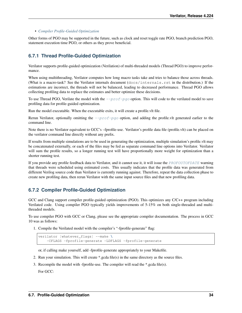#### • *[Compiler Profile-Guided Optimization](#page-36-0)*

Other forms of PGO may be supported in the future, such as clock and reset toggle rate PGO, branch prediction PGO, statement execution time PGO, or others as they prove beneficial.

### **6.7.1 Thread Profile-Guided Optimization**

Verilator supports profile-guided optimization (Verilation) of multi-threaded models (Thread PGO) to improve performance.

When using multithreading, Verilator computes how long macro tasks take and tries to balance those across threads. (What is a macro-task? See the Verilator internals document (docs/internals.rst in the distribution.) If the estimations are incorrect, the threads will not be balanced, leading to decreased performance. Thread PGO allows collecting profiling data to replace the estimates and better optimize these decisions.

To use Thread PGO, Verilate the model with the  $-\text{prox}_{\text{PQ}}$  option. This will code to the verilated model to save profiling data for profile-guided optimization.

Run the model executable. When the executable exits, it will create a profile.vlt file.

Rerun Verilator, optionally omitting the  $-prof-pq\circ$  option, and adding the profile. Vit generated earlier to the command line.

Note there is no Verilator equivalent to GCC's –fprofile-use. Verilator's profile data file (profile.vlt) can be placed on the verilator command line directly without any prefix.

If results from multiple simulations are to be used in generating the optimization, multiple simulation's profile.vlt may be concatenated externally, or each of the files may be fed as separate command line options into Verilator. Verilator will sum the profile results, so a longer running test will have proportionally more weight for optimization than a shorter running test.

If you provide any profile feedback data to Verilator, and it cannot use it, it will issue the [PROFOUTOFDATE](#page-102-0) warning that threads were scheduled using estimated costs. This usually indicates that the profile data was generated from different Verilog source code than Verilator is currently running against. Therefore, repeat the data collection phase to create new profiling data, then rerun Verilator with the same input source files and that new profiling data.

### <span id="page-36-0"></span>**6.7.2 Compiler Profile-Guided Optimization**

GCC and Clang support compiler profile-guided optimization (PGO). This optimizes any C/C++ program including Verilated code. Using compiler PGO typically yields improvements of 5-15% on both single-threaded and multithreaded models.

To use compiler PGO with GCC or Clang, please see the appropriate compiler documentation. The process in GCC 10 was as follows:

1. Compile the Verilated model with the compiler's "-fprofile-generate" flag:

```
verilator [whatever_flags] --make \
    -CFLAGS -fprofile-generate -LDFLAGS -fprofile-generate
```
or, if calling make yourself, add -fprofile-generate appropriately to your Makefile.

- 2. Run your simulation. This will create \*.gcda file(s) in the same directory as the source files.
- 3. Recompile the model with -fprofile-use. The compiler will read the \*.gcda file(s).

For GCC: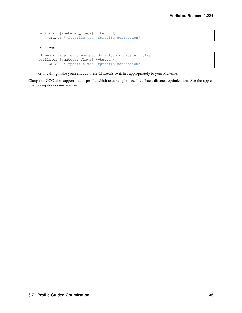```
verilator [whatever_flags] --build \
   -CFLAGS "-fprofile-use -fprofile-correction"
```
For Clang:

```
llvm-profdata merge -output default.profdata *.profraw
verilator [whatever_flags] --build \
    -CFLAGS "-fprofile-use -fprofile-correction"
```
or, if calling make yourself, add these CFLAGS switches appropriately to your Makefile.

Clang and GCC also support -fauto-profile which uses sample-based feedback-directed optimization. See the appropriate compiler documentation.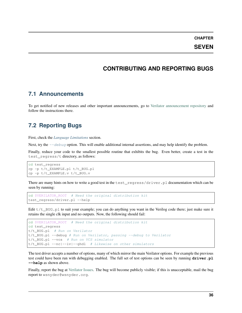**CHAPTER**

**SEVEN**

## **CONTRIBUTING AND REPORTING BUGS**

### **7.1 Announcements**

To get notified of new releases and other important announcements, go to [Verilator announcement repository](https://github.com/verilator/verilator-announce) and follow the instructions there.

## **7.2 Reporting Bugs**

First, check the *[Language Limitations](#page-50-0)* section.

Next, try the  $-\text{debug}$  option. This will enable additional internal assertions, and may help identify the problem.

Finally, reduce your code to the smallest possible routine that exhibits the bug. Even better, create a test in the test\_regress/t directory, as follows:

```
cd test_regress
cp -p t/t_EXAMPLE.pl t/t_BUG.pl
cp -p t/t_EXAMPLE.v t/t_BUG.v
```
There are many hints on how to write a good test in the test\_regress/driver.pl documentation which can be seen by running:

```
cd $VERILATOR_ROOT # Need the original distribution kit
test_regress/driver.pl --help
```
Edit  $t/t$  BUG.pl to suit your example; you can do anything you want in the Verilog code there; just make sure it retains the single clk input and no outputs. Now, the following should fail:

```
cd $VERILATOR_ROOT # Need the original distribution kit
cd test_regress
t/t_BUG.pl # Run on Verilator
t/t_BUG.pl --debug # Run on Verilator, passing --debug to Verilator
t/t_BUG.pl --vcs # Run on VCS simulator
t/t_BUG.pl --nc|--iv|--ghdl # Likewise on other simulators
```
The test driver accepts a number of options, many of which mirror the main Verilator options. For example the previous test could have been run with debugging enabled. The full set of test options can be seen by running **driver.pl --help** as shown above.

Finally, report the bug at [Verilator Issues.](https://verilator.org/issues) The bug will become publicly visible; if this is unacceptable, mail the bug report to wsnyder@wsnyder.org.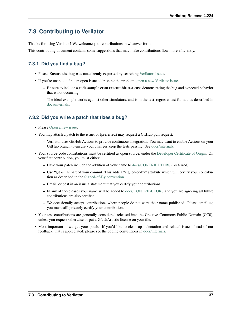## **7.3 Contributing to Verilator**

Thanks for using Verilator! We welcome your contributions in whatever form.

This contributing document contains some suggestions that may make contributions flow more efficiently.

## **7.3.1 Did you find a bug?**

- Please Ensure the bug was not already reported by searching [Verilator Issues.](https://verilator.org/issues)
- If you're unable to find an open issue addressing the problem, [open a new Verilator issue.](https://verilator.org/issues/new)
	- Be sure to include a **code sample** or an **executable test case** demonstrating the bug and expected behavior that is not occurring.
	- The ideal example works against other simulators, and is in the test\_regress/t test format, as described in [docs/internals.](internals.rst)

### **7.3.2 Did you write a patch that fixes a bug?**

- Please [Open a new issue.](https://verilator.org/issues/new)
- You may attach a patch to the issue, or (preferred) may request a GitHub pull request.
	- Verilator uses GitHub Actions to provide continuous integration. You may want to enable Actions on your GitHub branch to ensure your changes keep the tests passing. See [docs/internals.](internals.rst)
- Your source-code contributions must be certified as open source, under the [Developer Certificate of Origin.](https://developercertificate.org/) On your first contribution, you must either:
	- Have your patch include the addition of your name to [docs/CONTRIBUTORS](#page-0-0) (preferred).
	- Use "git -s" as part of your commit. This adds a "signed-of-by" attribute which will certify your contribution as described in the [Signed-of-By convention.](https://github.com/wking/signed-off-by/blob/master/Documentation/SubmittingPatches)
	- Email, or post in an issue a statement that you certify your contributions.
	- In any of these cases your name will be added to [docs/CONTRIBUTORS](#page-0-0) and you are agreeing all future contributions are also certified.
	- We occasionally accept contributions where people do not want their name published. Please email us; you must still privately certify your contribution.
- Your test contributions are generally considered released into the Creative Commons Public Domain (CC0), unless you request otherwise or put a GNU/Artistic license on your file.
- Most important is we get your patch. If you'd like to clean up indentation and related issues ahead of our feedback, that is appreciated; please see the coding conventions in [docs/internals.](internals.rst)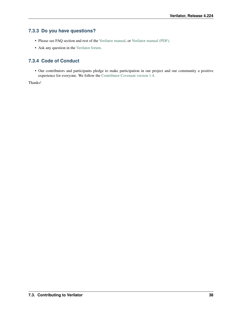### **7.3.3 Do you have questions?**

- Please see FAQ section and rest of the [Verilator manual,](https://verilator.org/verilator_doc.html) or [Verilator manual \(PDF\).](https://verilator.org/verilator_doc.pdf)
- Ask any question in the [Verilator forum.](https://verilator.org/forum)

### **7.3.4 Code of Conduct**

• Our contributors and participants pledge to make participation in our project and our community a positive experience for everyone. We follow the [Contributor Covenant version 1.4.](https://www.contributor-covenant.org/version/1/4/code-of-conduct/)

Thanks!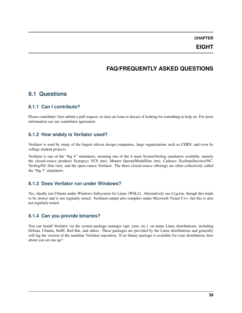**CHAPTER**

**EIGHT**

## **FAQ/FREQUENTLY ASKED QUESTIONS**

## **8.1 Questions**

### **8.1.1 Can I contribute?**

Please contribute! Just submit a pull request, or raise an issue to discuss if looking for something to help on. For more information see our contributor agreement.

### **8.1.2 How widely is Verilator used?**

Verilator is used by many of the largest silicon design companies, large organizations such as CERN, and even by college student projects.

Verilator is one of the "big 4" simulators, meaning one of the 4 main SystemVerilog simulators available, namely the closed-source products Synopsys VCS (tm), Mentor Questa/ModelSim (tm), Cadence Xcelium/Incisive/NC-Verilog/NC-Sim (tm), and the open-source Verilator. The three closed-source offerings are often collectively called the "big 3" simulators.

### **8.1.3 Does Verilator run under Windows?**

Yes, ideally run Ubuntu under Windows Subsystem for Linux (WSL2). Alternatively use Cygwin, though this tends to be slower and is not regularly tested. Verilated output also compiles under Microsoft Visual C++, but this is also not regularly tested.

### **8.1.4 Can you provide binaries?**

You can install Verilator via the system package manager (apt, yum, etc.) on many Linux distributions, including Debian, Ubuntu, SuSE, Red Hat, and others. These packages are provided by the Linux distributions and generally will lag the version of the mainline Verilator repository. If no binary package is available for your distribution, how about you set one up?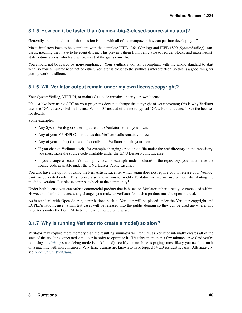### **8.1.5 How can it be faster than (name-a-big-3-closed-source-simulator)?**

Generally, the implied part of the question is "... with all of the manpower they can put into developing it."

Most simulators have to be compliant with the complete IEEE 1364 (Verilog) and IEEE 1800 (SystemVerilog) standards, meaning they have to be event driven. This prevents them from being able to reorder blocks and make netliststyle optimizations, which are where most of the gains come from.

You should not be scared by non-compliance. Your synthesis tool isn't compliant with the whole standard to start with, so your simulator need not be either. Verilator is closer to the synthesis interpretation, so this is a good thing for getting working silicon.

### **8.1.6 Will Verilator output remain under my own license/copyright?**

Your SystemVerilog, VPI/DPI, or main() C++ code remains under your own license.

It's just like how using GCC on your programs does not change the copyright of your program; this is why Verilator uses the "GNU Lesser Public License Version 3" instead of the more typical "GNU Public License". See the licenses for details.

Some examples:

- Any SystemVerilog or other input fed into Verilator remain your own.
- Any of your VPI/DPI C++ routines that Verilator calls remain your own.
- Any of your main() C++ code that calls into Verilator remain your own.
- If you change Verilator itself, for example changing or adding a file under the src/ directory in the repository, you must make the source code available under the GNU Lesser Public License.
- If you change a header Verilator provides, for example under include/ in the repository, you must make the source code available under the GNU Lesser Public License.

You also have the option of using the Perl Artistic License, which again does not require you to release your Verilog, C++, or generated code. This license also allows you to modify Verilator for internal use without distributing the modified version. But please contribute back to the community!

Under both license you can offer a commercial product that is based on Verilator either directly or embedded within. However under both licenses, any changes you make to Verilator for such a product must be open sourced.

As is standard with Open Source, contributions back to Verilator will be placed under the Verilator copyright and LGPL/Artistic license. Small test cases will be released into the public domain so they can be used anywhere, and large tests under the LGPL/Artistic, unless requested otherwise.

### **8.1.7 Why is running Verilator (to create a model) so slow?**

Verilator may require more memory than the resulting simulator will require, as Verilator internally creates all of the state of the resulting generated simulator in order to optimize it. If it takes more than a few minutes or so (and you're not using  $-\text{debug}$  since debug mode is disk bound), see if your machine is paging; most likely you need to run it on a machine with more memory. Very large designs are known to have topped 64 GB resident set size. Alternatively, see *[Hierarchical Verilation](#page-16-0)*.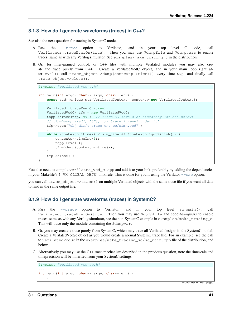### **8.1.8 How do I generate waveforms (traces) in C++?**

See also the next question for tracing in SystemC mode.

- A. Pass the [--trace](#page-79-0) option to Verilator, and in your top level C code, call Verilated::traceEverOn(true). Then you may use \$dumpfile and \$dumpvars to enable traces, same as with any Verilog simulator. See examples/make\_tracing\_c in the distribution.
- B. Or, for finer-grained control, or C++ files with multiple Verilated modules you may also create the trace purely from C++. Create a VerilatedVcdC object, and in your main loop right after eval() call trace\_object->dump(contextp->time()) every time step, and finally call trace\_object->close().

```
#include "verilated_vcd_c.h"
...
int main(int argc, char** argv, char** env) {
   const std::unique_ptr<VerilatedContext> contextp{new VerilatedContext};
    ...
   Verilated::traceEverOn(true);
   VerilatedVcdC* tfp = new VerilatedVcdC;
   topp->trace(tfp, 99); // Trace 99 levels of hierarchy (or see below)
    // tfp->dumpvars(1, "t"); // trace 1 level under "t"
   tfp->open("obj_dir/t_trace_ena_cc/simx.vcd");
    ...
    while (contextp->time() < sim_time && !contextp->gotFinish()) {
        contextp->timeInc(1);
       topp->eval();
       tfp->dump(contextp->time());
    }
    tfp->close();
}
```
You also need to compile verilated\_vcd\_c.cpp and add it to your link, preferably by adding the dependencies in your Makefile's  $\frac{1}{5}$  (VK\_GLOBAL\_OBJS) link rule. This is done for you if using the Verilator  $-\text{exc}$  option.

you can call trace\_object->trace() on multiple Verilated objects with the same trace file if you want all data to land in the same output file.

### **8.1.9 How do I generate waveforms (traces) in SystemC?**

- A. Pass the [--trace](#page-79-0) option to Verilator, and in your top level sc\_main(), call Verilated::traceEverOn(true). Then you may use \$dumpfile and code:*\$dumpvars* to enable traces, same as with any Verilog simulator, see the non-SystemC example in examples/make\_tracing\_c. This will trace only the module containing the \$dumpvar.
- B. Or, you may create a trace purely from SystemC, which may trace all Verilated designs in the SystemC model. Create a VerilatedVcdSc object as you would create a normal SystemC trace file. For an example, see the call to VerilatedVcdSc in the examples/make tracing sc/sc main.cpp file of the distribution, and below.
- C. Alternatively you may use the C++ trace mechanism described in the previous question, note the timescale and timeprecision will be inherited from your SystemC settings.

```
#include "verilated_vcd_sc.h"
...
int main(int argc, char** argv, char** env) {
    ...
```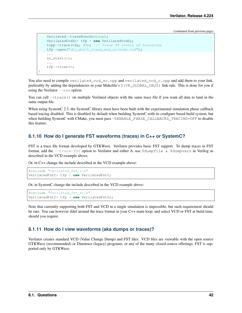```
Verilated::traceEverOn(true);
VerilatedVcdSc* tfp = new VerilatedVcdSc;
topp->trace(tfp, 99); // Trace 99 levels of hierarchy
tfp->open("obj_dir/t_trace_ena_cc/simx.vcd");
...
sc_start(1);
...
tfp->close();
```
You also need to compile verilated\_vcd\_sc.cpp and verilated\_vcd\_c.cpp and add them to your link, preferably by adding the dependencies in your Makefile's \$(VK\_GLOBAL\_OBJS) link rule. This is done for you if using the Verilator  $-\text{exe}$  option.

You can call  $\rightarrow$ trace() on multiple Verilated objects with the same trace file if you want all data to land in the same output file.

When using SystemC 2.3, the SystemC library must have been built with the experimental simulation phase callback based tracing disabled. This is disabled by default when building SystemC with its configure based build system, but when building SystemC with CMake, you must pass -DENABLE\_PHASE\_CALLBACKS\_TRACING=OFF to disable this feature.

### **8.1.10 How do I generate FST waveforms (traces) in C++ or SystemC?**

FST is a trace file format developed by GTKWave. Verilator provides basic FST support. To dump traces in FST format, add the  $-\text{trace-fst}$  option to Verilator and either A. use  $\delta$ dumpfile &  $\delta$ dumpvars in Verilog as described in the VCD example above,

Or, in C++ change the include described in the VCD example above:

```
#include "verilated_fst_c.h"
VerilatedFstC* tfp = new VerilatedFstC;
```
Or, in SystemC change the include described in the VCD example above:

```
#include "verilated fst sc.h"
VerilatedFstC* tfp = new VerilatedFstSc;
```
Note that currently supporting both FST and VCD in a single simulation is impossible, but such requirement should be rare. You can however ifdef around the trace format in your C++ main loop, and select VCD or FST at build time, should you require.

#### **8.1.11 How do I view waveforms (aka dumps or traces)?**

Verilator creates standard VCD (Value Change Dump) and FST files. VCD files are viewable with the open source GTKWave (recommended) or Dinotrace (legacy) programs, or any of the many closed-source offerings; FST is supported only by GTKWave.

}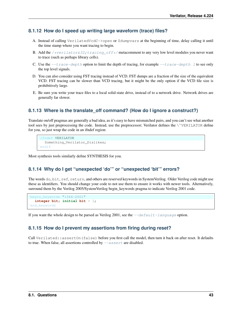### **8.1.12 How do I speed up writing large waveform (trace) files?**

- A. Instead of calling VerilatedVcdC->open or \$dumpvars at the beginning of time, delay calling it until the time stamp where you want tracing to begin.
- B. Add the /\*verilator&32; tracing\_off\*/ metacomment to any very low level modules you never want to trace (such as perhaps library cells).
- C. Use the  $-\text{trace-depth option}$  to limit the depth of tracing, for example  $-\text{trace-depth 1}$  to see only the top level signals.
- D. You can also consider using FST tracing instead of VCD. FST dumps are a fraction of the size of the equivalent VCD. FST tracing can be slower than VCD tracing, but it might be the only option if the VCD file size is prohibitively large.
- E. Be sure you write your trace files to a local solid-state drive, instead of to a network drive. Network drives are generally far slower.

**8.1.13** Where is the translate\_off command? (How do I ignore a construct?)<br>Translate on/off pragmas are generally a bad idea, as it's easy to have mismatched pairs, and you can't see what another<br>tool sees by just preproc Translate on/off pragmas are generally a bad idea, as it's easy to have mismatched pairs, and you can't see what another for you, so just wrap the code in an ifndef region: tool sees by just preprocessing the code. Instead, use the preprocessor; Verilator defines the *VVERILATOR* define

```
ifndef VERILATOR
  Something_Verilator_Dislikes;
endif
```
Most synthesis tools similarly define SYNTHESIS for you.

### **8.1.14 Why do I get "unexpected 'do'" or "unexpected 'bit'" errors?**

The words do, bit, ref, return, and others are reserved keywords in SystemVerilog. Older Verilog code might use these as identifiers. You should change your code to not use them to ensure it works with newer tools. Alternatively, `surround them by the Verilog 2005/SystemVerilog begin\_keywords pragma to indicate Verilog 2001 code.  $\overline{\phantom{a}}$ 

```
begin_keywords "1364-2001"
  integer bit; initial bit = 1;
end_keywords
```
If you want the whole design to be parsed as Verilog 2001, see the  $-\text{default-language}$  option.

### **8.1.15 How do I prevent my assertions from firing during reset?**

Call Verilated::assertOn(false) before you first call the model, then turn it back on after reset. It defaults to true. When false, all assertions controlled by  $-\text{assert}$  are disabled.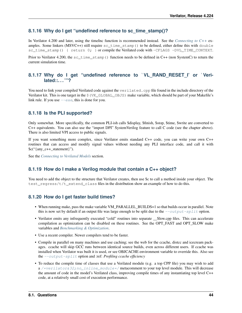### **8.1.16 Why do I get "undefined reference to sc\_time\_stamp()?**

In Verilator 4.200 and later, using the timeInc function is recommended instead. See the *[Connecting to C++](#page-23-0)* examples. Some linkers (MSVC++) still require sc\_time\_stamp() to be defined, either define this with double sc\_time\_stamp() { return 0; } or compile the Verilated code with -CFLAGS -DVL\_TIME\_CONTEXT.

Prior to Verilator 4.200, the sc\_time\_stamp() function needs to be defined in C++ (non SystemC) to return the current simulation time.

### **8.1.17 Why do I get "undefined reference to** `**VL\_RAND\_RESET\_I' or** `**Verilated::. . . '"?**

You need to link your compiled Verilated code against the verilated.cpp file found in the include directory of the Verilator kit. This is one target in the \$(VK\_GLOBAL\_OBJS) make variable, which should be part of your Makefile's link rule. If you use  $-\infty$ , this is done for you.

### **8.1.18 Is the PLI supported?**

Only somewhat. More specifically, the common PLI-ish calls \$display, \$finish, \$stop, \$time, \$write are converted to C++ equivalents. You can also use the "import DPI" SystemVerilog feature to call C code (see the chapter above). There is also limited VPI access to public signals.

If you want something more complex, since Verilator emits standard C++ code, you can write your own C++ routines that can access and modify signal values without needing any PLI interface code, and call it with  $\text{Sc}$  ("{any\_c++\_statement}").

See the *[Connecting to Verilated Models](#page-22-0)* section.

### **8.1.19 How do I make a Verilog module that contain a C++ object?**

You need to add the object to the structure that Verilator creates, then use \$c to call a method inside your object. The test regress/t/t extend class files in the distribution show an example of how to do this.

### **8.1.20 How do I get faster build times?**

- When running make, pass the make variable VM\_PARALLEL\_BUILDS=1 so that builds occur in parallel. Note this is now set by default if an output file was large enough to be split due to the  $--output-split$  option.
- Verilator emits any infrequently executed "cold" routines into separate \_\_Slow.cpp files. This can accelerate compilation as optimization can be disabled on these routines. See the OPT\_FAST and OPT\_SLOW make variables and *[Benchmarking & Optimization](#page-30-0)*.
- Use a recent compiler. Newer compilers tend to be faster.
- Compile in parallel on many machines and use caching; see the web for the ccache, distcc and icecream packages. ccache will skip GCC runs between identical source builds, even across different users. If ccache was installed when Verilator was built it is used, or see OBJCACHE environment variable to override this. Also see the [--output-split](#page-74-0) option and :ref: *Profiling ccache efficiency*
- To reduce the compile time of classes that use a Verilated module (e.g. a top CPP file) you may wish to add  $a$  /\*verilator&32; no\_inline\_module\*/ metacomment to your top level module. This will decrease the amount of code in the model's Verilated class, improving compile times of any instantiating top level C++ code, at a relatively small cost of execution performance.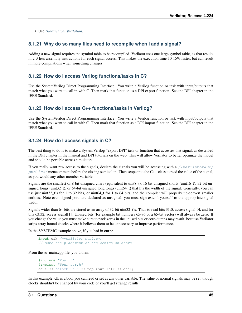• Use *[Hierarchical Verilation](#page-16-0)*.

### **8.1.21 Why do so many files need to recompile when I add a signal?**

Adding a new signal requires the symbol table to be recompiled. Verilator uses one large symbol table, as that results in 2-3 less assembly instructions for each signal access. This makes the execution time 10-15% faster, but can result in more compilations when something changes.

### **8.1.22 How do I access Verilog functions/tasks in C?**

Use the SystemVerilog Direct Programming Interface. You write a Verilog function or task with input/outputs that match what you want to call in with C. Then mark that function as a DPI export function. See the DPI chapter in the IEEE Standard.

### **8.1.23 How do I access C++ functions/tasks in Verilog?**

Use the SystemVerilog Direct Programming Interface. You write a Verilog function or task with input/outputs that match what you want to call in with C. Then mark that function as a DPI import function. See the DPI chapter in the IEEE Standard.

### **8.1.24 How do I access signals in C?**

The best thing to do is to make a SystemVerilog "export DPI" task or function that accesses that signal, as described in the DPI chapter in the manual and DPI tutorials on the web. This will allow Verilator to better optimize the model and should be portable across simulators.

If you really want raw access to the signals, declare the signals you will be accessing with a [/\\*verilator&32;](#page-60-0)  $public \times$  metacomment before the closing semicolon. Then scope into the C++ class to read the value of the signal, as you would any other member variable.

Signals are the smallest of 8-bit unsigned chars (equivalent to uint8\_t), 16-bit unsigned shorts (uint16\_t), 32-bit unsigned longs (uint32\_t), or 64-bit unsigned long longs (uint64\_t) that fits the width of the signal. Generally, you can use just uint32\_t's for 1 to 32 bits, or uint64\_t for 1 to 64 bits, and the compiler will properly up-convert smaller entities. Note even signed ports are declared as unsigned; you must sign extend yourself to the appropriate signal width.

Signals wider than 64 bits are stored as an array of 32-bit uint  $32$  t's. Thus to read bits 31:0, access signal[0], and for bits 63:32, access signal[1]. Unused bits (for example bit numbers 65-96 of a 65-bit vector) will always be zero. If you change the value you must make sure to pack zeros in the unused bits or core-dumps may result, because Verilator strips array bound checks where it believes them to be unnecessary to improve performance.

In the SYSTEMC example above, if you had in our.v:

```
input clk /*verilator public*/;
  Note the placement of the semicolon above
```
From the sc\_main.cpp file, you'd then:

```
#include "Vour.h"
#include "Vour_our.h"
cout << "clock is " << top->our->clk << endl;
```
In this example, clk is a bool you can read or set as any other variable. The value of normal signals may be set, though clocks shouldn't be changed by your code or you'll get strange results.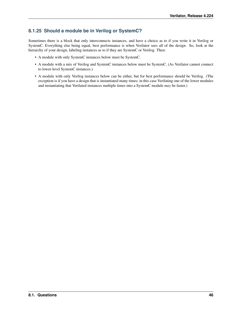## **8.1.25 Should a module be in Verilog or SystemC?**

Sometimes there is a block that only interconnects instances, and have a choice as to if you write it in Verilog or SystemC. Everything else being equal, best performance is when Verilator sees all of the design. So, look at the hierarchy of your design, labeling instances as to if they are SystemC or Verilog. Then:

- A module with only SystemC instances below must be SystemC.
- A module with a mix of Verilog and SystemC instances below must be SystemC. (As Verilator cannot connect to lower-level SystemC instances.)
- A module with only Verilog instances below can be either, but for best performance should be Verilog. (The exception is if you have a design that is instantiated many times; in this case Verilating one of the lower modules and instantiating that Verilated instances multiple times into a SystemC module *may* be faster.)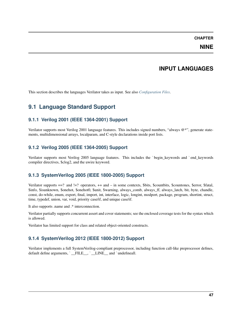### **CHAPTER**

### **NINE**

## **INPUT LANGUAGES**

This section describes the languages Verilator takes as input. See also *[Configuration Files](#page-83-0)*.

## **9.1 Language Standard Support**

## **9.1.1 Verilog 2001 (IEEE 1364-2001) Support**

Verilator supports most Verilog 2001 language features. This includes signed numbers, "always @\*", generate statements, multidimensional arrays, localparam, and C-style declarations inside port lists.

## **9.1.2 Verilog 2005 (IEEE 1364-2005) Support**

Verilator supports most Verilog 2005 language features. This includes the `begin\_keywords and `end\_keywords compiler directives, \$clog2, and the uwire keyword.

## **9.1.3 SystemVerilog 2005 (IEEE 1800-2005) Support**

Verilator supports ==? and !=? operators, ++ and – in some contexts, \$bits, \$countbits, \$countones, \$error, \$fatal, \$info, \$isunknown, \$onehot, \$onehot0, \$unit, \$warning, always\_comb, always\_ff, always\_latch, bit, byte, chandle, const, do-while, enum, export, final, import, int, interface, logic, longint, modport, package, program, shortint, struct, time, typedef, union, var, void, priority case/if, and unique case/if.

It also supports .name and .\* interconnection.

Verilator partially supports concurrent assert and cover statements; see the enclosed coverage tests for the syntax which is allowed.

Verilator has limited support for class and related object-oriented constructs.

## **9.1.4 SystemVerilog 2012 (IEEE 1800-2012) Support**

Verilator implements a full SystemVerilog-compliant preprocessor, including function call-like preprocessor defines, default define arguments, `\_FILE\_, `\_LINE\_ and `undefineall.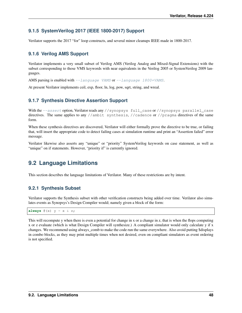### **9.1.5 SystemVerilog 2017 (IEEE 1800-2017) Support**

Verilator supports the 2017 "for" loop constructs, and several minor cleanups IEEE made in 1800-2017.

### **9.1.6 Verilog AMS Support**

Verilator implements a very small subset of Verilog AMS (Verilog Analog and Mixed-Signal Extensions) with the subset corresponding to those VMS keywords with near equivalents in the Verilog 2005 or SystemVerilog 2009 languages.

AMS parsing is enabled with  $-$ language VAMS or  $-$ language 1800+VAMS.

At present Verilator implements ceil, exp, floor, ln, log, pow, sqrt, string, and wreal.

### **9.1.7 Synthesis Directive Assertion Support**

With the  $--assert$  option, Verilator reads any //synopsys full\_case or //synopsys parallel\_case directives. The same applies to any //ambit synthesis, //cadence or //pragma directives of the same form.

When these synthesis directives are discovered, Verilator will either formally prove the directive to be true, or failing that, will insert the appropriate code to detect failing cases at simulation runtime and print an "Assertion failed" error message.

Verilator likewise also asserts any "unique" or "priority" SystemVerilog keywords on case statement, as well as "unique" on if statements. However, "priority if" is currently ignored.

## <span id="page-50-0"></span>**9.2 Language Limitations**

This section describes the language limitations of Verilator. Many of these restrictions are by intent.

### **9.2.1 Synthesis Subset**

Verilator supports the Synthesis subset with other verification constructs being added over time. Verilator also simulates events as Synopsys's Design Compiler would; namely given a block of the form:

```
always \mathfrak{g}(x) y = x \& z;
```
This will recompute y when there is even a potential for change in x or a change in z, that is when the flops computing x or z evaluate (which is what Design Compiler will synthesize.) A compliant simulator would only calculate y if x changes. We recommend using always\_comb to make the code run the same everywhere. Also avoid putting \$displays in combo blocks, as they may print multiple times when not desired, even on compliant simulators as event ordering is not specified.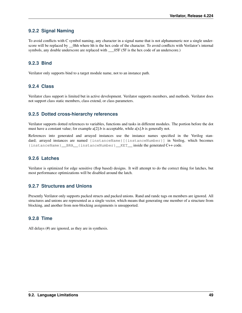### **9.2.2 Signal Naming**

To avoid conflicts with C symbol naming, any character in a signal name that is not alphanumeric nor a single underscore will be replaced by \_\_0hh where hh is the hex code of the character. To avoid conflicts with Verilator's internal symbols, any double underscore are replaced with \_\_05F (5F is the hex code of an underscore.)

### **9.2.3 Bind**

Verilator only supports bind to a target module name, not to an instance path.

### **9.2.4 Class**

Verilator class support is limited but in active development. Verilator supports members, and methods. Verilator does not support class static members, class extend, or class parameters.

### **9.2.5 Dotted cross-hierarchy references**

Verilator supports dotted references to variables, functions and tasks in different modules. The portion before the dot must have a constant value; for example  $a[2]$ .b is acceptable, while  $a[x]$ .b is generally not.

References into generated and arrayed instances use the instance names specified in the Verilog standard; arrayed instances are named {instanceName}[{instanceNumber}] in Verilog, which becomes {instanceName}\_\_BRA\_\_{instanceNumber}\_\_KET\_\_ inside the generated C++ code.

### **9.2.6 Latches**

Verilator is optimized for edge sensitive (flop based) designs. It will attempt to do the correct thing for latches, but most performance optimizations will be disabled around the latch.

### **9.2.7 Structures and Unions**

Presently Verilator only supports packed structs and packed unions. Rand and randc tags on members are ignored. All structures and unions are represented as a single vector, which means that generating one member of a structure from blocking, and another from non-blocking assignments is unsupported.

### **9.2.8 Time**

All delays (#) are ignored, as they are in synthesis.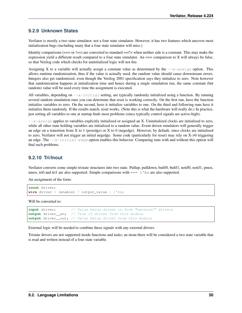### **9.2.9 Unknown States**

Verilator is mostly a two state simulator, not a four state simulator. However, it has two features which uncover most initialization bugs (including many that a four state simulator will miss.)

Identity comparisons ( $==$  or  $!=$ ) are converted to standard  $==/!=$  when neither side is a constant. This may make the expression yield a different result compared to a four state simulator. An  $==$  comparison to X will always be false, so that Verilog code which checks for uninitialized logic will not fire.

Assigning X to a variable will actually assign a constant value as determined by the  $-\alpha$ -assign option. This allows runtime randomization, thus if the value is actually used, the random value should cause downstream errors. Integers also get randomized, even though the Verilog 2001 specification says they initialize to zero. Note however that randomization happens at initialization time and hence during a single simulation run, the same constant (but random) value will be used every time the assignment is executed.

All variables, depending on  $-x$ -initial setting, are typically randomly initialized using a function. By running several random simulation runs you can determine that reset is working correctly. On the first run, have the function initialize variables to zero. On the second, have it initialize variables to one. On the third and following runs have it initialize them randomly. If the results match, reset works. (Note this is what the hardware will really do.) In practice, just setting all variables to one at startup finds most problems (since typically control signals are active-high).

 $-\alpha$ - $\alpha$ ssign applies to variables explicitly initialized or assigned an X. Uninitialized clocks are initialized to zero, while all other state holding variables are initialized to a random value. Event driven simulators will generally trigger an edge on a transition from X to 1 (posedge) or X to 0 (negedge). However, by default, since clocks are initialized to zero, Verilator will not trigger an initial negedge. Some code (particularly for reset) may rely on X->0 triggering an edge. The  $-x$ -initial-edge option enables this behavior. Comparing runs with and without this option will find such problems.

### **9.2.10 Tri/Inout**

Verilator converts some simple tristate structures into two state. Pullup, pulldown, bufif0, bufif1, notif0, notif1, pmos, nmos, tri0 and tri1 are also supported. Simple comparisons with === 1'bz are also supported.

An assignment of the form:

```
inout driver;
wire driver = (enable) ? output_value : 1'bz;
```
Will be converted to:

```
input driver; // Value being driven in from "external" drivers
output driver en; // True if driven from this module
output driver__out; // Value being driven from this module
```
External logic will be needed to combine these signals with any external drivers.

Tristate drivers are not supported inside functions and tasks; an inout there will be considered a two state variable that is read and written instead of a four state variable.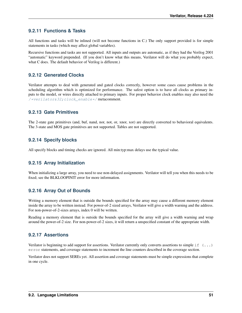### **9.2.11 Functions & Tasks**

All functions and tasks will be inlined (will not become functions in C.) The only support provided is for simple statements in tasks (which may affect global variables).

Recursive functions and tasks are not supported. All inputs and outputs are automatic, as if they had the Verilog 2001 "automatic" keyword prepended. (If you don't know what this means, Verilator will do what you probably expect, what C does. The default behavior of Verilog is different.)

### **9.2.12 Generated Clocks**

Verilator attempts to deal with generated and gated clocks correctly, however some cases cause problems in the scheduling algorithm which is optimized for performance. The safest option is to have all clocks as primary inputs to the model, or wires directly attached to primary inputs. For proper behavior clock enables may also need the [/\\*verilator&32;clock\\_enable\\*/](#page-57-0) metacomment.

### **9.2.13 Gate Primitives**

The 2-state gate primitives (and, buf, nand, nor, not, or, xnor, xor) are directly converted to behavioral equivalents. The 3-state and MOS gate primitives are not supported. Tables are not supported.

### **9.2.14 Specify blocks**

All specify blocks and timing checks are ignored. All min:typ:max delays use the typical value.

### **9.2.15 Array Initialization**

When initializing a large array, you need to use non-delayed assignments. Verilator will tell you when this needs to be fixed; see the BLKLOOPINIT error for more information.

### **9.2.16 Array Out of Bounds**

Writing a memory element that is outside the bounds specified for the array may cause a different memory element inside the array to be written instead. For power-of-2 sized arrays, Verilator will give a width warning and the address. For non-power-of-2-sizes arrays, index 0 will be written.

Reading a memory element that is outside the bounds specified for the array will give a width warning and wrap around the power-of-2 size. For non-power-of-2 sizes, it will return a unspecified constant of the appropriate width.

### **9.2.17 Assertions**

Verilator is beginning to add support for assertions. Verilator currently only converts assertions to simple  $if (\dots)$ error statements, and coverage statements to increment the line counters described in the coverage section.

Verilator does not support SEREs yet. All assertion and coverage statements must be simple expressions that complete in one cycle.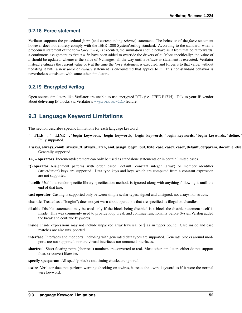### **9.2.18 Force statement**

Verilator supports the procedural *force* (and corresponding *release*) statement. The behavior of the *force* statement however does not entirely comply with the IEEE 1800 SystemVerilog standard. According to the standard, when a procedural statement of the form *force*  $a = b$ ; is executed, the simulation should behave as if from that point forwards, a continuous assignment *assign*  $a = b$ ; have been added to override the drivers of *a*. More specifically: the value of *a* should be updated, whenever the value of *b* changes, all the way until a *release a;* statement is executed. Verilator instead evaluates the current value of *b* at the time the *force* statement is executed, and forces *a* to that value, without updating it until a new *force* or *release* statement is encountered that applies to *a*. This non-standard behavior is nevertheless consistent with some other simulators.

### **9.2.19 Encrypted Verilog**

Open source simulators like Verilator are unable to use encrypted RTL (i.e. IEEE P1735). Talk to your IP vendor about delivering IP blocks via Verilator's  $-p$ rotect-lib feature.

## **9.3 Language Keyword Limitations**

This section describes specific limitations for each language keyword.

- `\_FILE\_\_, `\_LINE\_\_, `begin\_keywords, `begin\_keywords, `begin\_keywords, `begin\_keywords, `begin\_keywords, `define, Fully supported.
- always, always\_comb, always\_ff, always\_latch, and, assign, begin, buf, byte, case, casex, casez, default, defparam, do-while, else Generally supported.
- ++, operators Increment/decrement can only be used as standalone statements or in certain limited cases.
- '{} operator Assignment patterns with order based, default, constant integer (array) or member identifier (struct/union) keys are supported. Data type keys and keys which are computed from a constant expression are not supported.
- uselib Uselib, a vendor specific library specification method, is ignored along with anything following it until the end of that line.
- cast operator Casting is supported only between simple scalar types, signed and unsigned, not arrays nor structs.
- chandle Treated as a "longint"; does not yet warn about operations that are specified as illegal on chandles.
- disable Disable statements may be used only if the block being disabled is a block the disable statement itself is inside. This was commonly used to provide loop break and continue functionality before SystemVerilog added the break and continue keywords.
- inside Inside expressions may not include unpacked array traversal or \$ as an upper bound. Case inside and case matches are also unsupported.
- interface Interfaces and modports, including with generated data types are supported. Generate blocks around modports are not supported, nor are virtual interfaces nor unnamed interfaces.
- shortreal Short floating point (shortreal) numbers are converted to real. Most other simulators either do not support float, or convert likewise.
- specify specparam All specify blocks and timing checks are ignored.
- uwire Verilator does not perform warning checking on uwires, it treats the uwire keyword as if it were the normal wire keyword.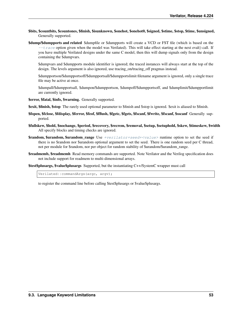- \$bits, \$countbits, \$countones, \$finish, \$isunknown, \$onehot, \$onehot0, \$signed, \$stime, \$stop, \$time, \$unsigned, Generally supported.
- \$dump/\$dumpports and related \$dumpfile or \$dumpports will create a VCD or FST file (which is based on the  $-$ trace option given when the model was Verilated). This will take effect starting at the next eval() call. If you have multiple Verilated designs under the same C model, then this will dump signals only from the design containing the \$dumpvars.

\$dumpvars and \$dumpports module identifier is ignored; the traced instances will always start at the top of the design. The levels argument is also ignored, use tracing on/tracing off pragmas instead.

\$dumpportson/\$dumpportsoff/\$dumpportsall/\$dumpportslimit filename argument is ignored, only a single trace file may be active at once.

\$dumpall/\$dumpportsall, \$dumpon/\$dumpportson, \$dumpoff/\$dumpportsoff, and \$dumplimit/\$dumpportlimit are currently ignored.

\$error, \$fatal, \$info, \$warning. Generally supported.

\$exit, \$finish, \$stop The rarely used optional parameter to \$finish and \$stop is ignored. \$exit is aliased to \$finish.

- \$fopen, \$fclose, \$fdisplay, \$ferror, \$feof, \$fflush, \$fgetc, \$fgets, \$fscanf, \$fwrite, \$fscanf, \$sscanf Generally supported.
- \$fullskew, \$hold, \$nochange, \$period, \$recovery, \$recrem, \$removal, \$setup, \$setuphold, \$skew, \$timeskew, \$width All specify blocks and timing checks are ignored.
- **\$random, \$urandom, \$urandom range** Use  $+verilator+seed+\langle value\rangle$  runtime option to set the seed if there is no \$random nor \$urandom optional argument to set the seed. There is one random seed per C thread, not per module for \$random, nor per object for random stability of \$urandom/\$urandom\_range.
- \$readmemb, \$readmemh Read memory commands are supported. Note Verilator and the Verilog specification does not include support for readmem to multi-dimensional arrays.

\$test\$plusargs, \$value\$plusargs Supported, but the instantiating C++/SystemC wrapper must call

Verilated::commandArgs(argc, argv);

to register the command line before calling \$test\$plusargs or \$value\$plusargs.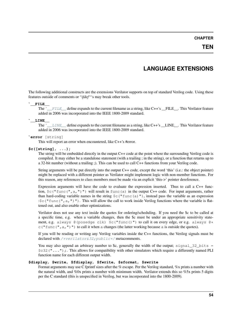#### **CHAPTER**

## **LANGUAGE EXTENSIONS**

The following additional constructs are the extensions Verilator supports on top of standard Verilog code. Using these features outside of comments or "*ifdef* "'s may break other tools.  $\overline{a}$ 

### <span id="page-56-0"></span>**\_\_FILE\_\_** `

The `[\\_\\_FILE\\_\\_](#page-56-0) define expands to the current filename as a string, like C++'s \_\_FILE\_\_. This Verilator feature added in 2006 was incorporated into the IEEE 1800-2009 standard.

#### <span id="page-56-1"></span>**\_\_LINE\_\_** `

The `[\\_\\_LINE\\_\\_](#page-56-1) define expands to the current filename as a string, like C++'s \_\_LINE\_\_. This Verilator feature added in 2006 was incorporated into the IEEE 1800-2009 standard.

#### **error** [string]

This will report an error when encountered, like C++'s #error.

#### **\$c([string]**, **...);**

The string will be embedded directly in the output C++ code at the point where the surrounding Verilog code is compiled. It may either be a standalone statement (with a trailing ; in the string), or a function that returns up to a 32-bit number (without a trailing ;). This can be used to call C++ functions from your Verilog code.

String arguments will be put directly into the output C++ code, except the word 'this' (i.e.: the object pointer) might be replaced with a different pointer as Verilator might implement logic with non-member functions. For this reason, any references to class members must be made via an explicit 'this->' pointer dereference.

Expression arguments will have the code to evaluate the expression inserted. Thus to call a C++ function,  $\frac{1}{2}c$  ("func(", a, ")") will result in func(a) in the output C++ code. For input arguments, rather than hard-coding variable names in the string  $\zeta c$  ("func(a)"), instead pass the variable as an expression : $\frac{\xi}{c}$  ("func(", a, ")"). This will allow the call to work inside Verilog functions where the variable is flattened out, and also enable other optimizations.

Verilator does not use any text inside the quotes for ordering/scheduling. If you need the \$c to be called at a specific time, e.g. when a variable changes, then the \$c must be under an appropriate sensitivity statement, e.g. always  $\theta$  (posedge clk)  $\frac{1}{2}c$  ("func()") to call it on every edge, or e.g. always  $\theta *$ c ("func(", a, ")") to call it when a changes (the latter working because a is outside the quotes).

If you will be reading or writing any Verilog variables inside the C++ functions, the Verilog signals must be declared with /\*verilator&32; public\*/ metacomments.

You may also append an arbitrary number to \$c, generally the width of the output; signal\_32\_bits = \$c32("...");. This allows for compatibility with other simulators which require a differently named PLI function name for each different output width.

#### **\$display**, **\$write**, **\$fdisplay**, **\$fwrite**, **\$sformat**, **\$swrite**

Format arguments may use C fprintf sizes after the % escape. Per the Verilog standard, %x prints a number with the natural width, and %0x prints a number with minimum width. Verilator extends this so %5x prints 5 digits per the C standard (this is unspecified in Verilog, but was incorporated into the 1800-2009).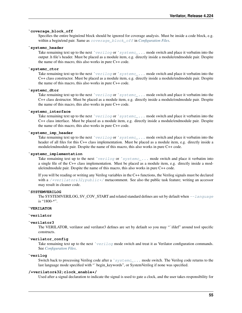### **coverage\_block\_off** `

Specifies the entire begin/end block should be ignored for coverage analysis. Must be inside a code block, e.g. within a begin/end pair. Same as [coverage\\_block\\_off](#page-84-0) in *[Configuration Files](#page-83-0)*.

#### <span id="page-57-2"></span>**systemc\_header**

Take remaining text up to the next `[verilog](#page-57-1) or `[systemc\\_...](#page-57-2) mode switch and place it verbatim into the output .h file's header. Must be placed as a module item, e.g. directly inside a module/endmodule pair. Despite the name of this macro, this also works in pure C++ code.

#### **systemc\_ctor**

Take remaining text up to the next `[verilog](#page-57-1) or `[systemc\\_...](#page-57-2) mode switch and place it verbatim into the C++ class constructor. Must be placed as a module item, e.g. directly inside a module/endmodule pair. Despite the name of this macro, this also works in pure C++ code.

#### **systemc\_dtor**

Take remaining text up to the next `[verilog](#page-57-1) or `[systemc\\_...](#page-57-2) mode switch and place it verbatim into the C++ class destructor. Must be placed as a module item, e.g. directly inside a module/endmodule pair. Despite the name of this macro, this also works in pure C++ code.

#### **systemc\_interface**

Take remaining text up to the next `[verilog](#page-57-1) or `[systemc\\_...](#page-57-2) mode switch and place it verbatim into the C++ class interface. Must be placed as a module item, e.g. directly inside a module/endmodule pair. Despite the name of this macro, this also works in pure C++ code.

#### **systemc\_imp\_header**

Take remaining text up to the next `[verilog](#page-57-1) or `[systemc\\_...](#page-57-2) mode switch and place it verbatim into the header of all files for this C++ class implementation. Must be placed as a module item, e.g. directly inside a module/endmodule pair. Despite the name of this macro, this also works in pure C++ code.

#### **systemc\_implementation**

Take remaining text up to the next `[verilog](#page-57-1) or `systemc\_ $\ldots$  mode switch and place it verbatim into a single file of the C++ class implementation. Must be placed as a module item, e.g. directly inside a module/endmodule pair. Despite the name of this macro, this also works in pure C++ code.

If you will be reading or writing any Verilog variables in the C++ functions, the Verilog signals must be declared with a /\*verilator&32; public\*/ metacomment. See also the public task feature; writing an accessor may result in cleaner code.

### **SYSTEMVERILOG** `

The SYSTEMVERILOG, SV\_COV\_START and related standard defines are set by default when  $-\frac{1}{\text{angular}}$ is "1800-\*".

#### **VERILATOR** `

#### **verilator**

### **verilator3** `

The VERILATOR, verilator and verilator3 defines are set by default so you may "`ifdef" around tool specific constructs.

### **verilator\_config** `

Take remaining text up to the next `[verilog](#page-57-1) mode switch and treat it as Verilator configuration commands. See *[Configuration Files](#page-83-0)*.

#### <span id="page-57-1"></span>**verilog**

Switch back to processing Verilog code after a `[systemc\\_...](#page-57-2) mode switch. The Verilog code returns to the last language mode specified with "`begin\_keywords", or SystemVerilog if none was specified.

#### <span id="page-57-0"></span>**/\*verilator&32;clock\_enable\*/**

Used after a signal declaration to indicate the signal is used to gate a clock, and the user takes responsibility for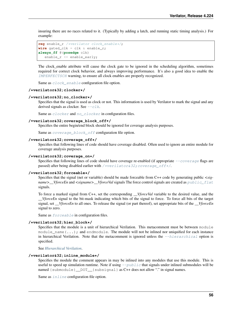insuring there are no races related to it. (Typically by adding a latch, and running static timing analysis.) For example:

```
reg enable_r /*verilator clock_enable*/;
wire gated_clk = clk & enable_r;
always_ff @(posedge clk)
   enable_r <= enable_early;
```
The clock\_enable attribute will cause the clock gate to be ignored in the scheduling algorithm, sometimes required for correct clock behavior, and always improving performance. It's also a good idea to enable the [IMPERFECTSCH](#page-98-0) warning, to ensure all clock enables are properly recognized.

Same as  $clock$  enable configuration file option.

#### <span id="page-58-1"></span>**/\*verilator&32;clocker\*/**

#### **/\*verilator&32;no\_clocker\*/**

Specifies that the signal is used as clock or not. This information is used by Verilator to mark the signal and any derived signals as clocker. See  $-\text{clk}$ .

Same as *[clocker](#page-84-1)* and no *clocker* in configuration files.

#### **/\*verilator&32;coverage\_block\_off\*/**

Specifies the entire begin/end block should be ignored for coverage analysis purposes.

Same as [coverage\\_block\\_off](#page-84-0) configuration file option.

#### <span id="page-58-0"></span>**/\*verilator&32;coverage\_off\*/**

Specifies that following lines of code should have coverage disabled. Often used to ignore an entire module for coverage analysis purposes.

#### **/\*verilator&32;coverage\_on\*/**

Specifies that following lines of code should have coverage re-enabled (if appropriate  $-coverage$  flags are passed) after being disabled earlier with  $\frac{\partial \phi}{\partial x}$  regulators 32; coverage of  $f^*$ .

#### **/\*verilator&32;forceable\*/**

Specifies that the signal (net or variable) should be made forceable from C++ code by generating public *<signame>\_\_VforceEn* and *<signame>\_\_VforceVal* signals The force control signals are created as [public\\_flat](#page-85-0) signals.

To force a marked signal from C++, set the corresponding *\_\_VforceVal* variable to the desired value, and the *\_\_VforceEn* signal to the bit-mask indicating which bits of the signal to force. To force all bits of the target signal, set *\_\_VforceEn* to all ones. To release the signal (or part thereof), set appropriate bits of the *\_\_VforceEn* signal to zero.

Same as  $forceable$  in configuration files.

#### **/\*verilator&32;hier\_block\*/**

Specifies that the module is a unit of hierarchical Verilation. This metacomment must be between module module\_name(...); and endmodule. The module will not be inlined nor uniquified for each instance in hierarchical Verilation. Note that the metacomment is ignored unless the  $-hierarchicali$  option is specified.

See *[Hierarchical Verilation](#page-16-0)*.

#### **/\*verilator&32;inline\_module\*/**

Specifies the module the comment appears in may be inlined into any modules that use this module. This is useful to speed up simulation runtime. Note if using  $-\text{public}$  that signals under inlined submodules will be named {submodule} \_DOT \_{subsignal} as C++ does not allow "." in signal names.

Same as [inline](#page-84-4) configuration file option.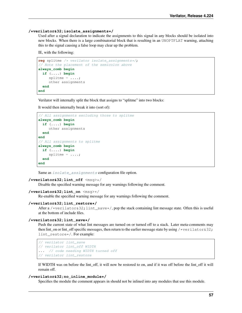#### **/\*verilator&32;isolate\_assignments\*/**

Used after a signal declaration to indicate the assignments to this signal in any blocks should be isolated into new blocks. When there is a large combinatorial block that is resulting in an UNOPTFLAT warning, attaching this to the signal causing a false loop may clear up the problem.

IE, with the following:

```
reg splitme /* verilator isolate_assignments*/;
// Note the placement of the semicolon above
always_comb begin
 if (....) begin
     splitme = ...;other assignments
  end
end
```
Verilator will internally split the block that assigns to "splitme" into two blocks:

It would then internally break it into (sort of):

```
// All assignments excluding those to splitme
always_comb begin
  if (....) begin
     other assignments
  end
end
// All assignments to splitme
always_comb begin
  if (....) begin
     splitme = ...;end
end
```
Same as [isolate\\_assignments](#page-84-5) configuration file option.

#### **/\*verilator&32;lint\_off** <msg>\*/

Disable the specified warning message for any warnings following the comment.

```
/*verilator&32;lint_on <msg>*/
```
Re-enable the specified warning message for any warnings following the comment.

#### **/\*verilator&32;lint\_restore\*/**

After a /\*verilator  $\frac{32}{1}$  int\_save\*/, pop the stack containing lint message state. Often this is useful at the bottom of include files.

#### **/\*verilator&32;lint\_save\*/**

Push the current state of what lint messages are turned on or turned off to a stack. Later meta-comments may then lint on or lint off specific messages, then return to the earlier message state by using /\*verilator  $\&32;$ lint\_restore\*/. For example:

```
// verilator lint_save
// verilator lint_off WIDTH
... // code needing WIDTH turned off
// verilator lint_restore
```
If WIDTH was on before the lint\_off, it will now be restored to on, and if it was off before the lint\_off it will remain off.

#### <span id="page-59-0"></span>**/\*verilator&32;no\_inline\_module\*/**

Specifies the module the comment appears in should not be inlined into any modules that use this module.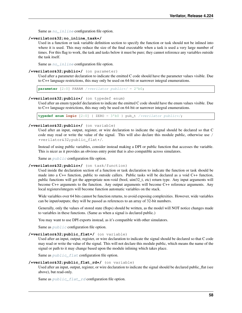Same as no inline configuration file option.

#### **/\*verilator&32;no\_inline\_task\*/**

Used in a function or task variable definition section to specify the function or task should not be inlined into where it is used. This may reduce the size of the final executable when a task is used a very large number of times. For this flag to work, the task and tasks below it must be pure; they cannot reference any variables outside the task itself.

Same as  $no\_inline$  configuration file option.

#### **/\*verilator&32;public\*/** (on parameter)

Used after a parameter declaration to indicate the emitted C code should have the parameter values visible. Due to C++ language restrictions, this may only be used on 64-bit or narrower integral enumerations.

**parameter** [2:0] PARAM /\*verilator public\*/ = 2'b0;

#### **/\*verilator&32;public\*/** (on typedef enum)

Used after an enum typedef declaration to indicate the emitted C code should have the enum values visible. Due to C++ language restrictions, this may only be used on 64-bit or narrower integral enumerations.

**typedef enum logic** [2:0] { ZERO = 3'b0 } pub\_t /\*verilator public\*/;

#### **/\*verilator&32;public\*/** (on variable)

Used after an input, output, register, or wire declaration to indicate the signal should be declared so that C code may read or write the value of the signal. This will also declare this module public, otherwise use / \*verilator&32;public\_flat\*/.

Instead of using public variables, consider instead making a DPI or public function that accesses the variable. This is nicer as it provides an obvious entry point that is also compatible across simulators.

Same as  $public$  configuration file option.

#### <span id="page-60-0"></span>**/\*verilator&32;public\*/** (on task/function)

Used inside the declaration section of a function or task declaration to indicate the function or task should be made into a C++ function, public to outside callers. Public tasks will be declared as a void C++ function, public functions will get the appropriate non-void (bool, uint32\_t, etc) return type. Any input arguments will become C++ arguments to the function. Any output arguments will become C++ reference arguments. Any local registers/integers will become function automatic variables on the stack.

Wide variables over 64 bits cannot be function returns, to avoid exposing complexities. However, wide variables can be input/outputs; they will be passed as references to an array of 32-bit numbers.

Generally, only the values of stored state (flops) should be written, as the model will NOT notice changes made to variables in these functions. (Same as when a signal is declared public.)

You may want to use DPI exports instead, as it's compatible with other simulators.

Same as  $public$  configuration file option.

#### **/\*verilator&32;public\_flat\*/** (on variable)

Used after an input, output, register, or wire declaration to indicate the signal should be declared so that C code may read or write the value of the signal. This will not declare this module public, which means the name of the signal or path to it may change based upon the module inlining which takes place.

Same as  $public$   $flat$  configuration file option.

#### **/\*verilator&32;public\_flat\_rd\*/** (on variable)

Used after an input, output, register, or wire declaration to indicate the signal should be declared public\_flat (see above), but read-only.

Same as  $public_flat\_rd$  configuration file option.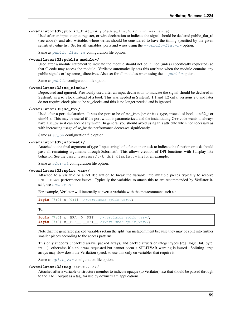#### **/\*verilator&32;public\_flat\_rw** @(<edge\_list>)\*/ (on variable)

Used after an input, output, register, or wire declaration to indicate the signal should be declared public flat rd (see above), and also writable, where writes should be considered to have the timing specified by the given sensitivity edge list. Set for all variables, ports and wires using the  $-\text{public-flat-rw}$  option.

Same as  $public_flat\_rw$  configuration file option.

#### **/\*verilator&32;public\_module\*/**

Used after a module statement to indicate the module should not be inlined (unless specifically requested) so that C code may access the module. Verilator automatically sets this attribute when the module contains any public signals or `systemc\_ directives. Also set for all modules when using the  $-\text{public option}$ .

Same as  $public$  configuration file option.

#### **/\*verilator&32;sc\_clock\*/**

Deprecated and ignored. Previously used after an input declaration to indicate the signal should be declared in SystemC as a sc\_clock instead of a bool. This was needed in SystemC 1.1 and 1.2 only; versions 2.0 and later do not require clock pins to be sc\_clocks and this is no longer needed and is ignored.

#### **/\*verilator&32;sc\_bv\*/**

Used after a port declaration. It sets the port to be of sc bv<{width}> type, instead of bool, uint32 t or uint64\_t. This may be useful if the port width is parameterized and the instantiating C++ code wants to always have a sc by so it can accept any width. In general you should avoid using this attribute when not necessary as with increasing usage of sc\_bv the performance decreases significantly.

Same as  $sc\_bv$  configuration file option.

#### **/\*verilator&32;sformat\*/**

Attached to the final argument of type "input string" of a function or task to indicate the function or task should pass all remaining arguments through \$sformatf. This allows creation of DPI functions with \$display like behavior. See the test\_regress/t/t\_dpi\_display.v file for an example.

Same as *[sformat](#page-85-5)* configuration file option.

#### **/\*verilator&32;split\_var\*/**

Attached to a variable or a net declaration to break the variable into multiple pieces typically to resolve UNOPTFLAT performance issues. Typically the variables to attach this to are recommended by Verilator it-self, see [UNOPTFLAT](#page-106-0).

For example, Verilator will internally convert a variable with the metacomment such as:

```
logic [7:0] x [0:1] /*verilator split_var*/;
```
To:

```
logic [7:0] x__BRA__0__KET__ /*verilator split_var*/;
logic [7:0] x__BRA__1__KET__ /*verilator split_var*/;
```
Note that the generated packed variables retain the split var metacomment because they may be split into further smaller pieces according to the access patterns.

This only supports unpacked arrays, packed arrays, and packed structs of integer types (reg, logic, bit, byte, int...); otherwise if a split was requested but cannot occur a SPLITVAR warning is issued. Splitting large arrays may slow down the Verilation speed, so use this only on variables that require it.

Same as  $split\_var$  configuration file option.

#### **/\*verilator&32;tag** <text...>\*/

Attached after a variable or structure member to indicate opaque (to Verilator) text that should be passed through to the XML output as a tag, for use by downstream applications.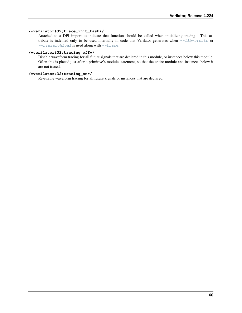#### **/\*verilator&32;trace\_init\_task\*/**

Attached to a DPI import to indicate that function should be called when initializing tracing. This attribute is indented only to be used internally in code that Verilator generates when  $-\text{lib-create}$  or [--hierarchical](#page-72-0) is used along with [--trace](#page-79-0).

#### <span id="page-62-0"></span>**/\*verilator&32;tracing\_off\*/**

Disable waveform tracing for all future signals that are declared in this module, or instances below this module. Often this is placed just after a primitive's module statement, so that the entire module and instances below it are not traced.

### **/\*verilator&32;tracing\_on\*/**

Re-enable waveform tracing for all future signals or instances that are declared.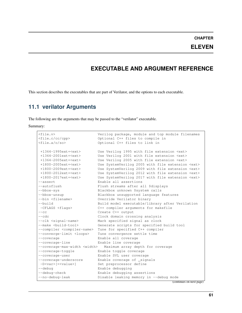### **CHAPTER**

## **ELEVEN**

## **EXECUTABLE AND ARGUMENT REFERENCE**

This section describes the executables that are part of Verilator, and the options to each executable.

# **11.1 verilator Arguments**

The following are the arguments that may be passed to the "verilator" executable.

Summary:

| $<$ file.v>                                                               | Verilog package, module and top module filenames       |
|---------------------------------------------------------------------------|--------------------------------------------------------|
| <file.c cc="" cpp=""></file.c>                                            | Optional C++ files to compile in                       |
| $\times$ file.a/o/so>                                                     | Optional C++ files to link in                          |
|                                                                           |                                                        |
| $+1364 - 1995ext + \text{c}xt$                                            | Use Verilog 1995 with file extension <ext></ext>       |
| $+1364 - 2001ext + \text{c}$                                              | Use Verilog 2001 with file extension <ext></ext>       |
| $+1364 - 2005ext + \text{c}xt$                                            | Use Verilog 2005 with file extension <ext></ext>       |
| +1800-2005ext+ <ext></ext>                                                | Use SystemVerilog 2005 with file extension <ext></ext> |
| +1800-2009ext+ <ext></ext>                                                | Use SystemVerilog 2009 with file extension <ext></ext> |
| $+1800 - 2012ext + \text{c}xt$                                            | Use SystemVerilog 2012 with file extension <ext></ext> |
| $+1800 - 2017ext + \text{c}xt$                                            | Use SystemVerilog 2017 with file extension <ext></ext> |
| --assert                                                                  | Enable all assertions                                  |
| --autoflush                                                               | Flush streams after all \$displays                     |
| --bbox-sys                                                                | Blackbox unknown \$system calls                        |
| --bbox-unsup                                                              | Blackbox unsupported language features                 |
| --bin <filename></filename>                                               | Override Verilator binary                              |
| $--$ build                                                                | Build model executable/library after Verilation        |
| -CFLAGS <flags></flags>                                                   | C++ compiler arguments for makefile                    |
| $---CC$                                                                   | Create C++ output                                      |
| $--cdc$                                                                   | Clock domain crossing analysis                         |
| --clk <signal-name></signal-name>                                         | Mark specified signal as clock                         |
| $--make$ $while$ $with1d-too1>$                                           | Generate scripts for specified build tool              |
| --compiler <compiler-name></compiler-name>                                | Tune for specified C++ compiler                        |
| --converge-limit <loops></loops>                                          | Tune convergence settle time                           |
| --coverage                                                                | Enable all coverage                                    |
| --coverage-line                                                           | Enable line coverage                                   |
| --coverage-max-width <width><br/>Maximum array depth for coverage</width> |                                                        |
| --coverage-toggle                                                         | Enable toggle coverage                                 |
| --coverage-user                                                           | Enable SVL user coverage                               |
| --coverage-underscore                                                     | Enable coverage of _signals                            |
| $-D < var$ = $< value$                                                    | Set preprocessor define                                |
| $-\text{debuq}$                                                           | Enable debugging                                       |
| --debug-check                                                             | Enable debugging assertions                            |
| --no-debug-leak                                                           | Disable leaking memory in --debug mode                 |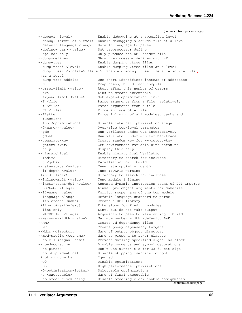| --debugi <level></level>                                                                     | Enable debugging at a specified level                              |  |
|----------------------------------------------------------------------------------------------|--------------------------------------------------------------------|--|
| --debugi- <srcfile> <level></level></srcfile>                                                | Enable debugging a source file at a level                          |  |
| --default-language <lang></lang>                                                             | Default language to parse                                          |  |
| +define+ <var>=<value></value></var>                                                         | Set preprocessor define                                            |  |
| --dpi-hdr-only                                                                               | Only produce the DPI header file                                   |  |
| --dump-defines                                                                               | Show preprocessor defines with -E                                  |  |
| --dump-tree                                                                                  | Enable dumping .tree files                                         |  |
| --dump-treei <level></level>                                                                 | Enable dumping .tree files at a level                              |  |
| --dump-treei- <srcfile> <level> Enable dumping .tree file at a source file</level></srcfile> |                                                                    |  |
| $\rightarrow$ at a level                                                                     |                                                                    |  |
| --dump-tree-addrids                                                                          | Use short identifiers instead of addresses                         |  |
| $-E$                                                                                         | Preprocess, but do not compile                                     |  |
| --error-limit <value></value>                                                                | Abort after this number of errors                                  |  |
| $--exe$                                                                                      | Link to create executable                                          |  |
| --expand-limit <value></value>                                                               | Set expand optimization limit                                      |  |
| -F <file></file>                                                                             | Parse arguments from a file, relatively                            |  |
| -f <file></file>                                                                             | Parse arguments from a file                                        |  |
| -FI <file></file>                                                                            | Force include of a file                                            |  |
| $-$ flatten                                                                                  | Force inlining of all modules, tasks and                           |  |
| $\rightarrow$ functions                                                                      |                                                                    |  |
| -fno- <optimization></optimization>                                                          | Disable internal optimization stage                                |  |
| -G <name>=<value></value></name>                                                             | Overwrite top-level parameter                                      |  |
| $-$ qdb                                                                                      | Run Verilator under GDB interactively                              |  |
| --gdbbt                                                                                      | Run Verilator under GDB for backtrace                              |  |
| --generate-key                                                                               | Create random key for --protect-key                                |  |
| --getenv <var></var>                                                                         | Get environment variable with defaults                             |  |
| $-\text{help}$                                                                               | Display this help                                                  |  |
| --hierarchical                                                                               | Enable hierarchical Verilation                                     |  |
| $-I$ <dir></dir>                                                                             | Directory to search for includes                                   |  |
| -j <jobs></jobs>                                                                             | Parallelism for --build                                            |  |
| --gate-stmts <value></value>                                                                 | Tune gate optimizer depth                                          |  |
| --if-depth <value></value>                                                                   | Tune IFDEPTH warning                                               |  |
| +incdir+ <dir></dir>                                                                         | Directory to search for includes                                   |  |
| --inline-mult <value></value>                                                                | Tune module inlining                                               |  |
| --instr-count-dpi <value></value>                                                            | Assumed dynamic instruction count of DPI imports                   |  |
| -LDFLAGS <flags></flags>                                                                     | Linker pre-object arguments for makefile                           |  |
| --12-name <value></value>                                                                    | Verilog scope name of the top module                               |  |
| $-$ language <lang></lang>                                                                   | Default language standard to parse                                 |  |
| --lib-create <name></name>                                                                   | Create a DPI library                                               |  |
| $+$ libext+ $\leq$ xt>+ $[ext]$                                                              | Extensions for finding modules                                     |  |
| $-$ lint-only                                                                                | Lint, but do not make output                                       |  |
| -MAKEFLAGS <flags></flags>                                                                   | Arguments to pass to make during --build                           |  |
| --max-num-width <value><br/><math>--MMD</math></value>                                       | Maximum number width (default: 64K)                                |  |
| $--MP$                                                                                       | Create .d dependency files                                         |  |
| --Mdir <directory></directory>                                                               | Create phony dependency targets<br>Name of output object directory |  |
| --mod-prefix <topname></topname>                                                             | Name to prepend to lower classes                                   |  |
| --no-clk <signal-name></signal-name>                                                         | Prevent marking specified signal as clock                          |  |
| --no-decoration                                                                              | Disable comments and symbol decorations                            |  |
| $-$ no-pins $64$                                                                             | Don't use uint64_t's for 33-64 bit sigs                            |  |
| --no-skip-identical                                                                          | Disable skipping identical output                                  |  |
| +notimingchecks                                                                              | Ignored                                                            |  |
| $-00$                                                                                        | Disable optimizations                                              |  |
| $-03$                                                                                        | High performance optimizations                                     |  |
| -O <optimization-letter></optimization-letter>                                               | Selectable optimizations                                           |  |
| -o <executable></executable>                                                                 | Name of final executable                                           |  |
| --no-order-clock-delay                                                                       | Disable ordering clock enable assignments                          |  |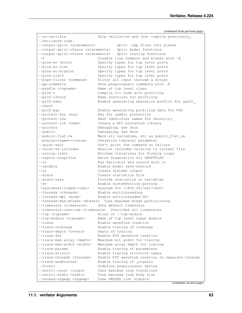--no-verilate Skip verilation and just compile previously ˓<sup>→</sup>Verilated code. --output-split <statements> Split .cpp files into pieces --output-split-cfuncs <statements> Split model functions --output-split-ctrace <statements> Split tracing functions -P Disable line numbers and blanks with -E --pins-bv <bits> Specify types for top level ports --pins-sc-uint Specify types for top level ports --pins-sc-biguint Specify types for top level ports --pins-uint8 Specify types for top level ports --pipe-filter <command> Filter all input through a script --pp-comments Show preprocessor comments with -E --prefix <topname> Name of top level class --prof-c Compile C++ code with profiling --prof-cfuncs Name functions for profiling --prof-exec Enable generating execution profile for gantt. ˓<sup>→</sup>chart --prof-pgo Enable generating profiling data for PGO --protect-key <key> Key for symbol protection --protect-ids Hash identifier names for obscurity --protect-lib <name> Create a DPI protected library --private Debugging; see docs --public Debugging; see docs --public-flat-rw Mark all variables, etc as public\_flat\_rw -pvalue+<name>=<value> Overwrite toplevel parameter --quiet-exit **Don't** print the command on failure --relative-includes Resolve includes relative to current file --reloop-limit Minimum iterations for forming loops --report-unoptflat Extra diagnostics for UNOPTFLAT --rr Run Verilator and record with rr --savable extending the Enable model save-restore --sc Create SystemC output --stats Create statistics file --stats-vars Provide statistics on variables -sv Enable SystemVerilog parsing +systemverilogext+<ext> Synonym for +1800-2017ext+<ext> --threads <threads> Enable multithreading --threads-dpi <mode> Enable multithreaded DPI --threads-max-mtasks <mtasks> Tune maximum mtask partitioning --timescale <timescale> Sets default timescale --timescale-override <timescale> Overrides all timescales --top <topname> Alias of --top-module --top-module <topname> Name of top level input module --trace Enable waveform creation<br>--trace-coverage Enable tracing of covera Enable tracing of coverage --trace-depth <levels> Depth of tracing --trace-fst Enable FST waveform creation --trace-max-array <depth> Maximum bit width for tracing --trace-max-width <width> Maximum array depth for tracing --trace-params Enable tracing of parameters --trace-structs Enable tracing structure names --trace-threads <threads> Enable FST waveform creation on separate threads --trace-underscore Enable tracing of \_signals -U<var> Undefine preprocessor define --unroll-count <loops> Tune maximum loop iterations --unroll-stmts <stmts> Tune maximum loop body size --unused-regexp <regexp> Tune UNUSED lint signals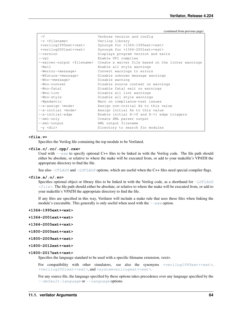```
-V Verbose version and config
-v <filename> Verilog library
+verilog1995ext+<ext> Synonym for +1364-1995ext+<ext>
+verilog2001ext+<ext> Synonym for +1364-2001ext+<ext>
--version Displays program version and exits
--vpi Enable VPI compiles
--waiver-output <filename> Create a waiver file based on the linter warnings
-Wall Enable all style warnings
-Werror-<message> Convert warnings to errors
-Wfuture-<message> Disable unknown message warnings
-Wno-<message> Disable warning
-Wno-context Disable source context on warnings
-Wno-fatal Disable fatal exit on warnings
-Wno-lint Disable all lint warnings
-Wno-style Disable all style warnings
-Wpedantic Warn on compliance-test issues
--x-assign <mode> Assign non-initial Xs to this value
--x-initial <mode> Assign initial Xs to this value
--x-initial-edge Enable initial X->0 and X->1 edge triggers
--xml-only Create XML parser output
--xml-output XML output filename
-y <dir> Directory to search for modules
```
#### **<file.v>**

Specifies the Verilog file containing the top module to be Verilated.

#### **<file.c/.cc/.cpp/.cxx>**

Used with  $-\infty$  to specify optional C++ files to be linked in with the Verilog code. The file path should either be absolute, or relative to where the make will be executed from, or add to your makefile's VPATH the appropriate directory to find the file.

See also  $-CFLAGES$  and  $-LDFLAGS$  options, which are useful when the C++ files need special compiler flags.

#### **<file.a/.o/.so>**

Specifies optional object or library files to be linked in with the Verilog code, as a shorthand for  $-LDFLAGS$  $\langle$ file>. The file path should either be absolute, or relative to where the make will be executed from, or add to your makefile's VPATH the appropriate directory to find the file.

If any files are specified in this way, Verilator will include a make rule that uses these files when linking the module's executable. This generally is only useful when used with the  $-\text{exc}$  option.

#### **+1364-1995ext+<ext>**

**+1364-2001ext+<ext>**

```
+1364-2005ext+<ext>
```
- **+1800-2005ext+<ext>**
- **+1800-2009ext+<ext>**

#### **+1800-2012ext+<ext>**

#### **+1800-2017ext+<ext>**

Specifies the language standard to be used with a specific filename extension, <ext>.

For compatibility with other simulators, see also the synonyms  $+verilog1995ext+\text{cert}}$ , [+verilog2001ext+<ext>](#page-80-1), and [+systemverilogext+<ext>](#page-78-0).

For any source file, the language specified by these options takes precedence over any language specified by the  $-$ default-language or  $-$ language options.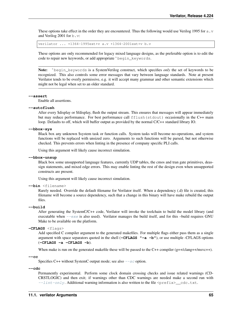These options take effect in the order they are encountered. Thus the following would use Verilog 1995 for a.  $\nu$ and Verilog 2001 for b.v:

verilator ... +1364-1995ext+v a.v +1364-2001ext+v b.v

These options are only recommended for legacy mixed language designs, as the preferable option is to edit the code to repair new keywords, or add appropriate `begin\_keywords.

Note: `begin\_keywords is a SystemVerilog construct, which specifies *only* the set of keywords to be recognized. This also controls some error messages that vary between language standards. Note at present Verilator tends to be overly permissive, e.g. it will accept many grammar and other semantic extensions which might not be legal when set to an older standard.

#### <span id="page-67-0"></span>**--assert**

Enable all assertions.

#### **--autoflush**

After every \$display or \$fdisplay, flush the output stream. This ensures that messages will appear immediately but may reduce performance. For best performance call  $ffllush(stdout)$  occasionally in the C++ main loop. Defaults to off, which will buffer output as provided by the normal C/C++ standard library IO.

**--bbox-sys**

Black box any unknown \$system task or function calls. System tasks will become no-operations, and system functions will be replaced with unsized zero. Arguments to such functions will be parsed, but not otherwise checked. This prevents errors when linting in the presence of company specific PLI calls.

Using this argument will likely cause incorrect simulation.

#### **--bbox-unsup**

Black box some unsupported language features, currently UDP tables, the cmos and tran gate primitives, deassign statements, and mixed edge errors. This may enable linting the rest of the design even when unsupported constructs are present.

Using this argument will likely cause incorrect simulation.

#### **--bin** <filename>

Rarely needed. Override the default filename for Verilator itself. When a dependency (.d) file is created, this filename will become a source dependency, such that a change in this binary will have make rebuild the output files.

#### **--build**

After generating the SystemC/C++ code, Verilator will invoke the toolchain to build the model library (and executable when  $-\epsilon x \in \infty$  is also used). Verilator manages the build itself, and for this –build requires GNU Make to be available on the platform.

```
-CFLAGS <flags>
```
Add specified C compiler argument to the generated makefiles. For multiple flags either pass them as a single argument with space separators quoted in the shell (**-CFLAGS "-a -b"**), or use multiple -CFLAGS options (**-CFLAGS -a -CFLAGS -b**).

When make is run on the generated makefile these will be passed to the  $C++$  compiler  $(g++/clang++/msvc++)$ .

**--cc**

Specifies C++ without SystemC output mode; see also  $-5c$  option.

**--cdc**

Permanently experimental. Perform some clock domain crossing checks and issue related warnings (CD-CRSTLOGIC) and then exit; if warnings other than CDC warnings are needed make a second run with  $--limit-only$ . Additional warning information is also written to the file <prefix>\_cdc.txt.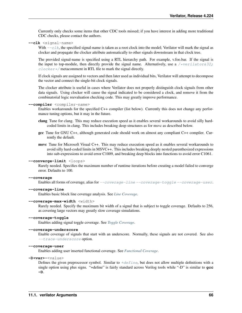Currently only checks some items that other CDC tools missed; if you have interest in adding more traditional CDC checks, please contact the authors.

<span id="page-68-1"></span>**--clk** <signal-name>

With  $-c\lambda k$ , the specified signal-name is taken as a root clock into the model; Verilator will mark the signal as clocker and propagate the clocker attribute automatically to other signals downstream in that clock tree.

The provided signal-name is specified using a RTL hierarchy path. For example, v.foo.bar. If the signal is the input to top-module, then directly provide the signal name. Alternatively, use a [/\\*verilator&32;](#page-58-1)  $\frac{close}{r}/$  metacomment in RTL file to mark the signal directly.

If clock signals are assigned to vectors and then later used as individual bits, Verilator will attempt to decompose the vector and connect the single-bit clock signals.

The clocker attribute is useful in cases where Verilator does not properly distinguish clock signals from other data signals. Using clocker will cause the signal indicated to be considered a clock, and remove it from the combinatorial logic reevaluation checking code. This may greatly improve performance.

#### **--compiler** <compiler-name>

Enables workarounds for the specified C++ compiler (list below). Currently this does not change any performance tuning options, but it may in the future.

- clang Tune for clang. This may reduce execution speed as it enables several workarounds to avoid silly hardcoded limits in clang. This includes breaking deep structures as for msvc as described below.
- gcc Tune for GNU C++, although generated code should work on almost any compliant C++ compiler. Currently the default.

msvc Tune for Microsoft Visual C++. This may reduce execution speed as it enables several workarounds to avoid silly hard-coded limits in MSVC++. This includes breaking deeply nested parenthesized expressions into sub-expressions to avoid error C1009, and breaking deep blocks into functions to avoid error C1061.

#### **--converge-limit** <loops>

Rarely needed. Specifies the maximum number of runtime iterations before creating a model failed to converge error. Defaults to 100.

#### <span id="page-68-2"></span>**--coverage**

Enables all forms of coverage, alias for [--coverage-line](#page-68-3) [--coverage-toggle](#page-68-4) [--coverage-user](#page-68-5).

#### <span id="page-68-3"></span>**--coverage-line**

Enables basic block line coverage analysis. See *[Line Coverage](#page-32-0)*.

#### **--coverage-max-width** <width>

Rarely needed. Specify the maximum bit width of a signal that is subject to toggle coverage. Defaults to 256, as covering large vectors may greatly slow coverage simulations.

#### <span id="page-68-4"></span>**--coverage-toggle**

Enables adding signal toggle coverage. See *[Toggle Coverage](#page-32-1)*.

#### **--coverage-underscore**

Enable coverage of signals that start with an underscore. Normally, these signals are not covered. See also [--trace-underscore](#page-80-2) option.

#### <span id="page-68-5"></span>**--coverage-user**

Enables adding user inserted functional coverage. See *[Functional Coverage](#page-31-0)*.

<span id="page-68-6"></span>**-D<var>**=<value>

<span id="page-68-0"></span>Defines the given preprocessor symbol. Similar to  $\pm$ define, but does not allow multiple definitions with a single option using plus signs. "+define" is fairly standard across Verilog tools while "-D" is similar to **gcc -D**.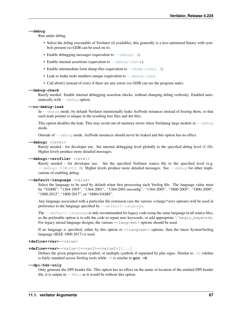#### **--debug**

Run under debug.

- Select the debug executable of Verilator (if available), this generally is a less-optimized binary with symbols present (so GDB can be used on it).
- Enable debugging messages (equivalent to  $-\text{debuq1}$  3).
- Enable internal assertions (equivalent to  $-\text{debug}-\text{check}$ ).
- Enable intermediate form dump files (equivalent to  $-\text{dump}-\text{treei}$  3).
- Leak to make node numbers unique (equivalent to  $-\text{debug-leak}$ .
- Call abort() instead of exit() if there are any errors (so GDB can see the program state).

#### <span id="page-69-3"></span>**--debug-check**

Rarely needed. Enable internal debugging assertion checks, without changing debug verbosity. Enabled automatically with  $-\text{debug}$  option.

#### <span id="page-69-4"></span>**--no-debug-leak**

In  $-\text{debug}$  mode, by default Verilator intentionally leaks AstNode instances instead of freeing them, so that each node pointer is unique in the resulting tree files and dot files.

This option disables the leak. This may avoid out-of-memory errors when Verilating large models in  $-\text{debug}$ mode.

Outside of  $-\text{debug}$  mode, AstNode instances should never be leaked and this option has no effect.

#### <span id="page-69-2"></span>**--debugi** <level>

Rarely needed - for developer use. Set internal debugging level globally to the specified debug level (1-10). Higher levels produce more detailed messages.

#### **--debugi-<srcfile>** <level>

Rarely needed - for developer use. Set the specified Verilator source file to the specified level (e.g.  $-\text{debugi-V3Width}$  9). Higher levels produce more detailed messages. See  $-\text{debug}$  for other implications of enabling debug.

#### <span id="page-69-0"></span>**--default-language** <value>

Select the language to be used by default when first processing each Verilog file. The language value must be "VAMS", "1364-1995", "1364-2001", "1364-2001-noconfig", "1364-2005", "1800-2005", "1800-2009", "1800-2012", "1800-2017", or "1800+VAMS".

Any language associated with a particular file extension (see the various +<lang>\*ext+ options) will be used in preference to the language specified by  $-\text{default} - \text{language}$ .

The  $-\text{default-l}$  anguage is only recommended for legacy code using the same language in all source files, Any language associated with a particular life extension (see the various +<lang>\*ext+ options) will be used in<br>preference to the language specified by  $-\text{default} - \text{language}$ .<br>The  $-\text{default} - \text{language}$  is only recommended for legacy cod For legacy mixed language designs, the various  $\pm$  lang>ext  $\pm$  options should be used.

If no language is specified, either by this option or +<lang>ext+ options, then the latest SystemVerilog language (IEEE 1800-2017) is used.

#### <span id="page-69-1"></span>**+define+<var>**=<value>

```
+define+<var>=<value>[+<var2>=<value2>][...]
```
Defines the given preprocessor symbol, or multiple symbols if separated by plus signs. Similar to  $-D$ ; +define is fairly standard across Verilog tools while  $-D$  is similar to **gcc**  $-D$ .

#### **--dpi-hdr-only**

<span id="page-69-5"></span>Only generate the DPI header file. This option has no effect on the name or location of the emitted DPI header file, it is output in  $-\text{Mdir}$  as it would be without this option.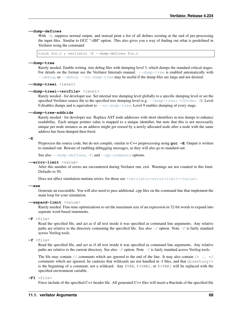#### **--dump-defines**

With  $-E$ , suppress normal output, and instead print a list of all defines existing at the end of pre-processing the input files. Similar to GCC "-dM" option. This also gives you a way of finding out what is predefined in Verilator using the command:

touch foo.v ; verilator -E --dump-defines foo.v

#### <span id="page-70-3"></span>**--dump-tree**

Rarely needed. Enable writing .tree debug files with dumping level 3, which dumps the standard critical stages. For details on the format see the Verilator Internals manual.  $-\text{dump}-\text{tree}$  is enabled automatically with  $-\text{debuq},$  so  $-\text{debuq},$   $-\text{no-dump-tree}$  may be useful if the dump files are large and not desired.

<span id="page-70-1"></span>**--dump-treei** <level>

#### **--dump-treei-<srcfile>** <level>

Rarely needed - for developer use. Set internal tree dumping level globally to a specific dumping level or set the specified Verilator source file to the specified tree dumping level (e.g.  $-\text{dump}-\text{treei}-V30 \text{rder}$  9). Level 0 disables dumps and is equivalent to  $-\text{no-dump-tree}$ . Level 9 enables dumping of every stage.

#### **--dump-tree-addrids**

Rarely needed - for developer use. Replace AST node addresses with short identifiers in tree dumps to enhance readability. Each unique pointer value is mapped to a unique identifier, but note that this is not necessarily unique per node instance as an address might get reused by a newly allocated node after a node with the same address has been dumped then freed.

#### <span id="page-70-2"></span>**-E**

Preprocess the source code, but do not compile, similar to C++ preprocessing using **gcc -E**. Output is written to standard out. Beware of enabling debugging messages, as they will also go to standard out.

See also  $-\text{dump-defines}, -P, \text{and } -\text{pp-comments}$  $-\text{dump-defines}, -P, \text{and } -\text{pp-comments}$  $-\text{dump-defines}, -P, \text{and } -\text{pp-comments}$  options.

#### **--error-limit** <value>

After this number of errors are encountered during Verilator run, exit. Warnings are not counted in this limit. Defaults to 50.

Does not affect simulation runtime errors, for those see [+verilator+error+limit+<value>](#page-90-0).

#### <span id="page-70-0"></span>**--exe**

Generate an executable. You will also need to pass additional .cpp files on the command line that implement the main loop for your simulation.

#### **--expand-limit** <value>

Rarely needed. Fine-tune optimizations to set the maximum size of an expression in 32-bit words to expand into separate word-based statements.

#### <span id="page-70-5"></span>**-F** <file>

Read the specified file, and act as if all text inside it was specified as command line arguments. Any relative paths are relative to the directory containing the specified file. See also  $-f$  option. Note  $-F$  is fairly standard across Verilog tools.

```
-f <file>
```
Read the specified file, and act as if all text inside it was specified as command line arguments. Any relative paths are relative to the current directory. See also  $-F$  option. Note  $-f$  is fairly standard across Verilog tools.

The file may contain // comments which are ignored to the end of the line. It may also contain  $\frac{x}{r}$ ...  $\frac{x}{r}$ comments which are ignored, be cautious that wildcards are not handled in -f files, and that directory/ $\star$ is the beginning of a comment, not a wildcard. Any  $\frac{1}{2}$  (VAR,  $\frac{1}{2}$  (VAR), or  $\frac{1}{2}$  (VAR) will be replaced with the specified environment variable.

**-FI** <file>

Force include of the specified C++ header file. All generated C++ files will insert a #include of the specified file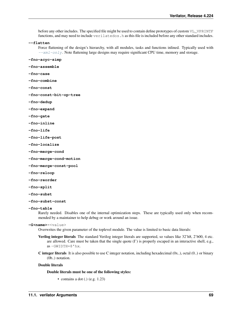before any other includes. The specified file might be used to contain define prototypes of custom VL\_VPRINTF functions, and may need to include verilatedos. h as this file is included before any other standard includes.

**--flatten**

Force flattening of the design's hierarchy, with all modules, tasks and functions inlined. Typically used with  $-\frac{xm_l-\text{only}}{m}$ . Note flattening large designs may require significant CPU time, memory and storage.

**-fno-acyc-simp**

```
-fno-assemble
```
- **-fno-case**
- **-fno-combine**
- **-fno-const**
- **-fno-const-bit-op-tree**
- **-fno-dedup**
- **-fno-expand**
- **-fno-gate**
- **-fno-inline**
- **-fno-life**
- **-fno-life-post**
- **-fno-localize**
- **-fno-merge-cond**
- **-fno-merge-cond-motion**
- **-fno-merge-const-pool**
- **-fno-reloop**
- **-fno-reorder**
- **-fno-split**
- **-fno-subst**
- **-fno-subst-const**
- **-fno-table**

Rarely needed. Disables one of the internal optimization steps. These are typically used only when recommended by a maintainer to help debug or work around an issue.

#### **-G<name>**=<value>

Overwrites the given parameter of the toplevel module. The value is limited to basic data literals:

- Verilog integer literals The standard Verilog integer literals are supported, so values like 32'h8, 2'b00, 4 etc. are allowed. Care must be taken that the single quote (I') is properly escaped in an interactive shell, e.g., as -GWIDTH=8'hx.
- **C** integer literals It is also possible to use C integer notation, including hexadecimal  $(0x)$ , octal  $(0)$  or binary (0b..) notation.

#### Double literals

Double literals must be one of the following styles:

• contains a dot  $(.)$  (e.g. 1.23)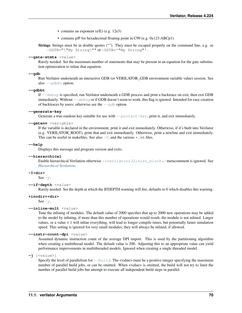- contains an exponent (e/E) (e.g. 12e3)
- contains p/P for hexadecimal floating point in C99 (e.g. 0x123.ABCp1)

Strings Strings must be in double quotes (""). They must be escaped properly on the command line, e.g. as -GSTR="\"My String\"" or -GSTR='"My String"'.

#### **--gate-stmts** <value>

Rarely needed. Set the maximum number of statements that may be present in an equation for the gate substitution optimization to inline that equation.

#### <span id="page-72-1"></span>**--gdb**

Run Verilator underneath an interactive GDB (or VERILATOR\_GDB environment variable value) session. See also  $-\overline{q}$ dbbt option.

#### <span id="page-72-0"></span>**--gdbbt**

If  $-\text{debug}$  is specified, run Verilator underneath a GDB process and print a backtrace on exit, then exit GDB immediately. Without  $-\text{debug}$  or if GDB doesn't seem to work, this flag is ignored. Intended for easy creation of backtraces by users; otherwise see the  $-\text{qdb}$  option.

#### **--generate-key**

Generate a true-random key suitable for use with  $-\text{protect } \varepsilon$   $\forall k$ , print it, and exit immediately.

## <span id="page-72-5"></span>**--getenv** <variable>

If the variable is declared in the environment, print it and exit immediately. Otherwise, if it's built into Verilator (e.g. VERILATOR\_ROOT), print that and exit immediately. Otherwise, print a newline and exit immediately. This can be useful in makefiles. See also  $-V$ , and the various  $\star$ .mk files.

#### **--help**

Displays this message and program version and exits.

## <span id="page-72-8"></span>**--hierarchical**

Enable hierarchical Verilation otherwise [/\\*verilator&32;hier\\_block\\*/](#page-58-0)metacomment is ignored. See *[Hierarchical Verilation](#page-16-0)*.

#### <span id="page-72-7"></span>**-I<dir>**

See  $-v$ .

## <span id="page-72-9"></span>**--if-depth** <value>

Rarely needed. Set the depth at which the IFDEPTH warning will fire, defaults to 0 which disables this warning.

#### <span id="page-72-6"></span>**+incdir+<dir>**

See  $-y$ .

#### <span id="page-72-3"></span>**--inline-mult** <value>

Tune the inlining of modules. The default value of 2000 specifies that up to 2000 new operations may be added to the model by inlining, if more than this number of operations would result, the module is not inlined. Larger values, or a value < 1 will inline everything, will lead to longer compile times, but potentially faster simulation speed. This setting is ignored for very small modules; they will always be inlined, if allowed.

## <span id="page-72-4"></span>**--instr-count-dpi** <value>

Assumed dynamic instruction count of the average DPI import. This is used by the partitioning algorithm when creating a multithread model. The default value is 200. Adjusting this to an appropriate value can yield performance improvements in multithreaded models. Ignored when creating a single threaded model.

**-j** [<value>]

<span id="page-72-2"></span>Specify the level of parallelism for  $-\frac{b}{u}$  The  $\alpha$  value must be a positive integer specifying the maximum number of parallel build jobs, or can be omitted. When <value> is omitted, the build will not try to limit the number of parallel build jobs but attempt to execute all independent build steps in parallel.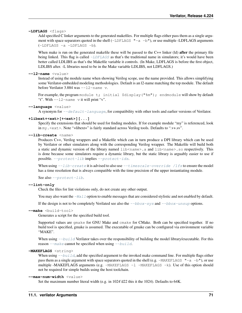## **-LDFLAGS** <flags>

Add specified C linker arguments to the generated makefiles. For multiple flags either pass them as a single argument with space separators quoted in the shell  $(-LDELAGS$   $"–a -b"$ ), or use multiple -LDFLAGS arguments (-LDFLAGS -a -LDFLAGS -b).

When make is run on the generated makefile these will be passed to the C++ linker (ld) **after** the primary file being linked. This flag is called  $-LDFLAGS$  as that's the traditional name in simulators; it's would have been better called LDLIBS as that's the Makefile variable it controls. (In Make, LDFLAGS is before the first object, LDLIBS after. -L libraries need to be in the Make variable LDLIBS, not LDFLAGS.)

#### **--l2-name** <value>

Instead of using the module name when showing Verilog scope, use the name provided. This allows simplifying some Verilator-embedded modeling methodologies. Default is an l2-name matching the top module. The default before Verilator 3.884 was  $-12$ -name v.

For example, the program module  $t$ ; initial  $\frac{1}{2}$  display(" $\frac{1}{2}$ m"); endmodule will show by default "t". With  $-12$ -name v it will print "v".

## <span id="page-73-3"></span>**--language** <value>

A synonym for  $-\text{default}$  -language, for compatibility with other tools and earlier versions of Verilator.

### **+libext+<ext>[+<ext>][...]**

Specify the extensions that should be used for finding modules. If for example module "my" is referenced, look in my. <ext>. Note "+libext+" is fairly standard across Verilog tools. Defaults to ".v+.sv".

## <span id="page-73-0"></span>**--lib-create** <name>

Produces C++, Verilog wrappers and a Makefile which can in turn produce a DPI library which can be used by Verilator or other simulators along with the corresponding Verilog wrapper. The Makefile will build both a static and dynamic version of the library named lib<name>.a and lib<name>.so respectively. This is done because some simulators require a dynamic library, but the static library is arguably easier to use if possible. [--protect-lib](#page-76-1) implies [--protect-ids](#page-76-2).

When using  $-\text{lib-create}$  it is advised to also use  $-\text{timescale-override}$  /1fs to ensure the model has a time resolution that is always compatible with the time precision of the upper instantiating module.

See also [--protect-lib](#page-76-1).

## **--lint-only**

Check the files for lint violations only, do not create any other output.

You may also want the  $-Wa11$  option to enable messages that are considered stylistic and not enabled by default.

If the design is not to be completely Verilated see also the  $-\text{bbox-sys}$  and  $-\text{bbox-unsup}$  options.

## <span id="page-73-1"></span>--make <build-tool>

Generates a script for the specified build tool.

Supported values are gmake for GNU Make and cmake for CMake. Both can be specified together. If no build tool is specified, gmake is assumed. The executable of gmake can be configured via environment variable "MAKE".

When using  $-\frac{b}{\mu}$  Verilator takes over the responsibility of building the model library/executable. For this reason  $-\text{make}$  cannot be specified when using  $-\text{build.}$ 

## **-MAKEFLAGS** <string>

When using  $-\frac{b}{u}$  dd the specified argument to the invoked make command line. For multiple flags either pass them as a single argument with space separators quoted in the shell (e.g.  $-MAKEFLAGS$  " $-a$  -b"), or use multiple -MAKEFLAGS arguments (e.g.  $-MAKEFLAGS -l$  -MAKEFLAGS -k). Use of this option should not be required for simple builds using the host toolchain.

## <span id="page-73-2"></span>**--max-num-width** <value>

Set the maximum number literal width (e.g. in 1024'd22 this it the 1024). Defaults to 64K.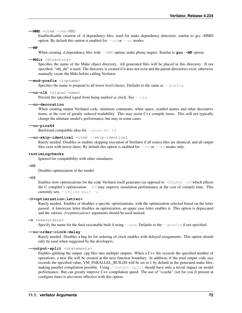#### **--MMD** =item --no-MMD

Enable/disable creation of .d dependency files, used for make dependency detection, similar to gcc -MMD option. By default this option is enabled for  $-\epsilon c$  or  $-\epsilon c$  modes.

#### **--MP**

When creating .d dependency files with  $-\text{MMD}$  option, make phony targets. Similar to  $\text{gcc}$  -MP option.

## <span id="page-74-2"></span>**--Mdir** <directory>

Specifies the name of the Make object directory. All generated files will be placed in this directory. If not specified, "obj\_dir" is used. The directory is created if it does not exist and the parent directories exist; otherwise manually create the Mdir before calling Verilator.

### **--mod-prefix** <topname>

Specifies the name to prepend to all lower level classes. Defaults to the same as  $-\text{prefix}$ .

#### **--no-clk** <signal-name>

Prevent the specified signal from being marked as clock. See  $-\text{c}1k$ .

#### **--no-decoration**

When creating output Verilated code, minimize comments, white space, symbol names and other decorative items, at the cost of greatly reduced readability. This may assist C++ compile times. This will not typically change the ultimate model's performance, but may in some cases.

## **--no-pins64**

Backward compatible alias for  $-pins-bv$  33.

## **--no-skip-identical** =item --skip-identical

Rarely needed. Disables or enables skipping execution of Verilator if all source files are identical, and all output files exist with newer dates. By default this option is enabled for  $-\text{cc}$  or  $-\text{sc}$  modes only.

## **+notimingchecks**

Ignored for compatibility with other simulators.

## **-O0**

Disables optimization of the model.

#### <span id="page-74-0"></span>**-O3**

Enables slow optimizations for the code Verilator itself generates (as opposed to  $-CFLAGS$  -O3 which effects the C compiler's optimization.  $-0.3$  may improve simulation performance at the cost of compile time. This currently sets  $--inline-mult -1$ .

#### **-O<optimization-letter>**

Rarely needed. Enables or disables a specific optimizations, with the optimization selected based on the letter passed. A lowercase letter disables an optimization, an upper case letter enables it. This option is deprecated and the various *-f<optimization>* arguments should be used instead.

## **-o** <executable>

Specify the name for the final executable built if using  $-\text{exc}$ . Defaults to the  $-\text{prefix}$  if not specified.

## **--no-order-clock-delay**

Rarely needed. Disables a bug fix for ordering of clock enables with delayed assignments. This option should only be used when suggested by the developers.

#### <span id="page-74-1"></span>**--output-split** <statements>

Enables splitting the output .cpp files into multiple outputs. When a C++ file exceeds the specified number of operations, a new file will be created at the next function boundary. In addition, if the total output code size exceeds the specified value, VM\_PARALLEL\_BUILDS will be set to 1 by default in the generated make files, making parallel compilation possible. Using  $--$ output-split should have only a trivial impact on model performance. But can greatly improve C++ compilation speed. The use of "ccache" (set for you if present at configure time) is also more effective with this option.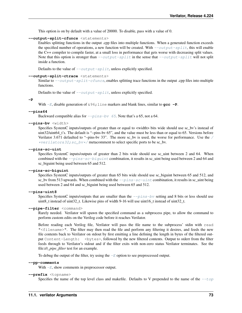This option is on by default with a value of 20000. To disable, pass with a value of 0.

### <span id="page-75-2"></span>**--output-split-cfuncs** <statements>

Enables splitting functions in the output .cpp files into multiple functions. When a generated function exceeds the specified number of operations, a new function will be created. With  $--output-split$ , this will enable the C++ compiler to compile faster, at a small loss in performance that gets worse with decreasing split values. Note that this option is stronger than  $--output$ -split in the sense that  $--output$ -split will not split inside a function.

Defaults to the value of  $--output-split$ , unless explicitly specified.

### **--output-split-ctrace** <statements>

Similar to  $--output-split-cfuncs$ , enables splitting trace functions in the output .cpp files into multiple functions.

Defaults to the value of  $--output-split$ , unless explicitly specified.

#### **-P**

With  $-E$ , disable generation of  $\&96$ ; line markers and blank lines, similar to  $qcc -P$ .

### **--pins64**

Backward compatible alias for  $-pins-bv$  65. Note that's a 65, not a 64.

## <span id="page-75-1"></span>**--pins-bv** <width>

Specifies SystemC inputs/outputs of greater than or equal to <width> bits wide should use sc\_bv's instead of uint32/uint64\_t's. The default is "–pins-bv 65", and the value must be less than or equal to 65. Versions before Verilator 3.671 defaulted to "-pins-bv 33". The more sc\_bv is used, the worse for performance. Use the [/](#page-61-0) [\\*verilator&32;sc\\_bv\\*/](#page-61-0) metacomment to select specific ports to be sc\_bv.

## <span id="page-75-4"></span>**--pins-sc-uint**

Specifies SystemC inputs/outputs of greater than 2 bits wide should use sc\_uint between 2 and 64. When combined with the  $-\frac{pins-sc-biguint}$  combination, it results in sc\_uint being used between 2 and 64 and sc\_biguint being used between 65 and 512.

## <span id="page-75-3"></span>**--pins-sc-biguint**

Specifies SystemC inputs/outputs of greater than 65 bits wide should use sc\_biguint between 65 and 512, and sc\_bv from 513 upwards. When combined with the  $-pins-sc-uint$  combination, it results in sc\_uint being used between 2 and 64 and sc\_biguint being used between 65 and 512.

#### **--pins-uint8**

Specifies SystemC inputs/outputs that are smaller than the  $-\text{pins-bv}$  setting and 8 bits or less should use uint8 t instead of uint32 t. Likewise pins of width 9-16 will use uint16 t instead of uint32 t.

## **--pipe-filter** <command>

Rarely needed. Verilator will spawn the specified command as a subprocess pipe, to allow the command to perform custom edits on the Verilog code before it reaches Verilator.

Before reading each Verilog file, Verilator will pass the file name to the subprocess' stdin with read "<filename>". The filter may then read the file and perform any filtering it desires, and feeds the new file contents back to Verilator on stdout by first emitting a line defining the length in bytes of the filtered output Content-Length: <br/>bytes>, followed by the new filtered contents. Output to stderr from the filter feeds through to Verilator's stdout and if the filter exits with non-zero status Verilator terminates. See the file:*t/t\_pipe\_filter* test for an example.

To debug the output of the filter, try using the  $-E$  option to see preprocessed output.

## **--pp-comments**

With  $-E$ , show comments in preprocessor output.

#### <span id="page-75-0"></span>**--prefix** <topname>

Specifies the name of the top level class and makefile. Defaults to V prepended to the name of the  $-\text{top}$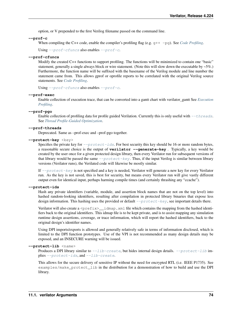option, or V prepended to the first Verilog filename passed on the command line.

## <span id="page-76-4"></span>**--prof-c**

When compiling the C++ code, enable the compiler's profiling flag (e.g. g++ -pg). See *[Code Profiling](#page-33-0)*.

Using  $-prof-cfuncs$  also enables  $-prof-c$ .

## <span id="page-76-3"></span>**--prof-cfuncs**

Modify the created C++ functions to support profiling. The functions will be minimized to contain one "basic" statement, generally a single always block or wire statement. (Note this will slow down the executable by  $\sim 5\%$ .) Furthermore, the function name will be suffixed with the basename of the Verilog module and line number the statement came from. This allows gprof or oprofile reports to be correlated with the original Verilog source statements. See *[Code Profiling](#page-33-0)*.

Using  $-prof-cfuncs$  also enables  $-prof-c$ .

## <span id="page-76-5"></span>**--prof-exec**

Enable collection of execution trace, that can be converted into a gantt chart with verilator\_gantt See *[Execution](#page-33-1) [Profiling](#page-33-1)*.

## <span id="page-76-6"></span>**--prof-pgo**

Enable collection of profiling data for profile guided Verilation. Currently this is only useful with  $-\text{threads}$ . See *[Thread Profile-Guided Optimization](#page-36-0)*.

## **--prof-threads**

Deprecated. Same as –prof-exec and –prof-pgo together.

## <span id="page-76-0"></span>**--protect-key** <key>

Specifies the private key for  $-protect-ids$ . For best security this key should be 16 or more random bytes, a reasonable secure choice is the output of **verilator --generate-key** . Typically, a key would be created by the user once for a given protected design library, then every Verilator run for subsequent versions of that library would be passed the same  $-protect-key$ . Thus, if the input Verilog is similar between library versions (Verilator runs), the Verilated code will likewise be mostly similar.

If  $-protect-key$  is not specified and a key is needed, Verilator will generate a new key for every Verilator run. As the key is not saved, this is best for security, but means every Verilator run will give vastly different output even for identical input, perhaps harming compile times (and certainly thrashing any "ccache").

## <span id="page-76-2"></span>**--protect-ids**

Hash any private identifiers (variable, module, and assertion block names that are not on the top level) into hashed random-looking identifiers, resulting after compilation in protected library binaries that expose less design information. This hashing uses the provided or default  $-p$  rotect-key, see important details there.

Verilator will also create a  $\text{Spec}(x)$  idmap. xml file which contains the mapping from the hashed identifiers back to the original identifiers. This idmap file is to be kept private, and is to assist mapping any simulation runtime design assertions, coverage, or trace information, which will report the hashed identifiers, back to the original design's identifier names.

Using DPI imports/exports is allowed and generally relatively safe in terms of information disclosed, which is limited to the DPI function prototypes. Use of the VPI is not recommended as many design details may be exposed, and an INSECURE warning will be issued.

### <span id="page-76-1"></span>**--protect-lib** <name>

Produces a DPI library similar to  $-$ lib-create, but hides internal design details.  $-$ protect-lib implies  $-$ protect-ids, and  $-$ lib-create.

This allows for the secure delivery of sensitive IP without the need for encrypted RTL (i.e. IEEE P1735). See examples/make\_protect\_lib in the distribution for a demonstration of how to build and use the DPI library.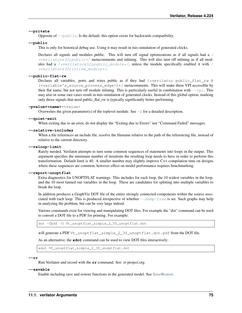## **--private**

Opposite of  $-\text{public}$ . Is the default; this option exists for backwards compatibility.

### <span id="page-77-1"></span>**--public**

This is only for historical debug use. Using it may result in mis-simulation of generated clocks.

Declares all signals and modules public. This will turn off signal optimizations as if all signals had a  $\angle$ \*verilator&32; public\*/ metacomments and inlining. This will also turn off inlining as if all mod-ules had a [/](#page-58-1)\*verilator&32; public module\*/, unless the module specifically enabled it with / [\\*verilator&32;inline\\_module\\*/](#page-58-1).

## **--public-flat-rw**

Declares all variables, ports and wires public as if they had  $/*$ verilator public\_flat\_rw @  $(\langle \text{variable } s$ \_source\_process\_edge>)  $\star$ / metacomments. This will make them VPI accessible by their flat name, but not turn off module inlining. This is particularly useful in combination with  $-\nu p \dot{\jmath}$ . This may also in some rare cases result in mis-simulation of generated clocks. Instead of this global option, marking only those signals that need public\_flat\_rw is typically significantly better performing.

## **-pvalue+<name>**=<value>

Overwrites the given parameter(s) of the toplevel module. See  $-G$  for a detailed description.

#### **--quiet-exit**

When exiting due to an error, do not display the "Exiting due to Errors" nor "Command Failed" messages.

## **--relative-includes**

When a file references an include file, resolve the filename relative to the path of the referencing file, instead of relative to the current directory.

#### **--reloop-limit**

Rarely needed. Verilator attempts to turn some common sequences of statements into loops in the output. This argument specifies the minimum number of iterations the resulting loop needs to have in order to perform this transformation. Default limit is 40. A smaller number may slightly improve C++ compilation time on designs where these sequences are common, however effect on model performance requires benchmarking.

#### <span id="page-77-2"></span>**--report-unoptflat**

Extra diagnostics for UNOPTFLAT warnings. This includes for each loop, the 10 widest variables in the loop, and the 10 most fanned out variables in the loop. These are candidates for splitting into multiple variables to break the loop.

In addition produces a GraphViz DOT file of the entire strongly connected components within the source associated with each loop. This is produced irrespective of whether  $-\text{dump-tree}$  is set. Such graphs may help in analyzing the problem, but can be very large indeed.

Various commands exist for viewing and manipulating DOT files. For example the "dot" command can be used to convert a DOT file to a PDF for printing. For example:

dot -Tpdf -O Vt\_unoptflat\_simple\_2\_35\_unoptflat.dot

will generate a PDF Vt\_unoptflat\_simple\_2\_35\_unoptflat.dot.pdf from the DOT file.

As an alternative, the **xdot** command can be used to view DOT files interactively:

xdot Vt\_unoptflat\_simple\_2\_35\_unoptflat.dot

## **--rr**

Run Verilator and record with the **rr** command. See: rr-project.org.

## <span id="page-77-0"></span>**--savable**

Enable including save and restore functions in the generated model. See *[Save/Restore](#page-35-0)*.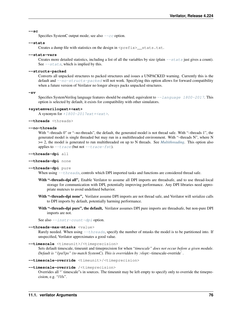#### **--sc**

Specifies SystemC output mode; see also  $-\epsilon c$  option.

## <span id="page-78-2"></span>**--stats**

Creates a dump file with statistics on the design in <prefix>\_\_stats.txt.

## **--stats-vars**

Creates more detailed statistics, including a list of all the variables by size (plain  $--$ stats just gives a count). See  $-*stacks*$ , which is implied by this.

## <span id="page-78-3"></span>**--structs-packed**

Converts all unpacked structures to packed structures and issues a UNPACKED warning. Currently this is the default and  $\text{-}$ no-structs-packed will not work. Specifying this option allows for forward compatibility when a future version of Verilator no longer always packs unpacked structures.

**-sv**

Specifies SystemVerilog language features should be enabled; equivalent to  $-\frac{1}{2}$  anguage 1800-2017. This option is selected by default, it exists for compatibility with other simulators.

## **+systemverilogext+<ext>**

A synonym for  $+1800-2017$ ext+ $\leq$ xt>.

```
--threads <threads>
```
## **--no-threads**

With "–threads 0" or "–no-threads", the default, the generated model is not thread safe. With "–threads 1", the generated model is single threaded but may run in a multithreaded environment. With "–threads N", where N >= 2, the model is generated to run multithreaded on up to N threads. See *[Multithreading](#page-17-0)*. This option also applies to  $-\text{trace}$  (but not  $-\text{trace}$  -fst).

```
--threads-dpi all
```
#### **--threads-dpi** none

**--threads-dpi** pure

When using  $-\text{threads}$ , controls which DPI imported tasks and functions are considered thread safe.

- With "-threads-dpi all", Enable Verilator to assume all DPI imports are threadsafe, and to use thread-local storage for communication with DPI, potentially improving performance. Any DPI libraries need appropriate mutexes to avoid undefined behavior.
- With "-threads-dpi none", Verilator assume DPI imports are not thread safe, and Verilator will serialize calls to DPI imports by default, potentially harming performance.
- With "-threads-dpi pure", the default, Verilator assumes DPI pure imports are threadsafe, but non-pure DPI imports are not.

See also  $-$ instr-count-dpi option.

#### <span id="page-78-6"></span>**--threads-max-mtasks** <value>

Rarely needed. When using  $-\text{threads}$ , specify the number of mtasks the model is to be partitioned into. If unspecified, Verilator approximates a good value.

```
--timescale <timeunit>/<timeprecision>
```
Sets default timescale, timeunit and timeprecision for when "*timescale" does not occur before a given module.* **mescale** <timeunit>/<timeprecision><br>Sets default timescale, timeunit and timeprecision for when *"timescale" does not occur befo*<br>*Default is "1ps/1ps" (to match SystemC). This is overridden by :vlopt:*–timescale-override

```
--timescale-override <timeunit>/<timeprecision>
```
## <span id="page-78-0"></span>**--timescale-override** /<timeprecision>

Overrides all "`timescale"s in sources. The timeunit may be left empty to specify only to override the timeprecision, e.g. "/1fs".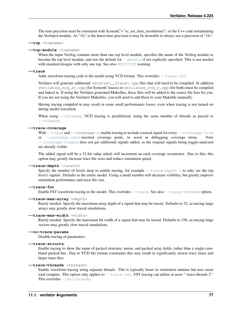The time precision must be consistent with SystemC's "sc\_set\_time\_resolution()", or the C++ code instantiating the Verilated module. As "1fs" is the finest time precision it may be desirable to always use a precision of "1fs".

```
--top <topname>
```
## **--top-module** <topname>

When the input Verilog contains more than one top level module, specifies the name of the Verilog module to become the top level module, and sets the default for  $-\text{prefix}$  if not explicitly specified. This is not needed with standard designs with only one top. See also [MULTITOP](#page-100-0) warning.

## <span id="page-79-1"></span>**--trace**

Adds waveform tracing code to the model using VCD format. This overrides  $-\text{trace-fst.}$ 

Verilator will generate additional  $\langle \text{prefix} \rangle$  Trace\*.cpp files that will need to be compiled. In addition verilated\_vcd\_sc.cpp (for SystemC traces) or verilated\_vcd\_c.cpp (for both) must be compiled and linked in. If using the Verilator generated Makefiles, these files will be added to the source file lists for you. If you are not using the Verilator Makefiles, you will need to add these to your Makefile manually.

Having tracing compiled in may result in some small performance losses, even when tracing is not turned on during model execution.

When using  $-\epsilon h$  reads, VCD tracing is parallelized, using the same number of threads as passed to [--threads](#page-78-1).

## **--trace-coverage**

With  $-\text{trace}$  and  $-\text{coverage}-\star$ , enable tracing to include a traced signal for every  $-\text{coverage}-\text{line}$ or  $\overline{-coverage}$ -user-inserted coverage point, to assist in debugging coverage items. Note [--coverage-toggle](#page-68-4) does not get additional signals added, as the original signals being toggle-analyzed are already visible.

The added signal will be a 32-bit value which will increment on each coverage occurrence. Due to this, this option may greatly increase trace file sizes and reduce simulation speed.

#### <span id="page-79-3"></span>**--trace-depth** <levels>

Specify the number of levels deep to enable tracing, for example  $-\text{trace-depth 1}$  to only see the top level's signals. Defaults to the entire model. Using a small number will decrease visibility, but greatly improve simulation performance and trace file size.

## <span id="page-79-2"></span>**--trace-fst**

Enable FST waveform tracing in the model. This overrides  $-\text{trace}$ . See also  $-\text{trace}$  threads option.

#### $-$ trace-max-array \*depth\*

Rarely needed. Specify the maximum array depth of a signal that may be traced. Defaults to 32, as tracing large arrays may greatly slow traced simulations.

#### $--trace-max-width *width *$

Rarely needed. Specify the maximum bit width of a signal that may be traced. Defaults to 256, as tracing large vectors may greatly slow traced simulations.

## **--no-trace-params**

Disable tracing of parameters.

#### **--trace-structs**

Enable tracing to show the name of packed structure, union, and packed array fields, rather than a single combined packed bus. Due to VCD file format constraints this may result in significantly slower trace times and larger trace files.

## <span id="page-79-4"></span>**--trace-threads** \*threads\*

Enable waveform tracing using separate threads. This is typically faster in simulation runtime but uses more total compute. This option only applies to  $-\text{trace-fst}$ . FST tracing can utilize at most "–trace-threads 2". This overrides  $\neg$ no-threads.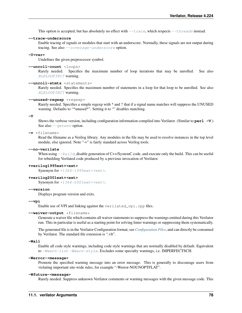This option is accepted, but has absolutely no effect with  $-\text{trace}$ , which respects  $-\text{trace}$  insteads instead.

#### **--trace-underscore**

Enable tracing of signals or modules that start with an underscore. Normally, these signals are not output during tracing. See also [--coverage-underscore](#page-68-5) option.

## **-U<var>**

Undefines the given preprocessor symbol.

#### <span id="page-80-3"></span>**--unroll-count** <loops>

Rarely needed. Specifies the maximum number of loop iterations that may be unrolled. See also [BLKLOOPINIT](#page-94-0) warning.

### <span id="page-80-4"></span>**--unroll-stmts** \*statements\*

Rarely needed. Specifies the maximum number of statements in a loop for that loop to be unrolled. See also [BLKLOOPINIT](#page-94-0) warning.

#### **--unused-regexp** \*regexp\*

Rarely needed. Specifies a simple regexp with \* and ? that if a signal name matches will suppress the UNUSED warning. Defaults to "\*unused\*". Setting it to "" disables matching.

#### <span id="page-80-0"></span>**-V**

Shows the verbose version, including configuration information compiled into Verilator. (Similar to  $per1 -v$ .) See also  $-$ -getenv option.

## <span id="page-80-5"></span>**-v** \*filename\*

Read the filename as a Verilog library. Any modules in the file may be used to resolve instances in the top level module, else ignored. Note "-v" is fairly standard across Verilog tools.

#### **--no-verilate**

When using  $-\frac{b \text{u} i \text{l} d}{\text{d}}$ , disable generation of C++/SystemC code, and execute only the build. This can be useful for rebuilding Verilated code produced by a previous invocation of Verilator.

#### **+verilog1995ext+<ext>**

Synonym for  $+1364-1995ext+xt>.$ 

#### **+verilog2001ext+<ext>**

Synonym for  $+1364-2001ext+xt>.$ 

#### **--version**

Displays program version and exits.

#### <span id="page-80-2"></span>**--vpi**

Enable use of VPI and linking against the verilated\_vpi.cpp files.

### $--\text{waiver}-\text{output } * \text{filename} *$

Generate a waiver file which contains all waiver statements to suppress the warnings emitted during this Verilator run. This in particular is useful as a starting point for solving linter warnings or suppressing them systematically.

The generated file is in the Verilator Configuration format, see *[Configuration Files](#page-83-1)*, and can directly be consumed by Verilator. The standard file extension is ".vlt".

#### <span id="page-80-1"></span>**-Wall**

Enable all code style warnings, including code style warnings that are normally disabled by default. Equivalent to  $-Wwarn-lint$  [-Wwarn-style](#page-81-1). Excludes some specialty warnings, i.e. IMPERFECTSCH.

#### <span id="page-80-6"></span>**-Werror-<message>**

Promote the specified warning message into an error message. This is generally to discourage users from violating important site-wide rules, for example "-Werror-NOUNOPTFLAT".

#### **-Wfuture-<message>**

Rarely needed. Suppress unknown Verilator comments or warning messages with the given message code. This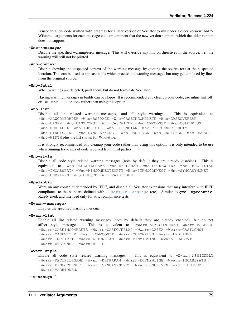is used to allow code written with pragmas for a later version of Verilator to run under a older version; add "- Wfuture-" arguments for each message code or comment that the new version supports which the older version does not support.

**-Wno-<message>**

Disable the specified warning/error message. This will override any lint\_on directives in the source, i.e. the warning will still not be printed.

#### **-Wno-context**

Disable showing the suspected context of the warning message by quoting the source text at the suspected location. This can be used to appease tools which process the warning messages but may get confused by lines from the original source.

#### **-Wno-fatal**

When warnings are detected, print them, but do not terminate Verilator.

Having warning messages in builds can be sloppy. It is recommended you cleanup your code, use inline lint\_off, or use -Wno-... options rather than using this option.

#### <span id="page-81-2"></span>**-Wno-lint**

Disable all lint related warning messages, and all style warnings. This is equivalent to -Wno-ALWCOMBORDER -Wno-BSSPACE -Wno-CASEINCOMPLETE -Wno-CASEOVERLAP -Wno-CASEX -Wno-CASTCONST -Wno-CASEWITHX -Wno-CMPCONST -Wno-COLONPLUS -Wno-ENDLABEL -Wno-IMPLICIT -Wno-LITENDIAN -Wno-PINCONNECTEMPTY -Wno-PINMISSING -Wno-SYNCASYNCNET -Wno-UNDRIVEN -Wno-UNSIGNED -Wno-UNUSED -Wno-WIDTH plus the list shown for Wno-style.

It is strongly recommended you cleanup your code rather than using this option, it is only intended to be use when running test-cases of code received from third parties.

## **-Wno-style**

Disable all code style related warning messages (note by default they are already disabled). This is equivalent to -Wno-DECLFILENAME -Wno-DEFPARAM -Wno-EOFNEWLINE -Wno-IMPORTSTAR -Wno-INCABSPATH -Wno-PINCONNECTEMPTY -Wno-PINNOCONNECT -Wno-SYNCASYNCNET -Wno-UNDRIVEN -Wno-UNUSED -Wno-VARHIDDEN.

## **-Wpedantic**

Warn on any construct demanded by IEEE, and disable all Verilator extensions that may interfere with IEEE compliance to the standard defined with  $-\text{default} - \text{language}$  (etc). Similar to **gcc** -Wpedantic. Rarely used, and intended only for strict compliance tests.

### **-Wwarn-<message>**

Enables the specified warning message.

## <span id="page-81-0"></span>**-Wwarn-lint**

Enable all lint related warning messages (note by default they are already enabled), but do not affect style messages. This is equivalent to -Wwarn-ALWCOMBORDER -Wwarn-BSSPACE -Wwarn-CASEINCOMPLETE -Wwarn-CASEOVERLAP -Wwarn-CASEX -Wwarn-CASTCONST -Wwarn-CASEWITHX -Wwarn-CMPCONST -Wwarn-COLONPLUS -Wwarn-ENDLABEL -Wwarn-IMPLICIT -Wwarn-LITENDIAN -Wwarn-PINMISSING -Wwarn-REALCVT -Wwarn-UNSIGNED -Wwarn-WIDTH.

#### <span id="page-81-1"></span>**-Wwarn-style**

Enable all code style related warning messages. This is equivalent to -Wwarn ASSIGNDLY -Wwarn-DECLFILENAME -Wwarn-DEFPARAM -Wwarn-EOFNEWLINE -Wwarn-INCABSPATH -Wwarn-PINNOCONNECT -Wwarn-SYNCASYNCNET -Wwarn-UNDRIVEN -Wwarn-UNUSED -Wwarn-VARHIDDEN.

#### **--x-assign** 0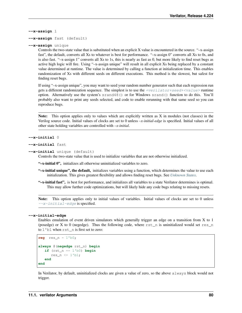**--x-assign** 1

#### **--x-assign** fast (default)

## **--x-assign** unique

Controls the two-state value that is substituted when an explicit X value is encountered in the source. "–x-assign fast", the default, converts all Xs to whatever is best for performance. "–x-assign 0" converts all Xs to 0s, and is also fast. "–x-assign 1" converts all Xs to 1s, this is nearly as fast as 0, but more likely to find reset bugs as active high logic will fire. Using "–x-assign unique" will result in all explicit Xs being replaced by a constant value determined at runtime. The value is determined by calling a function at initialization time. This enables randomization of Xs with different seeds on different executions. This method is the slowest, but safest for finding reset bugs.

If using "–x-assign unique", you may want to seed your random number generator such that each regression run gets a different randomization sequence. The simplest is to use the  $+verilator+seed+\langle value\rangle$  runtime option. Alternatively use the system's srand48() or for Windows srand() function to do this. You'll probably also want to print any seeds selected, and code to enable rerunning with that same seed so you can reproduce bugs.

Note: This option applies only to values which are explicitly written as X in modules (not classes) in the Verilog source code. Initial values of clocks are set to 0 unless *–x-initial-edge* is specified. Initial values of all other state holding variables are controlled with *–x-initial*.

```
--x-initial 0
```

```
--x-initial fast
```

```
--x-initial unique (default)
```
Controls the two-state value that is used to initialize variables that are not otherwise initialized.

"–x-initial 0", initializes all otherwise uninitialized variables to zero.

- "-x-initial unique", the default, initializes variables using a function, which determines the value to use each initialization. This gives greatest flexibility and allows finding reset bugs. See *[Unknown States](#page-52-0)*.
- "-x-initial fast", is best for performance, and initializes all variables to a state Verilator determines is optimal. This may allow further code optimizations, but will likely hide any code bugs relating to missing resets.

Note: This option applies only to initial values of variables. Initial values of clocks are set to 0 unless  $-\overline{x}$ -initial-edge is specified.

## <span id="page-82-0"></span>**--x-initial-edge**

Enables emulation of event driven simulators which generally trigger an edge on a transition from X to 1 (posedge) or X to 0 (negedge). Thus the following code, where rst\_n is uninitialized would set res\_n to 1'b1 when rst\_n is first set to zero:

```
reg res n = 1'b0;
always @(negedge rst_n) begin
   if (rst n == 1'b0) begin
      res_n \leq 1'b1;end
end
```
In Verilator, by default, uninitialized clocks are given a value of zero, so the above always block would not trigger.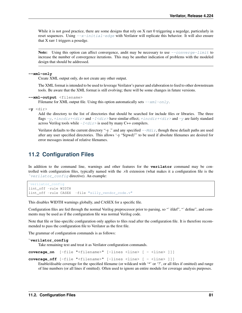While it is not good practice, there are some designs that rely on X rarr 0 triggering a negedge, particularly in reset sequences. Using  $-x$ -initial-edge with Verilator will replicate this behavior. It will also ensure that X rarr 1 triggers a posedge.

Note: Using this option can affect convergence, and t may be necessary to use  $--converge-limit$  to increase the number of convergence iterations. This may be another indication of problems with the modeled design that should be addressed.

## <span id="page-83-2"></span>**--xml-only**

Create XML output only, do not create any other output.

The XML format is intended to be used to leverage Verilator's parser and elaboration to feed to other downstream tools. Be aware that the XML format is still evolving; there will be some changes in future versions.

```
--xml-output <filename>
```
Filename for XML output file. Using this option automatically sets  $-\frac{xm_1 - o_n}{y}$ .

```
-y <dir>
```
Add the directory to the list of directories that should be searched for include files or libraries. The three flags  $-y$ ,  $\pm$ incdir+<dir> and  $-\sqrt{z}$ dir> have similar effect;  $\pm$ incdir+<dir> and  $-y$  are fairly standard across Verilog tools while  $-I \langle \text{dir} \rangle$  is used by many C++ compilers.

Verilator defaults to the current directory "-y ." and any specified  $-\text{Mdir}$ , though these default paths are used after any user specified directories. This allows '-y "\$(pwd)"' to be used if absolute filenames are desired for error messages instead of relative filenames.

## <span id="page-83-1"></span>**11.2 Configuration Files**

In addition to the command line, warnings and other features for the **verilator** command may be controlled with configuration files, typically named with the .vlt extension (what makes it a configuration file is the `[verilator\\_config](#page-83-3) directive). An example:

```
verilator_config
lint_off -rule WIDTH
lint_off -rule CASEX -file "silly_vendor_code.v"
```
This disables WIDTH warnings globally, and CASEX for a specific file.

Configuration files are fed through the normal Verilog preprocessor prior to parsing, so "`ifdef", "`define", and comments may be used as if the configuration file was normal Verilog code.

Note that file or line-specific configuration only applies to files read after the configuration file. It is therefore recommended to pass the configuration file to Verilator as the first file.

<span id="page-83-3"></span>The grammar of configuration commands is as follows:

```
verilator_config
```
Take remaining text and treat it as Verilator configuration commands.

```
coverage_on [-file "<filename>" [-lines <line> [ - <line> ]]]
```

```
coverage_off [-file "<filename>" [-lines <line> [ - <line> ]]]
```
Enable/disable coverage for the specified filename (or wildcard with '\*' or '?', or all files if omitted) and range of line numbers (or all lines if omitted). Often used to ignore an entire module for coverage analysis purposes.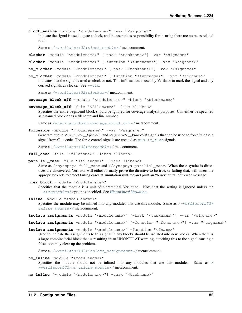**clock\_enable** -module "<modulename>" -var "<signame>"

Indicate the signal is used to gate a clock, and the user takes responsibility for insuring there are no races related to it.

Same as /\*verilator&32; clock\_enable\*/ metacomment.

**clocker** -module "<modulename>" [-task "<taskname>"] -var "<signame>"

**clocker** -module "<modulename>" [-function "<funcname>"] -var "<signame>"

**no\_clocker** -module "<modulename>" [-task "<taskname>"] -var "<signame>"

**no\_clocker** -module "<modulename>" [-function "<funcname>"] -var "<signame>" Indicates that the signal is used as clock or not. This information is used by Verilator to mark the signal and any derived signals as clocker. See  $-\text{c}1k$ .

Same as [/\\*verilator&32;clocker\\*/](#page-58-2) metacomment.

**coverage\_block\_off** -module "<modulename>" -block "<blockname>"

**coverage\_block\_off** -file "<filename>" -line <lineno>

Specifies the entire begin/end block should be ignored for coverage analysis purposes. Can either be specified as a named block or as a filename and line number.

Same as /\*verilator&32; coverage\_block\_off\*/ metacomment.

**forceable** -module "<modulename>" -var "<signame>" Generate public *<signame>\_\_VforceEn* and *<signame>\_\_VforceVal* signals that can be used to force/release a signal from C++ code. The force control signals are created as  $public_f1at$  signals.

Same as  $/*verilators32; forceable*/metacomment.$ 

**full\_case** -file "<filename>" -lines <lineno>

**parallel\_case** -file "<filename>" -lines <lineno>

Same as //synopsys full\_case and //synopsys parallel\_case. When these synthesis directives are discovered, Verilator will either formally prove the directive to be true, or failing that, will insert the appropriate code to detect failing cases at simulation runtime and print an "Assertion failed" error message.

hier block -module "<modulename>"

Specifies that the module is a unit of hierarchical Verilation. Note that the setting is ignored unless the [--hierarchical](#page-72-8) option is specified. See *[Hierarchical Verilation](#page-16-0)*.

**inline** -module "<modulename>"

Specifies the module may be inlined into any modules that use this module. Same as [/\\*verilator&32;](#page-58-1) [inline\\_module\\*/](#page-58-1) metacomment.

isolate\_assignments -module "<modulename>" [-task "<taskname>"] -var "<signame>"

isolate\_assignments -module "<modulename>" [-function "<funcname>"] -var "<signame>"

**isolate\_assignments** -module "<modulename>" -function "<fname>"

Used to indicate the assignments to this signal in any blocks should be isolated into new blocks. When there is a large combinatorial block that is resulting in an UNOPTFLAT warning, attaching this to the signal causing a false loop may clear up the problem.

Same as [/\\*verilator&32;isolate\\_assignments\\*/](#page-58-5) metacomment.

**no\_inline** -module "<modulename>"

Specifies the module should not be inlined into any modules that use this module. Same as [/](#page-59-0) [\\*verilator&32;no\\_inline\\_module\\*/](#page-59-0) metacomment.

**no\_inline** [-module "<modulename>"] -task "<taskname>"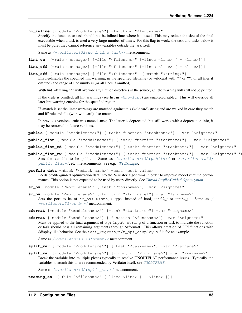**no\_inline** [-module "<modulename>"] -function "<funcname>"

Specify the function or task should not be inlined into where it is used. This may reduce the size of the final executable when a task is used a very large number of times. For this flag to work, the task and tasks below it must be pure; they cannot reference any variables outside the task itself.

Same as /\*verilator&32; no\_inline\_task\*/ metacomment.

```
lint_on [-rule <message>] [-file "<filename>" [-lines <line> [ - <line>]]]
lint_off [-rule <message>] [-file "<filename>" [-lines <line> [ - <line>]]]
```
<span id="page-85-1"></span>**lint\_off** [-rule <message>] [-file "<filename>"] [-match "<string>"]

Enable/disables the specified lint warning, in the specified filename (or wildcard with '\*' or '?', or all files if omitted) and range of line numbers (or all lines if omitted).

With lint\_off using "\*" will override any lint\_on directives in the source, i.e. the warning will still not be printed.

If the -rule is omitted, all lint warnings (see list in  $-WnO-lint$ ) are enabled/disabled. This will override all later lint warning enables for the specified region.

If -match is set the linter warnings are matched against this (wildcard) string and are waived in case they match and iff rule and file (with wildcard) also match.

In previous versions -rule was named -msg. The latter is deprecated, but still works with a deprecation info, it may be removed in future versions.

**public** [-module "<modulename>"] [-task/-function "<taskname>"] -var "<signame>"

<span id="page-85-0"></span>public flat [-module "<modulename>"] [-task/-function "<taskname>"] -var "<signame>"

- **public\_flat\_rd** [-module "<modulename>"] [-task/-function "<taskname>"] -var "<signame>"
- public\_flat\_rw [-module "<modulename>"] [-task/-function "<taskname>"] -var "<signame>" " Sets the variable to be public. Same as [/\\*verilator&32;public\\*/](#page-60-0) or [/\\*verilator&32;](#page-60-2) [public\\_flat\\*/](#page-60-2), etc, metacomments. See e.g. *[VPI Example](#page-27-0)*.

<span id="page-85-2"></span>**profile\_data** -mtask "<mtask\_hash>" -cost <cost\_value> Feeds profile-guided optimization data into the Verilator algorithms in order to improve model runtime performance. This option is not expected to be used by users directly. See *[Thread Profile-Guided Optimization](#page-36-0)*.

**sc\_bv** -module "<modulename>" [-task "<taskname>"] -var "<signame>"

- **sc\_bv** -module "<modulename>" [-function "<funcname>"] -var "<signame>" Sets the port to be of  $sc_bv\langle width\rangle$  type, instead of bool, uint32\_t or uint64\_t. Same as [/](#page-61-0) [\\*verilator&32;sc\\_bv\\*/](#page-61-0) metacomment.
- **sformat** [-module "<modulename>"] [-task "<taskname>"] -var "<signame>"
- **sformat** [-module "<modulename>"] [-function "<funcname>"] -var "<signame>" Must be applied to the final argument of type input string of a function or task to indicate the function or task should pass all remaining arguments through \$sformatf. This allows creation of DPI functions with \$display like behavior. See the test\_regress/t/t\_dpi\_display.v file for an example.

Same as /\*verilator&32; sformat\*/ metacomment.

- **split\_var** [-module "<modulename>"] [-task "<taskname>"] -var "<varname>"
- **split\_var** [-module "<modulename>"] [-function "<funcname>"] -var "<varname>" Break the variable into multiple pieces typically to resolve UNOPTFLAT performance issues. Typically the variables to attach this to are recommended by Verilator itself, see [UNOPTFLAT](#page-106-0).

Same as /\*verilator&32; split\_var\*/ metacomment.

**tracing\_on** [-file "<filename>" [-lines <line> [ - <line> ]]]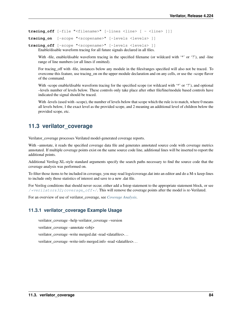**tracing\_off** [-file "<filename>" [-lines <line> [ - <line> ]]]

```
tracing on [-scope "<scopename>" [-levels <levels> ]]
```
**tracing\_off** [-scope "<scopename>" [-levels <levels> ]] Enable/disable waveform tracing for all future signals declared in all files.

With -file, enable/disable waveform tracing in the specified filename (or wildcard with '\*' or '?'), and -line range of line numbers (or all lines if omitted).

For tracing\_off with -file, instances below any module in the files/ranges specified will also not be traced. To overcome this feature, use tracing\_on on the upper module declaration and on any cells, or use the -scope flavor of the command.

With -scope enable/disable waveform tracing for the specified scope (or wildcard with '\*' or '?'), and optional –levels number of levels below. These controls only take place after other file/line/module based controls have indicated the signal should be traced.

With -levels (used with -scope), the number of levels below that scope which the rule is to match, where 0 means all levels below, 1 the exact level as the provided scope, and 2 meaning an additional level of children below the provided scope, etc.

## **11.3 verilator\_coverage**

Verilator\_coverage processes Verilated model-generated coverage reports.

With –annotate, it reads the specified coverage data file and generates annotated source code with coverage metrics annotated. If multiple coverage points exist on the same source code line, additional lines will be inserted to report the additional points.

Additional Verilog-XL-style standard arguments specify the search paths necessary to find the source code that the coverage analysis was performed on.

To filter those items to be included in coverage, you may read logs/coverage.dat into an editor and do a M-x keep-lines to include only those statistics of interest and save to a new .dat file.

For Verilog conditions that should never occur, either add a \$stop statement to the appropriate statement block, or see /\*verilator&32; coverage\_off\*/. This will remove the coverage points after the model is re-Verilated.

For an overview of use of verilator\_coverage, see *[Coverage Analysis](#page-31-0)*.

## **11.3.1 verilator\_coverage Example Usage**

verilator\_coverage –help verilator\_coverage –version

verilator\_coverage –annotate <obj>

verilator\_coverage -write merged.dat -read <datafiles>. . .

verilator\_coverage -write-info merged.info -read <datafiles>. . .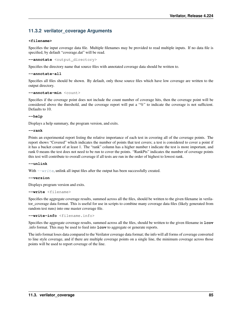## **11.3.2 verilator\_coverage Arguments**

## **<filename>**

Specifies the input coverage data file. Multiple filenames may be provided to read multiple inputs. If no data file is specified, by default "coverage.dat" will be read.

**--annotate** <output\_directory>

Specifies the directory name that source files with annotated coverage data should be written to.

```
--annotate-all
```
Specifies all files should be shown. By default, only those source files which have low coverage are written to the output directory.

**--annotate-min** <count>

Specifies if the coverage point does not include the count number of coverage hits, then the coverage point will be considered above the threshold, and the coverage report will put a "%" to indicate the coverage is not sufficient. Defaults to 10.

## **--help**

Displays a help summary, the program version, and exits.

## **--rank**

Prints an experimental report listing the relative importance of each test in covering all of the coverage points. The report shows "Covered" which indicates the number of points that test covers; a test is considered to cover a point if it has a bucket count of at least 1. The "rank" column has a higher number t indicate the test is more important, and rank 0 means the test does not need to be run to cover the points. "RankPts" indicates the number of coverage points this test will contribute to overall coverage if all tests are run in the order of highest to lowest rank.

## **--unlink**

With  $\frac{-w\text{rit}}{e}$ , unlink all input files after the output has been successfully created.

## **--version**

Displays program version and exits.

<span id="page-87-0"></span>**--write** <filename>

Specifies the aggregate coverage results, summed across all the files, should be written to the given filename in verilator\_coverage data format. This is useful for use in scripts to combine many coverage data files (likely generated from random test runs) into one master coverage file.

**--write-info** <filename.info>

Specifies the aggregate coverage results, summed across all the files, should be written to the given filename in **lcov** .info format. This may be used to feed into **lcov** to aggregate or generate reports.

The info format loses data compared to the Verilator coverage data format; the info will all forms of coverage converted to line style coverage, and if there are multiple coverage points on a single line, the minimum coverage across those points will be used to report coverage of the line.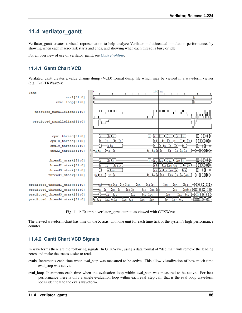# **11.4 verilator\_gantt**

Verilator\_gantt creates a visual representation to help analyze Verilator multithreaded simulation performance, by showing when each macro-task starts and ends, and showing when each thread is busy or idle.

For an overview of use of verilator\_gantt, see *[Code Profiling](#page-33-0)*.

## **11.4.1 Gantt Chart VCD**

Verilated\_gantt creates a value change dump (VCD) format dump file which may be viewed in a waveform viewer (e.g. C<GTKWave>):

| Time                                                                                            | 100                                                                                                                         | us                                                                                   |
|-------------------------------------------------------------------------------------------------|-----------------------------------------------------------------------------------------------------------------------------|--------------------------------------------------------------------------------------|
| eval[31:0]                                                                                      |                                                                                                                             |                                                                                      |
| eval_loop[31:0]                                                                                 |                                                                                                                             |                                                                                      |
|                                                                                                 |                                                                                                                             |                                                                                      |
| measured_parallelism[31:0]                                                                      | ௱௱                                                                                                                          | ™™<br>$\mathbf{H}^{\mathsf{H}}$<br>णा<br>ŲЦ                                          |
| predicted_parallelism[31:0]                                                                     |                                                                                                                             |                                                                                      |
| cpul_thread[31:0]                                                                               | Ю1 Ж1.<br>ի ի<br>-11                                                                                                        | <del>0∦ 1 </del> 10-040-<br>I1<br>$\P_1$<br>H I1                                     |
| cpul0_thread[31:0]                                                                              | $\overline{2}$<br>Χ2<br>2<br>2)                                                                                             | ₩ŒŒ₩₩Œ₩<br>$_{12}$<br>2<br>12.                                                       |
| cpul9_thread[31:0]                                                                              | 3 <sup>3</sup><br>3                                                                                                         | Н<br>ш<br>3<br>я<br>Iз<br>з<br>з                                                     |
| cpu22_thread[31:0]                                                                              | $-4$ $4$<br> 4 4 <br>-4<br>$\overline{4}$<br>4                                                                              | <b>{}—{}}⊙{}}{}}{</b> }<br>Х4<br>4<br>4                                              |
|                                                                                                 |                                                                                                                             |                                                                                      |
| threadl mtask[31:0]                                                                             | X+ X+ .<br>$_{+}$<br>з                                                                                                      | ₩₩©₩⊩<br>(16   125 M+ 141   M 129 M+                                                 |
| thread2_mtask[31:0]                                                                             | 337<br>Ġ                                                                                                                    | ₩ŒŒ₩₩Œ₩<br>18 Мз5 Мз8<br>$J+$                                                        |
| thread3_mtask[31:0]                                                                             | $+120$<br>12 <sup>°</sup>                                                                                                   | H<br>ш<br>42.14 30<br>I+<br>45                                                       |
| thread4_mtask[31:0]                                                                             | $5\,22$<br>$+1 + 26$<br>2114<br>$\mathbf{2}$                                                                                | ⊕<br><b>−®™™</b><br>Ĭ9<br>139<br>I+ I40                                              |
| predicted threadl mtask[31:0]<br>predicted_thread2_mtask[31:0]<br>predicted_thread3_mtask[31:0] | 424,41<br>3<br>27.34<br>∛17 ∛16<br>125<br>∦із ∦в<br><u> 135 jaa</u><br>18<br>133<br>6<br>87<br>42<br>Ä20<br>12<br>Ä14<br>11 | W44<br>,32<br>,29<br>400000006E1010<br>28,43<br>,36<br>₭₭±₭₭₭₭₭₭<br>30<br>ÄЗ1<br>.45 |
| predicted_thread4_mtask[31:0]                                                                   | 4 Y <sub>2</sub><br>Å15<br>26<br>ls 122<br>Ä19<br>,<br>139<br>21                                                            | 4011000G00O<br>X9.<br>137<br>140                                                     |

Fig. 11.1: Example verilator\_gantt output, as viewed with GTKWave.

The viewed waveform chart has time on the X-axis, with one unit for each time tick of the system's high-performance counter.

## **11.4.2 Gantt Chart VCD Signals**

In waveforms there are the following signals. In GTKWave, using a data format of "decimal" will remove the leading zeros and make the traces easier to read.

- evals Increments each time when eval\_step was measured to be active. This allow visualization of how much time eval\_step was active.
- eval\_loop Increments each time when the evaluation loop within eval\_step was measured to be active. For best performance there is only a single evaluation loop within each eval\_step call, that is the eval\_loop waveform looks identical to the evals waveform.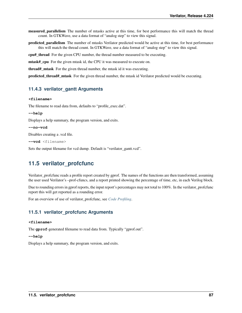measured parallelism The number of mtasks active at this time, for best performance this will match the thread count. In GTKWave, use a data format of "analog step" to view this signal.

predicted\_parallelism The number of mtasks Verilator predicted would be active at this time, for best performance this will match the thread count. In GTKWave, use a data format of "analog step" to view this signal.

cpu#\_thread For the given CPU number, the thread number measured to be executing.

mtask#\_cpu For the given mtask id, the CPU it was measured to execute on.

thread#\_mtask For the given thread number, the mtask id it was executing.

predicted\_thread#\_mtask For the given thread number, the mtask id Verilator predicted would be executing.

## **11.4.3 verilator\_gantt Arguments**

#### **<filename>**

The filename to read data from, defaults to "profile\_exec.dat".

```
--help
```
Displays a help summary, the program version, and exits.

```
--no-vcd
```
Disables creating a .vcd file.

**--vcd** <filename>

Sets the output filename for vcd dump. Default is "verilator\_gantt.vcd".

## **11.5 verilator\_profcfunc**

Verilator\_profcfunc reads a profile report created by gprof. The names of the functions are then transformed, assuming the user used Verilator's –prof-cfuncs, and a report printed showing the percentage of time, etc, in each Verilog block.

Due to rounding errors in gprof reports, the input report's percentages may not total to 100%. In the verilator\_profcfunc report this will get reported as a rounding error.

For an overview of use of verilator\_profcfunc, see *[Code Profiling](#page-33-0)*.

## **11.5.1 verilator\_profcfunc Arguments**

### **<filename>**

The **gprof**-generated filename to read data from. Typically "gprof.out".

#### **--help**

Displays a help summary, the program version, and exits.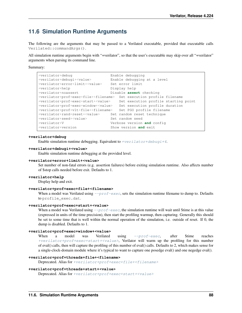## **11.6 Simulation Runtime Arguments**

The following are the arguments that may be passed to a Verilated executable, provided that executable calls Verilated::commandArgs().

All simulation runtime arguments begin with "+verilator", so that the user's executable may skip over all "+verilator" arguments when parsing its command line.

Summary:

| +verilator+debug                                 | Enable debugging                     |
|--------------------------------------------------|--------------------------------------|
| +verilator+debugi+ <value></value>               | Enable debugging at a level          |
| +verilator+error+limit+ <value></value>          | Set error limit                      |
| +verilator+help                                  | Display help                         |
| +verilator+noassert                              | Disable assert checking              |
| +verilator+prof+exec+file+ <filename></filename> | Set execution profile filename       |
| +verilator+prof+exec+start+ <value></value>      | Set execution profile starting point |
| +verilator+prof+exec+window+ <value></value>     | Set execution profile duration       |
| +verilator+prof+vlt+file+ <filename></filename>  | Set PGO profile filename             |
| +verilator+rand+reset+ <value></value>           | Set random reset technique           |
| +verilator+seed+ <value></value>                 | Set random seed                      |
| +verilator+V                                     | Verbose version and config           |
| +verilator+version                               | Show version and exit                |

## **+verilator+debug**

Enable simulation runtime debugging. Equivalent to  $+verilator+debugi+4$ .

#### <span id="page-90-0"></span>**+verilator+debugi+<value>**

Enable simulation runtime debugging at the provided level.

#### **+verilator+error+limit+<value>**

Set number of non-fatal errors (e.g. assertion failures) before exiting simulation runtime. Also affects number of \$stop calls needed before exit. Defaults to 1.

#### **+verilator+help**

Display help and exit.

## <span id="page-90-2"></span>**+verilator+prof+exec+file+<filename>**

When a model was Verilated using  $-prof$  exec, sets the simulation runtime filename to dump to. Defaults to profile\_exec.dat.

#### <span id="page-90-1"></span>**+verilator+prof+exec+start+<value>**

When a model was Verilated using  $-prof$ -exec, the simulation runtime will wait until \$time is at this value (expressed in units of the time precision), then start the profiling warmup, then capturing. Generally this should be set to some time that is well within the normal operation of the simulation, i.e. outside of reset. If 0, the dump is disabled. Defaults to 1.

#### **+verilator+prof+exec+window+<value>**

When a model was Verilated using  $-\text{prof-exec}$ , after \$time reaches [+verilator+prof+exec+start+<value>](#page-90-1), Verilator will warm up the profiling for this number of eval() calls, then will capture the profiling of this number of eval() calls. Defaults to 2, which makes sense for a single-clock-domain module where it's typical to want to capture one posedge eval() and one negedge eval().

#### **+verilator+prof+threads+file+<filename>**

Deprecated. Alias for [+verilator+prof+exec+file+<filename>](#page-90-2)

#### **+verilator+prof+threads+start+<value>**

Deprecated. Alias for [+verilator+prof+exec+start+<value>](#page-90-1)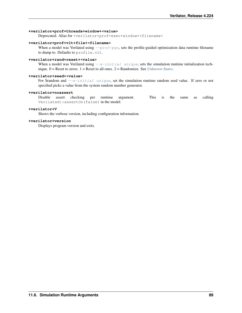#### **+verilator+prof+threads+window+<value>**

Deprecated. Alias for +verilator+prof+exec+window+<filename>

### **+verilator+prof+vlt+file+<filename>**

When a model was Verilated using  $-prof-pq$ , sets the profile-guided optimization data runtime filename to dump to. Defaults to profile.vlt.

## **+verilator+rand+reset+<value>**

When a model was Verilated using  $-x$ -initial unique, sets the simulation runtime initialization technique. 0 = Reset to zeros. 1 = Reset to all-ones. 2 = Randomize. See *[Unknown States](#page-52-0)*.

## <span id="page-91-0"></span>**+verilator+seed+<value>**

For \$random and  $-x$ -initial unique, set the simulation runtime random seed value. If zero or not specified picks a value from the system random number generator.

## **+verilator+noassert**

Disable assert checking per runtime argument. This is the same as calling Verilated::assertOn(false) in the model.

## **+verilator+V**

Shows the verbose version, including configuration information.

### **+verilator+version**

Displays program version and exits.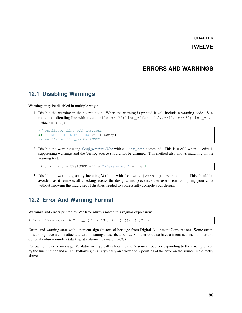## **CHAPTER**

## **TWELVE**

## **ERRORS AND WARNINGS**

## **12.1 Disabling Warnings**

Warnings may be disabled in multiple ways:

1. Disable the warning in the source code. When the warning is printed it will include a warning code. Surround the offending line with a /\*verilator&32;lint\_off\*/ and /\*verilator&32;lint\_on\*/ metacomment pair:

```
// verilator lint_off UNSIGNED
if (`DEF_THAT_IS_EQ_ZERO <= 3) $stop;
// verilator lint_on UNSIGNED
```
2. Disable the warning using *[Configuration Files](#page-83-1)* with a [lint\\_off](#page-85-1) command. This is useful when a script is suppressing warnings and the Verilog source should not be changed. This method also allows matching on the warning text.

lint\_off -rule UNSIGNED -file "\*/example.v" -line 1

3. Disable the warning globally invoking Verilator with the -Wno-{warning-code} option. This should be avoided, as it removes all checking across the designs, and prevents other users from compiling your code without knowing the magic set of disables needed to successfully compile your design.

## **12.2 Error And Warning Format**

Warnings and errors printed by Verilator always match this regular expression:

```
%(Error|Warning)(-[A-Z0-9_]+)?: ((\S+):(\d+):((\d+):)? )?.*
```
Errors and warning start with a percent sign (historical heritage from Digital Equipment Corporation). Some errors or warning have a code attached, with meanings described below. Some errors also have a filename, line number and optional column number (starting at column 1 to match GCC).

Following the error message, Verilator will typically show the user's source code corresponding to the error, prefixed by the line number and a " $\mid$ ". Following this is typically an arrow and  $\sim$  pointing at the error on the source line directly above.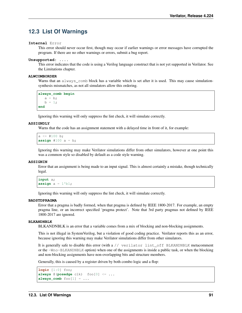## **12.3 List Of Warnings**

## **Internal** Error

This error should never occur first, though may occur if earlier warnings or error messages have corrupted the program. If there are no other warnings or errors, submit a bug report.

### **Unsupported:** ....

This error indicates that the code is using a Verilog language construct that is not yet supported in Verilator. See the Limitations chapter.

## **ALWCOMBORDER**

Warns that an always comb block has a variable which is set after it is used. This may cause simulationsynthesis mismatches, as not all simulators allow this ordering.

```
always_comb begin
  a = b;b = 1;end
```
Ignoring this warning will only suppress the lint check, it will simulate correctly.

## <span id="page-93-0"></span>**ASSIGNDLY**

Warns that the code has an assignment statement with a delayed time in front of it, for example:

```
a \leq #100 b;
assign #100 a = b;
```
Ignoring this warning may make Verilator simulations differ from other simulators, however at one point this was a common style so disabled by default as a code style warning.

## **ASSIGNIN**

Error that an assignment is being made to an input signal. This is almost certainly a mistake, though technically legal.

```
input a;
\textsf{assign} \texttt{a = 1'b1};
```
Ignoring this warning will only suppress the lint check, it will simulate correctly.

#### **BADSTDPRAGMA**

Error that a pragma is badly formed, when that pragma is defined by IEEE 1800-2017. For example, an empty pragma line, or an incorrect specified 'pragma protect'. Note that 3rd party pragmas not defined by IEEE 1800-2017 are ignored.

## **BLKANDNBLK**

BLKANDNBLK is an error that a variable comes from a mix of blocking and non-blocking assignments.

This is not illegal in SystemVerilog, but a violation of good coding practice. Verilator reports this as an error, because ignoring this warning may make Verilator simulations differ from other simulators.

It is generally safe to disable this error (with a // verilator lint\_off BLKANDNBLK metacomment or the -Wno-BLKANDNBLK option) when one of the assignments is inside a public task, or when the blocking and non-blocking assignments have non-overlapping bits and structure members.

Generally, this is caused by a register driven by both combo logic and a flop:

```
logic [1:0] foo;
always @(posedge clk) foo[0] <= ...
always\_comb foo[1] = ...
```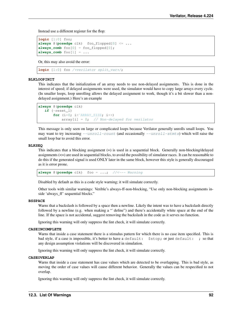Instead use a different register for the flop:

```
logic [1:0] foo;
always @(posedge clk) foo_flopped[0] <= ...
always_comb foo[0] = foo_flopped[0];
always_comb foo[1] = ...
```
Or, this may also avoid the error:

```
logic [1:0] foo /*verilator split_var*/;
```
#### <span id="page-94-0"></span>**BLKLOOPINIT**

This indicates that the initialization of an array needs to use non-delayed assignments. This is done in the interest of speed; if delayed assignments were used, the simulator would have to copy large arrays every cycle. (In smaller loops, loop unrolling allows the delayed assignment to work, though it's a bit slower than a nondelayed assignment.) Here's an example

```
always @(posedge clk)
  if (~reset_l)
       for (i=0; i<sup>2</sup>ARRAY_SIZE; i++)array[i] = 0; // Non-delayed for verilator
```
This message is only seen on large or complicated loops because Verilator generally unrolls small loops. You may want to try increasing  $-$ unroll-count (and occasionally  $-$ unroll-stmts) which will raise the small loop bar to avoid this error.

## **BLKSEQ**

This indicates that a blocking assignment (=) is used in a sequential block. Generally non-blocking/delayed assignments  $\left(\leq\right)$  are used in sequential blocks, to avoid the possibility of simulator races. It can be reasonable to do this if the generated signal is used ONLY later in the same block, however this style is generally discouraged as it is error prone.

**always** @(**posedge** clk) foo = ...; //<--- Warning

Disabled by default as this is a code style warning; it will simulate correctly.

Other tools with similar warnings: Verible's always-ff-non-blocking, "Use only non-blocking assignments inside 'always\_ff' sequential blocks."

#### **BSSPACE**

Warns that a backslash is followed by a space then a newline. Likely the intent was to have a backslash directly followed by a newline (e.g. when making a "`define") and there's accidentally white space at the end of the line. If the space is not accidental, suggest removing the backslash in the code as it serves no function.

Ignoring this warning will only suppress the lint check, it will simulate correctly.

#### **CASEINCOMPLETE**

Warns that inside a case statement there is a stimulus pattern for which there is no case item specified. This is bad style, if a case is impossible, it's better to have a default: \$stop; or just default: ; so that any design assumption violations will be discovered in simulation.

Ignoring this warning will only suppress the lint check, it will simulate correctly.

## **CASEOVERLAP**

Warns that inside a case statement has case values which are detected to be overlapping. This is bad style, as moving the order of case values will cause different behavior. Generally the values can be respecified to not overlap.

Ignoring this warning will only suppress the lint check, it will simulate correctly.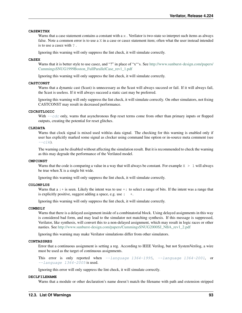## **CASEWITHX**

Warns that a case statement contains a constant with  $a \times$ . Verilator is two-state so interpret such items as always false. Note a common error is to use a X in a case or casez statement item; often what the user instead intended is to use a casez with ? .

Ignoring this warning will only suppress the lint check, it will simulate correctly.

#### **CASEX**

Warns that it is better style to use casez, and "?" in place of "x"'s. See [http://www.sunburst-design.com/papers/](http://www.sunburst-design.com/papers/CummingsSNUG1999Boston_FullParallelCase_rev1_1.pdf) [CummingsSNUG1999Boston\\_FullParallelCase\\_rev1\\_1.pdf](http://www.sunburst-design.com/papers/CummingsSNUG1999Boston_FullParallelCase_rev1_1.pdf)

Ignoring this warning will only suppress the lint check, it will simulate correctly.

### **CASTCONST**

Warns that a dynamic cast (\$cast) is unnecessary as the \$cast will always succeed or fail. If it will always fail, the \$cast is useless. If it will always succeed a static cast may be preferred.

Ignoring this warning will only suppress the lint check, it will simulate correctly. On other simulators, not fixing CASTCONST may result in decreased performance.

### **CDCRSTLOGIC**

With  $-\text{cdc}$  only, warns that asynchronous flop reset terms come from other than primary inputs or flopped outputs, creating the potential for reset glitches.

## **CLKDATA**

Warns that clock signal is mixed used with/as data signal. The checking for this warning is enabled only if user has explicitly marked some signal as clocker using command line option or in-source meta comment (see  $- - c \, \lambda$ .

The warning can be disabled without affecting the simulation result. But it is recommended to check the warning as this may degrade the performance of the Verilated model.

## **CMPCONST**

Warns that the code is comparing a value in a way that will always be constant. For example  $X > 1$  will always be true when X is a single bit wide.

Ignoring this warning will only suppress the lint check, it will simulate correctly.

#### **COLONPLUS**

Warns that  $a :+$  is seen. Likely the intent was to use  $+:$  to select a range of bits. If the intent was a range that is explicitly positive, suggest adding a space, e.g. use  $: +$ .

Ignoring this warning will only suppress the lint check, it will simulate correctly.

## <span id="page-95-0"></span>**COMBDLY**

Warns that there is a delayed assignment inside of a combinatorial block. Using delayed assignments in this way is considered bad form, and may lead to the simulator not matching synthesis. If this message is suppressed, Verilator, like synthesis, will convert this to a non-delayed assignment, which may result in logic races or other nasties. See [http://www.sunburst-design.com/papers/CummingsSNUG2000SJ\\_NBA\\_rev1\\_2.pdf](http://www.sunburst-design.com/papers/CummingsSNUG2000SJ_NBA_rev1_2.pdf)

Ignoring this warning may make Verilator simulations differ from other simulators.

## **CONTASSREG**

Error that a continuous assignment is setting a reg. According to IEEE Verilog, but not SystemVerilog, a wire must be used as the target of continuous assignments.

This error is only reported when  $-$ language 1364-1995,  $-$ language 1364-2001, or  $-$ language  $1364 - 2005$  is used.

Ignoring this error will only suppress the lint check, it will simulate correctly.

#### **DECLFILENAME**

Warns that a module or other declaration's name doesn't match the filename with path and extension stripped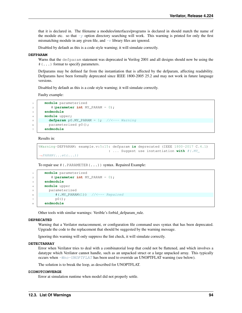that it is declared in. The filename a modules/interfaces/programs is declared in should match the name of the module etc. so that  $-y$  option directory searching will work. This warning is printed for only the first mismatching module in any given file, and  $-v$  library files are ignored.

Disabled by default as this is a code style warning; it will simulate correctly.

## **DEFPARAM**

Warns that the defparam statement was deprecated in Verilog 2001 and all designs should now be using the #(...) format to specify parameters.

Defparams may be defined far from the instantiation that is affected by the defparam, affecting readability. Defparams have been formally deprecated since IEEE 1800-2005 25.2 and may not work in future language versions.

Disabled by default as this is a code style warning; it will simulate correctly.

Faulty example:

```
module parameterized
2 \parallel \qquad \qquad \qquad \qquad \qquad \qquad \qquad \qquad \qquad \qquad \qquad \qquad \qquad \qquad \qquad \qquad \qquad \qquad \qquad \qquad \qquad \qquad \qquad \qquad \qquad \qquad \qquad \qquad \qquad \qquad \qquad \qquad \qquad \qquad \qquad \3 endmodule
4 module upper;
5 defparam p0.MY_PARAM = 1; //<--- Warning
6 parameterized p0();
            7 endmodule
```
Results in:

```
%Warning-DEFPARAM: example.v:5:15: defparam is deprecated (IEEE 1800-2017 C.4.1)
                                    : ... Suggest use instantiation with #(.MY_
\rightarrowPARAM(\dotsetc...))
```
To repair use #(.PARAMETER(...)) syntax. Repaired Example:

```
1 module parameterized
2 #(parameter int MY_PARAM = 0);
3 endmodule
4 module upper
5 parameterized
6 \parallel \text{#}(\text{.MY\_PARAM}(1)) //<--- Repaired
          p(0);
     8 endmodule
```
Other tools with similar warnings: Verible's forbid\_defparam\_rule.

## **DEPRECATED**

Warning that a Verilator metacomment, or configuration file command uses syntax that has been deprecated. Upgrade the code to the replacement that should be suggested by the warning message.

Ignoring this warning will only suppress the lint check, it will simulate correctly.

## **DETECTARRAY**

Error when Verilator tries to deal with a combinatorial loop that could not be flattened, and which involves a datatype which Verilator cannot handle, such as an unpacked struct or a large unpacked array. This typically occurs when [-Wno-UNOPTFLAT](#page-106-0) has been used to override an UNOPTFLAT warning (see below).

The solution is to break the loop, as described for UNOPTFLAT.

## **DIDNOTCONVERGE**

Error at simulation runtime when model did not properly settle.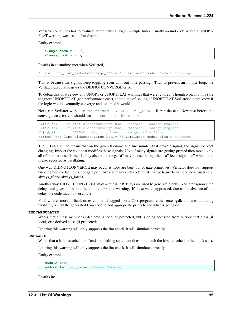Verilator sometimes has to evaluate combinatorial logic multiple times, usually around code where a UNOPT-FLAT warning was issued, but disabled.

Faulty example:

**always\_comb**  $b = -a$ ; always comb  $a = b$ ;

Results in at runtime (not when Verilated):

%Error: t/t\_lint\_didnotconverge\_bad.v:7: Verilated model didn't converge

This is because the signals keep toggling even with out time passing. Thus to prevent an infinite loop, the Verilated executable gives the DIDNOTCONVERGE error.

To debug this, first review any UNOPT or UNOPTFLAT warnings that were ignored. Though typically it is safe to ignore UNOPTFLAT (at a performance cost), at the time of issuing a UNOPTFLAT Verilator did not know if the logic would eventually converge and assumed it would.

Next, run Verilator with  $-prof-cfuncs$  -CFLAGS -DVL\_DEBUG. Rerun the test. Now just before the convergence error you should see additional output similar to this:

```
-V{t#,#}+ Vt_lint_didnotconverge_bad___024root___change_request
-V{t#,#}+ Vt_lint_didnotconverge_bad___024root___change_request_1
-V{t}, #} CHANGE: t/t_lint_didnotconverge_bad.v:14: a
%Error: t/t_lint_didnotconverge_bad.v:7: Verilated model didn't converge
```
The CHANGE line means that on the given filename and line number that drove a signal, the signal 'a' kept changing. Inspect the code that modifies these signals. Note if many signals are getting printed then most likely all of them are oscillating. It may also be that e.g. "a" may be oscillating, then "a" feeds signal "c" which then is also reported as oscillating.

One way DIDNOTCONVERGE may occur is flops are built out of gate primitives. Verilator does not support building flops or latches out of gate primitives, and any such code must change to use behavioral constructs (e.g. always\_ff and always\_latch).

Another way DIDNOTCONVERGE may occur is if # delays are used to generate clocks. Verilator ignores the delays and gives an [ASSIGNDLY](#page-93-0) or [STMTDLY](#page-104-0) warning. If these were suppressed, due to the absence of the delay, the code may now oscillate.

Finally, rare, more difficult cases can be debugged like a C++ program; either enter **gdb** and use its tracing facilities, or edit the generated C++ code to add appropriate prints to see what is going on.

### **ENDCAPSULATED**

Warns that a class member is declared is local or protected, but is being accessed from outside that class (if local) or a derived class (if protected).

Ignoring this warning will only suppress the lint check, it will simulate correctly.

#### **ENDLABEL**

Warns that a label attached to a "end"-something statement does not match the label attached to the block start.

Ignoring this warning will only suppress the lint check, it will simulate correctly.

Faulty example:

```
module mine;
```

```
2 endmodule : not_mine //<--- Warning
```
Results in: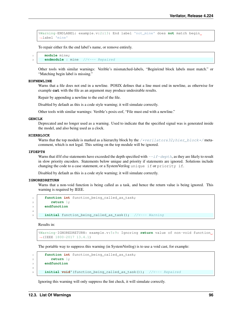```
%Warning-ENDLABEL: example.v:2:13: End label 'not_mine' does not match begin
˓→label 'mine'
```
To repair either fix the end label's name, or remove entirely.

```
module mine;
2 endmodule : mine //<--- Repaired
```
Other tools with similar warnings: Verible's mismatched-labels, "Begin/end block labels must match." or "Matching begin label is missing."

#### **EOFNEWLINE**

Warns that a file does not end in a newline. POSIX defines that a line must end in newline, as otherwise for example **cat** with the file as an argument may produce undesirable results.

Repair by appending a newline to the end of the file.

Disabled by default as this is a code style warning; it will simulate correctly.

Other tools with similar warnings: Verible's posix-eof, "File must end with a newline."

#### **GENCLK**

Deprecated and no longer used as a warning. Used to indicate that the specified signal was is generated inside the model, and also being used as a clock.

## **HIERBLOCK**

Warns that the top module is marked as a hierarchy block by the /\*verilator&32; hier\_block\*/ metacomment, which is not legal. This setting on the top module will be ignored.

#### **IFDEPTH**

Warns that if/if else statements have exceeded the depth specified with  $-\textit{i}$  f-depth, as they are likely to result in slow priority encoders. Statements below unique and priority if statements are ignored. Solutions include changing the code to a case statement, or a SystemVerilog unique if or priority if.

Disabled by default as this is a code style warning; it will simulate correctly.

#### **IGNOREDRETURN**

Warns that a non-void function is being called as a task, and hence the return value is being ignored. This warning is required by IEEE.

```
function int function_being_called_as_task;
2 return 1;
3 endfunction
4
     initial function_being_called_as_task(); //<--- Warning
```
Results in:

```
%Warning-IGNOREDRETURN: example.v:5:9: Ignoring return value of non-void function
\rightarrow(IEEE 1800-2017 13.4.1)
```
The portable way to suppress this warning (in SystemVerilog) is to use a void cast, for example:

```
1 function int function_being_called_as_task;
2 return 1;
3 endfunction
4
     initial void'(function_being_called_as_task()); //<--- Repaired
```
Ignoring this warning will only suppress the lint check, it will simulate correctly.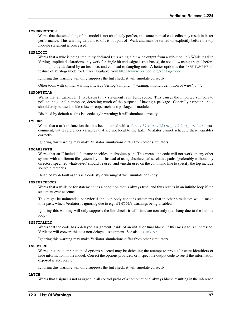## **IMPERFECTSCH**

Warns that the scheduling of the model is not absolutely perfect, and some manual code edits may result in faster performance. This warning defaults to off, is not part of -Wall, and must be turned on explicitly before the top module statement is processed.

## **IMPLICIT**

Warns that a wire is being implicitly declared (it is a single bit wide output from a sub-module.) While legal in Verilog, implicit declarations only work for single bit wide signals (not buses), do not allow using a signal before it is implicitly declared by an instance, and can lead to dangling nets. A better option is the  $/*AUTOWIRE*/$ feature of Verilog-Mode for Emacs, available from <https://www.veripool.org/verilog-mode>

Ignoring this warning will only suppress the lint check, it will simulate correctly.

Other tools with similar warnings: Icarus Verilog's implicit, "warning: implicit definition of wire '. . . '".

### **IMPORTSTAR**

Warns that an import  ${package}:.*$  statement is in \$unit scope. This causes the imported symbols to pollute the global namespace, defeating much of the purpose of having a package. Generally import  $::*$ should only be used inside a lower scope such as a package or module.

Disabled by default as this is a code style warning; it will simulate correctly.

#### **IMPURE**

Warns that a task or function that has been marked with a [/\\*verilator&32;no\\_inline\\_task\\*/](#page-60-1)metacomment, but it references variables that are not local to the task. Verilator cannot schedule these variables correctly.

Ignoring this warning may make Verilator simulations differ from other simulators.

### **INCABSPATH**

Warns that an "`include" filename specifies an absolute path. This means the code will not work on any other system with a different file system layout. Instead of using absolute paths, relative paths (preferably without any directory specified whatsoever) should be used, and +incdir used on the command line to specify the top include source directories.

Disabled by default as this is a code style warning; it will simulate correctly.

## **INFINITELOOP**

Warns that a while or for statement has a condition that is always true. and thus results in an infinite loop if the statement ever executes.

This might be unintended behavior if the loop body contains statements that in other simulators would make time pass, which Verilator is ignoring due to e.g. STMTDLY warnings being disabled.

Ignoring this warning will only suppress the lint check, it will simulate correctly (i.e. hang due to the infinite loop).

## **INITIALDLY**

Warns that the code has a delayed assignment inside of an initial or final block. If this message is suppressed, Verilator will convert this to a non-delayed assignment. See also [COMBDLY](#page-95-0).

Ignoring this warning may make Verilator simulations differ from other simulators.

#### **INSECURE**

Warns that the combination of options selected may be defeating the attempt to protect/obscure identifiers or hide information in the model. Correct the options provided, or inspect the output code to see if the information exposed is acceptable.

Ignoring this warning will only suppress the lint check, it will simulate correctly.

#### **LATCH**

Warns that a signal is not assigned in all control paths of a combinational always block, resulting in the inference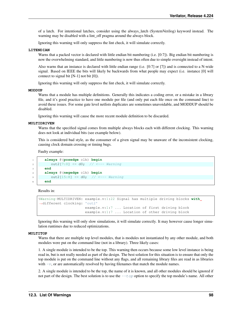of a latch. For intentional latches, consider using the always\_latch (SystemVerilog) keyword instead. The warning may be disabled with a lint off pragma around the always block.

Ignoring this warning will only suppress the lint check, it will simulate correctly.

## **LITENDIAN**

Warns that a packed vector is declared with little endian bit numbering (i.e. [0:7]). Big endian bit numbering is now the overwhelming standard, and little numbering is now thus often due to simple oversight instead of intent.

Also warns that an instance is declared with little endian range (i.e. [0:7] or [7]) and is connected to a N-wide signal. Based on IEEE the bits will likely be backwards from what people may expect (i.e. instance [0] will connect to signal bit [N-1] not bit [0]).

Ignoring this warning will only suppress the lint check, it will simulate correctly.

## **MODDUP**

Warns that a module has multiple definitions. Generally this indicates a coding error, or a mistake in a library file, and it's good practice to have one module per file (and only put each file once on the command line) to avoid these issues. For some gate level netlists duplicates are sometimes unavoidable, and MODDUP should be disabled.

Ignoring this warning will cause the more recent module definition to be discarded.

#### **MULTIDRIVEN**

Warns that the specified signal comes from multiple always blocks each with different clocking. This warning does not look at individual bits (see example below).

This is considered bad style, as the consumer of a given signal may be unaware of the inconsistent clocking, causing clock domain crossing or timing bugs.

Faulty example:

```
1 always @(posedge clk) begin
2 out2[7:0] \leq d0; // \lt--- Warning
3 end
4 always @(negedge clk) begin
5 out2[15:8] \leq d0; // \leq --- Warning
6 end
```
Results in:

```
%Warning-MULTIDRIVEN: example.v:1:22 Signal has multiple driving blocks with
˓→different clocking: 'out2'
                     example.v:1:7 ... Location of first driving block
                     example.v:1:7 ... Location of other driving block
```
Ignoring this warning will only slow simulations, it will simulate correctly. It may however cause longer simulation runtimes due to reduced optimizations.

#### <span id="page-100-0"></span>**MULTITOP**

Warns that there are multiple top level modules, that is modules not instantiated by any other module, and both modules were put on the command line (not in a library). Three likely cases:

1. A single module is intended to be the top. This warning then occurs because some low level instance is being read in, but is not really needed as part of the design. The best solution for this situation is to ensure that only the top module is put on the command line without any flags, and all remaining library files are read in as libraries with  $-v$ , or are automatically resolved by having filenames that match the module names.

2. A single module is intended to be the top, the name of it is known, and all other modules should be ignored if not part of the design. The best solution is to use the  $-\epsilon_{\text{op}}$  option to specify the top module's name. All other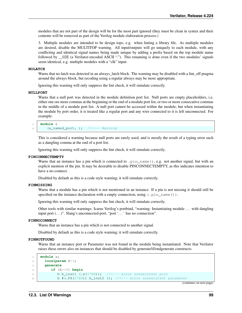modules that are not part of the design will be for the most part ignored (they must be clean in syntax and their contents will be removed as part of the Verilog module elaboration process.)

3. Multiple modules are intended to be design tops, e.g. when linting a library file. As multiple modules are desired, disable the MULTITOP warning. All input/outputs will go uniquely to each module, with any conflicting and identical signal names being made unique by adding a prefix based on the top module name followed by  $02E$  (a Verilator-encoded ASCII "."). This renaming is done even if the two modules' signals seem identical, e.g. multiple modules with a "clk" input.

#### **NOLATCH**

Warns that no latch was detected in an always\_latch block. The warning may be disabled with a lint\_off pragma around the always block, but recoding using a regular always may be more appropriate.

Ignoring this warning will only suppress the lint check, it will simulate correctly.

#### **NULLPORT**

Warns that a null port was detected in the module definition port list. Null ports are empty placeholders, i.e. either one ore more commas at the beginning or the end of a module port list, or two or more consecutive commas in the middle of a module port list. A null port cannot be accessed within the module, but when instantiating the module by port order, it is treated like a regular port and any wire connected to it is left unconnected. For example:

```
1 module a
   (a_named_port, ); //<--- Warning
```
This is considered a warning because null ports are rarely used, and is mostly the result of a typing error such as a dangling comma at the end of a port list.

Ignoring this warning will only suppress the lint check, it will simulate correctly.

#### **PINCONNECTEMPTY**

Warns that an instance has a pin which is connected to .pin name(), e.g. not another signal, but with an explicit mention of the pin. It may be desirable to disable PINCONNECTEMPTY, as this indicates intention to have a no-connect.

Disabled by default as this is a code style warning; it will simulate correctly.

## **PINMISSING**

Warns that a module has a pin which is not mentioned in an instance. If a pin is not missing it should still be specified on the instance declaration with a empty connection, using  $(.pin_name())$ .

Ignoring this warning will only suppress the lint check, it will simulate correctly.

Other tools with similar warnings: Icarus Verilog's portbind, "warning: Instantiating module . . . with dangling input port  $(\ldots)$ ". Slang's unconnected-port, "port ' $\ldots$  ' has no connection".

#### **PINNOCONNECT**

Warns that an instance has a pin which is not connected to another signal.

Disabled by default as this is a code style warning; it will simulate correctly.

## **PINNOTFOUND**

Warns that an instance port or Parameter was not found in the module being instantiated. Note that Verilator raises these errors also on instances that should be disabled by generate/if/endgenerate constructs:

```
1 module a;
2 localparam A=1;
3 generate
4 if (A==0) begin
\mathfrak{b} b b_inst1 (.x(1'b0)); //<--- error nonexistent port
          b #(.PX(1'b0)) b_inst2 (); //<--- error nonexistent parameter
```
(continues on next page)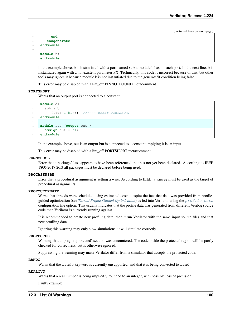(continued from previous page)

```
7 end
8 endgenerate
9 endmodule
10
11 module b;
12 endmodule
```
In the example above, b is instantiated with a port named x, but module b has no such port. In the next line, b is instantiated again with a nonexistent parameter PX. Technically, this code is incorrect because of this, but other tools may ignore it because module b is not instantiated due to the generate/if condition being false.

This error may be disabled with a lint\_off PINNOTFOUND metacomment.

#### **PORTSHORT**

Warns that an output port is connected to a constant.

```
1 module a;
2 \mid sub sub
\left(.out(1'b1)); //<--- error PORTSHORT
4 endmodule
5
6 module sub (output out);
     \text{assign out} = '1;8 endmodule
```
In the example above, out is an output but is connected to a constant implying it is an input.

This error may be disabled with a lint\_off PORTSHORT metacomment.

#### **PKGNODECL**

Error that a package/class appears to have been referenced that has not yet been declared. According to IEEE 1800-2017 26.3 all packages must be declared before being used.

## **PROCASSWIRE**

Error that a procedural assignment is setting a wire. According to IEEE, a var/reg must be used as the target of procedural assignments.

#### **PROFOUTOFDATE**

Warns that threads were scheduled using estimated costs, despite the fact that data was provided from profileguided optimization (see *[Thread Profile-Guided Optimization](#page-36-0)*) as fed into Verilator using the [profile\\_data](#page-85-2) configuration file option. This usually indicates that the profile data was generated from different Verilog source code than Verilator is currently running against.

It is recommended to create new profiling data, then rerun Verilator with the same input source files and that new profiling data.

Ignoring this warning may only slow simulations, it will simulate correctly.

#### **PROTECTED**

Warning that a 'pragma protected' section was encountered. The code inside the protected region will be partly checked for correctness, but is otherwise ignored.

Suppressing the warning may make Verilator differ from a simulator that accepts the protected code.

#### **RANDC**

Warns that the rande keyword is currently unsupported, and that it is being converted to rand.

#### **REALCVT**

Warns that a real number is being implicitly rounded to an integer, with possible loss of precision.

Faulty example: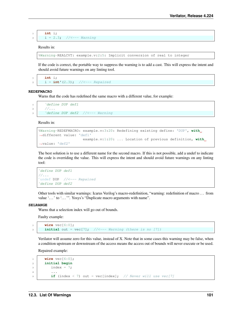```
1 int i;
2 | i = 2.3; //<--- Warning
```
## Results in:

```
%Warning-REALCVT: example.v:2:5: Implicit conversion of real to integer
```
If the code is correct, the portable way to suppress the warning is to add a cast. This will express the intent and should avoid future warnings on any linting tool.

<sup>1</sup> **int** i;  $2 \mid i = \text{int}'(2.3);$  //<--- Repaired

#### **REDEFMACRO**

Warns that the code has redefined the same macro with a different value, for example:

```
IDEFMACRO<br>Warns that the code has respect to the DUP define DUP define
2 / \ldots1 \cdefine DUP def1<br>2 //...<br>3 \cdefine DUP def2 //<--- Warning
```
Results in:

```
%Warning-REDEFMACRO: example.v:3:20: Redefining existing define: 'DUP', with
˓→different value: 'def1'
                     example.v:1:20: ... Location of previous definition, with
˓→value: 'def2'
```
The best solution is to use a different name for the second macro. If this is not possible, add a undef to indicate the code is overriding the value. This will express the intent and should avoid future warnings on any linting `tool:  $\overline{\phantom{a}}$ 

```
define DUP def1
`//...
undef DUP //<--- Repaired
define DUP def2
```
Other tools with similar warnings: Icarus Verilog's macro-redefinition, "warning: redefinition of macro . . . from value '...' to '...'". Yosys's "Duplicate macro arguments with name".

#### **SELRANGE**

Warns that a selection index will go out of bounds.

Faulty example:

```
wire vec[6:0];
\mathbf{z} initial out = \text{vec}[7]; // \leftarrow-- Warning (there is no [7])
```
Verilator will assume zero for this value, instead of X. Note that in some cases this warning may be false, when a condition upstream or downstream of the access means the access out of bounds will never execute or be used.

Repaired example:

```
1 wire vec[6:0];
2 initial begin
\frac{3}{3} index = 7;
4 \mid \cdot \cdot \cdot \cdot\begin{bmatrix} 5 \end{bmatrix} if (index < 7) out = vec[index]; // Never will use vec[7]
```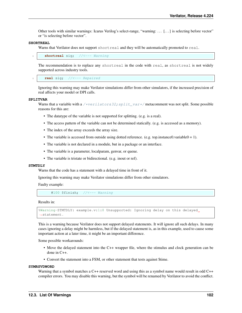Other tools with similar warnings: Icarus Verilog's select-range, "warning: ... [...] is selecting before vector" or "is selecting before vector".

#### **SHORTREAL**

Warns that Verilator does not support shortreal and they will be automatically promoted to real.

shortreal sig; //<--- Warning

The recommendation is to replace any shortreal in the code with real, as shortreal is not widely supported across industry tools.

real sig; //<--- Repaired

Ignoring this warning may make Verilator simulations differ from other simulators, if the increased precision of real affects your model or DPI calls.

#### **SPLITVAR**

Warns that a variable with a /\*verilator&32; split\_var\*/ metacomment was not split. Some possible reasons for this are:

- The datatype of the variable is not supported for splitting. (e.g. is a real).
- The access pattern of the variable can not be determined statically. (e.g. is accessed as a memory).
- The index of the array exceeds the array size.
- The variable is accessed from outside using dotted reference. (e.g. top.instance0.variable0 = 1).
- The variable is not declared in a module, but in a package or an interface.
- The variable is a parameter, localparam, genvar, or queue.
- The variable is tristate or bidirectional. (e.g. inout or ref).

#### <span id="page-104-0"></span>**STMTDLY**

Warns that the code has a statement with a delayed time in front of it.

Ignoring this warning may make Verilator simulations differ from other simulators.

Faulty example:

```
#100 $finish; //<--- Warning
```
Results in:

```
%Warning-STMTDLY: example.v:1:8 Unsupported: Ignoring delay on this delayed
˓→statement.
```
This is a warning because Verilator does not support delayed statements. It will ignore all such delays. In many cases ignoring a delay might be harmless, but if the delayed statement is, as in this example, used to cause some important action at a later time, it might be an important difference.

Some possible workarounds:

- Move the delayed statement into the C++ wrapper file, where the stimulus and clock generation can be done in C++.
- Convert the statement into a FSM, or other statement that tests against \$time.

#### **SYMRSVDWORD**

Warning that a symbol matches a C++ reserved word and using this as a symbol name would result in odd C++ compiler errors. You may disable this warning, but the symbol will be renamed by Verilator to avoid the conflict.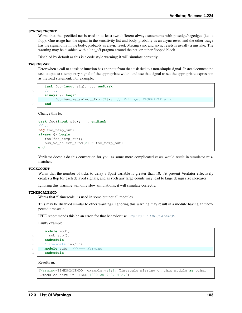#### **SYNCASYNCNET**

Warns that the specified net is used in at least two different always statements with posedge/negedges (i.e. a flop). One usage has the signal in the sensitivity list and body, probably as an async reset, and the other usage has the signal only in the body, probably as a sync reset. Mixing sync and async resets is usually a mistake. The warning may be disabled with a lint\_off pragma around the net, or either flopped block.

Disabled by default as this is a code style warning; it will simulate correctly.

## **TASKNSVAR**

Error when a call to a task or function has an inout from that task tied to a non-simple signal. Instead connect the task output to a temporary signal of the appropriate width, and use that signal to set the appropriate expression as the next statement. For example:

```
1 task foo(inout sig); ... endtask
2 // ...
3 always @* begin
4 foo(bus_we_select_from[2]); // Will get TASKNSVAR error
5 end
```
Change this to:

```
task foo(inout sig); ... endtask
// ...
reg foo_temp_out;
always @* begin
   foo(foo_temp_out);
   bus_we_select_from[2] = foo_temp_out;
end
```
Verilator doesn't do this conversion for you, as some more complicated cases would result in simulator mismatches.

#### **TICKCOUNT**

Warns that the number of ticks to delay a \$past variable is greater than 10. At present Verilator effectively creates a flop for each delayed signals, and as such any large counts may lead to large design size increases.

Ignoring this warning will only slow simulations, it will simulate correctly.

#### **TIMESCALEMOD**

Warns that "`timescale" is used in some but not all modules.

This may be disabled similar to other warnings. Ignoring this warning may result in a module having an unexpected timescale.

IEEE recommends this be an error, for that behavior use  $-We$ *ror-TIMESCALEMOD*.

Faulty example:

```
1 module mod1;
2 \mid sub sub();
3 endmodule
4 `timescale 1ns/1ns
5 module sub; //<--- Warning
     6 endmodule
```
Results in:

```
%Warning-TIMESCALEMOD: example.v:1:8: Timescale missing on this module as other
˓→modules have it (IEEE 1800-2017 3.14.2.3)
```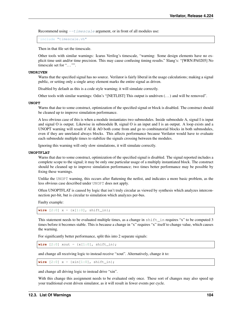Recommend using  $-\tau \text{timescale}$  argument, or in front of all modules use:

include "timescale.vh"

Then in that file set the timescale.

Other tools with similar warnings: Icarus Verilog's timescale, "warning: Some design elements have no explicit time unit and/or time precision. This may cause confusing timing results." Slang's: "[WRN:PA0205] No timescale set for "..."".

#### **UNDRIVEN**

Warns that the specified signal has no source. Verilator is fairly liberal in the usage calculations; making a signal public, or setting only a single array element marks the entire signal as driven.

Disabled by default as this is a code style warning; it will simulate correctly.

Other tools with similar warnings: Odin's "[NETLIST] This output is undriven (. . . ) and will be removed".

#### **UNOPT**

Warns that due to some construct, optimization of the specified signal or block is disabled. The construct should be cleaned up to improve simulation performance.

A less obvious case of this is when a module instantiates two submodules. Inside submodule A, signal I is input and signal O is output. Likewise in submodule B, signal O is an input and I is an output. A loop exists and a UNOPT warning will result if AI & AO both come from and go to combinatorial blocks in both submodules, even if they are unrelated always blocks. This affects performance because Verilator would have to evaluate each submodule multiple times to stabilize the signals crossing between the modules.

Ignoring this warning will only slow simulations, it will simulate correctly.

## <span id="page-106-0"></span>**UNOPTFLAT**

Warns that due to some construct, optimization of the specified signal is disabled. The signal reported includes a complete scope to the signal; it may be only one particular usage of a multiply instantiated block. The construct should be cleaned up to improve simulation performance; two times better performance may be possible by fixing these warnings.

Unlike the UNOPT warning, this occurs after flattening the netlist, and indicates a more basic problem, as the less obvious case described under UNOPT does not apply.

Often UNOPTFLAT is caused by logic that isn't truly circular as viewed by synthesis which analyzes interconnection per-bit, but is circular to simulation which analyzes per-bus.

Faulty example:

**wire**  $[2:0]$   $x = {x[1:0]}$ , shift\_in};

This statement needs to be evaluated multiple times, as a change in shift\_in requires "x" to be computed 3 times before it becomes stable. This is because a change in "x" requires "x" itself to change value, which causes the warning.

For significantly better performance, split this into 2 separate signals:

**wire**  $[2:0]$  xout =  $\{x[1:0]$ , shift\_in};

and change all receiving logic to instead receive "xout". Alternatively, change it to:

**wire**  $[2:0]$   $x = {xin[1:0]}$ , shift\_in};

and change all driving logic to instead drive "xin".

With this change this assignment needs to be evaluated only once. These sort of changes may also speed up your traditional event driven simulator, as it will result in fewer events per cycle.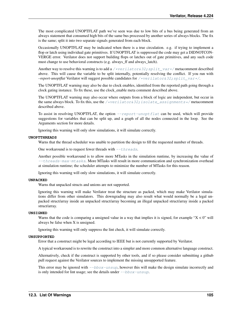The most complicated UNOPTFLAT path we've seen was due to low bits of a bus being generated from an always statement that consumed high bits of the same bus processed by another series of always blocks. The fix is the same; split it into two separate signals generated from each block.

Occasionally UNOPTFLAT may be indicated when there is a true circulation. e.g. if trying to implement a flop or latch using individual gate primitives. If UNOPTFLAT is suppressed the code may get a DIDNOTCON-VERGE error. Verilator does not support building flops or latches out of gate primitives, and any such code must change to use behavioral constructs (e.g. always\_ff and always\_latch).

Another way to resolve this warning is to add a /\*verilator&32; split\_var\*/ metacomment described above. This will cause the variable to be split internally, potentially resolving the conflict. If you run with *–report-unoptflat* Verilator will suggest possible candidates for [/\\*verilator&32;split\\_var\\*/](#page-61-3).

The UNOPTFLAT warning may also be due to clock enables, identified from the reported path going through a clock gating instance. To fix these, use the clock\_enable meta comment described above.

The UNOPTFLAT warning may also occur where outputs from a block of logic are independent, but occur in the same always block. To fix this, use the /\*verilator&32; isolate\_assignments\*/ metacomment described above.

To assist in resolving UNOPTFLAT, the option  $-\text{report-unoptflat}$  can be used, which will provide suggestions for variables that can be split up, and a graph of all the nodes connected in the loop. See the Arguments section for more details.

Ignoring this warning will only slow simulations, it will simulate correctly.

### **UNOPTTHREADS**

Warns that the thread scheduler was unable to partition the design to fill the requested number of threads.

One workaround is to request fewer threads with  $-\tau$ *hreads*.

Another possible workaround is to allow more MTasks in the simulation runtime, by increasing the value of  $-\text{threak}$  -  $\text{max-mexists}$  s. More MTasks will result in more communication and synchronization overhead at simulation runtime; the scheduler attempts to minimize the number of MTasks for this reason.

Ignoring this warning will only slow simulations, it will simulate correctly.

#### **UNPACKED**

Warns that unpacked structs and unions are not supported.

Ignoring this warning will make Verilator treat the structure as packed, which may make Verilator simulations differ from other simulators. This downgrading may also result what would normally be a legal unpacked struct/array inside an unpacked struct/array becoming an illegal unpacked struct/array inside a packed struct/array.

### **UNSIGNED**

Warns that the code is comparing a unsigned value in a way that implies it is signed, for example " $X < 0$ " will always be false when X is unsigned.

Ignoring this warning will only suppress the lint check, it will simulate correctly.

#### **UNSUPPORTED**

Error that a construct might be legal according to IEEE but is not currently supported by Verilator.

A typical workaround is to rewrite the construct into a simpler and more common alternative language construct.

Alternatively, check if the construct is supported by other tools, and if so please consider submitting a github pull request against the Verilator sources to implement the missing unsupported feature.

This error may be ignored with  $-\text{bbox-unsup}$ , however this will make the design simulate incorrectly and is only intended for lint usage; see the details under  $-\text{bbox-unsup.}$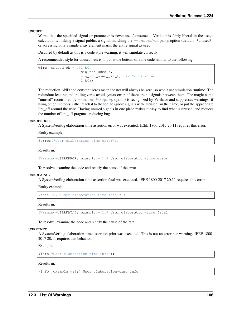#### **UNUSED**

Warns that the specified signal or parameter is never used/consumed. Verilator is fairly liberal in the usage calculations; making a signal public, a signal matching the  $-$ unused-regexp option (default "\*unused\*" or accessing only a single array element marks the entire signal as used.

Disabled by default as this is a code style warning; it will simulate correctly.

A recommended style for unused nets is to put at the bottom of a file code similar to the following:

```
wire _unused_ok = \kappa(1'b0,sig_not_used_a,
                     sig_not_used_yet_b, // To be fixed
                     1'b0};
```
The reduction AND and constant zeros mean the net will always be zero, so won't use simulation runtime. The redundant leading and trailing zeros avoid syntax errors if there are no signals between them. The magic name "unused" (controlled by  $-\text{unused-}$  regexp option) is recognized by Verilator and suppresses warnings; if using other lint tools, either teach it to the tool to ignore signals with "unused" in the name, or put the appropriate lint\_off around the wire. Having unused signals in one place makes it easy to find what is unused, and reduces the number of lint\_off pragmas, reducing bugs.

#### **USERERROR**

A SystemVerilog elaboration-time assertion error was executed. IEEE 1800-2017 20.11 requires this error.

Faulty example:

```
$error("User elaboration-time error");
```
Results in:

%Warning-USERERROR: example.v:1:7 User elaboration-time error

To resolve, examine the code and rectify the cause of the error.

#### **USERFATAL**

A SystemVerilog elaboration-time assertion fatal was executed. IEEE 1800-2017 20.11 requires this error.

Faulty example:

```
$fatal(0, "User elaboration-time fatal");
```
Results in:

%Warning-USERFATAL: example.v:1:7 User elaboration-time fatal

To resolve, examine the code and rectify the cause of the fatal.

#### **USERINFO**

A SystemVerilog elaboration-time assertion print was executed. This is not an error nor warning. IEEE 1800- 2017 20.11 requires this behavior.

Example:

\$info("User elaboration-time info");

## Results in:

-Info: example.v:1:7 User elaboration-time info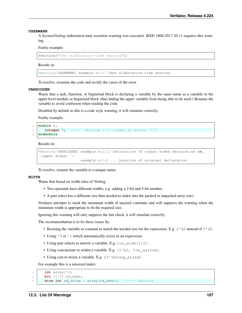#### **USERWARN**

A SystemVerilog elaboration-time assertion warning was executed. IEEE 1800-2017 20.11 requires this warning.

#### Faulty example:

```
$warning("User elaboration-time warning");
```
#### Results in:

%Warning-USERWARN: example.v:1:7 User elaboration-time warning

To resolve, examine the code and rectify the cause of the error.

#### **VARHIDDEN**

Warns that a task, function, or begin/end block is declaring a variable by the same name as a variable in the upper level module or begin/end block (thus hiding the upper variable from being able to be used.) Rename the variable to avoid confusion when reading the code.

Disabled by default as this is a code style warning; it will simulate correctly.

Faulty example:

```
module t;
2 integer t; //<--- Warning ('t' hidden by module 't')
  3 endmodule
```
Results in:

```
%Warning-VARHIDDEN: example.v:2:12 Declaration of signal hides declaration in
˓→upper scope: 't'
                    example.v:1:8 ... Location of original declaration
```
To resolve, rename the variable to a unique name.

#### **WIDTH**

Warns that based on width rules of Verilog:

- Two operands have different widths, e.g. adding a 2-bit and 5-bit number.
- A part select has a different size then needed to index into the packed or unpacked array (etc).

Verilator attempts to track the minimum width of unsized constants and will suppress the warning when the minimum width is appropriate to fit the required size.

Ignoring this warning will only suppress the lint check, it will simulate correctly.

The recommendation is to fix these issues by:

- Resizing the variable or constant to match the needed size for the expression. E.g. 2'd2 instead of 3'd2.
- Using '0 or '1 which automatically resize in an expression.
- Using part selects to narrow a variable. E.g. too\_wide [1:0].
- Using concatenate to widen a variable. E.g. {1'b1, too\_narrow}.
- Using cast to resize a variable. E.g. 23'(wrong\_sized).

For example this is a missized index:

```
\frac{1}{1} int array [5];
2 bit [1:0] rd_addr;
```

```
wire int rd_value = array[rd_addr]; //<--- Warning
```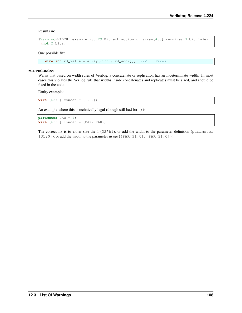Results in:

```
%Warning-WIDTH: example.v:3:29 Bit extraction of array[4:0] requires 3 bit index,
˓→not 2 bits.
```
One possible fix:

```
wire int rd_value = array[1]<sup>1</sup>b0, rd_addr}]; //<--- Fixed
```
#### **WIDTHCONCAT**

Warns that based on width rules of Verilog, a concatenate or replication has an indeterminate width. In most cases this violates the Verilog rule that widths inside concatenates and replicates must be sized, and should be fixed in the code.

Faulty example:

**wire**  $[63:0]$  concat =  $\{1, 2\}$ ;

An example where this is technically legal (though still bad form) is:

```
parameter PAR = 1;
wire [63:0] concat = {PAR, PAR};
```
The correct fix is to either size the  $1(32<sup>'h1</sup>)$ , or add the width to the parameter definition (parameter  $[31:0]$ ), or add the width to the parameter usage ({PAR $[31:0]$ , PAR $[31:0]$ }).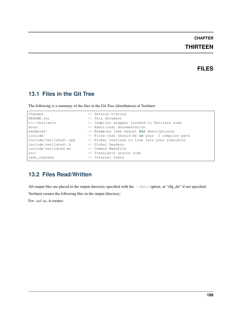# **CHAPTER**

# **THIRTEEN**

# **FILES**

# **13.1 Files in the Git Tree**

The following is a summary of the files in the Git Tree (distribution) of Verilator:

| Changes                | $\Rightarrow$ Version history                               |
|------------------------|-------------------------------------------------------------|
| README.rst             | $\Rightarrow$ This document                                 |
| bin/verilator          | => Compiler wrapper invoked to Verilate code                |
| docs/                  | $\Rightarrow$ Additional documentation                      |
| examples/              | $\Rightarrow$ Examples (see manual for descriptions)        |
| include/               | $\Rightarrow$ Files that should be in your -I compiler path |
| include/verilated*.cpp | $\Rightarrow$ Global routines to link into your simulator   |
| include/verilated*.h   | $\Rightarrow$ Global headers                                |
| include/verilated.mk   | $\Rightarrow$ Common Makefile                               |
| src/                   | $\Rightarrow$ Translator source code                        |
| test regress           | $\Rightarrow$ Internal tests                                |

# **13.2 Files Read/Written**

All output files are placed in the output directory specified with the  $-\text{Mdir}$  option, or "obj\_dir" if not specified.

Verilator creates the following files in the output directory:

For –cc/–sc, it creates: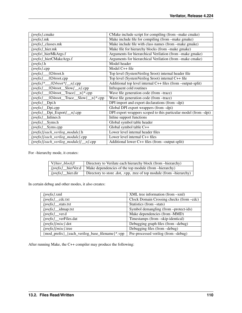| {prefix}.cmake                                                | CMake include script for compiling (from -make cmake)           |
|---------------------------------------------------------------|-----------------------------------------------------------------|
| $\{prefix\}$ .mk                                              | Make include file for compiling (from -make gmake)              |
| $\{prefix\}$ _classes.mk                                      | Make include file with class names (from -make gmake)           |
| {prefix}_hier.mk                                              | Make file for hierarchy blocks (from -make gmake)               |
| {prefix _hierMkArgs.f                                         | Arguments for hierarchical Verilation (from -make gmake)        |
| {prefix}_hierCMakeArgs.f                                      | Arguments for hierarchical Verilation (from -make cmake)        |
| $\{prefix\}.$ h                                               | Model header                                                    |
| $\{prefix\}.$ cpp                                             | Model C++ file                                                  |
| $\{prefix\}$<br>024root.h                                     | Top level (SystemVerilog \$root) internal header file           |
| {prefix}_024root.cpp                                          | Top level (SystemVerilog \$root) internal C++ file              |
| $\{prefix\}^*$ __024root*{_n}.cpp                             | Additional top level internal C++ files (from -output-split)    |
| $\{prefix\}$ 024root Slow $\{n\}$ .cpp                        | Infrequent cold routines                                        |
| $024$ root_Trace $\{\_n\}^*$ .cpp<br>$\{prefix\}$             | Wave file generation code (from -trace)                         |
| $024 \text{root}$ Trace Slow $\{\_n\}^*$ .cpp<br>$\{prefix\}$ | Wave file generation code (from -trace)                         |
| Dpi.h<br>$\{prefix\}$                                         | DPI import and export declarations (from -dpi)                  |
| Dpi.cpp<br>$\{prefix\}$                                       | Global DPI export wrappers (from -dpi)                          |
| $\{prefix / \_\}$ Dpi_Export $\{ \_\_n\}$ .cpp                | DPI export wrappers scoped to this particular model (from -dpi) |
| Inlines.h<br>$\{prefix\}$                                     | Inline support functions                                        |
| {prefix}_Syms.h                                               | Global symbol table header                                      |
| $\{prefix\}$ _Syms.cpp                                        | Global symbol table C++                                         |
| {prefix}{each_verilog_module}.h                               | Lower level internal header files                               |
| {prefix}{each_verilog_module}.cpp                             | Lower level internal $C++$ files                                |
| {prefix}{each_verilog_module}{_n}.cpp                         | Additional lower C++ files (from –output-split)                 |

For –hierarchy mode, it creates:

| $\forall$ {hier block}/<br>Directory to Verilate each hierarchy block (from -hierarchy) |                                                                                 |
|-----------------------------------------------------------------------------------------|---------------------------------------------------------------------------------|
|                                                                                         | $\{prefix\}$ hier Ver.d   Make dependencies of the top module (from –hierarchy) |
| $\{prefix\}$ hier.dir                                                                   | Directory to store .dot, .vpp, .tree of top module (from –hierarchy)            |

In certain debug and other modes, it also creates:

| <i>{prefix}.xml</i>                            | $XML$ tree information (from $-xml$ )    |
|------------------------------------------------|------------------------------------------|
| $\{prefix\}$ cdc.txt                           | Clock Domain Crossing checks (from -cdc) |
| <i>{prefix}</i> __stats.txt                    | Statistics (from -stats)                 |
| (prefix)_idmap.txt                             | Symbol demangling (from -protect-ids)    |
| <i>{prefix}</i> _ver.d                         | Make dependencies (from -MMD)            |
| <i>{prefix}</i> verFiles.dat                   | Timestamps (from -skip-identical)        |
| /prefix}/misc}.dot                             | Debugging graph files (from -debug)      |
| {prefix}{misc}.tree                            | Debugging files (from -debug)            |
| {mod_prefix}_{each_verilog_base_filename}*.vpp | Pre-processed verilog (from -debug)      |

After running Make, the C++ compiler may produce the following: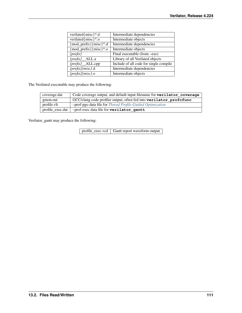| verilated{misc}*.d<br>Intermediate dependencies<br>verilated{misc}*.o<br>Intermediate objects<br>${mod\_prefix}$ {misc}*.d<br>Intermediate dependencies<br>${mod\_prefix}$ {misc}*.o<br>Intermediate objects<br>Final executable (from -exe)<br>$\{prefix\}$<br>Library of all Verilated objects<br>$\{prefix\}$ _ALL.a<br>Include of all code for single compile<br>[prefix]_ALL.cpp |                  |                           |
|---------------------------------------------------------------------------------------------------------------------------------------------------------------------------------------------------------------------------------------------------------------------------------------------------------------------------------------------------------------------------------------|------------------|---------------------------|
|                                                                                                                                                                                                                                                                                                                                                                                       |                  |                           |
|                                                                                                                                                                                                                                                                                                                                                                                       |                  |                           |
|                                                                                                                                                                                                                                                                                                                                                                                       |                  |                           |
|                                                                                                                                                                                                                                                                                                                                                                                       |                  |                           |
|                                                                                                                                                                                                                                                                                                                                                                                       |                  |                           |
|                                                                                                                                                                                                                                                                                                                                                                                       |                  |                           |
|                                                                                                                                                                                                                                                                                                                                                                                       |                  |                           |
|                                                                                                                                                                                                                                                                                                                                                                                       | {prefix}{misc}.d | Intermediate dependencies |
| $\{prefix\}$ /misc $\}$ .0<br>Intermediate objects                                                                                                                                                                                                                                                                                                                                    |                  |                           |
|                                                                                                                                                                                                                                                                                                                                                                                       |                  |                           |

The Verilated executable may produce the following:

| coverage.dat     | Code coverage output, and default input filename for <b>verilator_coverage</b> |
|------------------|--------------------------------------------------------------------------------|
| gmon.out         | GCC/clang code profiler output, often fed into verilator_profcfunc             |
| profile.vlt      | -prof-pgo data file for <i>Thread Profile-Guided Optimization</i>              |
| profile exec.dat | -prof-exec data file for verilator_gantt                                       |

Verilator\_gantt may produce the following:

profile\_exec.vcd Gantt report waveform output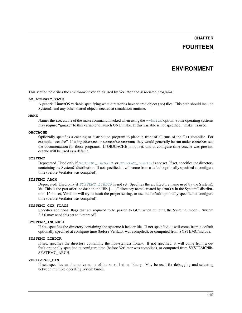# **CHAPTER**

# **FOURTEEN**

# **ENVIRONMENT**

This section describes the environment variables used by Verilator and associated programs.

#### **LD\_LIBRARY\_PATH**

A generic Linux/OS variable specifying what directories have shared object (.so) files. This path should include SystemC and any other shared objects needed at simulation runtime.

#### **MAKE**

Names the executable of the make command invoked when using the  $-\text{build option}$ . Some operating systems may require "gmake" to this variable to launch GNU make. If this variable is not specified, "make" is used.

#### **OBJCACHE**

Optionally specifies a caching or distribution program to place in front of all runs of the C++ compiler. For example, "ccache". If using **distcc** or **icecc**/**icecream**, they would generally be run under **ccache**; see the documentation for those programs. If OBJCACHE is not set, and at configure time ccache was present, ccache will be used as a default.

#### **SYSTEMC**

Deprecated. Used only if [SYSTEMC\\_INCLUDE](#page-114-0) or [SYSTEMC\\_LIBDIR](#page-114-1) is not set. If set, specifies the directory containing the SystemC distribution. If not specified, it will come from a default optionally specified at configure time (before Verilator was compiled).

## **SYSTEMC\_ARCH**

Deprecated. Used only if [SYSTEMC\\_LIBDIR](#page-114-1) is not set. Specifies the architecture name used by the SystemC kit. This is the part after the dash in the "lib-{. . . }" directory name created by a **make** in the SystemC distribution. If not set, Verilator will try to intuit the proper setting, or use the default optionally specified at configure time (before Verilator was compiled).

#### **SYSTEMC\_CXX\_FLAGS**

Specifies additional flags that are required to be passed to GCC when building the SystemC model. System 2.3.0 may need this set to "-pthread".

#### <span id="page-114-0"></span>**SYSTEMC\_INCLUDE**

If set, specifies the directory containing the systemc.h header file. If not specified, it will come from a default optionally specified at configure time (before Verilator was compiled), or computed from SYSTEMC/include.

#### <span id="page-114-1"></span>**SYSTEMC\_LIBDIR**

If set, specifies the directory containing the libsystemc.a library. If not specified, it will come from a default optionally specified at configure time (before Verilator was compiled), or computed from SYSTEMC/lib-SYSTEMC\_ARCH.

#### **VERILATOR\_BIN**

If set, specifies an alternative name of the verilator binary. May be used for debugging and selecting between multiple operating system builds.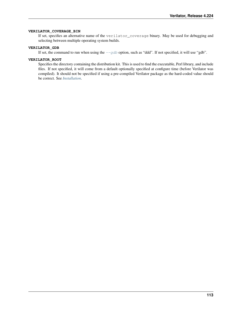### **VERILATOR\_COVERAGE\_BIN**

If set, specifies an alternative name of the verilator\_coverage binary. May be used for debugging and selecting between multiple operating system builds.

## **VERILATOR\_GDB**

If set, the command to run when using the  $-\frac{q}{d}$  option, such as "ddd". If not specified, it will use "gdb".

#### **VERILATOR\_ROOT**

Specifies the directory containing the distribution kit. This is used to find the executable, Perl library, and include files. If not specified, it will come from a default optionally specified at configure time (before Verilator was compiled). It should not be specified if using a pre-compiled Verilator package as the hard-coded value should be correct. See *[Installation](#page-8-0)*.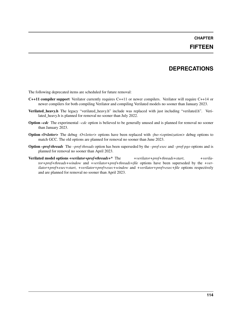## **CHAPTER**

# **FIFTEEN**

# **DEPRECATIONS**

The following deprecated items are scheduled for future removal:

- C++11 compiler support Verilator currently requires C++11 or newer compilers. Verilator will require C++14 or newer compilers for both compiling Verilator and compiling Verilated models no sooner than January 2023.
- Verilated\_heavy.h The legacy "verilated\_heavy.h" include was replaced with just including "verilated.h". Verilated heavy.h is planned for removal no sooner than July 2022.
- Option *–cdc* The experimental *–cdc* option is believed to be generally unused and is planned for removal no sooner than January 2023.
- Option *-O<letter>* The debug *-O<letter>* options have been replaced with *-fno-<optimization>* debug options to match GCC. The old options are planned for removal no sooner than June 2023.
- Option *–prof-threads* The *–prof-threads* option has been superseded by the *–prof-exec* and *–prof-pgo* options and is planned for removal no sooner than April 2023.
- Verilated model options *+verilator+prof+threads+\** The *+verilator+prof+threads+start*, *+verilator+prof+threads+window* and *+verilator+prof+threads+file* options have been superseded by the *+verilator+prof+exec+start*, *+verilator+prof+exec+window* and *+verilator+prof+exec+file* options respectively and are planned for removal no sooner than April 2023.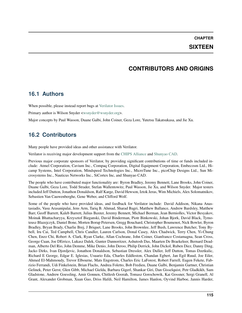# **CHAPTER**

# **SIXTEEN**

# **CONTRIBUTORS AND ORIGINS**

# **16.1 Authors**

When possible, please instead report bugs at [Verilator Issues.](https://verilator.org/issues)

Primary author is Wilson Snyder [<wsnyder@wsnyder.org>](mailto:wsnyder@wsnyder.org).

Major concepts by Paul Wasson, Duane Galbi, John Coiner, Geza Lore, Yutetsu Takatsukasa, and Jie Xu.

# **16.2 Contributors**

Many people have provided ideas and other assistance with Verilator.

Verilator is receiving major development support from the [CHIPS Alliance](https://chipsalliance.org) and [Shunyao CAD.](https://shunyaocad.com)

Previous major corporate sponsors of Verilator, by providing significant contributions of time or funds included include: Atmel Corporation, Cavium Inc., Compaq Corporation, Digital Equipment Corporation, Embecosm Ltd., Hicamp Systems, Intel Corporation, Mindspeed Technologies Inc., MicroTune Inc., picoChip Designs Ltd., Sun Microsystems Inc., Nauticus Networks Inc., SiCortex Inc, and Shunyao CAD.

The people who have contributed major functionality are: Byron Bradley, Jeremy Bennett, Lane Brooks, John Coiner, Duane Galbi, Geza Lore, Todd Strader, Stefan Wallentowitz, Paul Wasson, Jie Xu, and Wilson Snyder. Major testers included Jeff Dutton, Jonathon Donaldson, Ralf Karge, David Hewson, Iztok Jeras, Wim Michiels, Alex Solomatnikov, Sebastien Van Cauwenberghe, Gene Weber, and Clifford Wolf.

Some of the people who have provided ideas, and feedback for Verilator include: David Addison, Nikana Anastasiadis, Vasu Arasanipalai, Jens Arm, Tariq B. Ahmad, Sharad Bagri, Matthew Ballance, Andrew Bardsley, Matthew Barr, Geoff Barrett, Kaleb Barrett, Julius Baxter, Jeremy Bennett, Michael Berman, Jean Berniolles, Victor Besyakov, Moinak Bhattacharyya, Krzysztof Bieganski, David Binderman, Piotr Binkowski, Johan Bjork, David Black, Tymoteusz Blazejczyk, Daniel Bone, Morten Borup Petersen, Gregg Bouchard, Christopher Boumenot, Nick Bowler, Byron Bradley, Bryan Brady, Charlie Brej, J Briquet, Lane Brooks, John Brownlee, Jeff Bush, Lawrence Butcher, Tony Bybell, Iru Cai, Ted Campbell, Chris Candler, Lauren Carlson, Donal Casey, Alex Chadwick, Terry Chen, Yi-Chung Chen, Enzo Chi, Robert A. Clark, Ryan Clarke, Allan Cochrane, John Coiner, Gianfranco Costamagna, Sean Cross, George Cuan, Joe DErrico, Lukasz Dalek, Gunter Dannoritzer, Ashutosh Das, Maarten De Braekeleer, Bernard Deadman, Alberto Del Rio, John Demme, Mike Denio, John Deroo, Philip Derrick, John Dickol, Ruben Diez, Danny Ding, Jacko Dirks, Ivan Djordjevic, Jonathon Donaldson, Sebastian Dressler, Alex Duller, Jeff Dutton, Tomas Dzetkulic, Richard E George, Edgar E. Iglesias, Usuario Eda, Charles Eddleston, Chandan Egbert, Jan Egil Ruud, Joe Eiler, Ahmed El-Mahmoudy, Trevor Elbourne, Mats Engstrom, Charles Eric LaForest, Robert Farrell, Eugen Fekete, Fabrizio Ferrandi, Udi Finkelstein, Brian Flachs, Andrea Foletto, Bob Fredieu, Duane Galbi, Benjamin Gartner, Christian Gelinek, Peter Gerst, Glen Gibb, Michael Gielda, Barbara Gigerl, Shankar Giri, Dan Gisselquist, Petr Gladkikh, Sam Gladstone, Andrew Goessling, Amir Gonnen, Chitlesh Goorah, Tomasz Gorochowik, Kai Gossner, Sergi Granell, Al Grant, Alexander Grobman, Xuan Guo, Driss Hafdi, Neil Hamilton, James Hanlon, Oyvind Harboe, Jannis Harder,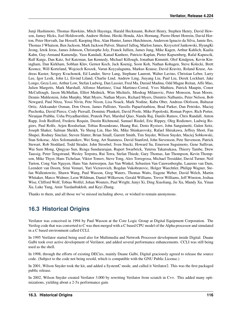Junji Hashimoto, Thomas Hawkins, Mitch Hayenga, Harald Heckmann, Robert Henry, Stephen Henry, David Hewson, Jamey Hicks, Joel Holdsworth, Andrew Holme, Hiroki Honda, Alex Hornung, Pierre-Henri Horrein, David Horton, Peter Horvath, Jae Hossell, Kuoping Hsu, Alan Hunter, James Hutchinson, Anderson Ignacio da Silva, Jamie Iles, Thomas J Whatson, Ben Jackson, Mark Jackson Pulver, Shareef Jalloq, Marlon James, Krzysztof Jankowski, HyungKi Jeong, Iztok Jeras, James Johnson, Christophe Joly, Franck Jullien, James Jung, Mike Kagen, Arthur Kahlich, Kaalia Kahn, Guy-Armand Kamendje, Vasu Kandadi, Kanad Kanhere, Patricio Kaplan, Pieter Kapsenberg, Rafal Kapuscik, Ralf Karge, Dan Katz, Sol Katzman, Ian Kennedy, Michael Killough, Jonathan Kimmitt, Olof Kindgren, Kevin Kiningham, Dan Kirkham, Sobhan Klnv, Gernot Koch, Jack Koenig, Soon Koh, Nathan Kohagen, Steve Kolecki, Brett Koonce, Will Korteland, Wojciech Koszek, Varun Koyyalagunta, Markus Krause, David Kravitz, Roland Kruse, Andreas Kuster, Sergey Kvachonok, Ed Lander, Steve Lang, Stephane Laurent, Walter Lavino, Christian Leber, Larry Lee, Igor Lesik, John Li, Eivind Liland, Charlie Lind, Andrew Ling, Jiuyang Liu, Paul Liu, Derek Lockhart, Jake Longo, Geza Lore, Arthur Low, Stefan Ludwig, Dan Lussier, Fred Ma, Duraid Madina, Odd Magne Reitan, Affe Mao, Julien Margetts, Mark Marshall, Alfonso Martinez, Unai Martinez-Corral, Yves Mathieu, Patrick Maupin, Conor McCullough, Jason McMullan, Elliot Mednick, Wim Michiels, Miodrag Milanovic, Peter Monsson, Sean Moore, Dennis Muhlestein, John Murphy, Matt Myers, Nathan Myers, Richard Myers, Dimitris Nalbantis, Peter Nelson, Bob Newgard, Paul Nitza, Yossi Nivin, Pete Nixon, Lisa Noack, Mark Nodine, Kuba Ober, Andreas Olofsson, Baltazar Ortiz, Aleksander Osman, Don Owen, James Pallister, Vassilis Papaefstathiou, Brad Parker, Dan Petrisko, Maciej Piechotka, David Pierce, Cody Piersall, Dominic Plunkett, David Poole, Mike Popoloski, Roman Popov, Rich Porter, Niranjan Prabhu, Usha Priyadharshini, Prateek Puri, Marshal Qiao, Nandu Raj, Danilo Ramos, Chris Randall, Anton Rapp, Josh Redford, Frederic Requin, Dustin Richmond, Samuel Riedel, Eric Rippey, Oleg Rodionov, Ludwig Rogiers, Paul Rolfe, Arjen Roodselaar, Tobias Rosenkranz, Huang Rui, Denis Rystsov, John Sanguinetti, Galen Seitz, Joseph Shaker, Salman Sheikh, Yu Sheng Lin, Hao Shi, Mike Shinkarovsky, Rafael Shirakawa, Jeffrey Short, Fan Shupei, Rodney Sinclair, Steven Slatter, Brian Small, Garrett Smith, Tim Snyder, Wilson Snyder, Maciej Sobkowski, Stan Sokorac, Alex Solomatnikov, Wei Song, Art Stamness, David Stanford, John Stevenson, Pete Stevenson, Patrick Stewart, Rob Stoddard, Todd Strader, John Stroebel, Sven Stucki, Howard Su, Emerson Suguimoto, Gene Sullivan, Wai Sum Mong, Qingyao Sun, Renga Sundararajan, Rupert Swarbrick, Yutetsu Takatsukasa, Thierry Tambe, Drew Taussig, Peter Tengstrand, Wesley Terpstra, Rui Terra, Stefan Thiede, Gary Thomas, Ian Thompson, Kevin Thompson, Mike Thyer, Hans Tichelaar, Viktor Tomov, Steve Tong, Alex Torregrosa, Michael Tresidder, David Turner, Neil Turton, Cong Van Nguyen, Hans Van Antwerpen, Jan Van Winkel, Sebastien Van Cauwenberghe, Laurens van Dam, Leendert van Doorn, Srini Vemuri, Yuri Victorovich, Bogdan Vukobratovic, Holger Waechtler, Philipp Wagner, Stefan Wallentowitz, Shawn Wang, Paul Wasson, Greg Waters, Thomas Watts, Eugene Weber, David Welch, Martin Whitaker, Marco Widmer, Leon Wildman, Daniel Wilkerson, Gerald Williams, Trevor Williams, Jeff Winston, Joshua Wise, Clifford Wolf, Tobias Wolfel, Johan Wouters, Paul Wright, Junyi Xi, Ding Xiaoliang, Jie Xu, Mandy Xu, Yinan Xu, Luke Yang, Amir Yazdanbakhsh, and Keyi Zhang.

Thanks to them, and all those we've missed including above, or wished to remain anonymous.

# **16.3 Historical Origins**

Verilator was conceived in 1994 by Paul Wasson at the Core Logic Group at Digital Equipment Corporation. The Verilog code that was converted to C was then merged with a C based CPU model of the Alpha processor and simulated in a C based environment called CCLI.

In 1995 Verilator started being used also for Multimedia and Network Processor development inside Digital. Duane Galbi took over active development of Verilator, and added several performance enhancements. CCLI was still being used as the shell.

In 1998, through the efforts of existing DECies, mainly Duane Galbi, Digital graciously agreed to release the source code. (Subject to the code not being resold, which is compatible with the GNU Public License.)

In 2001, Wilson Snyder took the kit, and added a SystemC mode, and called it Verilator2. This was the first packaged public release.

In 2002, Wilson Snyder created Verilator 3.000 by rewriting Verilator from scratch in C++. This added many optimizations, yielding about a 2-5x performance gain.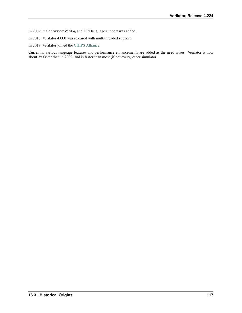- In 2009, major SystemVerilog and DPI language support was added.
- In 2018, Verilator 4.000 was released with multithreaded support.
- In 2019, Verilator joined the [CHIPS Alliance.](https://chipsalliance.org)

Currently, various language features and performance enhancements are added as the need arises. Verilator is now about 3x faster than in 2002, and is faster than most (if not every) other simulator.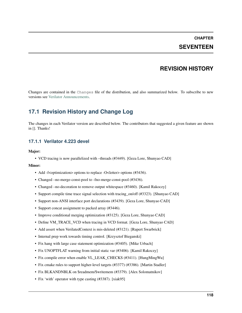# **CHAPTER SEVENTEEN**

# **REVISION HISTORY**

Changes are contained in the Changes file of the distribution, and also summarized below. To subscribe to new versions see [Verilator Announcements.](https://github.com/verilator/verilator-announce)

# **17.1 Revision History and Change Log**

The changes in each Verilator version are described below. The contributors that suggested a given feature are shown in []. Thanks!

# **17.1.1 Verilator 4.223 devel**

### Major:

• VCD tracing is now parallelized with –threads (#3449). [Geza Lore, Shunyao CAD]

- Add -f<optimization> options to replace -O<letter> options (#3436).
- Changed –no-merge-const-pool to -fno-merge-const-pool (#3436).
- Changed –no-decoration to remove output whitespace (#3460). [Kamil Rakoczy]
- Support compile time trace signal selection with tracing on/off (#3323). [Shunyao CAD]
- Support non-ANSI interface port declarations (#3439). [Geza Lore, Shunyao CAD]
- Support concat assignment to packed array (#3446).
- Improve conditional merging optimization (#3125). [Geza Lore, Shunyao CAD]
- Define VM\_TRACE\_VCD when tracing in VCD format. [Geza Lore, Shunyao CAD]
- Add assert when VerilatedContext is mis-deleted (#3121). [Rupert Swarbrick]
- Internal prep work towards timing control. [Krzysztof Bieganski]
- Fix hang with large case statement optimization (#3405). [Mike Urbach]
- Fix UNOPTFLAT warning from initial static var (#3406). [Kamil Rakoczy]
- Fix compile error when enable VL\_LEAK\_CHECKS (#3411). [HungMingWu]
- Fix cmake rules to support higher-level targets (#3377) (#3386). [Martin Stadler]
- Fix BLKANDNBLK on \$readmem/\$writemem (#3379). [Alex Solomatnikov]
- Fix 'with' operator with type casting (#3387). [xiak95]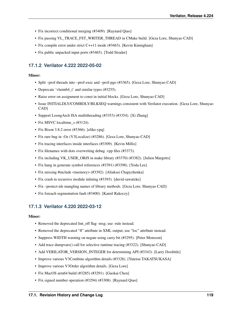- Fix incorrect conditional merging (#3409). [Raynard Qiao]
- Fix passing VL\_TRACE\_FST\_WRITER\_THREAD in CMake build. [Geza Lore, Shunyao CAD]
- Fix compile error under strict C++11 mode (#3463). [Kevin Kiningham]
- Fix public unpacked input ports (#3465). [Todd Strader]

# **17.1.2 Verilator 4.222 2022-05-02**

## Minor:

- Split –prof-threads into –prof-exec and –prof-pgo (#3365). [Geza Lore, Shunyao CAD]
- Deprecate 'vluint64\_t' and similar types (#3255).
- Raise error on assignment to const in initial blocks. [Geza Lore, Shunyao CAD]
- Issue INITIALDLY/COMBDLY/BLKSEQ warnings consistent with Verilator execution. [Geza Lore, Shunyao CAD]
- Support LoongArch ISA multithreading (#3353) (#3354). [Xi Zhang]
- Fix MSVC localtime s (#3124).
- Fix Bison 3.8.2 error (#3366). [elike-ypq]
- Fix rare bug in -Oz (V3Localize) (#3286). [Geza Lore, Shunyao CAD]
- Fix tracing interfaces inside interfaces (#3309). [Kevin Millis]
- Fix filenames with dots overwriting debug .vpp files (#3373).
- Fix including VK\_USER\_OBJS in make library (#3370) (#3382). [Julien Margetts]
- Fix hang in generate symbol references (#3391) (#3398). [Yoda Lee]
- Fix missing #include <memory> (#3392). [Aliaksei Chapyzhenka]
- Fix crash in recursive module inlining (#3393). [david-sawatzke]
- Fix –protect-ids mangling names of library methods. [Geza Lore, Shunyao CAD]
- Fix foreach segmentation fault (#3400). [Kamil Rakoczy]

# **17.1.3 Verilator 4.220 2022-03-12**

- Removed the deprecated lint\_off flag -msg; use -rule instead.
- Removed the deprecated "fl" attribute in XML output; use "loc" attribute instead.
- Suppress WIDTH warning on negate using carry bit (#3295). [Peter Monsson]
- Add trace dumpvars() call for selective runtime tracing (#3322). [Shunyao CAD]
- Add VERILATOR\_VERSION\_INTEGER for determining API (#3343). [Larry Doolittle]
- Improve various V3Combine algorithm details (#3328). [Yutetsu TAKATSUKASA]
- Improve various V3Order algorithm details. [Geza Lore]
- Fix MacOS arm64 build (#3285) (#3291). [Guokai Chen]
- Fix signed number operation (#3294) (#3308). [Raynard Qiao]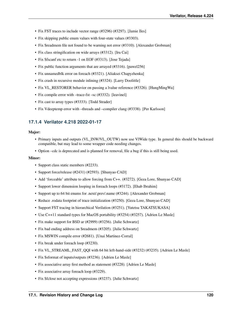- Fix FST traces to include vector range (#3296) (#3297). [Jamie Iles]
- Fix skipping public enum values with four-state values (#3303).
- Fix \$readmem file not found to be warning not error (#3310). [Alexander Grobman]
- Fix class stringification on wide arrays (#3312). [Iru Cai]
- Fix \$fscanf etc to return -1 on EOF (#3313). [Jose Tejada]
- Fix public function arguments that are arrayed (#3316). [pawel256]
- Fix unnamedblk error on foreach (#3321). [Aliaksei Chapyzhenka]
- Fix crash in recursive module inlining (#3324). [Larry Doolittle]
- Fix VL\_RESTORER behavior on passing a Ivalue reference (#3326). [HungMingWu]
- Fix compile error with –trace-fst –sc (#3332). [leavinel]
- Fix cast to array types (#3333). [Todd Strader]
- Fix Vdeeptemp error with –threads and –compiler clang (#3338). [Per Karlsson]

## **17.1.4 Verilator 4.218 2022-01-17**

#### Major:

- Primary inputs and outputs (VL\_INW/VL\_OUTW) now use VlWide type. In general this should be backward compatible, but may lead to some wrapper code needing changes.
- Option –cdc is deprecated and is planned for removal, file a bug if this is still being used.

- Support class static members (#2233).
- Support force/release (#2431) (#2593). [Shunyao CAD]
- Add 'forceable' attribute to allow forcing from C++. (#3272). [Geza Lore, Shunyao CAD]
- Support lower dimension looping in foreach loops (#3172). [Ehab Ibrahim]
- Support up to 64 bit enums for .next/.prev/.name (#3244). [Alexander Grobman]
- Reduce .rodata footprint of trace initialization (#3250). [Geza Lore, Shunyao CAD]
- Support FST tracing in hierarchical Verilation (#3251). [Yutetsu TAKATSUKASA]
- Use C++11 standard types for MacOS portability (#3254) (#3257). [Adrien Le Masle]
- Fix make support for BSD ar (#2999) (#3256). [Julie Schwartz]
- Fix bad ending address on \$readmem (#3205). [Julie Schwartz]
- Fix MSWIN compile error (#2681). [Unai Martinez-Corral]
- Fix break under foreach loop (#3230).
- Fix VL\_STREAML\_FAST\_QQI with 64 bit left-hand-side (#3232) (#3235). [Adrien Le Masle]
- Fix \$sformat of inputs/outputs (#3236). [Adrien Le Masle]
- Fix associative array first method as statement (#3228). [Adrien Le Masle]
- Fix associative array foreach loop (#3229).
- Fix \$fclose not accepting expressions (#3237). [Julie Schwartz]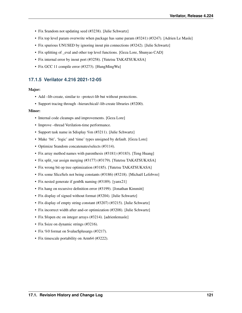- Fix \$random not updating seed (#3238). [Julie Schwartz]
- Fix top level param overwrite when package has same param (#3241) (#3247). [Adrien Le Masle]
- Fix spurious UNUSED by ignoring inout pin connections (#3242). [Julie Schwartz]
- Fix splitting of \_eval and other top level functions. [Geza Lore, Shunyao CAD]
- Fix internal error by inout port (#3258). [Yutetsu TAKATSUKASA]
- Fix GCC 11 compile error (#3273). [HungMingWu]

# **17.1.5 Verilator 4.216 2021-12-05**

#### Major:

- Add –lib-create, similar to –protect-lib but without protections.
- Support tracing through –hierarchical/–lib-create libraries (#3200).

- Internal code cleanups and improvements. [Geza Lore]
- Improve –thread Verilation-time performance.
- Support task name in \$display %m (#3211). [Julie Schwartz]
- Make 'bit', 'logic' and 'time' types unsigned by default. [Geza Lore]
- Optimize \$random concatenates/selects (#3114).
- Fix array method names with parenthesis (#3181) (#3183). [Teng Huang]
- Fix split\_var assign merging (#3177) (#3179). [Yutetsu TAKATSUKASA]
- Fix wrong bit op tree optimization (#3185). [Yutetsu TAKATSUKASA]
- Fix some SliceSels not being constants (#3186) (#3218). [Michaël Lefebvre]
- Fix nested generate if genblk naming (#3189). [yanx21]
- Fix hang on recursive definition error (#3199). [Jonathan Kimmitt]
- Fix display of signed without format (#3204). [Julie Schwartz]
- Fix display of empty string constant (#3207) (#3215). [Julie Schwartz]
- Fix incorrect width after and-or optimization (#3208). [Julie Schwartz]
- Fix \$fopen etc on integer arrays (#3214). [adrienlemasle]
- Fix \$size on dynamic strings (#3216).
- Fix %0 format on \$value\$plusargs (#3217).
- Fix timescale portability on Arm64 (#3222).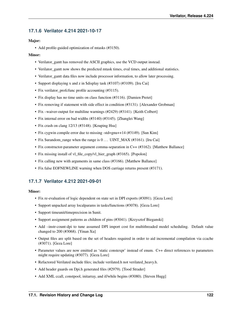# **17.1.6 Verilator 4.214 2021-10-17**

## Major:

• Add profile-guided optimization of mtasks (#3150).

### Minor:

- Verilator\_gantt has removed the ASCII graphics, use the VCD output instead.
- Verilator\_gantt now shows the predicted mtask times, eval times, and additional statistics.
- Verilator\_gantt data files now include processor information, to allow later processing.
- Support displaying x and z in \$display task (#3107) (#3109). [Iru Cai]
- Fix verilator\_profcfunc profile accounting (#3115).
- Fix display has no time units on class function (#3116). [Damien Pretet]
- Fix removing if statement with side effect in condition (#3131). [Alexander Grobman]
- Fix –waiver-output for multiline warnings (#2429) (#3141). [Keith Colbert]
- Fix internal error on bad widths (#3140) (#3145). [Zhanglei Wang]
- Fix crash on clang 12/13 (#3148). [Kouping Hsu]
- Fix cygwin compile error due to missing -std=gnu++14 (#3149). [Sun Kim]
- Fix \$urandom\_range when the range is 0... UINT\_MAX (#3161). [Iru Cai]
- Fix constructor-parameter argument comma-separation in C++ (#3162). [Matthew Ballance]
- Fix missing install of vl\_file\_copy/vl\_hier\_graph (#3165). [Popolon]
- Fix calling new with arguments in same class (#3166). [Matthew Ballance]
- Fix false EOFNEWLINE warning when DOS carriage returns present (#3171).

# **17.1.7 Verilator 4.212 2021-09-01**

- Fix re-evaluation of logic dependent on state set in DPI exports (#3091). [Geza Lore]
- Support unpacked array localparams in tasks/functions (#3078). [Geza Lore]
- Support timeunit/timeprecision in \$unit.
- Support assignment patterns as children of pins (#3041). [Krzysztof Bieganski]
- Add –instr-count-dpi to tune assumed DPI import cost for multithreaded model scheduling. Default value changed to 200 (#3068). [Yinan Xu]
- Output files are split based on the set of headers required in order to aid incremental compilation via ccache (#3071). [Geza Lore]
- Parameter values are now emitted as 'static constexpr' instead of enum. C++ direct references to parameters might require updating (#3077). [Geza Lore]
- Refactored Verilated include files; include verilated.h not verilated\_heavy.h.
- Add header guards on Dpi.h generated files (#2979). [Tood Strader]
- Add XML ccall, constpool, initarray, and if/while begins (#3080). [Steven Hugg]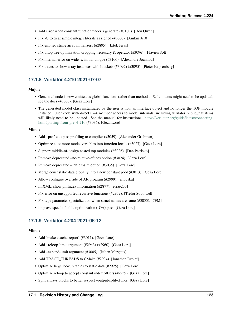- Add error when constant function under a generate (#3103). [Don Owen]
- Fix -G to treat simple integer literals as signed (#3060). [Anikin1610]
- Fix emitted string array initializers (#2895). [Iztok Jeras]
- Fix bitop tree optimization dropping necessary & operator (#3096). [Flavien Solt]
- Fix internal error on wide -x-initial unique (#3106). [Alexandre Joannou]
- Fix traces to show array instances with brackets (#3092) (#3095). [Pieter Kapsenberg]

# **17.1.8 Verilator 4.210 2021-07-07**

## Major:

- Generated code is now emitted as global functions rather than methods. '\$c' contents might need to be updated, see the docs (#3006). [Geza Lore]
- The generated model class instantiated by the user is now an interface object and no longer the TOP module instance. User code with direct C++ member access to model internals, including verilator public\_flat items will likely need to be updated. See the manual for instructions: [https://verilator.org/guide/latest/connecting.](https://verilator.org/guide/latest/connecting.html#porting-from-pre-4-210) [html#porting-from-pre-4-210](https://verilator.org/guide/latest/connecting.html#porting-from-pre-4-210) (#3036). [Geza Lore]

## Minor:

- Add –prof-c to pass profiling to compiler (#3059). [Alexander Grobman]
- Optimize a lot more model variables into function locals (#3027). [Geza Lore]
- Support middle-of-design nested top modules (#3026). [Dan Petrisko]
- Remove deprecated –no-relative-cfuncs option (#3024). [Geza Lore]
- Remove deprecated –inhibit-sim option (#3035). [Geza Lore]
- Merge const static data globally into a new constant pool (#3013). [Geza Lore]
- Allow configure override of AR program (#2999). [ahouska]
- In XML, show pinIndex information (#2877). [errae233]
- Fix error on unsupported recursive functions (#2957). [Trefor Southwell]
- Fix type parameter specialization when struct names are same (#3055). [7FM]
- Improve speed of table optimization (-OA) pass. [Geza Lore]

# **17.1.9 Verilator 4.204 2021-06-12**

- Add 'make ccache-report' (#3011). [Geza Lore]
- Add –reloop-limit argument (#2943) (#2960). [Geza Lore]
- Add –expand-limit argument (#3005). [Julien Margetts]
- Add TRACE\_THREADS to CMake (#2934). [Jonathan Drolet]
- Optimize large lookup tables to static data (#2925). [Geza Lore]
- Optimize reloop to accept constant index offsets (#2939). [Geza Lore]
- Split always blocks to better respect –output-split-cfuncs. [Geza Lore]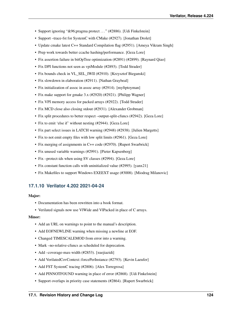- Support ignoring "&96;pragma protect ..." (#2886). [Udi Finkelstein]
- Support –trace-fst for SystemC with CMake (#2927). [Jonathan Drolet]
- Update cmake latest C++ Standard Compilation flag (#2951). [Ameya Vikram Singh]
- Prep work towards better ccache hashing/performance. [Geza Lore]
- Fix assertion failure in bitOpTree optimization (#2891) (#2899). [Raynard Qiao]
- Fix DPI functions not seen as vpiModule (#2893). [Todd Strader]
- Fix bounds check in VL\_SEL\_IWII (#2910). [Krzysztof Bieganski]
- Fix slowdown in elaboration (#2911). [Nathan Graybeal]
- Fix initialization of assoc in assoc array (#2914). [myftptoyman]
- Fix make support for gmake 3.x (#2920) (#2921). [Philipp Wagner]
- Fix VPI memory access for packed arrays (#2922). [Todd Strader]
- Fix MCD close also closing stdout (#2931). [Alexander Grobman]
- Fix split procedures to better respect –output-split-cfuncs (#2942). [Geza Lore]
- Fix to emit 'else if' without nesting (#2944). [Geza Lore]
- Fix part select issues in LATCH warning (#2948) (#2938). [Julien Margetts]
- Fix to not emit empty files with low split limits (#2961). [Geza Lore]
- Fix merging of assignments in C++ code (#2970). [Rupert Swarbrick]
- Fix unused variable warnings (#2991). [Pieter Kapsenberg]
- Fix –protect-ids when using SV classes (#2994). [Geza Lore]
- Fix constant function calls with uninitialized value (#2995). [yanx21]
- Fix Makefiles to support Windows EXEEXT usage (#3008). [Miodrag Milanovic]

## **17.1.10 Verilator 4.202 2021-04-24**

#### Major:

- Documentation has been rewritten into a book format.
- Verilated signals now use VlWide and VlPacked in place of C arrays.

- Add an URL on warnings to point to the manual's description.
- Add EOFNEWLINE warning when missing a newline at EOF.
- Changed TIMESCALEMOD from error into a warning.
- Mark –no-relative-cfuncs as scheduled for deprecation.
- Add –coverage-max-width (#2853). [xuejiazidi]
- Add VerilatedCovContext::forcePerInstance (#2793). [Kevin Laeufer]
- Add FST SystemC tracing (#2806). [Alex Torregrosa]
- Add PINNOTFOUND warning in place of error (#2868). [Udi Finkelstein]
- Support overlaps in priority case statements (#2864). [Rupert Swarbrick]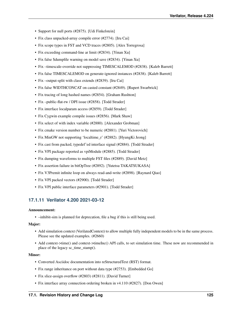- Support for null ports (#2875). [Udi Finkelstein]
- Fix class unpacked-array compile error (#2774). [Iru Cai]
- Fix scope types in FST and VCD traces (#2805). [Alex Torregrosa]
- Fix exceeding command-line ar limit (#2834). [Yinan Xu]
- Fix false \$dumpfile warning on model save (#2834). [Yinan Xu]
- Fix –timescale-override not suppressing TIMESCALEMOD (#2838). [Kaleb Barrett]
- Fix false TIMESCALEMOD on generate-ignored instances (#2838). [Kaleb Barrett]
- Fix –output-split with class extends (#2839). [Iru Cai]
- Fix false WIDTHCONCAT on casted constant (#2849). [Rupert Swarbrick]
- Fix tracing of long hashed names (#2854). [Graham Rushton]
- Fix –public-flat-rw / DPI issue (#2858). [Todd Strader]
- Fix interface localparam access (#2859). [Todd Strader]
- Fix Cygwin example compile issues (#2856). [Mark Shaw]
- Fix select of with index variable (#2880). [Alexander Grobman]
- Fix cmake version number to be numeric (#2881). [Yuri Victorovich]
- Fix MinGW not supporting 'localtime\_r' (#2882). [HyungKi Jeong]
- Fix cast from packed, typedef'ed interface signal (#2884). [Todd Strader]
- Fix VPI package reported as vpiModule (#2885). [Todd Strader]
- Fix dumping waveforms to multiple FST files (#2889). [David Metz]
- Fix assertion failure in bitOpTree (#2892). [Yutetsu TAKATSUKASA]
- Fix V3Premit infinite loop on always read-and-write (#2898). [Raynard Qiao]
- Fix VPI packed vectors (#2900). [Todd Strader]
- Fix VPI public interface parameters (#2901). [Todd Strader]

# **17.1.11 Verilator 4.200 2021-03-12**

## Announcement:

• –inhibit-sim is planned for deprecation, file a bug if this is still being used.

## Major:

- Add simulation context (VerilatedContext) to allow multiple fully independent models to be in the same process. Please see the updated examples. (#2660)
- Add context->time() and context->timeInc() API calls, to set simulation time. These now are recommended in place of the legacy sc\_time\_stamp().

- Converted Asciidoc documentation into reStructuredText (RST) format.
- Fix range inheritance on port without data type (#2753). [Embedded Go]
- Fix slice-assign overflow (#2803) (#2811). [David Turner]
- Fix interface array connection ordering broken in v4.110 (#2827). [Don Owen]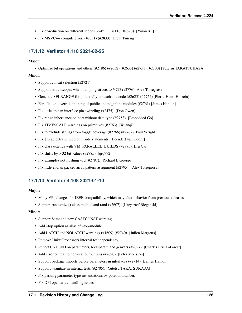- Fix or-reduction on different scopes broken in 4.110 (#2828). [Yinan Xu]
- Fix MSVC++ compile error. (#2831) (#2833) [Drew Taussig]

# **17.1.12 Verilator 4.110 2021-02-25**

#### Major:

• Optimize bit operations and others (#2186) (#2632) (#2633) (#2751) (#2800) [Yutetsu TAKATSUKASA]

### Minor:

- Support concat selection (#2721).
- Support struct scopes when dumping structs to VCD (#2776) [Alex Torregrosa]
- Generate SELRANGE for potentially unreachable code (#2625) (#2754) [Pierre-Henri Horrein]
- For –flatten, override inlining of public and no\_inline modules (#2761) [James Hanlon]
- Fix little endian interface pin swizzling (#2475). [Don Owen]
- Fix range inheritance on port without data type (#2753). [Embedded Go]
- Fix TIMESCALE warnings on primitives (#2763). [Xuanqi]
- Fix to exclude strings from toggle coverage (#2766) (#2767) [Paul Wright]
- Fix \$fread extra semicolon inside statements. [Leendert van Doorn]
- Fix class extends with VM\_PARALLEL\_BUILDS (#2775). [Iru Cai]
- Fix shifts by  $> 32$  bit values (#2785). [qrq992]
- Fix examples not flushing vcd (#2787). [Richard E George]
- Fix little endian packed array pattern assignment (#2795). [Alex Torregrosa]

# **17.1.13 Verilator 4.108 2021-01-10**

#### Major:

- Many VPI changes for IEEE compatibility, which may alter behavior from previous releases.
- Support randomize() class method and rand (#2607). [Krzysztof Bieganski]

- Support \$cast and new CASTCONST warning.
- Add –top option as alias of –top-module.
- Add LATCH and NOLATCH warnings (#1609) (#2740). [Julien Margetts]
- Remove Unix::Processors internal test dependency.
- Report UNUSED on parameters, localparam and genvars (#2627). [Charles Eric LaForest]
- Add error on real to non-real output pins (#2690). [Peter Monsson]
- Support package imports before parameters in interfaces (#2714). [James Hanlon]
- Support –sanitize in internal tests (#2705). [Yutetsu TAKATSUKASA]
- Fix passing parameter type instantiations by position number.
- Fix DPI open array handling issues.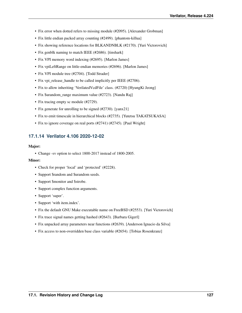- Fix error when dotted refers to missing module (#2095). [Alexander Grobman]
- Fix little endian packed array counting (#2499). [phantom-killua]
- Fix showing reference locations for BLKANDNBLK (#2170). [Yuri Victorovich]
- Fix genblk naming to match IEEE (#2686). [tinshark]
- Fix VPI memory word indexing (#2695). [Marlon James]
- Fix vpiLeftRange on little-endian memories (#2696). [Marlon James]
- Fix VPI module tree (#2704). [Todd Strader]
- Fix vpi\_release\_handle to be called implicitly per IEEE (#2706).
- Fix to allow inheriting 'VerilatedVcdFile' class. (#2720) [HyungKi Jeong]
- Fix \$urandom\_range maximum value (#2723). [Nandu Raj]
- Fix tracing empty sc module (#2729).
- Fix generate for unrolling to be signed (#2730). [yanx21]
- Fix to emit timescale in hierarchical blocks (#2735). [Yutetsu TAKATSUKASA]
- Fix to ignore coverage on real ports (#2741) (#2745). [Paul Wright]

## **17.1.14 Verilator 4.106 2020-12-02**

### Major:

• Change -sv option to select 1800-2017 instead of 1800-2005.

- Check for proper 'local' and 'protected' (#2228).
- Support \$random and \$urandom seeds.
- Support \$monitor and \$strobe.
- Support complex function arguments.
- Support 'super'.
- Support 'with item.index'.
- Fix the default GNU Make executable name on FreeBSD (#2553). [Yuri Victorovich]
- Fix trace signal names getting hashed (#2643). [Barbara Gigerl]
- Fix unpacked array parameters near functions (#2639). [Anderson Ignacio da Silva]
- Fix access to non-overridden base class variable (#2654). [Tobias Rosenkranz]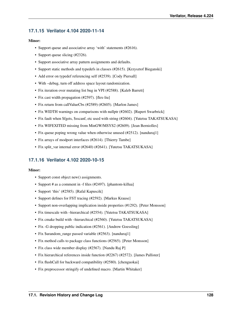# **17.1.15 Verilator 4.104 2020-11-14**

## Minor:

- Support queue and associative array 'with' statements (#2616).
- Support queue slicing (#2326).
- Support associative array pattern assignments and defaults.
- Support static methods and typedefs in classes (#2615). [Krzysztof Bieganski]
- Add error on typedef referencing self (#2539). [Cody Piersall]
- With –debug, turn off address space layout randomization.
- Fix iteration over mutating list bug in VPI (#2588). [Kaleb Barrett]
- Fix cast width propagation (#2597). [flex-liu]
- Fix return from callValueCbs (#2589) (#2605). [Marlon James]
- Fix WIDTH warnings on comparisons with nullptr (#2602). [Rupert Swarbrick]
- Fix fault when \$fgets, \$sscanf, etc used with string (#2604). [Yutetsu TAKATSUKASA]
- Fix WIFEXITED missing from MinGW/MSYS2 (#2609). [Jean Berniolles]
- Fix queue poping wrong value when otherwise unused (#2512). [nanduraj1]
- Fix arrays of modport interfaces (#2614). [Thierry Tambe]
- Fix split\_var internal error (#2640) (#2641). [Yutetsu TAKATSUKASA]

# **17.1.16 Verilator 4.102 2020-10-15**

- Support const object new() assignments.
- Support # as a comment in -f files (#2497). [phantom-killua]
- Support 'this' (#2585). [Rafal Kapuscik]
- Support defines for FST tracing (#2592). [Markus Krause]
- Support non-overlapping implication inside properties (#1292). [Peter Monsson]
- Fix timescale with –hierarchical (#2554). [Yutetsu TAKATSUKASA]
- Fix cmake build with –hierarchical (#2560). [Yutetsu TAKATSUKASA]
- Fix -G dropping public indication (#2561). [Andrew Goessling]
- Fix \$urandom range passed variable (#2563). [nanduraj1]
- Fix method calls to package class functions (#2565). [Peter Monsson]
- Fix class wide member display (#2567). [Nandu Raj P]
- Fix hierarchical references inside function (#2267) (#2572). [James Pallister]
- Fix flushCall for backward compatibility (#2580). [chenguokai]
- Fix preprocessor stringify of undefined macro. [Martin Whitaker]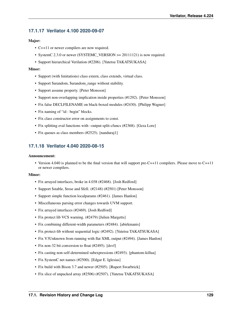# **17.1.17 Verilator 4.100 2020-09-07**

## Major:

- C++11 or newer compilers are now required.
- SystemC 2.3.0 or newer (SYSTEMC\_VERSION >= 20111121) is now required.
- Support hierarchical Verilation (#2206). [Yutetsu TAKATSUKASA]

## Minor:

- Support (with limitations) class extern, class extends, virtual class.
- Support \$urandom, \$urandom range without stability.
- Support assume property. [Peter Monsson]
- Support non-overlapping implication inside properties (#1292). [Peter Monsson]
- Fix false DECLFILENAME on black-boxed modules (#2430). [Philipp Wagner]
- Fix naming of "id : begin" blocks.
- Fix class constructor error on assignments to const.
- Fix splitting eval functions with –output-split-cfuncs (#2368). [Geza Lore]
- Fix queues as class members (#2525). [nanduraj1]

# **17.1.18 Verilator 4.040 2020-08-15**

### Announcement:

• Version 4.040 is planned to be the final version that will support pre-C++11 compilers. Please move to C++11 or newer compilers.

- Fix arrayed interfaces, broke in 4.038 (#2468). [Josh Redford]
- Support \$stable, \$rose and \$fell. (#2148) (#2501) [Peter Monsson]
- Support simple function localparams (#2461). [James Hanlon]
- Miscellaneous parsing error changes towards UVM support.
- Fix arrayed interfaces (#2469). [Josh Redford]
- Fix protect lib VCS warning. (#2479) [Julien Margetts]
- Fix combining different-width parameters (#2484). [abirkmanis]
- Fix protect-lib without sequential logic (#2492). [Yutetsu TAKATSUKASA]
- Fix V3Unknown from running with flat XML output (#2494). [James Hanlon]
- Fix non-32 bit conversion to float (#2495). [dsvf]
- Fix casting non-self-determined subexpressions (#2493). [phantom-killua]
- Fix SystemC net names (#2500). [Edgar E. Iglesias]
- Fix build with Bison 3.7 and newer (#2505). [Rupert Swarbrick]
- Fix slice of unpacked array (#2506) (#2507). [Yutetsu TAKATSUKASA]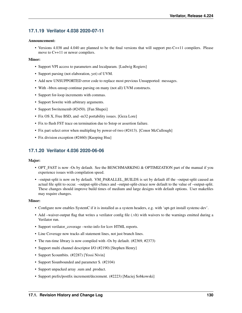# **17.1.19 Verilator 4.038 2020-07-11**

## Announcement:

• Versions 4.038 and 4.040 are planned to be the final versions that will support pre-C++11 compilers. Please move to C++11 or newer compilers.

### Minor:

- Support VPI access to parameters and localparam. [Ludwig Rogiers]
- Support parsing (not elaboration, yet) of UVM.
- Add new UNSUPPORTED error code to replace most previous Unsupported: messages.
- With –bbox-unsup continue parsing on many (not all) UVM constructs.
- Support for-loop increments with commas.
- Support \$swrite with arbitrary arguments.
- Support \$writememb (#2450). [Fan Shupei]
- Fix OS X, Free BSD, and -m32 portability issues. [Geza Lore]
- Fix to flush FST trace on termination due to \$stop or assertion failure.
- Fix part select error when multipling by power-of-two (#2413). [Conor McCullough]
- Fix division exception (#2460) [Kuoping Hsu]

# **17.1.20 Verilator 4.036 2020-06-06**

#### Major:

- OPT\_FAST is now -Os by default. See the BENCHMARKING & OPTIMIZATION part of the manual if you experience issues with compilation speed.
- –output-split is now on by default. VM\_PARALLEL\_BUILDS is set by default iff the –output-split caused an actual file split to occur. –output-split-cfuncs and –output-split-ctrace now default to the value of –output-split. These changes should improve build times of medium and large designs with default options. User makefiles may require changes.

- Configure now enables SystemC if it is installed as a system headers, e.g. with 'apt-get install systemc-dev'.
- Add –waiver-output flag that writes a verilator config file (.vlt) with waivers to the warnings emitted during a Verilator run.
- Support verilator coverage –write-info for lcov HTML reports.
- Line Coverage now tracks all statement lines, not just branch lines.
- The run-time library is now compiled with -Os by default. (#2369, #2373)
- Support multi channel descriptor I/O (#2190) [Stephen Henry]
- Support \$countbits. (#2287) [Yossi Nivin]
- Support \$isunbounded and parameter \$. (#2104)
- Support unpacked array .sum and .product.
- Support prefix/postfix increment/decrement. (#2223) [Maciej Sobkowski]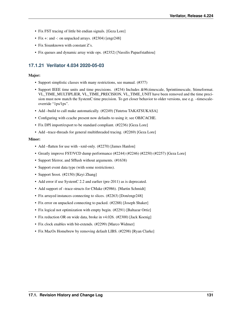- Fix FST tracing of little bit endian signals. [Geza Lore]
- Fix +: and -: on unpacked arrays. (#2304) [engr248]
- Fix \$isunknown with constant Z's.
- Fix queues and dynamic array wide ops. (#2352) [Vassilis Papaefstathiou]

# **17.1.21 Verilator 4.034 2020-05-03**

### Major:

- Support simplistic classes with many restrictions, see manual. (#377)
- Support IEEE time units and time precisions. (#234) Includes &96;timescale, \$printtimescale, \$timeformat. VL\_TIME\_MULTIPLIER, VL\_TIME\_PRECISION, VL\_TIME\_UNIT have been removed and the time precision must now match the SystemC time precision. To get closer behavior to older versions, use e.g. –timescaleoverride "1ps/1ps".
- Add -build to call make automatically. (#2249) [Yutetsu TAKATSUKASA]
- Configuring with ccache present now defaults to using it; see OBJCACHE.
- Fix DPI import/export to be standard compliant. (#2236) [Geza Lore]
- Add –trace-threads for general multithreaded tracing. (#2269) [Geza Lore]

- Add –flatten for use with –xml-only. (#2270) [James Hanlon]
- Greatly improve FST/VCD dump performance (#2244) (#2246) (#2250) (#2257) [Geza Lore]
- Support \$ferror, and \$fflush without arguments. (#1638)
- Support event data type (with some restrictions).
- Support \$root. (#2150) [Keyi Zhang]
- Add error if use SystemC 2.2 and earlier (pre-2011) as is deprecated.
- Add support of –trace-structs for CMake (#2986). [Martin Schmidt]
- Fix arrayed instances connecting to slices. (#2263) [Don/engr248]
- Fix error on unpacked connecting to packed. (#2288) [Joseph Shaker]
- Fix logical not optimization with empty begin. (#2291) [Baltazar Ortiz]
- Fix reduction OR on wide data, broke in v4.026. (#2300) [Jack Koenig]
- Fix clock enables with bit-extends. (#2299) [Marco Widmer]
- Fix MacOs Homebrew by removing default LIBS. (#2298) [Ryan Clarke]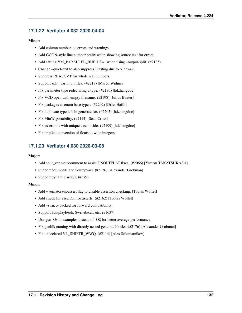# **17.1.22 Verilator 4.032 2020-04-04**

## Minor:

- Add column numbers to errors and warnings.
- Add GCC 9-style line number prefix when showing source text for errors.
- Add setting VM\_PARALLEL\_BUILDS=1 when using –output-split. (#2185)
- Change –quiet-exit to also suppress 'Exiting due to N errors'.
- Suppress REALCVT for whole real numbers.
- Support split var in vlt files. (#2219) [Marco Widmer]
- Fix parameter type redeclaring a type. (#2195) [hdzhangdoc]
- Fix VCD open with empty filename. (#2198) [Julius Baxter]
- Fix packages as enum base types. (#2202) [Driss Hafdi]
- Fix duplicate typedefs in generate for. (#2205) [hdzhangdoc]
- Fix MinW portability. (#2114) [Sean Cross]
- Fix assertions with unique case inside. (#2199) [hdzhangdoc]
- Fix implicit conversion of floats to wide integers.

# **17.1.23 Verilator 4.030 2020-03-08**

## Major:

- Add split\_var metacomment to assist UNOPTFLAT fixes. (#2066) [Yutetsu TAKATSUKASA]
- Support \$dumpfile and \$dumpvars. (#2126) [Alexander Grobman]
- Support dynamic arrays. (#379)

- Add +verilator+noassert flag to disable assertion checking. [Tobias Wölfel]
- Add check for assertOn for asserts. (#2162) [Tobias Wölfel]
- Add –structs-packed for forward compatibility.
- Support \$displayb/o/h, \$writeb/o/h, etc. (#1637)
- Use gcc -Os in examples instead of -O2 for better average performance.
- Fix genblk naming with directly nested generate blocks. (#2176) [Alexander Grobman]
- Fix undeclared VL\_SHIFTR\_WWQ. (#2114) [Alex Solomatnikov]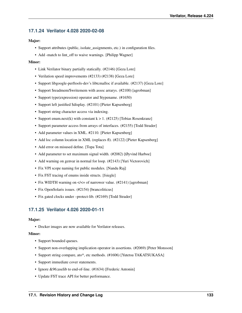# **17.1.24 Verilator 4.028 2020-02-08**

## Major:

- Support attributes (public, isolate\_assignments, etc.) in configuration files.
- Add -match to lint\_off to waive warnings. [Philipp Wagner]

### Minor:

- Link Verilator binary partially statically. (#2146) [Geza Lore]
- Verilation speed improvements (#2133) (#2138) [Geza Lore]
- Support libgoogle-perftools-dev's libtcmalloc if available. (#2137) [Geza Lore]
- Support \$readmem/\$writemem with assoc arrarys. (#2100) [agrobman]
- Support type(expression) operator and \$typename. (#1650)
- Support left justified \$display. (#2101) [Pieter Kapsenberg]
- Support string character access via indexing.
- Support enum.next(k) with constant  $k > 1$ . (#2125) [Tobias Rosenkranz]
- Support parameter access from arrays of interfaces. (#2155) [Todd Strader]
- Add parameter values in XML. #2110. [Pieter Kapsenberg]
- Add loc column location in XML (replaces fl). (#2122) [Pieter Kapsenberg]
- Add error on misused define. [Topa Tota]
- Add parameter to set maximum signal width. (#2082) [Øyvind Harboe]
- Add warning on genvar in normal for loop. (#2143) [Yuri Victorovich]
- Fix VPI scope naming for public modules. [Nandu Raj]
- Fix FST tracing of enums inside structs. [fsiegle]
- Fix WIDTH warning on  $\lt\lt=$  of narrower value. (#2141) [agrobman]
- Fix OpenSolaris issues. (#2154) [brancoliticus]
- Fix gated clocks under –protect-lib. (#2169) [Todd Strader]

# **17.1.25 Verilator 4.026 2020-01-11**

#### Major:

• Docker images are now available for Verilator releases.

- Support bounded queues.
- Support non-overlapping implication operator in assertions. (#2069) [Peter Monsson]
- Support string compare, ato\*, etc methods. (#1606) [Yutetsu TAKATSUKASA]
- Support immediate cover statements.
- Ignore &96;uselib to end-of-line. (#1634) [Frederic Antonin]
- Update FST trace API for better performance.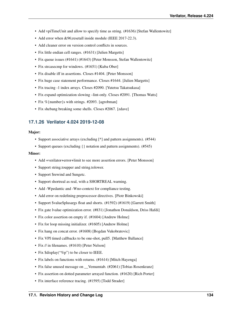- Add vpiTimeUnit and allow to specify time as string. (#1636) [Stefan Wallentowitz]
- Add error when &96; resetall inside module (IEEE 2017-22.3).
- Add cleaner error on version control conflicts in sources.
- Fix little endian cell ranges. (#1631) [Julien Margetts]
- Fix queue issues (#1641) (#1643) [Peter Monsson, Stefan Wallentowitz]
- Fix streasecmp for windows. (#1651) [Kuba Ober]
- Fix disable iff in assertions. Closes #1404. [Peter Monsson]
- Fix huge case statement performance. Closes #1644. [Julien Margetts]
- Fix tracing -1 index arrays. Closes #2090. [Yutetsu Takatsukasa]
- Fix expand optimization slowing –lint-only. Closes #2091. [Thomas Watts]
- Fix %{number}s with strings. #2093. [agrobman]
- Fix shebang breaking some shells. Closes #2067. [zdave]

## **17.1.26 Verilator 4.024 2019-12-08**

#### Major:

- Support associative arrays (excluding [\*] and pattern assignments). (#544)
- Support queues (excluding { } notation and pattern assignments). (#545)

- Add +verilator+error+limit to see more assertion errors. [Peter Monsson]
- Support string.toupper and string.tolower.
- Support \$rewind and \$ungetc.
- Support shortreal as real, with a SHORTREAL warning.
- Add -Wpedantic and -Wno-context for compliance testing.
- Add error on redefining preprocessor directives. [Piotr Binkowski]
- Support \$value\$plusargs float and shorts. (#1592) (#1619) [Garrett Smith]
- Fix gate lvalue optimization error. (#831) [Jonathon Donaldson, Driss Hafdi]
- Fix color assertion on empty if. (#1604) [Andrew Holme]
- Fix for loop missing initializer. (#1605) [Andrew Holme]
- Fix hang on concat error. (#1608) [Bogdan Vukobratovic]
- Fix VPI timed callbacks to be one-shot, pull5. [Matthew Ballance]
- Fix // in filenames. (#1610) [Peter Nelson]
- Fix \$display("%p") to be closer to IEEE.
- Fix labels on functions with returns. (#1614) [Mitch Hayenga]
- Fix false unused message on \_\_Vemumtab. (#2061) [Tobias Rosenkranz]
- Fix assertion on dotted parameter arrayed function. (#1620) [Rich Porter]
- Fix interface reference tracing. (#1595) [Todd Strader]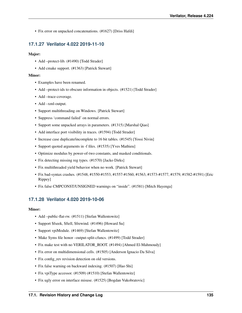• Fix error on unpacked concatenations. (#1627) [Driss Hafdi]

# **17.1.27 Verilator 4.022 2019-11-10**

## Major:

- Add –protect-lib. (#1490) [Todd Strader]
- Add cmake support. (#1363) [Patrick Stewart]

## Minor:

- Examples have been renamed.
- Add –protect-ids to obscure information in objects. (#1521) [Todd Strader]
- Add –trace-coverage.
- Add –xml-output.
- Support multithreading on Windows. [Patrick Stewart]
- Suppress 'command failed' on normal errors.
- Support some unpacked arrays in parameters. (#1315) [Marshal Qiao]
- Add interface port visibility in traces. (#1594) [Todd Strader]
- Increase case duplicate/incomplete to 16 bit tables. (#1545) [Yossi Nivin]
- Support quoted arguments in -f files. (#1535) [Yves Mathieu]
- Optimize modulus by power-of-two constants, and masked conditionals.
- Fix detecting missing reg types. (#1570) [Jacko Dirks]
- Fix multithreaded yield behavior when no work. [Patrick Stewart]
- Fix bad-syntax crashes. (#1548, #1550-#1553, #1557-#1560, #1563, #1573-#1577, #1579, #1582-#1591) [Eric Rippey]
- Fix false CMPCONST/UNSIGNED warnings on "inside". (#1581) [Mitch Hayenga]

# **17.1.28 Verilator 4.020 2019-10-06**

- Add –public-flat-rw. (#1511) [Stefan Wallentowitz]
- Support \$fseek, \$ftell, \$frewind. (#1496) [Howard Su]
- Support vpiModule. (#1469) [Stefan Wallentowitz]
- Make Syms file honor –output-split-cfuncs. (#1499) [Todd Strader]
- Fix make test with no VERILATOR\_ROOT. (#1494) [Ahmed El-Mahmoudy]
- Fix error on multidimensional cells. (#1505) [Anderson Ignacio Da Silva]
- Fix config\_rev revision detection on old versions.
- Fix false warning on backward indexing. (#1507) [Hao Shi]
- Fix vpiType accessor. (#1509) (#1510) [Stefan Wallentowitz]
- Fix ugly error on interface misuse. (#1525) [Bogdan Vukobratovic]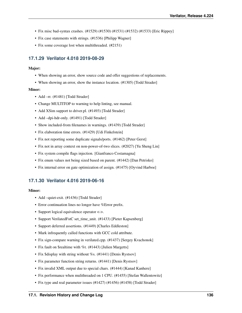- Fix misc bad-syntax crashes. (#1529) (#1530) (#1531) (#1532) (#1533) [Eric Rippey]
- Fix case statements with strings. (#1536) [Philipp Wagner]
- Fix some coverage lost when multithreaded. (#2151)

# **17.1.29 Verilator 4.018 2019-08-29**

### Major:

- When showing an error, show source code and offer suggestions of replacements.
- When showing an error, show the instance location. (#1305) [Todd Strader]

### Minor:

- Add –rr. (#1481) [Todd Strader]
- Change MULTITOP to warning to help linting, see manual.
- Add XSim support to driver.pl. (#1493) [Todd Strader]
- Add –dpi-hdr-only. (#1491) [Todd Strader]
- Show included-from filenames in warnings. (#1439) [Todd Strader]
- Fix elaboration time errors. (#1429) [Udi Finkelstein]
- Fix not reporting some duplicate signals/ports. (#1462) [Peter Gerst]
- Fix not in array context on non-power-of-two slices. (#2027) [Yu Sheng Lin]
- Fix system compile flags injection. [Gianfranco Costamagna]
- Fix enum values not being sized based on parent. (#1442) [Dan Petrisko]
- Fix internal error on gate optimization of assign. (#1475) [Oyvind Harboe]

# **17.1.30 Verilator 4.016 2019-06-16**

- Add –quiet-exit. (#1436) [Todd Strader]
- Error continuation lines no longer have %Error prefix.
- Support logical equivalence operator  $\langle \rangle$ .
- Support VerilatedFstC set\_time\_unit. (#1433) [Pieter Kapsenberg]
- Support deferred assertions. (#1449) [Charles Eddleston]
- Mark infrequently called functions with GCC cold attribute.
- Fix sign-compare warning in verilated.cpp. (#1437) [Sergey Kvachonok]
- Fix fault on \$realtime with %t. (#1443) [Julien Margetts]
- Fix \$display with string without %s. (#1441) [Denis Rystsov]
- Fix parameter function string returns. (#1441) [Denis Rystsov]
- Fix invalid XML output due to special chars. (#1444) [Kanad Kanhere]
- Fix performance when mulithreaded on 1 CPU. (#1455) [Stefan Wallentowitz]
- Fix type and real parameter issues (#1427) (#1456) (#1458) [Todd Strader]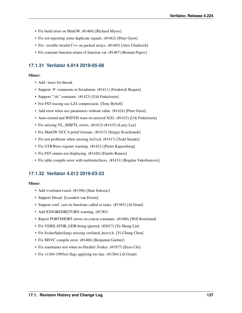- Fix build error on MinGW. (#1460) [Richard Myers]
- Fix not reporting some duplicate signals. (#1462) [Peter Gerst]
- Fix -savable invalid C++ on packed arrays. (#1465) [Alex Chadwick]
- Fix constant function return of function var. (#1467) [Roman Popov]

# **17.1.31 Verilator 4.014 2019-05-08**

## Minor:

- Add –trace-fst-thread.
- Support '#' comments in \$readmem. (#1411) [Frederick Requin]
- Support "'dx" constants. (#1423) [Udi Finkelstein]
- For FST tracing use LZ4 compression. [Tony Bybell]
- Add error when use parameters without value. (#1424) [Peter Gerst]
- Auto-extend and WIDTH warn on unsized X/Zs. (#1423) [Udi Finkelstein]
- Fix missing VL\_SHIFTL errors. (#1412) (#1415) [Larry Lee]
- Fix MinGW GCC 6 printf formats. (#1413) [Sergey Kvachonok]
- Fix test problems when missing fst2vcd. (#1417) [Todd Strader]
- Fix GTKWave register warning. (#1421) [Pieter Kapsenberg]
- Fix FST enums not displaying. (#1426) [Danilo Ramos]
- Fix table compile error with multiinterfaces. (#1431) [Bogdan Vukobratovic]

# **17.1.32 Verilator 4.012 2019-03-23**

- Add +verilator+seed. (#1396) [Stan Sokorac]
- Support \$fread. [Leendert van Doorn]
- Support void' cast on functions called as tasks. (#1383) [Al Grant]
- Add IGNOREDRETURN warning. (#1383)
- Report PORTSHORT errors on concat constants. (#1400) [Will Korteland]
- Fix VERILATOR\_GDB being ignored. (#2017) [Yu Sheng Lin]
- Fix \$value\$plus\$args missing verilated\_heavy.h. [Yi-Chung Chen]
- Fix MSVC compile error. (#1406) [Benjamin Gartner]
- Fix maintainer test when no Parallel::Forker. (#1977) [Enzo Chi]
- Fix +1364-1995ext flags applying too late. (#1384) [Al Grant]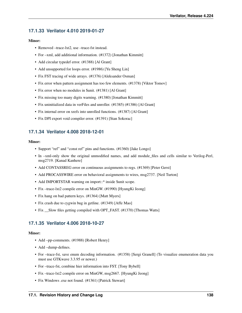# **17.1.33 Verilator 4.010 2019-01-27**

### Minor:

- Removed –trace-lxt2, use –trace-fst instead.
- For –xml, add additional information. (#1372) [Jonathan Kimmitt]
- Add circular typedef error. (#1388) [Al Grant]
- Add unsupported for loops error. (#1986) [Yu Sheng Lin]
- Fix FST tracing of wide arrays. (#1376) [Aleksander Osman]
- Fix error when pattern assignment has too few elements. (#1378) [Viktor Tomov]
- Fix error when no modules in \$unit. (#1381) [Al Grant]
- Fix missing too many digits warning. (#1380) [Jonathan Kimmitt]
- Fix uninitialized data in verFiles and unroller. (#1385) (#1386) [Al Grant]
- Fix internal error on xrefs into unrolled functions. (#1387) [Al Grant]
- Fix DPI export void compiler error. (#1391) [Stan Sokorac]

# **17.1.34 Verilator 4.008 2018-12-01**

#### Minor:

- Support "ref" and "const ref" pins and functions. (#1360) [Jake Longo]
- In –xml-only show the original unmodified names, and add module\_files and cells similar to Verilog-Perl, msg2719. [Kanad Kanhere]
- Add CONTASSREG error on continuous assignments to regs. (#1369) [Peter Gerst]
- Add PROCASSWIRE error on behavioral assignments to wires, msg2737. [Neil Turton]
- Add IMPORTSTAR warning on import::\* inside \$unit scope.
- Fix –trace-lxt2 compile error on MinGW. (#1990) [HyungKi Jeong]
- Fix hang on bad pattern keys. (#1364) [Matt Myers]
- Fix crash due to cygwin bug in getline. (#1349) [Affe Mao]
- Fix Slow files getting compiled with OPT\_FAST. (#1370) [Thomas Watts]

# **17.1.35 Verilator 4.006 2018-10-27**

- Add –pp-comments. (#1988) [Robert Henry]
- Add –dump-defines.
- For –trace-fst, save enum decoding information. (#1358) [Sergi Granell] (To visualize enumeration data you must use GTKwave 3.3.95 or newer.)
- For –trace-fst, combine hier information into FST. [Tony Bybell]
- Fix –trace-lxt2 compile error on MinGW, msg2667. [HyungKi Jeong]
- Fix Windows .exe not found. (#1361) [Patrick Stewart]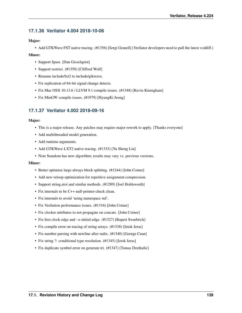# **17.1.36 Verilator 4.004 2018-10-06**

## Major:

• Add GTKWave FST native tracing. (#1356) [Sergi Granell] (Verilator developers need to pull the latest vcddiff.)

## Minor:

- Support \$past. [Dan Gisselquist]
- Support restrict. (#1350) [Clifford Wolf]
- Rename include/lxt2 to include/gtkwave.
- Fix replication of 64-bit signal change detects.
- Fix Mac OSX 10.13.6 / LLVM 9.1 compile issues. (#1348) [Kevin Kiningham]
- Fix MinGW compile issues. (#1979) [HyungKi Jeong]

# **17.1.37 Verilator 4.002 2018-09-16**

## Major:

- This is a major release. Any patches may require major rework to apply. [Thanks everyone]
- Add multithreaded model generation.
- Add runtime arguments.
- Add GTKWave LXT2 native tracing. (#1333) [Yu Sheng Lin]
- Note \$random has new algorithm; results may vary vs. previous versions.

- Better optimize large always block splitting. (#1244) [John Coiner]
- Add new reloop optimization for repetitive assignment compression.
- Support string.atoi and similar methods. (#1289) [Joel Holdsworth]
- Fix internals to be C++ null-pointer-check clean.
- Fix internals to avoid 'using namespace std'.
- Fix Verilation performance issues. (#1316) [John Coiner]
- Fix clocker attributes to not propagate on concats. [John Coiner]
- Fix first clock edge and –x-initial-edge. (#1327) [Rupert Swarbrick]
- Fix compile error on tracing of string arrays. (#1338) [Iztok Jeras]
- Fix number parsing with newline after radix. (#1340) [George Cuan]
- Fix string ?: conditional type resolution. (#1345) [Iztok Jeras]
- Fix duplicate symbol error on generate tri. (#1347) [Tomas Dzetkulic]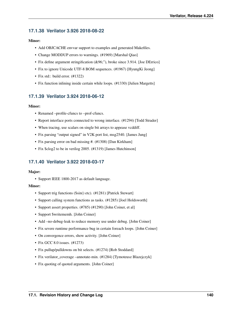# **17.1.38 Verilator 3.926 2018-08-22**

## Minor:

- Add OBJCACHE envvar support to examples and generated Makefiles.
- Change MODDUP errors to warnings. (#1969) [Marshal Qiao]
- Fix define argument stringification (&96;"), broke since 3.914. [Joe DErrico]
- Fix to ignore Unicode UTF-8 BOM sequences. (#1967) [HyungKi Jeong]
- Fix std: build error. (#1322)
- Fix function inlining inside certain while loops. (#1330) [Julien Margetts]

# **17.1.39 Verilator 3.924 2018-06-12**

### Minor:

- Renamed –profile-cfuncs to –prof-cfuncs.
- Report interface ports connected to wrong interface. (#1294) [Todd Strader]
- When tracing, use scalars on single bit arrays to appease vcddiff.
- Fix parsing "output signed" in V2K port list, msg2540. [James Jung]
- Fix parsing error on bad missing #. (#1308) [Dan Kirkham]
- Fix \$clog2 to be in verilog 2005. (#1319) [James Hutchinson]

# **17.1.40 Verilator 3.922 2018-03-17**

#### Major:

• Support IEEE 1800-2017 as default language.

- Support trig functions (\$sin() etc). (#1281) [Patrick Stewart]
- Support calling system functions as tasks. (#1285) [Joel Holdsworth]
- Support assert properties. (#785) (#1290) [John Coiner, et al]
- Support \$writememh. [John Coiner]
- Add –no-debug-leak to reduce memory use under debug. [John Coiner]
- Fix severe runtime performance bug in certain foreach loops. [John Coiner]
- On convergence errors, show activity. [John Coiner]
- Fix GCC 8.0 issues. (#1273)
- Fix pullup/pulldowns on bit selects. (#1274) [Rob Stoddard]
- Fix verilator\_coverage –annotate-min. (#1284) [Tymoteusz Blazejczyk]
- Fix quoting of quoted arguments. [John Coiner]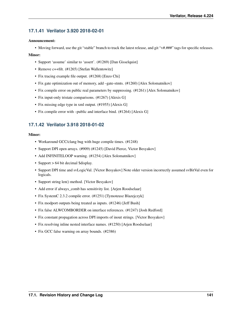# **17.1.41 Verilator 3.920 2018-02-01**

## Announcement:

• Moving forward, use the git "stable" branch to track the latest release, and git "v#.###" tags for specific releases.

## Minor:

- Support 'assume' similar to 'assert'. (#1269) [Dan Gisselquist]
- Remove c++filt. (#1265) [Stefan Wallentowitz]
- Fix tracing example file output. (#1268) [Enzo Chi]
- Fix gate optimization out of memory, add –gate-stmts. (#1260) [Alex Solomatnikov]
- Fix compile error on public real parameters by suppressing. (#1261) [Alex Solomatnikov]
- Fix input-only tristate comparisons. (#1267) [Alexis G]
- Fix missing edge type in xml output. (#1955) [Alexis G]
- Fix compile error with –public and interface bind. (#1264) [Alexis G]

# **17.1.42 Verilator 3.918 2018-01-02**

- Workaround GCC/clang bug with huge compile times. (#1248)
- Support DPI open arrays. (#909) (#1245) [David Pierce, Victor Besyakov]
- Add INFINITELOOP warning. (#1254) [Alex Solomatnikov]
- Support > 64 bit decimal \$display.
- Support DPI time and svLogicVal. [Victor Besyakov] Note older version incorrectly assumed svBitVal even for logicals.
- Support string len() method. [Victor Besyakov]
- Add error if always\_comb has sensitivity list. [Arjen Roodselaar]
- Fix SystemC 2.3.2 compile error. (#1251) [Tymoteusz Blazejczyk]
- Fix modport outputs being treated as inputs. (#1246) [Jeff Bush]
- Fix false ALWCOMBORDER on interface references. (#1247) [Josh Redford]
- Fix constant propagation across DPI imports of inout strings. [Victor Besyakov]
- Fix resolving inline nested interface names. (#1250) [Arjen Roodselaar]
- Fix GCC false warning on array bounds. (#2386)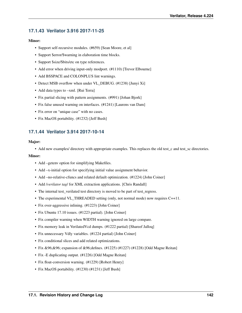# **17.1.43 Verilator 3.916 2017-11-25**

## Minor:

- Support self-recursive modules. (#659) [Sean Moore, et al]
- Support \$error/\$warning in elaboration time blocks.
- Support \$size/\$bits/etc on type references.
- Add error when driving input-only modport. (#1110) [Trevor Elbourne]
- Add BSSPACE and COLONPLUS lint warnings.
- Detect MSB overflow when under VL DEBUG. (#1238) [Junyi Xi]
- Add data types to –xml. [Rui Terra]
- Fix partial slicing with pattern assignments. (#991) [Johan Bjork]
- Fix false unused warning on interfaces. (#1241) [Laurens van Dam]
- Fix error on "unique case" with no cases.
- Fix MacOS portability. (#1232) [Jeff Bush]

# **17.1.44 Verilator 3.914 2017-10-14**

## Major:

• Add new examples/ directory with appropriate examples. This replaces the old test\_c and test\_sc directories.

- Add –getenv option for simplifying Makefiles.
- Add –x-initial option for specifying initial value assignment behavior.
- Add –no-relative-cfuncs and related default optimization. (#1224) [John Coiner]
- Add /*verilator tag*/ for XML extraction applications. [Chris Randall]
- The internal test\_verilated test directory is moved to be part of test\_regress.
- The experimental VL\_THREADED setting (only, not normal mode) now requires C++11.
- Fix over-aggressive inlining. (#1223) [John Coiner]
- Fix Ubuntu 17.10 issues. (#1223 partial). [John Coiner]
- Fix compiler warning when WIDTH warning ignored on large compare.
- Fix memory leak in VerilatedVcd dumps. (#1222 partial) [Shareef Jalloq]
- Fix unnecessary Vdly variables. (#1224 partial) [John Coiner]
- Fix conditional slices and add related optimizations.
- Fix &96;&96; expansion of &96;defines. (#1225) (#1227) (#1228) [Odd Magne Reitan]
- Fix -E duplicating output. (#1226) [Odd Magne Reitan]
- Fix float-conversion warning. (#1229) [Robert Henry]
- Fix MacOS portability. (#1230) (#1231) [Jeff Bush]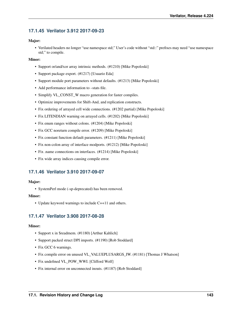# **17.1.45 Verilator 3.912 2017-09-23**

## Major:

• Verilated headers no longer "use namespace std;" User's code without "std::" prefixes may need "use namespace std;" to compile.

## Minor:

- Support or/and/xor array intrinsic methods. (#1210) [Mike Popoloski]
- Support package export. (#1217) [Usuario Eda]
- Support module port parameters without defaults. (#1213) [Mike Popoloski]
- Add performance information to –stats file.
- Simplify VL\_CONST\_W macro generation for faster compiles.
- Optimize improvements for Shift-And, and replication constructs.
- Fix ordering of arrayed cell wide connections. (#1202 partial) [Mike Popoloski]
- Fix LITENDIAN warning on arrayed cells. (#1202) [Mike Popoloski]
- Fix enum ranges without colons. (#1204) [Mike Popoloski]
- Fix GCC noreturn compile error. (#1209) [Mike Popoloski]
- Fix constant function default parameters. (#1211) [Mike Popoloski]
- Fix non-colon array of interface modports. (#1212) [Mike Popoloski]
- Fix .name connections on interfaces. (#1214) [Mike Popoloski]
- Fix wide array indices causing compile error.

# **17.1.46 Verilator 3.910 2017-09-07**

## Major:

• SystemPerl mode (-sp-deprecated) has been removed.

## Minor:

• Update keyword warnings to include C++11 and others.

# **17.1.47 Verilator 3.908 2017-08-28**

- Support x in \$readmem. (#1180) [Arthur Kahlich]
- Support packed struct DPI imports. (#1190) [Rob Stoddard]
- Fix GCC 6 warnings.
- Fix compile error on unused VL\_VALUEPLUSARGS\_IW. (#1181) [Thomas J Whatson]
- Fix undefined VL\_POW\_WWI. [Clifford Wolf]
- Fix internal error on unconnected inouts. (#1187) [Rob Stoddard]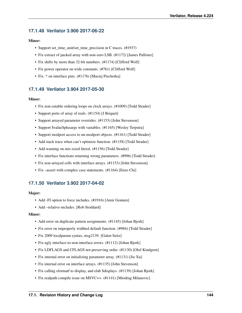# **17.1.48 Verilator 3.906 2017-06-22**

## Minor:

- Support set\_time\_unit/set\_time\_precision in C traces. (#1937)
- Fix extract of packed array with non-zero LSB. (#1172) [James Pallister]
- Fix shifts by more than 32-bit numbers. (#1174) [Clifford Wolf]
- Fix power operator on wide constants. (#761) [Clifford Wolf]
- Fix .\* on interface pins. (#1176) [Maciej Piechotka]

# **17.1.49 Verilator 3.904 2017-05-30**

### Minor:

- Fix non-cutable ordering loops on clock arrays. (#1009) [Todd Strader]
- Support ports of array of reals. (#1154) [J Briquet]
- Support arrayed parameter overrides. (#1153) [John Stevenson]
- Support \$value\$plusargs with variables. (#1165) [Wesley Terpstra]
- Support modport access to un-modport objects. (#1161) [Todd Strader]
- Add stack trace when can't optimize function. (#1158) [Todd Strader]
- Add warning on mis-sized literal. (#1156) [Todd Strader]
- Fix interface functions returning wrong parameters. (#996) [Todd Strader]
- Fix non-arrayed cells with interface arrays. (#1153) [John Stevenson]
- Fix –assert with complex case statements. (#1164) [Enzo Chi]

# **17.1.50 Verilator 3.902 2017-04-02**

## Major:

- Add -FI option to force includes. (#1916) [Amir Gonnen]
- Add –relative-includes. [Rob Stoddard]

- Add error on duplicate pattern assignments. (#1145) [Johan Bjork]
- Fix error on improperly widthed default function. (#984) [Todd Strader]
- Fix 2009 localparam syntax, msg2139. [Galen Seitz]
- Fix ugly interface-to-non-interface errors. (#1112) [Johan Bjork]
- Fix LDFLAGS and CFLAGS not preserving order. (#1130) [Olof Kindgren]
- Fix internal error on initializing parameter array. (#1131) [Jie Xu]
- Fix internal error on interface arrays. (#1135) [John Stevenson]
- Fix calling sformat to display, and elab \$displays. (#1139) [Johan Bjork]
- Fix realpath compile issue on MSVC++. (#1141) [Miodrag Milanovic]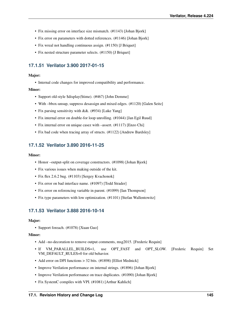- Fix missing error on interface size mismatch. (#1143) [Johan Bjork]
- Fix error on parameters with dotted references. (#1146) [Johan Bjork]
- Fix wreal not handling continuous assign. (#1150) [J Briquet]
- Fix nested structure parameter selects. (#1150) [J Briquet]

# **17.1.51 Verilator 3.900 2017-01-15**

#### Major:

• Internal code changes for improved compatibility and performance.

### Minor:

- Support old-style \$display(\$time). (#467) [John Demme]
- With –bbox-unsup, suppress desassign and mixed edges. (#1120) [Galen Seitz]
- Fix parsing sensitivity with &&. (#934) [Luke Yang]
- Fix internal error on double-for loop unrolling. (#1044) [Jan Egil Ruud]
- Fix internal error on unique casez with –assert. (#1117) [Enzo Chi]
- Fix bad code when tracing array of structs. (#1122) [Andrew Bardsley]

## **17.1.52 Verilator 3.890 2016-11-25**

#### Minor:

- Honor –output-split on coverage constructors. (#1098) [Johan Bjork]
- Fix various issues when making outside of the kit.
- Fix flex 2.6.2 bug. (#1103) [Sergey Kvachonok]
- Fix error on bad interface name. (#1097) [Todd Strader]
- Fix error on referencing variable in parent. (#1099) [Ian Thompson]
- Fix type parameters with low optimization. (#1101) [Stefan Wallentowitz]

## **17.1.53 Verilator 3.888 2016-10-14**

#### Major:

• Support foreach. (#1078) [Xuan Guo]

- Add –no-decoration to remove output comments, msg2015. [Frederic Requin]
- If VM\_PARALLEL\_BUILDS=1, use OPT\_FAST and OPT\_SLOW. [Frederic Requin] Set VM\_DEFAULT\_RULES=0 for old behavior.
- Add error on DPI functions > 32 bits. (#1898) [Elliot Mednick]
- Improve Verilation performance on internal strings. (#1896) [Johan Bjork]
- Improve Verilation performance on trace duplicates. (#1090) [Johan Bjork]
- Fix SystemC compiles with VPI. (#1081) [Arthur Kahlich]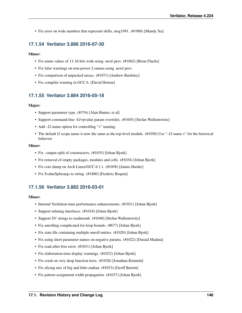• Fix error on wide numbers that represent shifts, msg1991. (#1088) [Mandy Xu]

## **17.1.54 Verilator 3.886 2016-07-30**

### Minor:

- Fix enum values of 11-16 bits wide using .next/.prev. (#1062) [Brian Flachs]
- Fix false warnings on non-power-2 enums using .next/.prev.
- Fix comparison of unpacked arrays. (#1071) [Andrew Bardsley]
- Fix compiler warning in GCC 6. [David Horton]

## **17.1.55 Verilator 3.884 2016-05-18**

#### Major:

- Support parameter type. (#376) [Alan Hunter, et al]
- Support command-line -G/+pvalue param overrides. (#1045) [Stefan Wallentowitz]
- Add –12-name option for controlling "v" naming.
- The default l2 scope name is now the same as the top-level module. (#1050) Use "–l2-name v" for the historical behavior.

#### Minor:

- Fix –output-split of constructors. (#1035) [Johan Bjork]
- Fix removal of empty packages, modules and cells. (#1034) [Johan Bjork]
- Fix core dump on Arch Linux/GCC 6.1.1. (#1058) [Jannis Harder]
- Fix \$value\$plusargs to string. (#1880) [Frederic Requin]

# **17.1.56 Verilator 3.882 2016-03-01**

- Internal Verilation-time performance enhancements. (#1021) [Johan Bjork]
- Support inlining interfaces. (#1018) [Johan Bjork]
- Support SV strings to readmemh. (#1040) [Stefan Wallentowitz]
- Fix unrolling complicated for-loop bounds. (#677) [Johan Bjork]
- Fix stats file containing multiple unroll entries. (#1020) [Johan Bjork]
- Fix using short parameter names on negative params. (#1022) [Duraid Madina]
- Fix read-after-free error. (#1031) [Johan Bjork]
- Fix elaboration-time display warnings. (#1032) [Johan Bjork]
- Fix crash on very deep function trees. (#1028) [Jonathan Kimmitt]
- Fix slicing mix of big and little-endian. (#1033) [Geoff Barrett]
- Fix pattern assignment width propagation. (#1037) [Johan Bjork]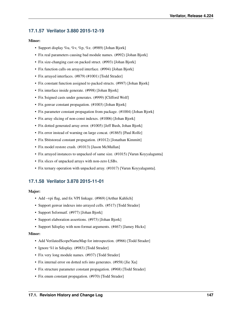# **17.1.57 Verilator 3.880 2015-12-19**

## Minor:

- Support display %u, %v, %p, %z. (#989) [Johan Bjork]
- Fix real parameters causing bad module names. (#992) [Johan Bjork]
- Fix size-changing cast on packed struct. (#993) [Johan Bjork]
- Fix function calls on arrayed interface. (#994) [Johan Bjork]
- Fix arrayed interfaces. (#879) (#1001) [Todd Strader]
- Fix constant function assigned to packed structs. (#997) [Johan Bjork]
- Fix interface inside generate. (#998) [Johan Bjork]
- Fix \$signed casts under generates. (#999) [Clifford Wolf]
- Fix genvar constant propagation. (#1003) [Johan Bjork]
- Fix parameter constant propagation from package. (#1004) [Johan Bjork]
- Fix array slicing of non-const indexes. (#1006) [Johan Bjork]
- Fix dotted generated array error. (#1005) [Jeff Bush, Johan Bjork]
- Fix error instead of warning on large concat. (#1865) [Paul Rolfe]
- Fix \$bitstoreal constant propagation. (#1012) [Jonathan Kimmitt]
- Fix model restore crash. (#1013) [Jason McMullan]
- Fix arrayed instances to unpacked of same size. (#1015) [Varun Koyyalagunta]
- Fix slices of unpacked arrays with non-zero LSBs.
- Fix ternary operation with unpacked array. (#1017) [Varun Koyyalagunta].

# **17.1.58 Verilator 3.878 2015-11-01**

### Major:

- Add –vpi flag, and fix VPI linkage. (#969) [Arthur Kahlich]
- Support genvar indexes into arrayed cells. (#517) [Todd Strader]
- Support \$sformatf. (#977) [Johan Bjork]
- Support elaboration assertions. (#973) [Johan Bjork]
- Support \$display with non-format arguments. (#467) [Jamey Hicks]

- Add VerilatedScopeNameMap for introspection. (#966) [Todd Strader]
- Ignore %l in \$display. (#983) [Todd Strader]
- Fix very long module names. (#937) [Todd Strader]
- Fix internal error on dotted refs into generates. (#958) [Jie Xu]
- Fix structure parameter constant propagation. (#968) [Todd Strader]
- Fix enum constant propagation. (#970) [Todd Strader]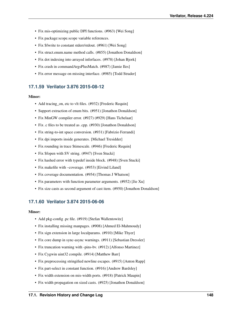- Fix mis-optimizing public DPI functions. (#963) [Wei Song]
- Fix package:scope.scope variable references.
- Fix \$fwrite to constant stderr/stdout. (#961) [Wei Song]
- Fix struct.enum.name method calls. (#855) [Jonathon Donaldson]
- Fix dot indexing into arrayed inferfaces. (#978) [Johan Bjork]
- Fix crash in commandArgsPlusMatch. (#987) [Jamie Iles]
- Fix error message on missing interface. (#985) [Todd Strader]

# **17.1.59 Verilator 3.876 2015-08-12**

### Minor:

- Add tracing\_on, etc to vlt files. (#932) [Frederic Requin]
- Support extraction of enum bits. (#951) [Jonathon Donaldson]
- Fix MinGW compiler error. (#927) (#929) [Hans Tichelaar]
- Fix .c files to be treated as .cpp. (#930) [Jonathon Donaldson]
- Fix string-to-int space conversion. (#931) [Fabrizio Ferrandi]
- Fix dpi imports inside generates. [Michael Tresidder]
- Fix rounding in trace \$timescale. (#946) [Frederic Requin]
- Fix \$fopen with SV string. (#947) [Sven Stucki]
- Fix hashed error with typedef inside block. (#948) [Sven Stucki]
- Fix makefile with –coverage. (#953) [Eivind Liland]
- Fix coverage documentation. (#954) [Thomas J Whatson]
- Fix parameters with function parameter arguments. (#952) [Jie Xu]
- Fix size casts as second argument of cast item. (#950) [Jonathon Donaldson]

# **17.1.60 Verilator 3.874 2015-06-06**

- Add pkg-config .pc file. (#919) [Stefan Wallentowitz]
- Fix installing missing manpages. (#908) [Ahmed El-Mahmoudy]
- Fix sign extension in large localparams. (#910) [Mike Thyer]
- Fix core dump in sync-async warnings. (#911) [Sebastian Dressler]
- Fix truncation warning with -pins-bv. (#912) [Alfonso Martinez]
- Fix Cygwin uint32 compile. (#914) [Matthew Barr]
- Fix preprocessing stringified newline escapes. (#915) [Anton Rapp]
- Fix part-select in constant function. (#916) [Andrew Bardsley]
- Fix width extension on mis-width ports. (#918) [Patrick Maupin]
- Fix width propagation on sized casts. (#925) [Jonathon Donaldson]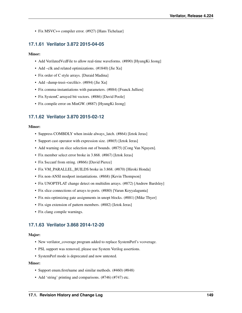• Fix MSVC++ compiler error. (#927) [Hans Tichelaar]

# **17.1.61 Verilator 3.872 2015-04-05**

### Minor:

- Add Verilated Vcd File to allow real-time waveforms. (#890) [Hyung Ki Jeong]
- Add –clk and related optimizations. (#1840) [Jie Xu]
- Fix order of C style arrays. [Duraid Madina]
- Add –dump-treei-<srcfile>. (#894) [Jie Xu]
- Fix comma-instantiations with parameters. (#884) [Franck Jullien]
- Fix SystemC arrayed bit vectors. (#886) [David Poole]
- Fix compile error on MinGW. (#887) [HyungKi Jeong]

# **17.1.62 Verilator 3.870 2015-02-12**

### Minor:

- Suppress COMBDLY when inside always\_latch. (#864) [Iztok Jeras]
- Support cast operator with expression size. (#865) [Iztok Jeras]
- Add warning on slice selection out of bounds. (#875) [Cong Van Nguyen].
- Fix member select error broke in 3.868. (#867) [Iztok Jeras]
- Fix \$sccanf from string. (#866) [David Pierce]
- Fix VM\_PARALLEL\_BUILDS broke in 3.868. (#870) [Hiroki Honda]
- Fix non-ANSI modport instantiations. (#868) [Kevin Thompson]
- Fix UNOPTFLAT change detect on multidim arrays. (#872) [Andrew Bardsley]
- Fix slice connections of arrays to ports. (#880) [Varun Koyyalagunta]
- Fix mis-optimizing gate assignments in unopt blocks. (#881) [Mike Thyer]
- Fix sign extension of pattern members. (#882) [Iztok Jeras]
- Fix clang compile warnings.

# **17.1.63 Verilator 3.868 2014-12-20**

### Major:

- New verilator coverage program added to replace SystemPerl's vcoverage.
- PSL support was removed, please use System Verilog assertions.
- SystemPerl mode is deprecated and now untested.

- Support enum.first/name and similar methods. (#460) (#848)
- Add 'string' printing and comparisons. (#746) (#747) etc.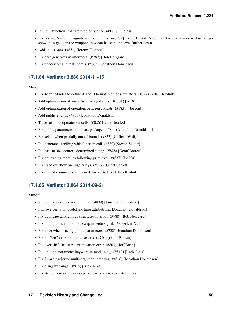- Inline C functions that are used only once. (#1838) [Jie Xu]
- Fix tracing SystemC signals with structures. (#858) [Eivind Liland] Note that SystemC traces will no longer show the signals in the wrapper, they can be seen one level further down.
- Add –stats-vars. (#851) [Jeremy Bennett]
- Fix bare generates in interfaces. (#789) [Bob Newgard]
- Fix underscores in real literals. (#863) [Jonathon Donaldson]

# **17.1.64 Verilator 3.866 2014-11-15**

## Minor:

- Fix +define+A+B to define A and B to match other simulators. (#847) [Adam Krolnik]
- Add optimization of wires from arrayed cells. (#1831) [Jie Xu]
- Add optimization of operators between concats. (#1831) [Jie Xu]
- Add public enums. (#833) [Jonathon Donaldson]
- Trace\_off now operates on cells. (#826) [Lane Brooks]
- Fix public parameters in unused packages. (#804) [Jonathon Donaldson]
- Fix select when partially out-of-bound. (#823) [Clifford Wolf]
- Fix generate unrolling with function call. (#830) [Steven Slatter]
- Fix cast-to-size context-determined sizing. (#828) [Geoff Barrett]
- Fix not tracing modules following primitives. (#837) [Jie Xu]
- Fix trace overflow on huge arrays. (#834) [Geoff Barrett]
- Fix quoted comment slashes in defines. (#845) [Adam Krolnik]

# **17.1.65 Verilator 3.864 2014-09-21**

- Support power operator with real. (#809) [Jonathon Donaldson]
- Improve verilator profcfunc time attributions. [Jonathon Donaldson]
- Fix duplicate anonymous structures in \$root. (#788) [Bob Newgard]
- Fix mis-optimization of bit-swap in wide signal. (#800) [Jie Xu]
- Fix error when tracing public parameters. (#722) [Jonathon Donaldson]
- Fix dpiGetContext in dotted scopes. (#740) [Geoff Barrett]
- Fix over-shift structure optimization error. (#803) [Jeff Bush]
- Fix optional parameter keyword in module #(). (#810) [Iztok Jeras]
- Fix \$warning/\$error multi-argument ordering. (#816) [Jonathon Donaldson]
- Fix clang warnings. (#818) [Iztok Jeras]
- Fix string formats under deep expressions. (#820) [Iztok Jeras]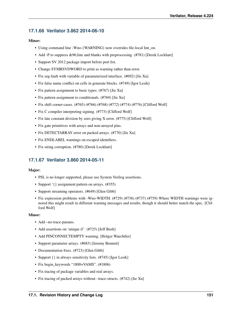# **17.1.66 Verilator 3.862 2014-06-10**

## Minor:

- Using command line -Wno-{WARNING} now overrides file-local lint\_on.
- Add -P to suppress &96;line and blanks with preprocessing. (#781) [Derek Lockhart]
- Support SV 2012 package import before port list.
- Change SYMRSVDWORD to print as warning rather than error.
- Fix seg-fault with variable of parameterized interface. (#692) [Jie Xu]
- Fix false name conflict on cells in generate blocks. (#749) [Igor Lesik]
- Fix pattern assignment to basic types. (#767) [Jie Xu]
- Fix pattern assignment to conditionals. (#769) [Jie Xu]
- Fix shift corner-cases. (#765) (#766) (#768) (#772) (#774) (#776) [Clifford Wolf]
- Fix C compiler interpreting signing. (#773) [Clifford Wolf]
- Fix late constant division by zero giving X error. (#775) [Clifford Wolf]
- Fix gate primitives with arrays and non-arrayed pins.
- Fix DETECTARRAY error on packed arrays. (#770) [Jie Xu]
- Fix ENDLABEL warnings on escaped identifiers.
- Fix string corruption. (#780) [Derek Lockhart]

# **17.1.67 Verilator 3.860 2014-05-11**

### Major:

- PSL is no longer supported, please use System Verilog assertions.
- Support '{} assignment pattern on arrays. (#355)
- Support streaming operators. (#649) [Glen Gibb]
- Fix expression problems with -Wno-WIDTH. (#729) (#736) (#737) (#759) Where WIDTH warnings were ignored this might result in different warning messages and results, though it should better match the spec. [Clifford Wolf]

- Add –no-trace-params.
- Add assertions on 'unique if'. (#725) [Jeff Bush]
- Add PINCONNECTEMPTY warning. [Holger Waechtler]
- Support parameter arrays. (#683) [Jeremy Bennett]
- Documentation fixes. (#723) [Glen Gibb]
- Support  $\{\}\$ in always sensitivity lists. (#745) [Igor Lesik]
- Fix begin\_keywords "1800+VAMS". (#1806)
- Fix tracing of package variables and real arrays.
- Fix tracing of packed arrays without –trace-structs. (#742) [Jie Xu]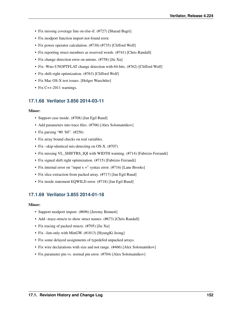- Fix missing coverage line on else-if. (#727) [Sharad Bagri]
- Fix modport function import not-found error.
- Fix power operator calculation. (#730) (#735) [Clifford Wolf]
- Fix reporting struct members as reserved words. (#741) [Chris Randall]
- Fix change detection error on unions. (#758) [Jie Xu]
- Fix -Wno-UNOPTFLAT change detection with 64-bits. (#762) [Clifford Wolf]
- Fix shift-right optimization. (#763) [Clifford Wolf]
- Fix Mac OS-X test issues. [Holger Waechtler]
- Fix C++-2011 warnings.

## **17.1.68 Verilator 3.856 2014-03-11**

### Minor:

- Support case inside. (#708) [Jan Egil Ruud]
- Add parameters into trace files. (#706) [Alex Solomatnikov]
- Fix parsing "#0 'b0". (#256)
- Fix array bound checks on real variables.
- Fix –skip-identical mis-detecting on OS-X. (#707)
- Fix missing VL\_SHIFTRS\_IQI with WIDTH warning. (#714) [Fabrizio Ferrandi]
- Fix signed shift right optimization. (#715) [Fabrizio Ferrandi]
- Fix internal error on "input  $x =$ " syntax error. (#716) [Lane Brooks]
- Fix slice extraction from packed array. (#717) [Jan Egil Ruud]
- Fix inside statement EQWILD error. (#718) [Jan Egil Ruud]

# **17.1.69 Verilator 3.855 2014-01-18**

- Support modport import. (#696) [Jeremy Bennett]
- Add –trace-structs to show struct names. (#673) [Chris Randall]
- Fix tracing of packed structs. (#705) [Jie Xu]
- Fix –lint-only with MinGW. (#1813) [HyungKi Jeong]
- Fix some delayed assignments of typedefed unpacked arrays.
- Fix wire declarations with size and not range. (#466) [Alex Solomatnikov]
- Fix parameter pin vs. normal pin error. (#704) [Alex Solomatnikov]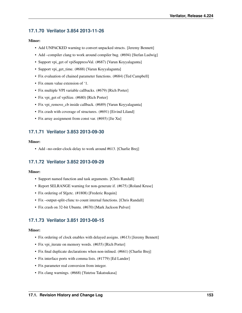# **17.1.70 Verilator 3.854 2013-11-26**

## Minor:

- Add UNPACKED warning to convert unpacked structs. [Jeremy Bennett]
- Add –compiler clang to work around compiler bug. (#694) [Stefan Ludwig]
- Support vpi\_get of vpiSuppressVal. (#687) [Varun Koyyalagunta]
- Support vpi\_get\_time. (#688) [Varun Koyyalagunta]
- Fix evaluation of chained parameter functions. (#684) [Ted Campbell]
- Fix enum value extension of '1.
- Fix multiple VPI variable callbacks. (#679) [Rich Porter]
- Fix vpi\_get of vpiSize. (#680) [Rich Porter]
- Fix vpi\_remove\_cb inside callback. (#689) [Varun Koyyalagunta]
- Fix crash with coverage of structures. (#691) [Eivind Liland]
- Fix array assignment from const var. (#693) [Jie Xu]

## **17.1.71 Verilator 3.853 2013-09-30**

## Minor:

• Add –no-order-clock-delay to work around #613. [Charlie Brej]

# **17.1.72 Verilator 3.852 2013-09-29**

## Minor:

- Support named function and task arguments. [Chris Randall]
- Report SELRANGE warning for non-generate if. (#675) [Roland Kruse]
- Fix ordering of \$fgetc. (#1808) [Frederic Requin]
- Fix –output-split-cfunc to count internal functions. [Chris Randall]
- Fix crash on 32-bit Ubuntu. (#670) [Mark Jackson Pulver]

# **17.1.73 Verilator 3.851 2013-08-15**

- Fix ordering of clock enables with delayed assigns. (#613) [Jeremy Bennett]
- Fix vpi\_iterate on memory words. (#655) [Rich Porter]
- Fix final duplicate declarations when non-inlined. (#661) [Charlie Brej]
- Fix interface ports with comma lists. (#1779) [Ed Lander]
- Fix parameter real conversion from integer.
- Fix clang warnings. (#668) [Yutetsu Takatsukasa]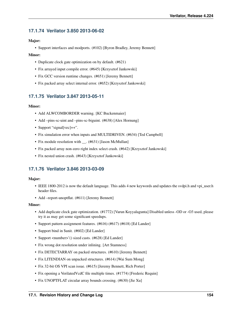# **17.1.74 Verilator 3.850 2013-06-02**

## Major:

• Support interfaces and modports. (#102) [Byron Bradley, Jeremy Bennett]

## Minor:

- Duplicate clock gate optimization on by default. (#621)
- Fix arrayed input compile error. (#645) [Krzysztof Jankowski]
- Fix GCC version runtime changes. (#651) [Jeremy Bennett]
- Fix packed array select internal error. (#652) [Krzysztof Jankowski]

# **17.1.75 Verilator 3.847 2013-05-11**

### Minor:

- Add ALWCOMBORDER warning. [KC Buckenmaier]
- Add –pins-sc-uint and –pins-sc-biguint. (#638) [Alex Hornung]
- Support "signal[vec]++".
- Fix simulation error when inputs and MULTIDRIVEN. (#634) [Ted Campbell]
- Fix module resolution with \_\_. (#631) [Jason McMullan]
- Fix packed array non-zero right index select crash. (#642) [Krzysztof Jankowski]
- Fix nested union crash. (#643) [Krzysztof Jankowski]

# **17.1.76 Verilator 3.846 2013-03-09**

### Major:

- IEEE 1800-2012 is now the default language. This adds 4 new keywords and updates the svdpi.h and vpi\_user.h header files.
- Add –report-unoptflat. (#611) [Jeremy Bennett]

- Add duplicate clock gate optimization. (#1772) [Varun Koyyalagunta] Disabled unless -OD or -O3 used, please try it as may get some significant speedups.
- Support pattern assignment features. (#616) (#617) (#618) [Ed Lander]
- Support bind in \$unit. (#602) [Ed Lander]
- Support <number>'() sized casts. (#628) [Ed Lander]
- Fix wrong dot resolution under inlining. [Art Stamness]
- Fix DETECTARRAY on packed structures. (#610) [Jeremy Bennett]
- Fix LITENDIAN on unpacked structures. (#614) [Wai Sum Mong]
- Fix 32-bit OS VPI scan issue. (#615) [Jeremy Bennett, Rich Porter]
- Fix opening a VerilatedVcdC file multiple times. (#1774) [Frederic Requin]
- Fix UNOPTFLAT circular array bounds crossing. (#630) [Jie Xu]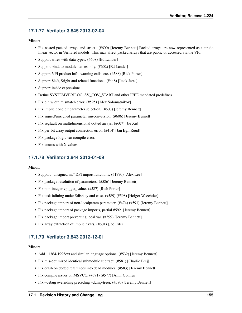# **17.1.77 Verilator 3.845 2013-02-04**

## Minor:

- Fix nested packed arrays and struct. (#600) [Jeremy Bennett] Packed arrays are now represented as a single linear vector in Verilated models. This may affect packed arrays that are public or accessed via the VPI.
- Support wires with data types. (#608) [Ed Lander]
- Support bind, to module names only. (#602) [Ed Lander]
- Support VPI product info, warning calls, etc. (#588) [Rick Porter]
- Support \$left, \$right and related functions. (#448) [Iztok Jeras]
- Support inside expressions.
- Define SYSTEMVERILOG, SV\_COV\_START and other IEEE mandated predefines.
- Fix pin width mismatch error. (#595) [Alex Solomatnikov]
- Fix implicit one bit parameter selection. (#603) [Jeremy Bennett]
- Fix signed/unsigned parameter misconversion. (#606) [Jeremy Bennett]
- Fix segfault on multidimensional dotted arrays. (#607) [Jie Xu]
- Fix per-bit array output connection error. (#414) [Jan Egil Ruud]
- Fix package logic var compile error.
- Fix enums with X values.

# **17.1.78 Verilator 3.844 2013-01-09**

### Minor:

- Support "unsigned int" DPI import functions. (#1770) [Alex Lee]
- Fix package resolution of parameters. (#586) [Jeremy Bennett]
- Fix non-integer vpi\_get\_value. (#587) [Rich Porter]
- Fix task inlining under \$display and case. (#589) (#598) [Holger Waechtler]
- Fix package import of non-localparam parameter. (#474) (#591) [Jeremy Bennett]
- Fix package import of package imports, partial #592. [Jeremy Bennett]
- Fix package import preventing local var. (#599) [Jeremy Bennett]
- Fix array extraction of implicit vars. (#601) [Joe Eiler]

# **17.1.79 Verilator 3.843 2012-12-01**

- Add +1364-1995 ext and similar language options. (#532) [Jeremy Bennett]
- Fix mis-optimized identical submodule subtract. (#581) [Charlie Brej]
- Fix crash on dotted references into dead modules. (#583) [Jeremy Bennett]
- Fix compile issues on MSVCC. (#571) (#577) [Amir Gonnen]
- Fix –debug overriding preceding –dump-treei. (#580) [Jeremy Bennett]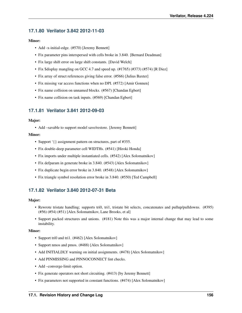# **17.1.80 Verilator 3.842 2012-11-03**

## Minor:

- Add -x-initial-edge. (#570) [Jeremy Bennett]
- Fix parameter pins interspersed with cells broke in 3.840. [Bernard Deadman]
- Fix large shift error on large shift constants. [David Welch]
- Fix \$display mangling on GCC 4.7 and speed up. (#1765) (#373) (#574) [R Diez]
- Fix array of struct references giving false error. (#566) [Julius Baxter]
- Fix missing var access functions when no DPI. (#572) [Amir Gonnen]
- Fix name collision on unnamed blocks. (#567) [Chandan Egbert]
- Fix name collision on task inputs. (#569) [Chandan Egbert]

# **17.1.81 Verilator 3.841 2012-09-03**

### Major:

• Add –savable to support model save/restore. [Jeremy Bennett]

## Minor:

- Support '{} assignment pattern on structures, part of #355.
- Fix double-deep parameter cell WIDTHs. (#541) [Hiroki Honda]
- Fix imports under multiple instantiated cells. (#542) [Alex Solomatnikov]
- Fix defparam in generate broke in 3.840. (#543) [Alex Solomatnikov]
- Fix duplicate begin error broke in 3.840. (#548) [Alex Solomatnikov]
- Fix triangle symbol resolution error broke in 3.840. (#550) [Ted Campbell]

# **17.1.82 Verilator 3.840 2012-07-31 Beta**

### Major:

- Rewrote tristate handling; supports tri0, tri1, tristate bit selects, concatenates and pullup/pulldowns. (#395) (#56) (#54) (#51) [Alex Solomatnikov, Lane Brooks, et al]
- Support packed structures and unions. (#181) Note this was a major internal change that may lead to some instability.

- Support tri0 and tri1. (#462) [Alex Solomatnikov]
- Support nmos and pmos. (#488) [Alex Solomatnikov]
- Add INITIALDLY warning on initial assignments. (#478) [Alex Solomatnikov]
- Add PINMISSING and PINNOCONNECT lint checks.
- Add –converge-limit option.
- Fix generate operators not short circuiting. (#413) [by Jeremy Bennett]
- Fix parameters not supported in constant functions. (#474) [Alex Solomatnikov]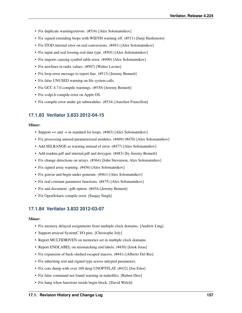- Fix duplicate warnings/errors. (#516) [Alex Solomatnikov]
- Fix signed extending biops with WIDTH warning off. (#511) [Junji Hashimoto]
- Fix ITOD internal error on real conversions. (#491) [Alex Solomatnikov]
- Fix input and real loosing real data type. (#501) [Alex Solomatnikov]
- Fix imports causing symbol table error. (#490) [Alex Solomatnikov]
- Fix newlines in radix values. (#507) [Walter Lavino]
- Fix loop error message to report line. (#513) [Jeremy Bennett]
- Fix false UNUSED warning on file system calls.
- Fix GCC 4.7.0 compile warnings. (#530) [Jeremy Bennett]
- Fix svdpi.h compile error on Apple OS.
- Fix compile error under git submodules. (#534) [Aurelien Francillon]

# **17.1.83 Verilator 3.833 2012-04-15**

### Minor:

- Support += and -= in standard for loops. (#463) [Alex Solomatnikov]
- Fix processing unused parameterized modules. (#469) (#470) [Alex Solomatnikov]
- Add SELRANGE as warning instead of error. (#477) [Alex Solomatnikov]
- Add readme.pdf and internal.pdf and doxygen. (#483) [by Jeremy Bennett]
- Fix change detections on arrays. (#364) [John Stevenson, Alex Solomatnikov]
- Fix signed array warning. (#456) [Alex Solomatnikov]
- Fix genvar and begin under generate. (#461) [Alex Solomatnikov]
- Fix real constant parameter functions. (#475) [Alex Solomatnikov]
- Fix and document –gdb option. (#454) [Jeremy Bennett]
- Fix OpenSolaris compile error. [Sanjay Singh]

# **17.1.84 Verilator 3.832 2012-03-07**

- Fix memory delayed assignments from multiple clock domains. [Andrew Ling]
- Support arrayed SystemC I/O pins. [Christophe Joly]
- Report MULTIDRIVEN on memories set in multiple clock domains.
- Report ENDLABEL on mismatching end labels. (#450) [Iztok Jeras]
- Fix expansion of back-slashed escaped macros. (#441) [Alberto Del Rio]
- Fix inheriting real and signed type across untyped parameters.
- Fix core dump with over 100 deep UNOPTFLAT. (#432) [Joe Eiler]
- Fix false command not found warning in makefiles. [Ruben Diez]
- Fix hang when functions inside begin block. [David Welch]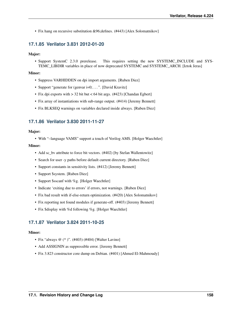• Fix hang on recursive substitution &96; defines. (#443) [Alex Solomatnikov]

# **17.1.85 Verilator 3.831 2012-01-20**

## Major:

• Support SystemC 2.3.0 prerelease. This requires setting the new SYSTEMC INCLUDE and SYS-TEMC\_LIBDIR variables in place of now deprecated SYSTEMC and SYSTEMC\_ARCH. [Iztok Jeras]

#### Minor:

- Suppress VARHIDDEN on dpi import arguments. [Ruben Diez]
- Support "generate for (genvar i=0; ...". [David Kravitz]
- Fix dpi exports with > 32 bit but < 64 bit args. (#423) [Chandan Egbert]
- Fix array of instantiations with sub-range output. (#414) [Jeremy Bennett]
- Fix BLKSEQ warnings on variables declared inside always. [Ruben Diez]

## **17.1.86 Verilator 3.830 2011-11-27**

#### Major:

• With "–language VAMS" support a touch of Verilog AMS. [Holger Waechtler]

### Minor:

- Add sc\_bv attribute to force bit vectors. (#402) [by Stefan Wallentowitz]
- Search for user -y paths before default current directory. [Ruben Diez]
- Support constants in sensitivity lists. (#412) [Jeremy Bennett]
- Support \$system. [Ruben Diez]
- Support \$sscanf with %g. [Holger Waechtler]
- Indicate 'exiting due to errors' if errors, not warnings. [Ruben Diez]
- Fix bad result with if-else-return optimization. (#420) [Alex Solomatnikov]
- Fix reporting not found modules if generate-off. (#403) [Jeremy Bennett]
- Fix \$display with %d following %g. [Holger Waechtler]

# **17.1.87 Verilator 3.824 2011-10-25**

- Fix "always @ (\* )". (#403) (#404) [Walter Lavino]
- Add ASSIGNIN as suppressible error. [Jeremy Bennett]
- Fix 3.823 constructor core dump on Debian. (#401) [Ahmed El-Mahmoudy]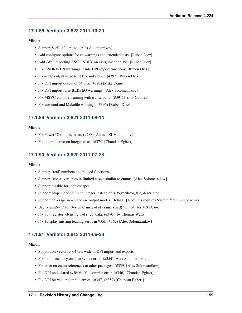# **17.1.88 Verilator 3.823 2011-10-20**

## Minor:

- Support \$ceil, \$floor, etc. [Alex Solomatnikov]
- Add configure options for cc warnings and extended tests. [Ruben Diez]
- Add -Wall reporting ASSIGNDLY on assignment delays. [Ruben Diez]
- Fix UNDRIVEN warnings inside DPI import functions. [Ruben Diez]
- Fix –help output to go to stderr, not stdout. (#397) [Ruben Diez]
- Fix DPI import output of 64 bits. (#398) [Mike Denio]
- Fix DPI import false BLKSEQ warnings. [Alex Solomatnikov]
- Fix MSVC compile warning with trunc/round. (#394) [Amir Gonnen]
- Fix autoconf and Makefile warnings. (#396) [Ruben Diez]

# **17.1.89 Verilator 3.821 2011-09-14**

### Minor:

- Fix PowerPC runtime error. (#288) [Ahmed El-Mahmoudy]
- Fix internal error on integer casts. (#374) [Chandan Egbert]

# **17.1.90 Verilator 3.820 2011-07-28**

### Minor:

- Support 'real' numbers and related functions.
- Support 'const' variables in limited cases; similar to enums. [Alex Solomatnikov]
- Support disable for loop escapes.
- Support \$fopen and I/O with integer instead of &96;verilator\_file\_descriptor.
- Support coverage in -cc and -sc output modes. [John Li] Note this requires SystemPerl 1.338 or newer.
- Use 'vluint64\_t' for SystemC instead of (same sized) 'uint64' for MSVC++.
- Fix vpi\_register\_cb using bad s\_cb\_data. (#370) [by Thomas Watts]
- Fix \$display missing leading zeros in %0d. (#367) [Alex Solomatnikov]

# **17.1.91 Verilator 3.813 2011-06-28**

- Support bit vectors > 64 bits wide in DPI import and exports.
- Fix out of memory on slice syntax error. (#354) [Alex Solomatnikov]
- Fix error on enum references to other packages. (#339) [Alex Solomatnikov]
- Fix DPI undeclared svBitVecVal compile error. (#346) [Chandan Egbert]
- Fix DPI bit vector compile errors. (#347) (#359) [Chandan Egbert]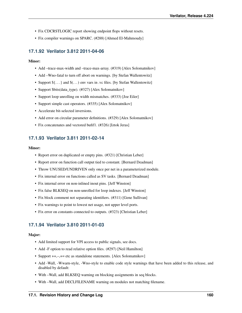- Fix CDCRSTLOGIC report showing endpoint flops without resets.
- Fix compiler warnings on SPARC. (#288) [Ahmed El-Mahmoudy]

# **17.1.92 Verilator 3.812 2011-04-06**

### Minor:

- Add –trace-max-width and –trace-max-array. (#319) [Alex Solomatnikov]
- Add –Wno-fatal to turn off abort on warnings. [by Stefan Wallentowitz]
- Support  $\S$ ... } and  $\S$ ...) env vars in .vc files. [by Stefan Wallentowitz]
- Support \$bits(data\_type). (#327) [Alex Solomatnikov]
- Support loop unrolling on width mismatches. (#333) [Joe Eiler]
- Support simple cast operators. (#335) [Alex Solomatnikov]
- Accelerate bit-selected inversions.
- Add error on circular parameter definitions. (#329) [Alex Solomatnikov]
- Fix concatenates and vectored bufif1. (#326) [Iztok Jeras]

## **17.1.93 Verilator 3.811 2011-02-14**

#### Minor:

- Report error on duplicated or empty pins. (#321) [Christian Leber]
- Report error on function call output tied to constant. [Bernard Deadman]
- Throw UNUSED/UNDRIVEN only once per net in a parameterized module.
- Fix internal error on functions called as SV tasks. [Bernard Deadman]
- Fix internal error on non-inlined inout pins. [Jeff Winston]
- Fix false BLKSEQ on non-unrolled for loop indexes. [Jeff Winston]
- Fix block comment not separating identifiers. (#311) [Gene Sullivan]
- Fix warnings to point to lowest net usage, not upper level ports.
- Fix error on constants connected to outputs. (#323) [Christian Leber]

## **17.1.94 Verilator 3.810 2011-01-03**

#### Major:

- Add limited support for VPI access to public signals, see docs.
- Add -F option to read relative option files. (#297) [Neil Hamilton]
- Support  $++,-,+=$  etc as standalone statements. [Alex Solomatnikov]
- Add -Wall, -Wwarn-style, -Wno-style to enable code style warnings that have been added to this release, and disabled by default:
- With –Wall, add BLKSEQ warning on blocking assignments in seq blocks.
- With –Wall, add DECLFILENAME warning on modules not matching filename.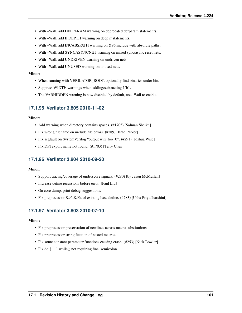- With –Wall, add DEFPARAM warning on deprecated defparam statements.
- With –Wall, add IFDEPTH warning on deep if statements.
- With –Wall, add INCABSPATH warning on &96;include with absolute paths.
- With –Wall, add SYNCASYNCNET warning on mixed sync/async reset nets.
- With –Wall, add UNDRIVEN warning on undriven nets.
- With –Wall, add UNUSED warning on unused nets.

#### Minor:

- When running with VERILATOR\_ROOT, optionally find binaries under bin.
- Suppress WIDTH warnings when adding/subtracting 1'b1.
- The VARHIDDEN warning is now disabled by default, use -Wall to enable.

## **17.1.95 Verilator 3.805 2010-11-02**

### Minor:

- Add warning when directory contains spaces. (#1705) [Salman Sheikh]
- Fix wrong filename on include file errors. (#289) [Brad Parker]
- Fix segfault on SystemVerilog "output wire foo=0". (#291) [Joshua Wise]
- Fix DPI export name not found. (#1703) [Terry Chen]

## **17.1.96 Verilator 3.804 2010-09-20**

### Minor:

- Support tracing/coverage of underscore signals. (#280) [by Jason McMullan]
- Increase define recursions before error. [Paul Liu]
- On core dump, print debug suggestions.
- Fix preprocessor &96;&96; of existing base define. (#283) [Usha Priyadharshini]

# **17.1.97 Verilator 3.803 2010-07-10**

- Fix preprocessor preservation of newlines across macro substitutions.
- Fix preprocessor stringification of nested macros.
- Fix some constant parameter functions causing crash. (#253) [Nick Bowler]
- Fix do {...} while() not requiring final semicolon.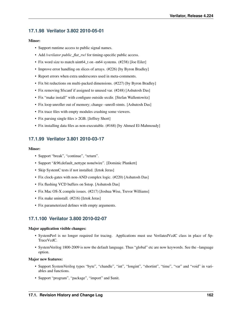# **17.1.98 Verilator 3.802 2010-05-01**

## Minor:

- Support runtime access to public signal names.
- Add /*verilator public\_flat\_rw*/ for timing-specific public access.
- Fix word size to match uint 64\_t on -m64 systems. (#238) [Joe Eiler]
- Improve error handling on slices of arrays. (#226) [by Byron Bradley]
- Report errors when extra underscores used in meta-comments.
- Fix bit reductions on multi-packed dimensions. (#227) [by Byron Bradley]
- Fix removing \$fscanf if assigned to unused var. (#248) [Ashutosh Das]
- Fix "make install" with configure outside srcdir. [Stefan Wallentowitz]
- Fix loop unroller out of memory; change –unroll-stmts. [Ashutosh Das]
- Fix trace files with empty modules crashing some viewers.
- Fix parsing single files > 2GB. [Jeffrey Short]
- Fix installing data files as non-executable. (#168) [by Ahmed El-Mahmoudy]

# **17.1.99 Verilator 3.801 2010-03-17**

### Minor:

- Support "break", "continue", "return".
- Support "&96;default\_nettype nonelwire". [Dominic Plunkett]
- Skip SystemC tests if not installed. [Iztok Jeras]
- Fix clock-gates with non-AND complex logic. (#220) [Ashutosh Das]
- Fix flushing VCD buffers on \$stop. [Ashutosh Das]
- Fix Mac OS-X compile issues. (#217) [Joshua Wise, Trevor Williams]
- Fix make uninstall. (#216) [Iztok Jeras]
- Fix parameterized defines with empty arguments.

# **17.1.100 Verilator 3.800 2010-02-07**

### Major application visible changes:

- SystemPerl is no longer required for tracing. Applications must use VerilatedVcdC class in place of Sp-TraceVcdC.
- SystemVerilog 1800-2009 is now the default language. Thus "global" etc are now keywords. See the –language option.

### Major new features:

- Support SystemVerilog types "byte", "chandle", "int", "longint", "shortint", "time", "var" and "void" in variables and functions.
- Support "program", "package", "import" and \$unit.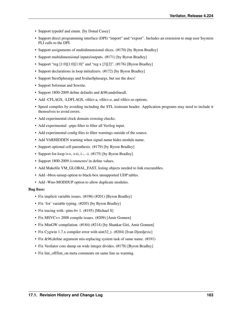- Support typedef and enum. [by Donal Casey]
- Support direct programming interface (DPI) "import" and "export". Includes an extension to map user \$system PLI calls to the DPI.
- Support assignments of multidimensional slices. (#170) [by Byron Bradley]
- Support multidimensional inputs/outputs. (#171) [by Byron Bradley]
- Support "reg  $[1:0][1:0][1:0]$ " and "reg x  $[3][2]$ ". (#176) [Byron Bradley]
- Support declarations in loop initializers. (#172) [by Byron Bradley]
- Support \$test\$plusargs and \$value\$plusargs, but see the docs!
- Support \$sformat and \$swrite.
- Support 1800-2009 define defaults and &96;undefineall.
- Add -CFLAGS, -LDFLAGS, <file>.a, <file>.o, and <file>.so options.
- Speed compiles by avoiding including the STL iostream header. Application programs may need to include it themselves to avoid errors.
- Add experimental clock domain crossing checks.
- Add experimental –pipe-filter to filter all Verilog input.
- Add experimental config files to filter warnings outside of the source.
- Add VARHIDDEN warning when signal name hides module name.
- Support optional cell parenthesis. (#179) [by Byron Bradley]
- Support for-loop i++, ++i, i–, –i. (#175) [by Byron Bradley]
- Support 1800-2009 /*comments*/ in define values.
- Add Makefile VM\_GLOBAL\_FAST, listing objects needed to link executables.
- Add –bbox-unsup option to black-box unsupported UDP tables.
- Add -Wno-MODDUP option to allow duplicate modules.

### Bug fixes:

- Fix implicit variable issues. (#196) (#201) [Byron Bradley]
- Fix 'for' variable typing. (#205) [by Byron Bradley]
- Fix tracing with –pins-bv 1. (#195) [Michael S]
- Fix MSVC++ 2008 compile issues. (#209) [Amir Gonnen]
- Fix MinGW compilation. (#184) (#214) [by Shankar Giri, Amir Gonnen]
- Fix Cygwin 1.7.x compiler error with uint32\_t. (#204) [Ivan Djordjevic]
- Fix &96;define argument mis-replacing system task of same name. (#191)
- Fix Verilator core dump on wide integer divides. (#178) [Byron Bradley]
- Fix lint\_off/lint\_on meta comments on same line as warning.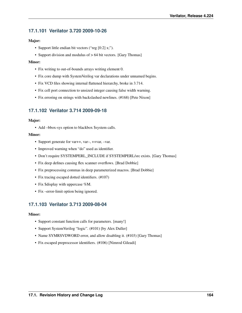# **17.1.101 Verilator 3.720 2009-10-26**

## Major:

- Support little endian bit vectors ("reg [0:2] x;").
- Support division and modulus of  $> 64$  bit vectors. [Gary Thomas]

## Minor:

- Fix writing to out-of-bounds arrays writing element 0.
- Fix core dump with SystemVerilog var declarations under unnamed begins.
- Fix VCD files showing internal flattened hierarchy, broke in 3.714.
- Fix cell port connection to unsized integer causing false width warning.
- Fix erroring on strings with backslashed newlines. (#168) [Pete Nixon]

# **17.1.102 Verilator 3.714 2009-09-18**

## Major:

• Add –bbox-sys option to blackbox \$system calls.

## Minor:

- Support generate for var++, var-, ++var, -var.
- Improved warning when "do" used as identifier.
- Don't require SYSTEMPERL\_INCLUDE if SYSTEMPERL/src exists. [Gary Thomas]
- Fix deep defines causing flex scanner overflows. [Brad Dobbie]
- Fix preprocessing commas in deep parameterized macros. [Brad Dobbie]
- Fix tracing escaped dotted identifiers. (#107)
- Fix \$display with uppercase %M.
- Fix –error-limit option being ignored.

# **17.1.103 Verilator 3.713 2009-08-04**

- Support constant function calls for parameters. [many!]
- Support SystemVerilog "logic". (#101) [by Alex Duller]
- Name SYMRSVDWORD error, and allow disabling it. (#103) [Gary Thomas]
- Fix escaped preprocessor identifiers. (#106) [Nimrod Gileadi]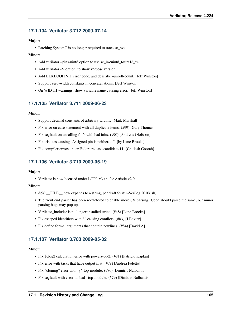# **17.1.104 Verilator 3.712 2009-07-14**

## Major:

• Patching SystemC is no longer required to trace sc\_bvs.

## Minor:

- Add verilator –pins-uint8 option to use sc\_in<uint8\_t/uint16\_t>.
- Add verilator -V option, to show verbose version.
- Add BLKLOOPINIT error code, and describe –unroll-count. [Jeff Winston]
- Support zero-width constants in concatenations. [Jeff Winston]
- On WIDTH warnings, show variable name causing error. [Jeff Winston]

# **17.1.105 Verilator 3.711 2009-06-23**

### Minor:

- Support decimal constants of arbitrary widths. [Mark Marshall]
- Fix error on case statement with all duplicate items. (#99) [Gary Thomas]
- Fix segfault on unrolling for's with bad inits. (#90) [Andreas Olofsson]
- Fix tristates causing "Assigned pin is neither...". [by Lane Brooks]
- Fix compiler errors under Fedora release candidate 11. [Chitlesh Goorah]

# **17.1.106 Verilator 3.710 2009-05-19**

### Major:

• Verilator is now licensed under LGPL v3 and/or Artistic v2.0.

## Minor:

- &96; FILE now expands to a string, per draft SystemVerilog 2010(ish).
- The front end parser has been re-factored to enable more SV parsing. Code should parse the same, but minor parsing bugs may pop up.
- Verilator includer is no longer installed twice. (#48) [Lane Brooks]
- Fix escaped identifiers with '.' causing conflicts. (#83) [J Baxter]
- Fix define formal arguments that contain newlines. (#84) [David A]

# **17.1.107 Verilator 3.703 2009-05-02**

- Fix \$clog2 calculation error with powers-of-2. (#81) [Patricio Kaplan]
- Fix error with tasks that have output first. (#78) [Andrea Foletto]
- Fix "cloning" error with -y/-top-module. (#76) [Dimitris Nalbantis]
- Fix segfault with error on bad –top-module. (#79) [Dimitris Nalbantis]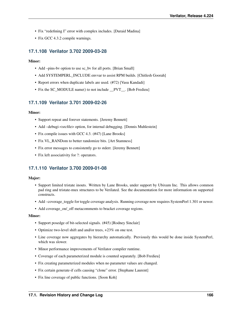- Fix "redefining I" error with complex includes. [Duraid Madina]
- Fix GCC 4.3.2 compile warnings.

# **17.1.108 Verilator 3.702 2009-03-28**

### Minor:

- Add –pins-by option to use sc\_by for all ports. [Brian Small]
- Add SYSTEMPERL\_INCLUDE envvar to assist RPM builds. [Chitlesh Goorah]
- Report errors when duplicate labels are used. (#72) [Vasu Kandadi]
- Fix the SC\_MODULE name() to not include \_\_PVT\_\_. [Bob Fredieu]

# **17.1.109 Verilator 3.701 2009-02-26**

### Minor:

- Support repeat and forever statements. [Jeremy Bennett]
- Add –debugi-<srcfile> option, for internal debugging. [Dennis Muhlestein]
- Fix compile issues with GCC 4.3. (#47) [Lane Brooks]
- Fix VL\_RANDom to better randomize bits. [Art Stamness]
- Fix error messages to consistently go to stderr. [Jeremy Bennett]
- Fix left associativity for ?: operators.

# **17.1.110 Verilator 3.700 2009-01-08**

### Major:

- Support limited tristate inouts. Written by Lane Brooks, under support by Ubixum Inc. This allows common pad ring and tristate-mux structures to be Verilated. See the documentation for more information on supported constructs.
- Add –coverage\_toggle for toggle coverage analysis. Running coverage now requires SystemPerl 1.301 or newer.
- Add coverage\_on/\_off metacomments to bracket coverage regions.

- Support posedge of bit-selected signals. (#45) [Rodney Sinclair]
- Optimize two-level shift and and/or trees, +23% on one test.
- Line coverage now aggregates by hierarchy automatically. Previously this would be done inside SystemPerl, which was slower.
- Minor performance improvements of Verilator compiler runtime.
- Coverage of each parameterized module is counted separately. [Bob Fredieu]
- Fix creating parameterized modules when no parameter values are changed.
- Fix certain generate-if cells causing "clone" error. [Stephane Laurent]
- Fix line coverage of public functions. [Soon Koh]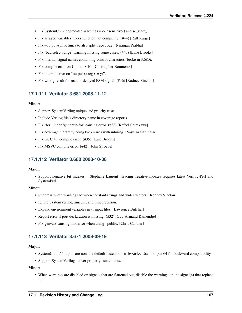- Fix System C 2.2 deprecated warnings about sensitive () and sc start ().
- Fix arrayed variables under function not compiling. (#44) [Ralf Karge]
- Fix –output-split-cfuncs to also split trace code. [Niranjan Prabhu]
- Fix 'bad select range' warning missing some cases. (#43) [Lane Brooks]
- Fix internal signal names containing control characters (broke in 3.680).
- Fix compile error on Ubuntu 8.10. [Christopher Boumenot]
- Fix internal error on "output x; reg  $x = y$ ;".
- Fix wrong result for read of delayed FSM signal. (#46) [Rodney Sinclair]

# **17.1.111 Verilator 3.681 2008-11-12**

### Minor:

- Support SystemVerilog unique and priority case.
- Include Verilog file's directory name in coverage reports.
- Fix 'for' under 'generate-for' causing error. (#38) [Rafael Shirakawa]
- Fix coverage hierarchy being backwards with inlining. [Vasu Arasanipalai]
- Fix GCC 4.3 compile error. (#35) [Lane Brooks]
- Fix MSVC compile error. (#42) [John Stroebel]

# **17.1.112 Verilator 3.680 2008-10-08**

### Major:

• Support negative bit indexes. [Stephane Laurent] Tracing negative indexes requires latest Verilog-Perl and SystemPerl.

### Minor:

- Suppress width warnings between constant strings and wider vectors. [Rodney Sinclair]
- Ignore SystemVerilog timeunit and timeprecision.
- Expand environment variables in -f input files. [Lawrence Butcher]
- Report error if port declaration is missing. (#32) [Guy-Armand Kamendje]
- Fix genvars causing link error when using –public. [Chris Candler]

# **17.1.113 Verilator 3.671 2008-09-19**

### Major:

- SystemC uint64 t pins are now the default instead of sc bv<64>. Use –no-pins64 for backward compatibility.
- Support SystemVerilog "cover property" statements.

### Minor:

• When warnings are disabled on signals that are flattened out, disable the warnings on the signal(s) that replace it.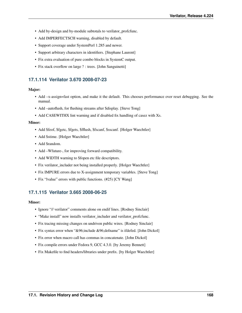- Add by-design and by-module subtotals to verilator profcfunc.
- Add IMPERFECTSCH warning, disabled by default.
- Support coverage under SystemPerl 1.285 and newer.
- Support arbitrary characters in identifiers. [Stephane Laurent]
- Fix extra evaluation of pure combo blocks in SystemC output.
- Fix stack overflow on large ? : trees. [John Sanguinetti]

# **17.1.114 Verilator 3.670 2008-07-23**

### Major:

- Add –x-assign=fast option, and make it the default. This chooses performance over reset debugging. See the manual.
- Add –autoflush, for flushing streams after \$display. [Steve Tong]
- Add CASEWITHX lint warning and if disabled fix handling of casez with Xs.

### Minor:

- Add \$feof, \$fgetc, \$fgets, \$fflush, \$fscanf, \$sscanf. [Holger Waechtler]
- Add \$stime. [Holger Waechtler]
- Add \$random.
- Add –Wfuture-, for improving forward compatibility.
- Add WIDTH warning to \$fopen etc file descriptors.
- Fix verilator\_includer not being installed properly. [Holger Waechtler]
- Fix IMPURE errors due to X-assignment temporary variables. [Steve Tong]
- Fix "Ivalue" errors with public functions. (#25) [CY Wang]

# **17.1.115 Verilator 3.665 2008-06-25**

- Ignore "// verilator" comments alone on endif lines. [Rodney Sinclair]
- "Make install" now installs verilator\_includer and verilator\_profcfunc.
- Fix tracing missing changes on undriven public wires. [Rodney Sinclair]
- Fix syntax error when "&96;include &96;defname" is ifdefed. [John Dickol]
- Fix error when macro call has commas in concatenate. [John Dickol]
- Fix compile errors under Fedora 9, GCC 4.3.0. [by Jeremy Bennett]
- Fix Makefile to find headers/libraries under prefix. [by Holger Waechtler]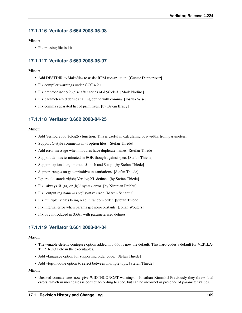# **17.1.116 Verilator 3.664 2008-05-08**

## Minor:

• Fix missing file in kit.

# **17.1.117 Verilator 3.663 2008-05-07**

## Minor:

- Add DESTDIR to Makefiles to assist RPM construction. [Gunter Dannoritzer]
- Fix compiler warnings under GCC 4.2.1.
- Fix preprocessor &96;else after series of &96;elsif. [Mark Nodine]
- Fix parameterized defines calling define with comma. [Joshua Wise]
- Fix comma separated list of primitives. [by Bryan Brady]

# **17.1.118 Verilator 3.662 2008-04-25**

## Minor:

- Add Verilog 2005 \$clog2() function. This is useful in calculating bus-widths from parameters.
- Support C-style comments in -f option files. [Stefan Thiede]
- Add error message when modules have duplicate names. [Stefan Thiede]
- Support defines terminated in EOF, though against spec. [Stefan Thiede]
- Support optional argument to \$finish and \$stop. [by Stefan Thiede]
- Support ranges on gate primitive instantiations. [Stefan Thiede]
- Ignore old standard(ish) Verilog-XL defines. [by Stefan Thiede]
- Fix "always @ ((a) or (b))" syntax error. [by Niranjan Prabhu]
- Fix "output reg name=expr;" syntax error. [Martin Scharrer]
- Fix multiple .v files being read in random order. [Stefan Thiede]
- Fix internal error when params get non-constants. [Johan Wouters]
- Fix bug introduced in 3.661 with parameterized defines.

# **17.1.119 Verilator 3.661 2008-04-04**

### Major:

- The –enable-defenv configure option added in 3.660 is now the default. This hard-codes a default for VERILA-TOR ROOT etc in the executables.
- Add –language option for supporting older code. [Stefan Thiede]
- Add –top-module option to select between multiple tops. [Stefan Thiede]

## Minor:

• Unsized concatenates now give WIDTHCONCAT warnings. [Jonathan Kimmitt] Previously they threw fatal errors, which in most cases is correct according to spec, but can be incorrect in presence of parameter values.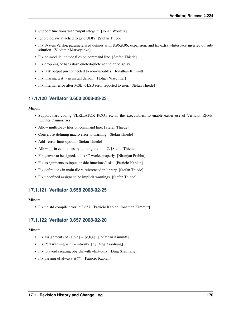- Support functions with "input integer". [Johan Wouters]
- Ignore delays attached to gate UDPs. [Stefan Thiede]
- Fix SystemVerilog parameterized defines with &96;&96; expansion, and fix extra whitespace inserted on substitution. [Vladimir Matveyenko]
- Fix no-module include files on command line. [Stefan Thiede]
- Fix dropping of backslash quoted-quote at end of \$display.
- Fix task output pin connected to non-variables. [Jonathan Kimmitt]
- Fix missing test\_v in install datadir. [Holger Waechtler]
- Fix internal error after MSB < LSB error reported to user. [Stefan Thiede]

# **17.1.120 Verilator 3.660 2008-03-23**

### Minor:

- Support hard-coding VERILATOR\_ROOT etc in the executables, to enable easier use of Verilator RPMs. [Gunter Dannoritzer]
- Allow multiple .v files on command line. [Stefan Thiede]
- Convert re-defining macro error to warning. [Stefan Thiede]
- Add –error-limit option. [Stefan Thiede]
- Allow  $\equiv$  in cell names by quoting them in C. [Stefan Thiede]
- Fix genvar to be signed, so "< 0" works properly. [Niranjan Prabhu]
- Fix assignments to inputs inside functions/tasks. [Patricio Kaplan]
- Fix definitions in main file.v, referenced in library. [Stefan Thiede]
- Fix undefined assigns to be implicit warnings. [Stefan Thiede]

# **17.1.121 Verilator 3.658 2008-02-25**

### Minor:

• Fix unistd compile error in 3.657. [Patricio Kaplan, Jonathan Kimmitt]

# **17.1.122 Verilator 3.657 2008-02-20**

- Fix assignments of  ${a,b,c} = {c,b,a}$ . [Jonathan Kimmitt]
- Fix Perl warning with –lint-only. [by Ding Xiaoliang]
- Fix to avoid creating obj\_dir with –lint-only. [Ding Xiaoliang]
- Fix parsing of always @(\*). [Patricio Kaplan]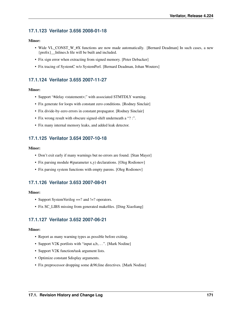# **17.1.123 Verilator 3.656 2008-01-18**

## Minor:

- Wide VL\_CONST\_W\_#X functions are now made automatically. [Bernard Deadman] In such cases, a new {prefix}\_\_Inlines.h file will be built and included.
- Fix sign error when extracting from signed memory. [Peter Debacker]
- Fix tracing of SystemC w/o SystemPerl. [Bernard Deadman, Johan Wouters]

# **17.1.124 Verilator 3.655 2007-11-27**

## Minor:

- Support "#delay <statement>;" with associated STMTDLY warning.
- Fix generate for loops with constant zero conditions. [Rodney Sinclair]
- Fix divide-by-zero errors in constant propagator. [Rodney Sinclair]
- Fix wrong result with obscure signed-shift underneath a "? :".
- Fix many internal memory leaks, and added leak detector.

# **17.1.125 Verilator 3.654 2007-10-18**

### Minor:

- Don't exit early if many warnings but no errors are found. [Stan Mayer]
- Fix parsing module #(parameter x,y) declarations. [Oleg Rodionov]
- Fix parsing system functions with empty parens. [Oleg Rodionov]

# **17.1.126 Verilator 3.653 2007-08-01**

### Minor:

- Support SystemVerilog ==? and !=? operators.
- Fix SC\_LIBS missing from generated makefiles. [Ding Xiaoliang]

# **17.1.127 Verilator 3.652 2007-06-21**

- Report as many warning types as possible before exiting.
- Support V2K portlists with "input a,b,...". [Mark Nodine]
- Support V2K function/task argument lists.
- Optimize constant \$display arguments.
- Fix preprocessor dropping some &96;line directives. [Mark Nodine]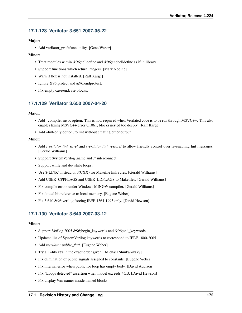# **17.1.128 Verilator 3.651 2007-05-22**

## Major:

• Add verilator\_profcfunc utility. [Gene Weber]

## Minor:

- Treat modules within &96;celldefine and &96;endcelldefine as if in library.
- Support functions which return integers. [Mark Nodine]
- Warn if flex is not installed. [Ralf Karge]
- Ignore &96;protect and &96;endprotect.
- Fix empty case/endcase blocks.

# **17.1.129 Verilator 3.650 2007-04-20**

## Major:

- Add –compiler msvc option. This is now required when Verilated code is to be run through MSVC++. This also enables fixing MSVC++ error C1061, blocks nested too deeply. [Ralf Karge]
- Add –lint-only option, to lint without creating other output.

## Minor:

- Add */verilator lint save/* and */verilator lint restore/* to allow friendly control over re-enabling lint messages. [Gerald Williams]
- Support SystemVerilog .name and .\* interconnect.
- Support while and do-while loops.
- Use  $\S$ (LINK) instead of  $\S$ (CXX) for Makefile link rules. [Gerald Williams]
- Add USER\_CPPFLAGS and USER\_LDFLAGS to Makefiles. [Gerald Williams]
- Fix compile errors under Windows MINGW compiler. [Gerald Williams]
- Fix dotted bit reference to local memory. [Eugene Weber]
- Fix 3.640 &96;verilog forcing IEEE 1364-1995 only. [David Hewson]

# **17.1.130 Verilator 3.640 2007-03-12**

- Support Verilog 2005 &96; begin keywords and &96; end keywords.
- Updated list of SystemVerilog keywords to correspond to IEEE 1800-2005.
- Add /*verilator public\_flat*/. [Eugene Weber]
- Try all +libext's in the exact order given. [Michael Shinkarovsky]
- Fix elimination of public signals assigned to constants. [Eugene Weber]
- Fix internal error when public for loop has empty body. [David Addison]
- Fix "Loops detected" assertion when model exceeds 4GB. [David Hewson]
- Fix display %m names inside named blocks.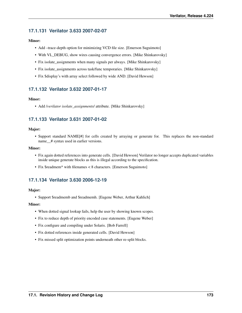# **17.1.131 Verilator 3.633 2007-02-07**

## Minor:

- Add –trace-depth option for minimizing VCD file size. [Emerson Suguimoto]
- With VL\_DEBUG, show wires causing convergence errors. [Mike Shinkarovsky]
- Fix isolate\_assignments when many signals per always. [Mike Shinkarovsky]
- Fix isolate\_assignments across task/func temporaries. [Mike Shinkarovsky]
- Fix \$display's with array select followed by wide AND. [David Hewson]

# **17.1.132 Verilator 3.632 2007-01-17**

## Minor:

• Add /*verilator isolate\_assignments*/ attribute. [Mike Shinkarovsky]

# **17.1.133 Verilator 3.631 2007-01-02**

## Major:

• Support standard NAME[#] for cells created by arraying or generate for. This replaces the non-standard name\_\_# syntax used in earlier versions.

### Minor:

- Fix again dotted references into generate cells. [David Hewson] Verilator no longer accepts duplicated variables inside unique generate blocks as this is illegal according to the specification.
- Fix \$readmem\* with filenames < 8 characters. [Emerson Suguimoto]

# **17.1.134 Verilator 3.630 2006-12-19**

### Major:

• Support \$readmemb and \$readmemh. [Eugene Weber, Arthur Kahlich]

- When dotted signal lookup fails, help the user by showing known scopes.
- Fix to reduce depth of priority encoded case statements. [Eugene Weber]
- Fix configure and compiling under Solaris. [Bob Farrell]
- Fix dotted references inside generated cells. [David Hewson]
- Fix missed split optimization points underneath other re-split blocks.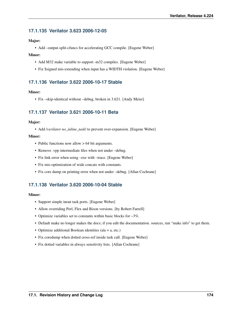# **17.1.135 Verilator 3.623 2006-12-05**

## Major:

• Add –output-split-cfuncs for accelerating GCC compile. [Eugene Weber]

## Minor:

- Add M32 make variable to support -m32 compiles. [Eugene Weber]
- Fix \$signed mis-extending when input has a WIDTH violation. [Eugene Weber]

# **17.1.136 Verilator 3.622 2006-10-17 Stable**

## Minor:

• Fix –skip-identical without –debug, broken in 3.621. [Andy Meier]

# **17.1.137 Verilator 3.621 2006-10-11 Beta**

## Major:

• Add /*verilator no\_inline\_task*/ to prevent over-expansion. [Eugene Weber]

### Minor:

- Public functions now allow > 64 bit arguments.
- Remove .vpp intermediate files when not under –debug.
- Fix link error when using –exe with –trace. [Eugene Weber]
- Fix mis-optimization of wide concats with constants.
- Fix core dump on printing error when not under –debug. [Allan Cochrane]

# **17.1.138 Verilator 3.620 2006-10-04 Stable**

- Support simple inout task ports. [Eugene Weber]
- Allow overriding Perl, Flex and Bison versions. [by Robert Farrell]
- Optimize variables set to constants within basic blocks for  $\sim 3\%$ .
- Default make no longer makes the docs; if you edit the documentation. sources, run "make info" to get them.
- Optimize additional Boolean identities (ala = a, etc.)
- Fix coredump when dotted cross-ref inside task call. [Eugene Weber]
- Fix dotted variables in always sensitivity lists. [Allan Cochrane]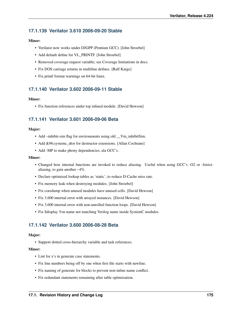# **17.1.139 Verilator 3.610 2006-09-20 Stable**

## Minor:

- Verilator now works under DJGPP (Pentium GCC). [John Stroebel]
- Add default define for VL\_PRINTF. [John Stroebel]
- Removed coverage request variable; see Coverage limitations in docs.
- Fix DOS carriage returns in multiline defines. [Ralf Karge]
- Fix printf format warnings on 64-bit linux.

# **17.1.140 Verilator 3.602 2006-09-11 Stable**

## Minor:

• Fix function references under top inlined module. [David Hewson]

# **17.1.141 Verilator 3.601 2006-09-06 Beta**

## Major:

- Add –inhibit-sim flag for environments using old \_\_Vm\_inhibitSim.
- Add &96;systemc\_dtor for destructor extensions. [Allan Cochrane]
- Add -MP to make phony dependencies, ala GCC's.

### Minor:

- Changed how internal functions are invoked to reduce aliasing. Useful when using GCC's -O2 or -fstrictaliasing, to gain another ~4%.
- Declare optimized lookup tables as 'static', to reduce D-Cache miss rate.
- Fix memory leak when destroying modules. [John Stroebel]
- Fix coredump when unused modules have unused cells. [David Hewson]
- Fix 3.600 internal error with arrayed instances. [David Hewson]
- Fix 3.600 internal error with non-unrolled function loops. [David Hewson]
- Fix \$display %m name not matching Verilog name inside SystemC modules.

# **17.1.142 Verilator 3.600 2006-08-28 Beta**

### Major:

• Support dotted cross-hierarchy variable and task references.

- Lint for x's in generate case statements.
- Fix line numbers being off by one when first file starts with newline.
- Fix naming of generate for blocks to prevent non-inline name conflict.
- Fix redundant statements remaining after table optimization.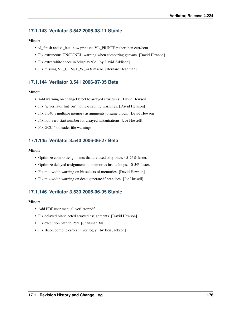# **17.1.143 Verilator 3.542 2006-08-11 Stable**

## Minor:

- vl\_finish and vl\_fatal now print via VL\_PRINTF rather then cerr/cout.
- Fix extraneous UNSIGNED warning when comparing genvars. [David Hewson]
- Fix extra white space in \$display %c. [by David Addison]
- Fix missing VL\_CONST\_W\_24X macro. [Bernard Deadman]

# **17.1.144 Verilator 3.541 2006-07-05 Beta**

## Minor:

- Add warning on changeDetect to arrayed structures. [David Hewson]
- Fix "// verilator lint\_on" not re-enabling warnings. [David Hewson]
- Fix 3.540's multiple memory assignments to same block. [David Hewson]
- Fix non-zero start number for arrayed instantiations. [Jae Hossell]
- Fix GCC 4.0 header file warnings.

# **17.1.145 Verilator 3.540 2006-06-27 Beta**

### Minor:

- Optimize combo assignments that are used only once, ~5-25% faster.
- Optimize delayed assignments to memories inside loops, ~0-5% faster.
- Fix mis-width warning on bit selects of memories. [David Hewson]
- Fix mis-width warning on dead generate-if branches. [Jae Hossell]

# **17.1.146 Verilator 3.533 2006-06-05 Stable**

- Add PDF user manual, verilator.pdf.
- Fix delayed bit-selected arrayed assignments. [David Hewson]
- Fix execution path to Perl. [Shanshan Xu]
- Fix Bison compile errors in verilog.y. [by Ben Jackson]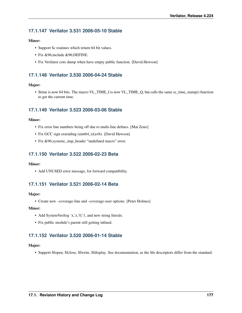# **17.1.147 Verilator 3.531 2006-05-10 Stable**

## Minor:

- Support \$c routines which return 64 bit values.
- Fix & 96; include & 96; DEFINE.
- Fix Verilator core dump when have empty public function. [David.Hewson]

# **17.1.148 Verilator 3.530 2006-04-24 Stable**

### Major:

• \$time is now 64 bits. The macro VL\_TIME\_I is now VL\_TIME\_Q, but calls the same sc\_time\_stamp() function to get the current time.

# **17.1.149 Verilator 3.523 2006-03-06 Stable**

### Minor:

- Fix error line numbers being off due to multi-line defines. [Mat Zeno]
- Fix GCC sign extending (uint64\_t)(a<br/>cb). [David Hewson]
- Fix &96;systemc\_imp\_header "undefined macro" error.

## **17.1.150 Verilator 3.522 2006-02-23 Beta**

### Minor:

• Add UNUSED error message, for forward compatibility.

# **17.1.151 Verilator 3.521 2006-02-14 Beta**

### Major:

• Create new –coverage-line and –coverage-user options. [Peter Holmes]

### Minor:

- Add SystemVerilog 'x,'z,'0,'1, and new string literals.
- Fix public module's parent still getting inlined.

# **17.1.152 Verilator 3.520 2006-01-14 Stable**

### Major:

• Support \$fopen, \$fclose, \$fwrite, \$fdisplay. See documentation, as the file descriptors differ from the standard.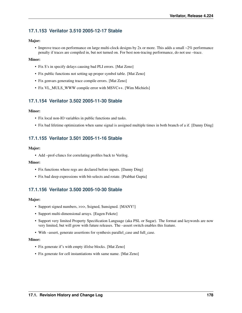# **17.1.153 Verilator 3.510 2005-12-17 Stable**

### Major:

• Improve trace-on performance on large multi-clock designs by 2x or more. This adds a small ~2% performance penalty if traces are compiled in, but not turned on. For best non-tracing performance, do not use –trace.

### Minor:

- Fix \$'s in specify delays causing bad PLI errors. [Mat Zeno]
- Fix public functions not setting up proper symbol table. [Mat Zeno]
- Fix genvars generating trace compile errors. [Mat Zeno]
- Fix VL\_MULS\_WWW compile error with MSVC++. [Wim Michiels]

## **17.1.154 Verilator 3.502 2005-11-30 Stable**

### Minor:

- Fix local non-IO variables in public functions and tasks.
- Fix bad lifetime optimization when same signal is assigned multiple times in both branch of a if. [Danny Ding]

# **17.1.155 Verilator 3.501 2005-11-16 Stable**

### Major:

• Add –prof-cfuncs for correlating profiles back to Verilog.

### Minor:

- Fix functions where regs are declared before inputs. [Danny Ding]
- Fix bad deep expressions with bit-selects and rotate. [Prabhat Gupta]

# **17.1.156 Verilator 3.500 2005-10-30 Stable**

### Major:

- Support signed numbers, >>>, \$signed, \$unsigned. [MANY!]
- Support multi-dimensional arrays. [Eugen Fekete]
- Support very limited Property Specification Language (aka PSL or Sugar). The format and keywords are now very limited, but will grow with future releases. The –assert switch enables this feature.
- With –assert, generate assertions for synthesis parallel\_case and full\_case.

- Fix generate if's with empty if/else blocks. [Mat Zeno]
- Fix generate for cell instantiations with same name. [Mat Zeno]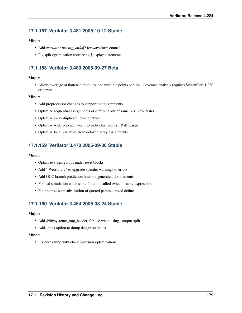# **17.1.157 Verilator 3.481 2005-10-12 Stable**

### Minor:

- Add /*verilator tracing\_on/off* / for waveform control.
- Fix split optimization reordering \$display statements.

# **17.1.158 Verilator 3.480 2005-09-27 Beta**

### Major:

• Allow coverage of flattened modules, and multiple points per line. Coverage analysis requires SystemPerl 1.230 or newer.

### Minor:

- Add preprocessor changes to support meta-comments.
- Optimize sequential assignments of different bits of same bus; ~5% faster.
- Optimize away duplicate lookup tables.
- Optimize wide concatenates into individual words. [Ralf Karge]
- Optimize local variables from delayed array assignments.

# **17.1.159 Verilator 3.470 2005-09-06 Stable**

### Minor:

- Optimize staging flops under reset blocks.
- Add '-Werror-...' to upgrade specific warnings to errors.
- Add GCC branch prediction hints on generated if statements.
- Fix bad simulation when same function called twice in same expression.
- Fix preprocessor substitution of quoted parameterized defines.

# **17.1.160 Verilator 3.464 2005-08-24 Stable**

### Major:

- Add &96;systemc\_imp\_header, for use when using –output-split.
- Add –stats option to dump design statistics.

### Minor:

• Fix core dump with clock inversion optimizations.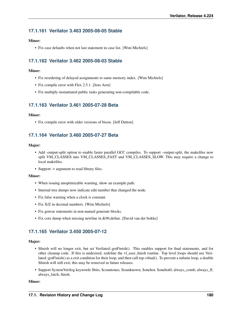# **17.1.161 Verilator 3.463 2005-08-05 Stable**

### Minor:

• Fix case defaults when not last statement in case list. [Wim Michiels]

# **17.1.162 Verilator 3.462 2005-08-03 Stable**

### Minor:

- Fix reordering of delayed assignments to same memory index. [Wim Michiels]
- Fix compile error with Flex 2.5.1. [Jens Arm]
- Fix multiply-instantiated public tasks generating non-compilable code.

# **17.1.163 Verilator 3.461 2005-07-28 Beta**

### Minor:

• Fix compile error with older versions of bison. [Jeff Dutton]

# **17.1.164 Verilator 3.460 2005-07-27 Beta**

### Major:

- Add -output-split option to enable faster parallel GCC compiles. To support –output-split, the makefiles now split VM\_CLASSES into VM\_CLASSES\_FAST and VM\_CLASSES\_SLOW. This may require a change to local makefiles.
- Support -v argument to read library files.

### Minor:

- When issuing unoptimizable warning, show an example path.
- Internal tree dumps now indicate edit number that changed the node.
- Fix false warning when a clock is constant.
- Fix X/Z in decimal numbers. [Wim Michiels]
- Fix genvar statements in non-named generate blocks.
- Fix core dump when missing newline in &96;define. [David van der bokke]

# **17.1.165 Verilator 3.450 2005-07-12**

### Major:

- \$finish will no longer exit, but set Verilated::gotFinish(). This enables support for final statements, and for other cleanup code. If this is undesired, redefine the vl\_user\_finish routine. Top level loops should use Verilated::gotFinish() as a exit condition for their loop, and then call top->final(). To prevent a infinite loop, a double \$finish will still exit; this may be removed in future releases.
- Support SystemVerilog keywords \$bits, \$countones, \$isunknown, \$onehot, \$onehot0, always\_comb, always\_ff, always\_latch, finish.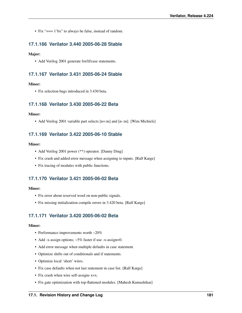• Fix "=== 1'bx" to always be false, instead of random.

## **17.1.166 Verilator 3.440 2005-06-28 Stable**

### Major:

• Add Verilog 2001 generate for/if/case statements.

## **17.1.167 Verilator 3.431 2005-06-24 Stable**

### Minor:

• Fix selection bugs introduced in 3.430 beta.

## **17.1.168 Verilator 3.430 2005-06-22 Beta**

### Minor:

• Add Verilog 2001 variable part selects [n+:m] and [n-:m]. [Wim Michiels]

## **17.1.169 Verilator 3.422 2005-06-10 Stable**

### Minor:

- Add Verilog 2001 power (\*\*) operator. [Danny Ding]
- Fix crash and added error message when assigning to inputs. [Ralf Karge]
- Fix tracing of modules with public functions.

# **17.1.170 Verilator 3.421 2005-06-02 Beta**

#### Minor:

- Fix error about reserved word on non-public signals.
- Fix missing initialization compile errors in 3.420 beta. [Ralf Karge]

## **17.1.171 Verilator 3.420 2005-06-02 Beta**

- Performance improvements worth ~20%
- Add -x-assign options; ~5% faster if use -x-assign=0.
- Add error message when multiple defaults in case statement.
- Optimize shifts out of conditionals and if statements.
- Optimize local 'short' wires.
- Fix case defaults when not last statement in case list. [Ralf Karge]
- Fix crash when wire self-assigns x=x.
- Fix gate optimization with top-flattened modules. [Mahesh Kumashikar]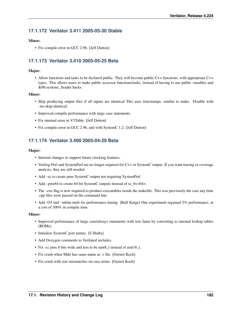# **17.1.172 Verilator 3.411 2005-05-30 Stable**

### Minor:

• Fix compile error in GCC 2.96. [Jeff Dutton]

# **17.1.173 Verilator 3.410 2005-05-25 Beta**

### Major:

• Allow functions and tasks to be declared public. They will become public C++ functions, with appropriate C++ types. This allows users to make public accessor functions/tasks, instead of having to use public variables and &96;systemc\_header hacks.

### Minor:

- Skip producing output files if all inputs are identical This uses timestamps, similar to make. Disable with –no-skip-identical.
- Improved compile performance with large case statements.
- Fix internal error in V3Table. [Jeff Dutton]
- Fix compile error in GCC 2.96, and with SystemC 1.2. [Jeff Dutton]

## **17.1.174 Verilator 3.400 2005-04-29 Beta**

### Major:

- Internal changes to support future clocking features.
- Verilog-Perl and SystemPerl are no longer required for C++ or SystemC output. If you want tracing or coverage analysis, they are still needed.
- Add –sc to create pure SystemC output not requiring SystemPerl.
- Add –pins64 to create 64 bit SystemC outputs instead of sc\_bv<64>.
- The –exe flag is now required to produce executables inside the makefile. This was previously the case any time .cpp files were passed on the command line.
- Add -O3 and –inline-mult for performance tuning. [Ralf Karge] One experiment regained 5% performance, at a cost of 300% in compile time.

- Improved performance of large case/always statements with low fanin by converting to internal lookup tables (ROMs).
- Initialize SystemC port names. [S Shuba]
- Add Doxygen comments to Verilated includes.
- Fix -cc pins 8 bits wide and less to be uint8\_t instead of uint16\_t.
- Fix crash when Mdir has same name as .v file. [Gernot Koch]
- Fix crash with size mismatches on case items. [Gernot Koch]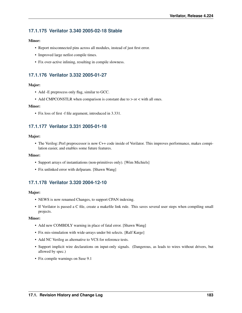# **17.1.175 Verilator 3.340 2005-02-18 Stable**

#### Minor:

- Report misconnected pins across all modules, instead of just first error.
- Improved large netlist compile times.
- Fix over-active inlining, resulting in compile slowness.

## **17.1.176 Verilator 3.332 2005-01-27**

### Major:

- Add -E preprocess only flag, similar to GCC.
- Add CMPCONSTLR when comparison is constant due to  $>$  or  $<$  with all ones.

#### Minor:

• Fix loss of first -f file argument, introduced in 3.331.

# **17.1.177 Verilator 3.331 2005-01-18**

### Major:

• The Verilog::Perl preprocessor is now C++ code inside of Verilator. This improves performance, makes compilation easier, and enables some future features.

#### Minor:

- Support arrays of instantiations (non-primitives only). [Wim Michiels]
- Fix unlinked error with defparam. [Shawn Wang]

# **17.1.178 Verilator 3.320 2004-12-10**

#### Major:

- NEWS is now renamed Changes, to support CPAN indexing.
- If Verilator is passed a C file, create a makefile link rule. This saves several user steps when compiling small projects.

- Add new COMBDLY warning in place of fatal error. [Shawn Wang]
- Fix mis-simulation with wide-arrays under bit selects. [Ralf Karge]
- Add NC Verilog as alternative to VCS for reference tests.
- Support implicit wire declarations on input-only signals. (Dangerous, as leads to wires without drivers, but allowed by spec.)
- Fix compile warnings on Suse 9.1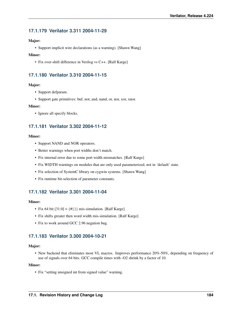## **17.1.179 Verilator 3.311 2004-11-29**

### Major:

• Support implicit wire declarations (as a warning). [Shawn Wang]

#### Minor:

• Fix over-shift difference in Verilog vs C++. [Ralf Karge]

## **17.1.180 Verilator 3.310 2004-11-15**

#### Major:

- Support defparam.
- Support gate primitives: buf, not, and, nand, or, nor, xor, xnor.

#### Minor:

• Ignore all specify blocks.

## **17.1.181 Verilator 3.302 2004-11-12**

#### Minor:

- Support NAND and NOR operators.
- Better warnings when port widths don't match.
- Fix internal error due to some port width mismatches. [Ralf Karge]
- Fix WIDTH warnings on modules that are only used parameterized, not in 'default' state.
- Fix selection of SystemC library on cygwin systems. [Shawn Wang]
- Fix runtime bit-selection of parameter constants.

## **17.1.182 Verilator 3.301 2004-11-04**

#### Minor:

- Fix 64 bit  $[31:0] = \{ \# \}$  mis-simulation. [Ralf Karge]
- Fix shifts greater then word width mis-simulation. [Ralf Karge]
- Fix to work around GCC 2.96 negation bug.

## **17.1.183 Verilator 3.300 2004-10-21**

#### Major:

• New backend that eliminates most VL macros. Improves performance 20%-50%, depending on frequency of use of signals over 64 bits. GCC compile times with -O2 shrink by a factor of 10.

### Minor:

• Fix "setting unsigned int from signed value" warning.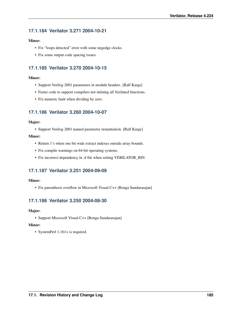# **17.1.184 Verilator 3.271 2004-10-21**

### Minor:

- Fix "loops detected" error with some negedge clocks.
- Fix some output code spacing issues.

# **17.1.185 Verilator 3.270 2004-10-15**

## Minor:

- Support Verilog 2001 parameters in module headers. [Ralf Karge]
- Faster code to support compilers not inlining all Verilated functions.
- Fix numeric fault when dividing by zero.

# **17.1.186 Verilator 3.260 2004-10-07**

### Major:

• Support Verilog 2001 named parameter instantiation. [Ralf Karge]

### Minor:

- Return 1's when one bit wide extract indexes outside array bounds.
- Fix compile warnings on 64-bit operating systems.
- Fix incorrect dependency in .d file when setting VERILATOR\_BIN.

# **17.1.187 Verilator 3.251 2004-09-09**

### Minor:

• Fix parenthesis overflow in Microsoft Visual C++ [Renga Sundararajan]

# **17.1.188 Verilator 3.250 2004-08-30**

### Major:

• Support Microsoft Visual C++ [Renga Sundararajan]

### Minor:

• SystemPerl 1.161+ is required.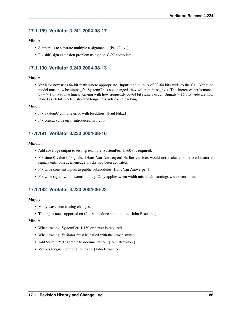## **17.1.189 Verilator 3.241 2004-08-17**

### Minor:

- Support ,'s to separate multiple assignments. [Paul Nitza]
- Fix shift sign extension problem using non-GCC compilers.

## **17.1.190 Verilator 3.240 2004-08-13**

### Major:

• Verilator now uses 64 bit math where appropriate. Inputs and outputs of 33-64 bits wide to the C++ Verilated model must now be uint64 t's; SystemC has not changed, they will remain sc\_bv's. This increases performance by ~ 9% on x86 machines, varying with how frequently 33-64 bit signals occur. Signals 9-16 bits wide are now stored as 16 bit shorts instead of longs, this aids cache packing.

#### Minor:

- Fix SystemC compile error with feedthrus. [Paul Nitza]
- Fix concat value error introduced in 3.230.

## **17.1.191 Verilator 3.230 2004-08-10**

### Minor:

- Add coverage output to test\_sp example, SystemPerl 1.160+ is required.
- Fix time 0 value of signals. [Hans Van Antwerpen] Earlier versions would not evaluate some combinatorial signals until posedge/negedge blocks had been activated.
- Fix wide constant inputs to public submodules [Hans Van Antwerpen]
- Fix wide signal width extension bug. Only applies when width mismatch warnings were overridden.

# **17.1.192 Verilator 3.220 2004-06-22**

#### Major:

- Many waveform tracing changes:
- Tracing is now supported on C++ standalone simulations. [John Brownlee]

- When tracing, SystemPerl 1.150 or newer is required.
- When tracing, Verilator must be called with the –trace switch.
- Add SystemPerl example to documentation. [John Brownlee]
- Various Cygwin compilation fixes. [John Brownlee]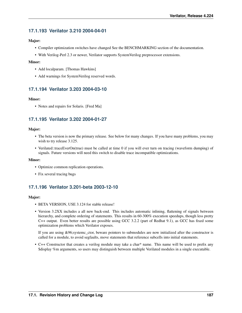# **17.1.193 Verilator 3.210 2004-04-01**

### Major:

- Compiler optimization switches have changed See the BENCHMARKING section of the documentation.
- With Verilog-Perl 2.3 or newer, Verilator supports SystemVerilog preprocessor extensions.

### Minor:

- Add localparam. [Thomas Hawkins]
- Add warnings for SystemVerilog reserved words.

# **17.1.194 Verilator 3.203 2004-03-10**

## Minor:

• Notes and repairs for Solaris. [Fred Ma]

# **17.1.195 Verilator 3.202 2004-01-27**

## Major:

- The beta version is now the primary release. See below for many changes. If you have many problems, you may wish to try release 3.125.
- Verilated::traceEverOn(true) must be called at time 0 if you will ever turn on tracing (waveform dumping) of signals. Future versions will need this switch to disable trace incompatible optimizations.

### Minor:

- Optimize common replication operations.
- Fix several tracing bugs

# **17.1.196 Verilator 3.201-beta 2003-12-10**

### Major:

- BETA VERSION, USE 3.124 for stable release!
- Version 3.2XX includes a all new back-end. This includes automatic inlining, flattening of signals between hierarchy, and complete ordering of statements. This results in 60-300% execution speedups, though less pretty C++ output. Even better results are possible using GCC 3.2.2 (part of Redhat 9.1), as GCC has fixed some optimization problems which Verilator exposes.

If you are using &96;systemc\_ctor, beware pointers to submodules are now initialized after the constructor is called for a module, to avoid segfaults, move statements that reference subcells into initial statements.

• C++ Constructor that creates a verilog module may take a char\* name. This name will be used to prefix any \$display %m arguments, so users may distinguish between multiple Verilated modules in a single executable.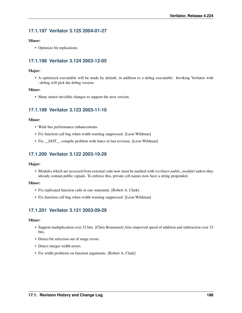# **17.1.197 Verilator 3.125 2004-01-27**

### Minor:

• Optimize bit replications

# **17.1.198 Verilator 3.124 2003-12-05**

### Major:

• A optimized executable will be made by default, in addition to a debug executable. Invoking Verilator with –debug will pick the debug version.

### Minor:

• Many minor invisible changes to support the next version.

# **17.1.199 Verilator 3.123 2003-11-10**

### Minor:

- Wide bus performance enhancements.
- Fix function call bug when width warning suppressed. [Leon Wildman]
- Fix \_DOT\_ compile problem with funcs in last revision. [Leon Wildman]

## **17.1.200 Verilator 3.122 2003-10-29**

### Major:

• Modules which are accessed from external code now must be marked with /*verilator public\_module*/ unless they already contain public signals. To enforce this, private cell names now have a string prepended.

#### Minor:

- Fix replicated function calls in one statement. [Robert A. Clark]
- Fix function call bug when width warning suppressed. [Leon Wildman]

# **17.1.201 Verilator 3.121 2003-09-29**

- Support multiplication over 32 bits. [Chris Boumenot] Also improved speed of addition and subtraction over 32 bits.
- Detect bit selection out of range errors.
- Detect integer width errors.
- Fix width problems on function arguments. [Robert A. Clark]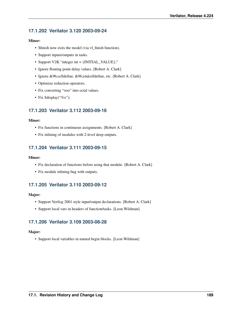# **17.1.202 Verilator 3.120 2003-09-24**

### Minor:

- \$finish now exits the model (via vl\_finish function).
- Support inputs/outputs in tasks.
- Support V2K "integer int = {INITIAL\_VALUE};"
- Ignore floating point delay values. [Robert A. Clark]
- Ignore &96;celldefine, &96;endcelldefine, etc. [Robert A. Clark]
- Optimize reduction operators.
- Fix converting "ooo" into octal values.
- Fix \$display("%x");

## **17.1.203 Verilator 3.112 2003-09-16**

### Minor:

- Fix functions in continuous assignments. [Robert A. Clark]
- Fix inlining of modules with 2-level deep outputs.

## **17.1.204 Verilator 3.111 2003-09-15**

#### Minor:

- Fix declaration of functions before using that module. [Robert A. Clark]
- Fix module inlining bug with outputs.

# **17.1.205 Verilator 3.110 2003-09-12**

### Major:

- Support Verilog 2001 style input/output declarations. [Robert A. Clark]
- Support local vars in headers of function/tasks. [Leon Wildman]

## **17.1.206 Verilator 3.109 2003-08-28**

### Major:

• Support local variables in named begin blocks. [Leon Wildman]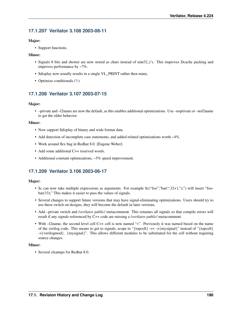# **17.1.207 Verilator 3.108 2003-08-11**

### Major:

• Support functions.

### Minor:

- Signals 8 bits and shorter are now stored as chars instead of uint32\_t's. This improves Dcache packing and improves performance by ~7%.
- \$display now usually results in a single VL\_PRINT rather then many.
- Optimize conditionals (?:)

# **17.1.208 Verilator 3.107 2003-07-15**

## Major:

• –private and –l2name are now the default, as this enables additional optimizations. Use –noprivate or –nol2name to get the older behavior.

## Minor:

- Now support \$display of binary and wide format data.
- Add detection of incomplete case statements, and added related optimizations worth ~4%.
- Work around flex bug in Redhat 8.0. [Eugene Weber]
- Add some additional C++ reserved words.
- Additional constant optimizations, ~5% speed improvement.

# **17.1.209 Verilator 3.106 2003-06-17**

## Major:

- Sc can now take multiple expressions as arguments. For example  $c("foo", 'bar(", 32+1, '');")$  will insert "foobar(33);" This makes it easier to pass the values of signals.
- Several changes to support future versions that may have signal-eliminating optimizations. Users should try to use these switch on designs, they will become the default in later versions.
- Add –private switch and /*verilator public*/ metacomment. This renames all signals so that compile errors will result if any signals referenced by C++ code are missing a /*verilator public*/ metacomment.
- With –l2name, the second level cell C++ cell is now named "v". Previously it was named based on the name of the verilog code. This means to get to signals, scope to "{topcell} ->v ->{mysignal}" instead of "{topcell} ->{verilogmod}. {mysignal}". This allows different modules to be substituted for the cell without requiring source changes.

### Minor:

• Several cleanups for Redhat 8.0.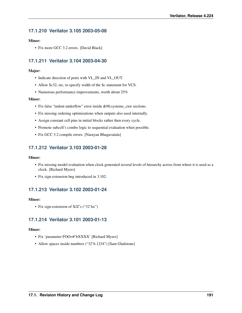# **17.1.210 Verilator 3.105 2003-05-08**

### Minor:

• Fix more GCC 3.2 errors. [David Black]

# **17.1.211 Verilator 3.104 2003-04-30**

### Major:

- Indicate direction of ports with VL\_IN and VL\_OUT.
- Allow \$c32, etc, to specify width of the \$c statement for VCS.
- Numerous performance improvements, worth about 25%

#### Minor:

- Fix false "indent underflow" error inside &96;systemc\_ctor sections.
- Fix missing ordering optimizations when outputs also used internally.
- Assign constant cell pins in initial blocks rather then every cycle.
- Promote subcell's combo logic to sequential evaluation when possible.
- Fix GCC 3.2 compile errors. [Narayan Bhagavatula]

# **17.1.212 Verilator 3.103 2003-01-28**

#### Minor:

- Fix missing model evaluation when clock generated several levels of hierarchy across from where it is used as a clock. [Richard Myers]
- Fix sign-extension bug introduced in 3.102.

# **17.1.213 Verilator 3.102 2003-01-24**

#### Minor:

• Fix sign-extension of X/Z's ("32'hx")

# **17.1.214 Verilator 3.101 2003-01-13**

- Fix 'parameter FOO=#'bXXXX' [Richard Myers]
- Allow spaces inside numbers ("32'h 1234") [Sam Gladstone]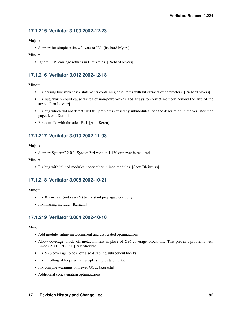# **17.1.215 Verilator 3.100 2002-12-23**

### Major:

• Support for simple tasks w/o vars or I/O. [Richard Myers]

### Minor:

• Ignore DOS carriage returns in Linux files. [Richard Myers]

# **17.1.216 Verilator 3.012 2002-12-18**

## Minor:

- Fix parsing bug with casex statements containing case items with bit extracts of parameters. [Richard Myers]
- Fix bug which could cause writes of non-power-of-2 sized arrays to corrupt memory beyond the size of the array. [Dan Lussier]
- Fix bug which did not detect UNOPT problems caused by submodules. See the description in the verilator man page. [John Deroo]
- Fix compile with threaded Perl. [Ami Keren]

# **17.1.217 Verilator 3.010 2002-11-03**

## Major:

• Support SystemC 2.0.1. SystemPerl version 1.130 or newer is required.

### Minor:

• Fix bug with inlined modules under other inlined modules. [Scott Bleiweiss]

# **17.1.218 Verilator 3.005 2002-10-21**

### Minor:

- Fix X's in case (not casex/z) to constant propagate correctly.
- Fix missing include. [Kurachi]

# **17.1.219 Verilator 3.004 2002-10-10**

- Add module\_inline metacomment and associated optimizations.
- Allow coverage\_block\_off metacomment in place of &96;coverage\_block\_off. This prevents problems with Emacs AUTORESET. [Ray Strouble]
- Fix &96; coverage\_block\_off also disabling subsequent blocks.
- Fix unrolling of loops with multiple simple statements.
- Fix compile warnings on newer GCC. [Kurachi]
- Additional concatenation optimizations.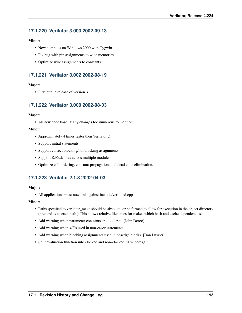# **17.1.220 Verilator 3.003 2002-09-13**

### Minor:

- Now compiles on Windows 2000 with Cygwin.
- Fix bug with pin assignments to wide memories.
- Optimize wire assignments to constants.

# **17.1.221 Verilator 3.002 2002-08-19**

### Major:

• First public release of version 3.

## **17.1.222 Verilator 3.000 2002-08-03**

### Major:

• All new code base. Many changes too numerous to mention.

### Minor:

- Approximately 4 times faster then Verilator 2.
- Support initial statements
- Support correct blocking/nonblocking assignments
- Support &96;defines across multiple modules
- Optimize call ordering, constant propagation, and dead code elimination.

# **17.1.223 Verilator 2.1.8 2002-04-03**

### Major:

• All applications must now link against include/verilated.cpp

- Paths specified to verilator\_make should be absolute, or be formed to allow for execution in the object directory (prepend ../ to each path.) This allows relative filenames for makes which hash and cache dependencies.
- Add warning when parameter constants are too large. [John Deroo]
- Add warning when x/?'s used in non-casez statements.
- Add warning when blocking assignments used in posedge blocks. [Dan Lussier]
- Split evaluation function into clocked and non-clocked, 20% perf gain.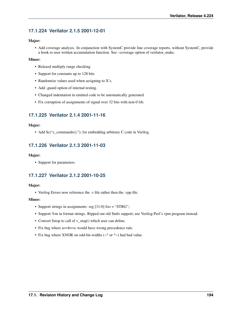# **17.1.224 Verilator 2.1.5 2001-12-01**

### Major:

• Add coverage analysis. In conjunction with SystemC provide line coverage reports, without SystemC, provide a hook to user written accumulation function. See –coverage option of verilator\_make.

## Minor:

- Relaxed multiply range checking
- Support for constants up to 128 bits
- Randomize values used when assigning to X's.
- Add -guard option of internal testing.
- Changed indentation in emitted code to be automatically generated.
- Fix corruption of assignments of signal over 32 bits with non-0 lsb.

# **17.1.225 Verilator 2.1.4 2001-11-16**

## Major:

• Add \$c("c\_commands();"); for embedding arbitrary C code in Verilog.

# **17.1.226 Verilator 2.1.3 2001-11-03**

### Major:

• Support for parameters.

# **17.1.227 Verilator 2.1.2 2001-10-25**

### Major:

• Verilog Errors now reference the .v file rather then the .vpp file.

- Support strings in assignments: reg [31:0] foo = "STRG";
- Support %m in format strings. Ripped out old \$info support, use Verilog-Perl's vpm program instead.
- Convert \$stop to call of v\_stop() which user can define.
- Fix bug where a==b==c would have wrong precedence rule.
- Fix bug where XNOR on odd-bit-widths ( $\sim$  or  $\sim$ ) had bad value.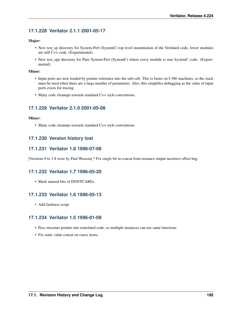# **17.1.228 Verilator 2.1.1 2001-05-17**

## Major:

- New test\_sp directory for System-Perl (SystemC) top level instantiation of the Verilated code, lower modules are still C++ code. (Experimental).
- New test\_spp directory for Pure System-Perl (SystemC) where every module is true SystemC code. (Experimental)

### Minor:

- Input ports are now loaded by pointer reference into the sub-cell. This is faster on I-386 machines, as the stack must be used when there are a large number of parameters. Also, this simplifies debugging as the value of input ports exists for tracing.
- Many code cleanups towards standard C++ style conventions.

# **17.1.229 Verilator 2.1.0 2001-05-08**

## Minor:

• Many code cleanups towards standard C++ style conventions.

# **17.1.230 Version history lost**

## **17.1.231 Verilator 1.8 1996-07-08**

[Versions 0 to 1.8 were by Paul Wasson] \* Fix single bit in concat from instance output incorrect offset bug.

# **17.1.232 Verilator 1.7 1996-05-20**

• Mask unused bits of DONTCAREs.

# **17.1.233 Verilator 1.6 1996-05-13**

• Add fasttrace script

# **17.1.234 Verilator 1.5 1996-01-09**

- Pass structure pointer into translated code, so multiple instances can use same functions.
- Fix static value concat on casex items.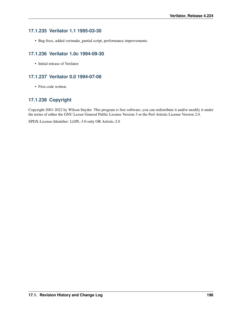# **17.1.235 Verilator 1.1 1995-03-30**

• Bug fixes, added verimake\_partial script, performance improvements.

# **17.1.236 Verilator 1.0c 1994-09-30**

• Initial release of Verilator

# **17.1.237 Verilator 0.0 1994-07-08**

• First code written.

# **17.1.238 Copyright**

Copyright 2001-2022 by Wilson Snyder. This program is free software; you can redistribute it and/or modify it under the terms of either the GNU Lesser General Public License Version 3 or the Perl Artistic License Version 2.0.

SPDX-License-Identifier: LGPL-3.0-only OR Artistic-2.0